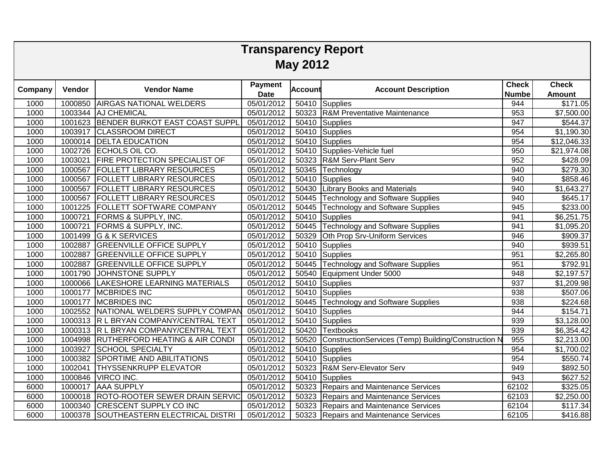| <b>Transparency Report</b> |                 |                                        |                               |                |                                                     |                              |                               |  |  |  |  |  |  |
|----------------------------|-----------------|----------------------------------------|-------------------------------|----------------|-----------------------------------------------------|------------------------------|-------------------------------|--|--|--|--|--|--|
|                            | <b>May 2012</b> |                                        |                               |                |                                                     |                              |                               |  |  |  |  |  |  |
| Company                    | Vendor          | <b>Vendor Name</b>                     | <b>Payment</b><br><b>Date</b> | <b>Account</b> | <b>Account Description</b>                          | <b>Check</b><br><b>Numbe</b> | <b>Check</b><br><b>Amount</b> |  |  |  |  |  |  |
| 1000                       |                 | 1000850 AIRGAS NATIONAL WELDERS        | 05/01/2012                    |                | 50410 Supplies                                      | 944                          | \$171.05                      |  |  |  |  |  |  |
| 1000                       |                 | 1003344 AJ CHEMICAL                    | 05/01/2012                    | 50323          | <b>R&amp;M Preventative Maintenance</b>             | 953                          | $\overline{$7,500.00}$        |  |  |  |  |  |  |
| 1000                       | 1001623         | <b>BENDER BURKOT EAST COAST SUPPL</b>  | 05/01/2012                    | 50410          | <b>Supplies</b>                                     | 947                          | \$544.37                      |  |  |  |  |  |  |
| 1000                       | 1003917         | <b>CLASSROOM DIRECT</b>                | 05/01/2012                    | 50410          | Supplies                                            | 954                          | \$1,190.30                    |  |  |  |  |  |  |
| 1000                       | 1000014         | <b>DELTA EDUCATION</b>                 | 05/01/2012                    | 50410          | Supplies                                            | 954                          | \$12,046.33                   |  |  |  |  |  |  |
| 1000                       | 1002726         | ECHOLS OIL CO.                         | 05/01/2012                    | 50410          | Supplies-Vehicle fuel                               | 950                          | \$21,974.08                   |  |  |  |  |  |  |
| 1000                       | 1003021         | <b>FIRE PROTECTION SPECIALIST OF</b>   | 05/01/2012                    | 50323          | <b>R&amp;M Serv-Plant Serv</b>                      | 952                          | \$428.09                      |  |  |  |  |  |  |
| 1000                       | 1000567         | <b>FOLLETT LIBRARY RESOURCES</b>       | 05/01/2012                    | 50345          | Technology                                          | 940                          | \$279.30                      |  |  |  |  |  |  |
| 1000                       | 1000567         | <b>FOLLETT LIBRARY RESOURCES</b>       | 05/01/2012                    | 50410          | <b>Supplies</b>                                     | 940                          | \$858.46                      |  |  |  |  |  |  |
| 1000                       | 1000567         | <b>FOLLETT LIBRARY RESOURCES</b>       | 05/01/2012                    | 50430          | <b>Library Books and Materials</b>                  | 940                          | \$1,643.27                    |  |  |  |  |  |  |
| 1000                       | 1000567         | <b>FOLLETT LIBRARY RESOURCES</b>       | 05/01/2012                    | 50445          | <b>Technology and Software Supplies</b>             | 940                          | \$645.17                      |  |  |  |  |  |  |
| 1000                       | 1001225         | <b>FOLLETT SOFTWARE COMPANY</b>        | 05/01/2012                    | 50445          | Technology and Software Supplies                    | 945                          | \$233.00                      |  |  |  |  |  |  |
| 1000                       | 1000721         | <b>FORMS &amp; SUPPLY, INC.</b>        | 05/01/2012                    | 50410          | Supplies                                            | 941                          | \$6,251.75                    |  |  |  |  |  |  |
| 1000                       | 1000721         | <b>FORMS &amp; SUPPLY, INC.</b>        | 05/01/2012                    | 50445          | <b>Technology and Software Supplies</b>             | 941                          | \$1,095.20                    |  |  |  |  |  |  |
| 1000                       | 1001499         | G & K SERVICES                         | 05/01/2012                    | 50329          | Oth Prop Srv-Uniform Services                       | 946                          | \$909.37                      |  |  |  |  |  |  |
| 1000                       | 1002887         | <b>GREENVILLE OFFICE SUPPLY</b>        | 05/01/2012                    | 50410          | Supplies                                            | 940                          | \$939.51                      |  |  |  |  |  |  |
| 1000                       | 1002887         | <b>GREENVILLE OFFICE SUPPLY</b>        | 05/01/2012                    | 50410          | Supplies                                            | 951                          | \$2,265.80                    |  |  |  |  |  |  |
| 1000                       | 1002887         | <b>GREENVILLE OFFICE SUPPLY</b>        | 05/01/2012                    | 50445          | <b>Technology and Software Supplies</b>             | 951                          | \$792.91                      |  |  |  |  |  |  |
| 1000                       | 1001790         | JOHNSTONE SUPPLY                       | 05/01/2012                    | 50540          | Equipment Under 5000                                | 948                          | \$2,197.57                    |  |  |  |  |  |  |
| 1000                       |                 | 1000066 LAKESHORE LEARNING MATERIALS   | 05/01/2012                    | 50410          | Supplies                                            | 937                          | \$1,209.98                    |  |  |  |  |  |  |
| 1000                       | 1000177         | <b>MCBRIDES INC</b>                    | 05/01/2012                    | 50410          | <b>Supplies</b>                                     | 938                          | \$507.06                      |  |  |  |  |  |  |
| 1000                       | 1000177         | <b>MCBRIDES INC</b>                    | 05/01/2012                    | 50445          | <b>Technology and Software Supplies</b>             | 938                          | \$224.68                      |  |  |  |  |  |  |
| 1000                       |                 | 1002552 NATIONAL WELDERS SUPPLY COMPAN | 05/01/2012                    | 50410          | <b>Supplies</b>                                     | 944                          | \$154.71                      |  |  |  |  |  |  |
| 1000                       |                 | 1000313 R L BRYAN COMPANY/CENTRAL TEXT | 05/01/2012                    | 50410          | Supplies                                            | 939                          | \$3,128.00                    |  |  |  |  |  |  |
| 1000                       |                 | 1000313 R L BRYAN COMPANY/CENTRAL TEXT | 05/01/2012                    | 50420          | <b>Textbooks</b>                                    | 939                          | \$6,354.42                    |  |  |  |  |  |  |
| 1000                       |                 | 1004998 RUTHERFORD HEATING & AIR CONDI | 05/01/2012                    | 50520          | ConstructionServices (Temp) Building/Construction N | 955                          | \$2,213.00                    |  |  |  |  |  |  |
| 1000                       | 1003927         | <b>SCHOOL SPECIALTY</b>                | 05/01/2012                    | 50410          | Supplies                                            | 954                          | \$1,700.02                    |  |  |  |  |  |  |
| 1000                       | 1000382         | <b>SPORTIME AND ABILITATIONS</b>       | 05/01/2012                    | 50410          | Supplies                                            | 954                          | \$550.74                      |  |  |  |  |  |  |
| 1000                       | 1002041         | <b>THYSSENKRUPP ELEVATOR</b>           | 05/01/2012                    | 50323          | R&M Serv-Elevator Serv                              | 949                          | \$892.50                      |  |  |  |  |  |  |
| 1000                       | 1000846         | <b>VIRCO INC.</b>                      | 05/01/2012                    | 50410          | <b>Supplies</b>                                     | 943                          | \$627.52                      |  |  |  |  |  |  |
| 6000                       | 1000017         | <b>AAA SUPPLY</b>                      | 05/01/2012                    | 50323          | Repairs and Maintenance Services                    | 62102                        | \$325.05                      |  |  |  |  |  |  |
| 6000                       |                 | 1000018 ROTO-ROOTER SEWER DRAIN SERVIC | 05/01/2012                    | 50323          | Repairs and Maintenance Services                    | 62103                        | \$2,250.00                    |  |  |  |  |  |  |
| 6000                       | 1000340         | <b>CRESCENT SUPPLY CO INC</b>          | 05/01/2012                    | 50323          | Repairs and Maintenance Services                    | 62104                        | \$117.34                      |  |  |  |  |  |  |
| 6000                       | 1000378         | SOUTHEASTERN ELECTRICAL DISTRI         | 05/01/2012                    | 50323          | Repairs and Maintenance Services                    | 62105                        | \$416.88                      |  |  |  |  |  |  |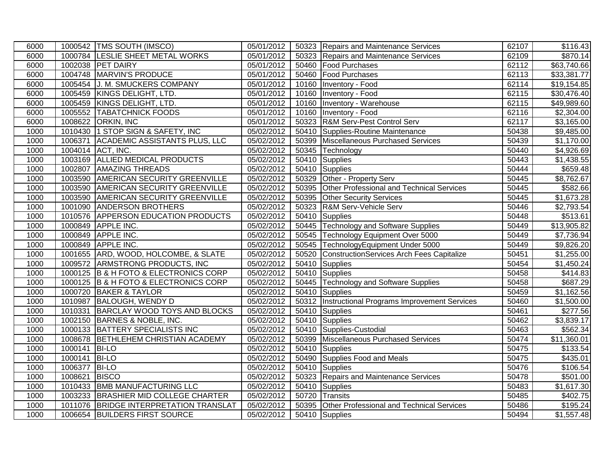| 6000 |         | 1000542 TMS SOUTH (IMSCO)             | 05/01/2012 |       | 50323 Repairs and Maintenance Services            | 62107 | \$116.43                |
|------|---------|---------------------------------------|------------|-------|---------------------------------------------------|-------|-------------------------|
| 6000 |         | 1000784 LESLIE SHEET METAL WORKS      | 05/01/2012 |       | 50323 Repairs and Maintenance Services            | 62109 | \$870.14                |
| 6000 |         | 1002038 PET DAIRY                     | 05/01/2012 | 50460 | <b>Food Purchases</b>                             | 62112 | \$63,740.66             |
| 6000 |         | 1004748 MARVIN'S PRODUCE              | 05/01/2012 | 50460 | <b>Food Purchases</b>                             | 62113 | \$33,381.77             |
| 6000 | 1005454 | J. M. SMUCKERS COMPANY                | 05/01/2012 | 10160 | Inventory - Food                                  | 62114 | \$19,154.85             |
| 6000 |         | 1005459 KINGS DELIGHT, LTD.           | 05/01/2012 | 10160 | Inventory - Food                                  | 62115 | \$30,476.40             |
| 6000 | 1005459 | KINGS DELIGHT, LTD.                   | 05/01/2012 | 10160 | Inventory - Warehouse                             | 62115 | \$49,989.60             |
| 6000 | 1005552 | <b>TABATCHNICK FOODS</b>              | 05/01/2012 | 10160 | Inventory - Food                                  | 62116 | \$2,304.00              |
| 6000 | 1008622 | <b>ORKIN, INC</b>                     | 05/01/2012 | 50323 | <b>R&amp;M Serv-Pest Control Serv</b>             | 62117 | \$3,165.00              |
| 1000 |         | 1010430 1 STOP SIGN & SAFETY, INC     | 05/02/2012 | 50410 | Supplies-Routine Maintenance                      | 50438 | \$9,485.00              |
| 1000 | 1006371 | <b>ACADEMIC ASSISTANTS PLUS, LLC</b>  | 05/02/2012 | 50399 | Miscellaneous Purchased Services                  | 50439 | \$1,170.00              |
| 1000 |         | 1004014 ACT, INC.                     | 05/02/2012 | 50345 | Technology                                        | 50440 | \$4,926.69              |
| 1000 |         | 1003169 ALLIED MEDICAL PRODUCTS       | 05/02/2012 | 50410 | Supplies                                          | 50443 | \$1,438.55              |
| 1000 | 1002807 | <b>AMAZING THREADS</b>                | 05/02/2012 | 50410 | Supplies                                          | 50444 | \$659.48                |
| 1000 | 1003590 | <b>AMERICAN SECURITY GREENVILLE</b>   | 05/02/2012 | 50329 | Other - Property Serv                             | 50445 | \$8,762.67              |
| 1000 |         | 1003590 AMERICAN SECURITY GREENVILLE  | 05/02/2012 | 50395 | Other Professional and Technical Services         | 50445 | \$582.66                |
| 1000 |         | 1003590 AMERICAN SECURITY GREENVILLE  | 05/02/2012 | 50395 | <b>Other Security Services</b>                    | 50445 | \$1,673.28              |
| 1000 | 1001090 | <b>ANDERSON BROTHERS</b>              | 05/02/2012 | 50323 | R&M Serv-Vehicle Serv                             | 50446 | \$2,793.54              |
| 1000 | 1010576 | <b>APPERSON EDUCATION PRODUCTS</b>    | 05/02/2012 | 50410 | Supplies                                          | 50448 | \$513.61                |
| 1000 | 1000849 | <b>APPLE INC.</b>                     | 05/02/2012 |       | 50445 Technology and Software Supplies            | 50449 | \$13,905.82             |
| 1000 | 1000849 | <b>APPLE INC.</b>                     | 05/02/2012 |       | 50545 Technology Equipment Over 5000              | 50449 | \$7,736.94              |
| 1000 | 1000849 | <b>APPLE INC.</b>                     | 05/02/2012 | 50545 | TechnologyEquipment Under 5000                    | 50449 | \$9,826.20              |
| 1000 |         | 1001655 ARD, WOOD, HOLCOMBE, & SLATE  | 05/02/2012 | 50520 | ConstructionServices Arch Fees Capitalize         | 50451 | \$1,255.00              |
| 1000 |         | 1009572 ARMSTRONG PRODUCTS, INC       | 05/02/2012 | 50410 | Supplies                                          | 50454 | \$1,450.24              |
| 1000 |         | 1000125 B & H FOTO & ELECTRONICS CORP | 05/02/2012 | 50410 | Supplies                                          | 50458 | \$414.83                |
| 1000 |         | 1000125 B & H FOTO & ELECTRONICS CORP | 05/02/2012 |       | 50445 Technology and Software Supplies            | 50458 | \$687.29                |
| 1000 |         | 1000720 BAKER & TAYLOR                | 05/02/2012 | 50410 | Supplies                                          | 50459 | \$1,162.56              |
| 1000 | 1010987 | <b>BALOUGH, WENDY D</b>               | 05/02/2012 |       | 50312 Instructional Programs Improvement Services | 50460 | \$1,500.00              |
| 1000 |         | 1010331 BARCLAY WOOD TOYS AND BLOCKS  | 05/02/2012 | 50410 | Supplies                                          | 50461 | \$277.56                |
| 1000 |         | 1002150 BARNES & NOBLE, INC.          | 05/02/2012 | 50410 | Supplies                                          | 50462 | \$3,839.17              |
| 1000 |         | 1000133 BATTERY SPECIALISTS INC       | 05/02/2012 |       | 50410 Supplies-Custodial                          | 50463 | $\overline{$}562.34$    |
| 1000 |         | 1008678 BETHLEHEM CHRISTIAN ACADEMY   | 05/02/2012 | 50399 | Miscellaneous Purchased Services                  | 50474 | \$11,360.01             |
| 1000 | 1000141 | <b>BI-LO</b>                          | 05/02/2012 | 50410 | <b>Supplies</b>                                   | 50475 | $\overline{$}133.54$    |
| 1000 | 1000141 | <b>BI-LO</b>                          | 05/02/2012 | 50490 | Supplies Food and Meals                           | 50475 | \$435.01                |
| 1000 | 1006377 | <b>BI-LO</b>                          | 05/02/2012 | 50410 | Supplies                                          | 50476 | \$106.54                |
| 1000 | 1008621 | <b>BISCO</b>                          | 05/02/2012 |       | 50323 Repairs and Maintenance Services            | 50478 | \$501.00                |
| 1000 | 1010433 | <b>BMB MANUFACTURING LLC</b>          | 05/02/2012 | 50410 | Supplies                                          | 50483 | $\overline{\$1,617.30}$ |
| 1000 |         | 1003233 BRASHIER MID COLLEGE CHARTER  | 05/02/2012 | 50720 | Transits                                          | 50485 | \$402.75                |
| 1000 | 1011076 | <b>BRIDGE INTERPRETATION TRANSLAT</b> | 05/02/2012 | 50395 | Other Professional and Technical Services         | 50486 | \$195.24                |
| 1000 |         | 1006654 BUILDERS FIRST SOURCE         | 05/02/2012 |       | 50410 Supplies                                    | 50494 | \$1,557.48              |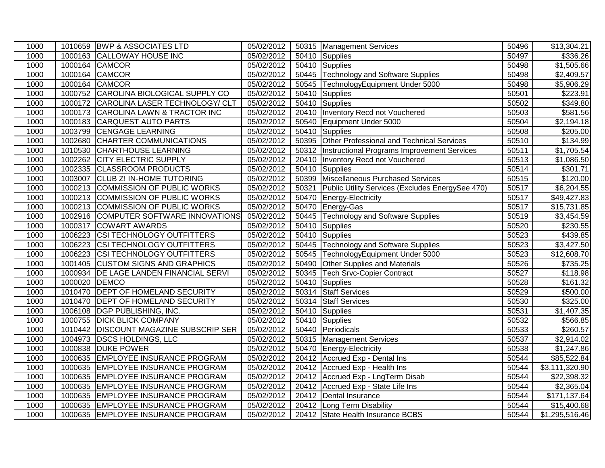| 1000 |               | 1010659 BWP & ASSOCIATES LTD             | 05/02/2012 | 50315 Management Services                              | 50496 | \$13,304.21             |
|------|---------------|------------------------------------------|------------|--------------------------------------------------------|-------|-------------------------|
| 1000 |               | 1000163 CALLOWAY HOUSE INC               | 05/02/2012 | 50410 Supplies                                         | 50497 | $\overline{$}336.26$    |
| 1000 |               | 1000164 CAMCOR                           | 05/02/2012 | 50410 Supplies                                         | 50498 | \$1,505.66              |
| 1000 |               | 1000164 CAMCOR                           | 05/02/2012 | 50445 Technology and Software Supplies                 | 50498 | \$2,409.57              |
| 1000 |               | 1000164 CAMCOR                           | 05/02/2012 | 50545 TechnologyEquipment Under 5000                   | 50498 | \$5,906.29              |
| 1000 |               | 1000752 CAROLINA BIOLOGICAL SUPPLY CO    | 05/02/2012 | 50410 Supplies                                         | 50501 | \$223.91                |
| 1000 | 1000172       | CAROLINA LASER TECHNOLOGY/ CLT           | 05/02/2012 | 50410 Supplies                                         | 50502 | \$349.80                |
| 1000 |               | 1000173 CAROLINA LAWN & TRACTOR INC      | 05/02/2012 | 20410   Inventory Recd not Vouchered                   | 50503 | \$581.56                |
| 1000 |               | 1000183 CARQUEST AUTO PARTS              | 05/02/2012 | 50540 Equipment Under 5000                             | 50504 | \$2,194.18              |
| 1000 |               | 1003799 CENGAGE LEARNING                 | 05/02/2012 | 50410 Supplies                                         | 50508 | \$205.00                |
| 1000 |               | 1002680 CHARTER COMMUNICATIONS           | 05/02/2012 | 50395 Other Professional and Technical Services        | 50510 | $\overline{$}134.99$    |
| 1000 |               | 1010530 CHARTHOUSE LEARNING              | 05/02/2012 | 50312   Instructional Programs Improvement Services    | 50511 | \$1,705.54              |
| 1000 |               | 1002262 CITY ELECTRIC SUPPLY             | 05/02/2012 | 20410   Inventory Recd not Vouchered                   | 50513 | \$1,086.50              |
| 1000 |               | 1002335 CLASSROOM PRODUCTS               | 05/02/2012 | 50410 Supplies                                         | 50514 | \$301.71                |
| 1000 |               | 1003007 CLUB Z! IN-HOME TUTORING         | 05/02/2012 | 50399 Miscellaneous Purchased Services                 | 50515 | \$120.00                |
| 1000 |               | 1000213 COMMISSION OF PUBLIC WORKS       | 05/02/2012 | 50321 Public Utility Services (Excludes EnergySee 470) | 50517 | \$6,204.55              |
| 1000 |               | 1000213 COMMISSION OF PUBLIC WORKS       | 05/02/2012 | 50470 Energy-Electricity                               | 50517 | $\overline{$49,427.83}$ |
| 1000 |               | 1000213 COMMISSION OF PUBLIC WORKS       | 05/02/2012 | 50470 Energy-Gas                                       | 50517 | \$15,731.85             |
| 1000 |               | 1002916 COMPUTER SOFTWARE INNOVATIONS    | 05/02/2012 | 50445 Technology and Software Supplies                 | 50519 | $\overline{$3,454.59}$  |
| 1000 | 1000317       | <b>COWART AWARDS</b>                     | 05/02/2012 | 50410 Supplies                                         | 50520 | \$230.55                |
| 1000 |               | 1006223 CSI TECHNOLOGY OUTFITTERS        | 05/02/2012 | 50410 Supplies                                         | 50523 | \$439.85                |
| 1000 | 1006223       | <b>CSI TECHNOLOGY OUTFITTERS</b>         | 05/02/2012 | 50445 Technology and Software Supplies                 | 50523 | \$3,427.50              |
| 1000 |               | 1006223 CSI TECHNOLOGY OUTFITTERS        | 05/02/2012 | 50545 TechnologyEquipment Under 5000                   | 50523 | \$12,608.70             |
| 1000 | 1001405       | <b>CUSTOM SIGNS AND GRAPHICS</b>         | 05/02/2012 | 50490 Other Supplies and Materials                     | 50526 | \$735.25                |
| 1000 |               | 1000934 DE LAGE LANDEN FINANCIAL SERVI   | 05/02/2012 | 50345 Tech Srvc-Copier Contract                        | 50527 | \$118.98                |
| 1000 | 1000020 DEMCO |                                          | 05/02/2012 | 50410 Supplies                                         | 50528 | \$161.32                |
| 1000 |               | 1010470 DEPT OF HOMELAND SECURITY        | 05/02/2012 | 50314 Staff Services                                   | 50529 | \$500.00                |
| 1000 | 1010470       | <b>DEPT OF HOMELAND SECURITY</b>         | 05/02/2012 | 50314 Staff Services                                   | 50530 | \$325.00                |
| 1000 |               | 1006108 DGP PUBLISHING, INC.             | 05/02/2012 | 50410 Supplies                                         | 50531 | \$1,407.35              |
| 1000 |               | 1000755 DICK BLICK COMPANY               | 05/02/2012 | 50410 Supplies                                         | 50532 | \$566.85                |
| 1000 |               | 1010442   DISCOUNT MAGAZINE SUBSCRIP SER | 05/02/2012 | 50440 Periodicals                                      | 50533 | \$260.57                |
| 1000 |               | 1004973 DSCS HOLDINGS, LLC               | 05/02/2012 | 50315 Management Services                              | 50537 | \$2,914.02              |
| 1000 |               | 1000838 DUKE POWER                       | 05/02/2012 | 50470 Energy-Electricity                               | 50538 | \$1,247.86              |
| 1000 |               | 1000635 EMPLOYEE INSURANCE PROGRAM       | 05/02/2012 | 20412 Accrued Exp - Dental Ins                         | 50544 | \$85,522.84             |
| 1000 |               | 1000635 EMPLOYEE INSURANCE PROGRAM       | 05/02/2012 | 20412 Accrued Exp - Health Ins                         | 50544 | \$3,111,320.90          |
| 1000 |               | 1000635 EMPLOYEE INSURANCE PROGRAM       | 05/02/2012 | 20412 Accrued Exp - LngTerm Disab                      | 50544 | \$22,398.32             |
| 1000 |               | 1000635 EMPLOYEE INSURANCE PROGRAM       | 05/02/2012 | 20412 Accrued Exp - State Life Ins                     | 50544 | \$2,365.04              |
| 1000 |               | 1000635 EMPLOYEE INSURANCE PROGRAM       | 05/02/2012 | 20412 Dental Insurance                                 | 50544 | \$171,137.64            |
| 1000 |               | 1000635 EMPLOYEE INSURANCE PROGRAM       | 05/02/2012 | 20412 Long Term Disability                             | 50544 | \$15,400.68             |
| 1000 |               | 1000635 EMPLOYEE INSURANCE PROGRAM       | 05/02/2012 | 20412 State Health Insurance BCBS                      | 50544 | \$1,295,516.46          |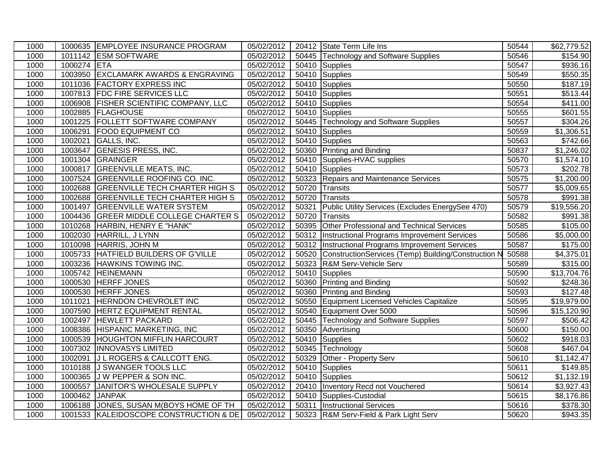| 1000 |             | 1000635 EMPLOYEE INSURANCE PROGRAM      | 05/02/2012 |       | 20412 State Term Life Ins                                 | 50544 | \$62,779.52             |
|------|-------------|-----------------------------------------|------------|-------|-----------------------------------------------------------|-------|-------------------------|
| 1000 |             | 1011142 ESM SOFTWARE                    | 05/02/2012 |       | 50445 Technology and Software Supplies                    | 50546 | \$154.90                |
| 1000 | 1000274 ETA |                                         | 05/02/2012 |       | 50410 Supplies                                            | 50547 | \$936.16                |
| 1000 | 1003950     | <b>EXCLAMARK AWARDS &amp; ENGRAVING</b> | 05/02/2012 |       | 50410 Supplies                                            | 50549 | \$550.35                |
| 1000 | 1011036     | <b>FACTORY EXPRESS INC</b>              | 05/02/2012 |       | 50410 Supplies                                            | 50550 | \$187.19                |
| 1000 | 1007813     | <b>FDC FIRE SERVICES LLC</b>            | 05/02/2012 |       | 50410 Supplies                                            | 50551 | \$513.44                |
| 1000 | 1006908     | <b>FISHER SCIENTIFIC COMPANY, LLC</b>   | 05/02/2012 |       | 50410 Supplies                                            | 50554 | $\sqrt{$411.00}$        |
| 1000 | 1002885     | <b>FLAGHOUSE</b>                        | 05/02/2012 |       | 50410 Supplies                                            | 50555 | \$601.55                |
| 1000 |             | 1001225 FOLLETT SOFTWARE COMPANY        | 05/02/2012 |       | 50445 Technology and Software Supplies                    | 50557 | \$304.26                |
| 1000 | 1006291     | <b>FOOD EQUIPMENT CO</b>                | 05/02/2012 |       | 50410 Supplies                                            | 50559 | $\overline{31}$ ,306.51 |
| 1000 | 1002021     | <b>GALLS, INC.</b>                      | 05/02/2012 |       | 50410 Supplies                                            | 50563 | \$742.66                |
| 1000 | 1003647     | <b>GENESIS PRESS, INC.</b>              | 05/02/2012 |       | 50360 Printing and Binding                                | 50837 | \$1,246.02              |
| 1000 | 1001304     | GRAINGER                                | 05/02/2012 |       | 50410 Supplies-HVAC supplies                              | 50570 | \$1,574.10              |
| 1000 | 1000817     | <b>GREENVILLE MEATS, INC.</b>           | 05/02/2012 |       | 50410 Supplies                                            | 50573 | \$202.78                |
| 1000 | 1007524     | <b>GREENVILLE ROOFING CO. INC.</b>      | 05/02/2012 |       | 50323 Repairs and Maintenance Services                    | 50575 | \$1,200.00              |
| 1000 |             | 1002688 GREENVILLE TECH CHARTER HIGH S  | 05/02/2012 |       | 50720 Transits                                            | 50577 | $\overline{$}5,009.65$  |
| 1000 |             | 1002688 GREENVILLE TECH CHARTER HIGH S  | 05/02/2012 |       | 50720 Transits                                            | 50578 | \$991.38                |
| 1000 | 1001497     | <b>GREENVILLE WATER SYSTEM</b>          | 05/02/2012 | 50321 | Public Utility Services (Excludes EnergySee 470)          | 50579 | $\overline{$19,556.20}$ |
| 1000 | 1004436     | <b>GREER MIDDLE COLLEGE CHARTER S</b>   | 05/02/2012 | 50720 | Transits                                                  | 50582 | \$991.38                |
| 1000 | 1010268     | HARBIN, HENRY E "HANK"                  | 05/02/2012 |       | 50395 Other Professional and Technical Services           | 50585 | \$105.00                |
| 1000 | 1002030     | HARRILL, J LYNN                         | 05/02/2012 | 50312 | Instructional Programs Improvement Services               | 50586 | $\overline{$5,000.00}$  |
| 1000 | 1010098     | HARRIS, JOHN M                          | 05/02/2012 | 50312 | Instructional Programs Improvement Services               | 50587 | \$175.00                |
| 1000 |             | 1005733 HATFIELD BUILDERS OF G'VILLE    | 05/02/2012 |       | 50520 ConstructionServices (Temp) Building/Construction N | 50588 | \$4,375.01              |
| 1000 |             | 1003236 HAWKINS TOWING INC.             | 05/02/2012 |       | 50323 R&M Serv-Vehicle Serv                               | 50589 | \$315.00                |
| 1000 |             | 1005742 HEINEMANN                       | 05/02/2012 | 50410 | Supplies                                                  | 50590 | \$13,704.76             |
| 1000 |             | 1000530 HERFF JONES                     | 05/02/2012 |       | 50360 Printing and Binding                                | 50592 | $\overline{$}248.36$    |
| 1000 | 1000530     | <b>HERFF JONES</b>                      | 05/02/2012 |       | 50360 Printing and Binding                                | 50593 | \$127.48                |
| 1000 | 1011021     | <b>HERNDON CHEVROLET INC</b>            | 05/02/2012 |       | 50550 Equipment Licensed Vehicles Capitalize              | 50595 | \$19,979.00             |
| 1000 | 1007590     | <b>HERTZ EQUIPMENT RENTAL</b>           | 05/02/2012 |       | 50540 Equipment Over 5000                                 | 50596 | \$15,120.90             |
| 1000 | 1002497     | <b>HEWLETT PACKARD</b>                  | 05/02/2012 |       | 50445 Technology and Software Supplies                    | 50597 | \$506.42                |
| 1000 | 1008386     | HISPANIC MARKETING, INC                 | 05/02/2012 |       | 50350 Advertising                                         | 50600 | \$150.00                |
| 1000 | 1000539     | <b>HOUGHTON MIFFLIN HARCOURT</b>        | 05/02/2012 |       | 50410 Supplies                                            | 50602 | \$918.03                |
| 1000 |             | 1007302 INNOVASYS LIMITED               | 05/02/2012 |       | 50345 Technology                                          | 50608 | \$467.04                |
| 1000 | 1002091     | J L ROGERS & CALLCOTT ENG.              | 05/02/2012 |       | 50329 Other - Property Serv                               | 50610 | \$1,142.47              |
| 1000 | 1010188     | J SWANGER TOOLS LLC                     | 05/02/2012 |       | 50410 Supplies                                            | 50611 | \$149.85                |
| 1000 | 1000365     | J W PEPPER & SON INC.                   | 05/02/2012 |       | 50410 Supplies                                            | 50612 | \$1,132.19              |
| 1000 | 1000557     | JANITOR'S WHOLESALE SUPPLY              | 05/02/2012 |       | 20410 Inventory Recd not Vouchered                        | 50614 | \$3,927.43              |
| 1000 | 1000462     | <b>JANPAK</b>                           | 05/02/2012 |       | 50410 Supplies-Custodial                                  | 50615 | \$8,176.86              |
| 1000 | 1006188     | JONES, SUSAN M(BOYS HOME OF TH          | 05/02/2012 | 50311 | <b>Instructional Services</b>                             | 50616 | \$378.30                |
| 1000 |             | 1001533 KALEIDOSCOPE CONSTRUCTION & DE  | 05/02/2012 |       | 50323 R&M Serv-Field & Park Light Serv                    | 50620 | \$943.35                |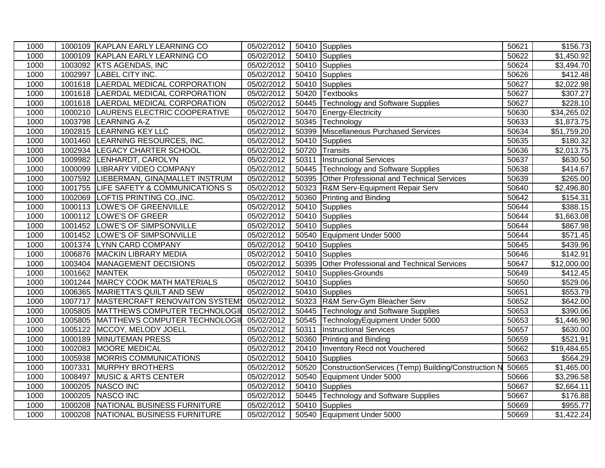| 1000 |         | 1000109 KAPLAN EARLY LEARNING CO        | 05/02/2012               |       | 50410 Supplies                                      | 50621 | \$156.73                |
|------|---------|-----------------------------------------|--------------------------|-------|-----------------------------------------------------|-------|-------------------------|
| 1000 |         | 1000109 KAPLAN EARLY LEARNING CO        | 05/02/2012               |       | 50410 Supplies                                      | 50622 | $\overline{\$1,450.92}$ |
| 1000 | 1003092 | <b>KTS AGENDAS, INC</b>                 | 05/02/2012               |       | 50410 Supplies                                      | 50624 | \$3,494.70              |
| 1000 | 1002997 | <b>LABEL CITY INC.</b>                  | 05/02/2012               |       | 50410 Supplies                                      | 50626 | \$412.48                |
| 1000 | 1001618 | LAERDAL MEDICAL CORPORATION             | 05/02/2012               |       | 50410 Supplies                                      | 50627 | \$2,022.98              |
| 1000 | 1001618 | LAERDAL MEDICAL CORPORATION             | 05/02/2012               |       | 50420 Textbooks                                     | 50627 | \$307.27                |
| 1000 | 1001618 | LAERDAL MEDICAL CORPORATION             | 05/02/2012               |       | 50445 Technology and Software Supplies              | 50627 | \$228.10                |
| 1000 |         | 1000210 LAURENS ELECTRIC COOPERATIVE    | 05/02/2012               |       | 50470 Energy-Electricity                            | 50630 | $\overline{$34,265.02}$ |
| 1000 | 1003798 | <b>LEARNING A-Z</b>                     | 05/02/2012               |       | 50345 Technology                                    | 50633 | \$1,873.75              |
| 1000 |         | 1002815 LEARNING KEY LLC                | 05/02/2012               |       | 50399 Miscellaneous Purchased Services              | 50634 | \$51,759.20             |
| 1000 |         | 1001460 LEARNING RESOURCES, INC.        | 05/02/2012               | 50410 | Supplies                                            | 50635 | \$180.32                |
| 1000 |         | 1002934   LEGACY CHARTER SCHOOL         | 05/02/2012               | 50720 | Transits                                            | 50636 | \$2,013.75              |
| 1000 | 1009982 | LENHARDT, CAROLYN                       | 05/02/2012               | 50311 | <b>Instructional Services</b>                       | 50637 | \$630.50                |
| 1000 |         | 1000099 LIBRARY VIDEO COMPANY           | 05/02/2012               | 50445 | Technology and Software Supplies                    | 50638 | \$414.67                |
| 1000 |         | 1007592 LIEBERMAN, GINA (MALLET INSTRUM | 05/02/2012               | 50395 | Other Professional and Technical Services           | 50639 | \$265.00                |
| 1000 | 1001755 | LIFE SAFETY & COMMUNICATIONS S          | 05/02/2012               | 50323 | R&M Serv-Equipment Repair Serv                      | 50640 | \$2,496.80              |
| 1000 |         | 1002069 LOFTIS PRINTING CO., INC.       | 05/02/2012               |       | 50360 Printing and Binding                          | 50642 | \$154.31                |
| 1000 |         | 1000113 LOWE'S OF GREENVILLE            | 05/02/2012               |       | 50410 Supplies                                      | 50644 | \$388.15                |
| 1000 |         | 1000112 LOWE'S OF GREER                 | 05/02/2012               |       | 50410 Supplies                                      | 50644 | $\overline{\$1,663.08}$ |
| 1000 |         | 1001452 LOWE'S OF SIMPSONVILLE          | 05/02/2012               |       | 50410 Supplies                                      | 50644 | \$867.98                |
| 1000 |         | 1001452 LOWE'S OF SIMPSONVILLE          | 05/02/2012               |       | 50540 Equipment Under 5000                          | 50644 | \$571.45                |
| 1000 |         | 1001374 LYNN CARD COMPANY               | 05/02/2012               |       | 50410 Supplies                                      | 50645 | \$439.96                |
| 1000 | 1006876 | <b>MACKIN LIBRARY MEDIA</b>             | 05/02/2012               |       | 50410 Supplies                                      | 50646 | \$142.91                |
| 1000 |         | 1003404   MANAGEMENT DECISIONS          | 05/02/2012               | 50395 | Other Professional and Technical Services           | 50647 | \$12,000.00             |
| 1000 |         | 1001662 MANTEK                          | 05/02/2012               | 50410 | Supplies-Grounds                                    | 50649 | $\overline{$412.45}$    |
| 1000 |         | 1001244 MARCY COOK MATH MATERIALS       | 05/02/2012               | 50410 | Supplies                                            | 50650 | \$529.06                |
| 1000 |         | 1006365 MARIETTA'S QUILT AND SEW        | 05/02/2012               | 50410 | Supplies                                            | 50651 | \$553.79                |
| 1000 | 1007717 | MASTERCRAFT RENOVAITON SYSTEM           | 05/02/2012               |       | 50323 R&M Serv-Gym Bleacher Serv                    | 50652 | \$642.00                |
| 1000 | 1005805 | MATTHEWS COMPUTER TECHNOLOGIE           | 05/02/2012               |       | 50445 Technology and Software Supplies              | 50653 | \$390.06                |
| 1000 | 1005805 | MATTHEWS COMPUTER TECHNOLOGIE           | 05/02/2012               | 50545 | TechnologyEquipment Under 5000                      | 50653 | \$1,446.90              |
| 1000 | 1005122 | MCCOY, MELODY JOELL                     | 05/02/2012               | 50311 | <b>Instructional Services</b>                       | 50657 | \$630.00                |
| 1000 | 1000189 | <b>MINUTEMAN PRESS</b>                  | 05/02/2012               |       | 50360 Printing and Binding                          | 50659 | \$521.91                |
| 1000 | 1002083 | MOORE MEDICAL                           | 05/02/2012               | 20410 | Inventory Recd not Vouchered                        | 50662 | \$19,484.65             |
| 1000 | 1005938 | <b>MORRIS COMMUNICATIONS</b>            | 05/02/2012               | 50410 | Supplies                                            | 50663 | \$564.29                |
| 1000 | 1007331 | <b>MURPHY BROTHERS</b>                  | $\overline{05/02/20}$ 12 | 50520 | ConstructionServices (Temp) Building/Construction N | 50665 | \$1,465.00              |
| 1000 | 1008497 | <b>MUSIC &amp; ARTS CENTER</b>          | 05/02/2012               |       | 50540 Equipment Under 5000                          | 50666 | $\overline{$3,296.58}$  |
| 1000 | 1000205 | NASCO INC                               | 05/02/2012               |       | 50410 Supplies                                      | 50667 | \$2,664.11              |
| 1000 | 1000205 | NASCO INC                               | 05/02/2012               |       | 50445 Technology and Software Supplies              | 50667 | \$176.88                |
| 1000 | 1000208 | NATIONAL BUSINESS FURNITURE             | 05/02/2012               |       | 50410 Supplies                                      | 50669 | \$955.77                |
| 1000 |         | 1000208 NATIONAL BUSINESS FURNITURE     | 05/02/2012               |       | 50540 Equipment Under 5000                          | 50669 | \$1,422.24              |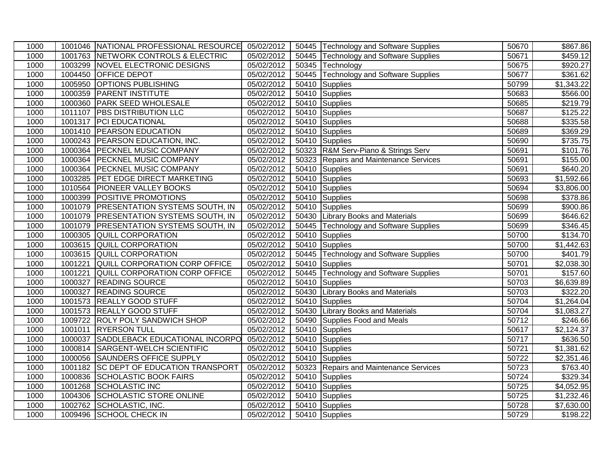| 1000 |         | 1001046 NATIONAL PROFESSIONAL RESOURCE 05/02/2012 |            | 50445 Technology and Software Supplies | 50670 | \$867.86                |
|------|---------|---------------------------------------------------|------------|----------------------------------------|-------|-------------------------|
| 1000 |         | 1001763 NETWORK CONTROLS & ELECTRIC               | 05/02/2012 | 50445 Technology and Software Supplies | 50671 | \$459.12]               |
| 1000 |         | 1003299 NOVEL ELECTRONIC DESIGNS                  | 05/02/2012 | 50345 Technology                       | 50675 | \$920.27                |
| 1000 |         | 1004450 OFFICE DEPOT                              | 05/02/2012 | 50445 Technology and Software Supplies | 50677 | 361.62                  |
| 1000 | 1005950 | <b>OPTIONS PUBLISHING</b>                         | 05/02/2012 | 50410 Supplies                         | 50799 | \$1,343.22              |
| 1000 | 1000359 | <b>PARENT INSTITUTE</b>                           | 05/02/2012 | 50410 Supplies                         | 50683 | \$566.00                |
| 1000 |         | 1000360 PARK SEED WHOLESALE                       | 05/02/2012 | 50410 Supplies                         | 50685 | \$219.79                |
| 1000 |         | 1011107 PBS DISTRIBUTION LLC                      | 05/02/2012 | 50410 Supplies                         | 50687 | \$125.22                |
| 1000 |         | 1001317 PCI EDUCATIONAL                           | 05/02/2012 | 50410 Supplies                         | 50688 | \$335.58                |
| 1000 |         | 1001410 PEARSON EDUCATION                         | 05/02/2012 | 50410 Supplies                         | 50689 | $\overline{$}369.29$    |
| 1000 |         | 1000243 PEARSON EDUCATION, INC.                   | 05/02/2012 | 50410 Supplies                         | 50690 | $\overline{$}735.75$    |
| 1000 |         | 1000364 PECKNEL MUSIC COMPANY                     | 05/02/2012 | 50323 R&M Serv-Piano & Strings Serv    | 50691 | \$101.76                |
| 1000 |         | 1000364 PECKNEL MUSIC COMPANY                     | 05/02/2012 | 50323 Repairs and Maintenance Services | 50691 | \$155.00                |
| 1000 |         | 1000364 PECKNEL MUSIC COMPANY                     | 05/02/2012 | 50410 Supplies                         | 50691 | \$640.20                |
| 1000 |         | 1003285 PET EDGE DIRECT MARKETING                 | 05/02/2012 | 50410 Supplies                         | 50693 | $\overline{$}1,592.66$  |
| 1000 |         | 1010564 PIONEER VALLEY BOOKS                      | 05/02/2012 | 50410 Supplies                         | 50694 | \$3,806.00              |
| 1000 |         | 1000399 POSITIVE PROMOTIONS                       | 05/02/2012 | 50410 Supplies                         | 50698 | 378.86                  |
| 1000 |         | 1001079 PRESENTATION SYSTEMS SOUTH, IN            | 05/02/2012 | 50410 Supplies                         | 50699 | \$900.86                |
| 1000 |         | 1001079 PRESENTATION SYSTEMS SOUTH, IN            | 05/02/2012 | 50430 Library Books and Materials      | 50699 | \$646.62                |
| 1000 |         | 1001079 PRESENTATION SYSTEMS SOUTH, IN            | 05/02/2012 | 50445 Technology and Software Supplies | 50699 | \$346.45                |
| 1000 | 1000305 | <b>QUILL CORPORATION</b>                          | 05/02/2012 | 50410 Supplies                         | 50700 | $\overline{$}134.70$    |
| 1000 | 1003615 | <b>QUILL CORPORATION</b>                          | 05/02/2012 | 50410 Supplies                         | 50700 | $\overline{\$1,442.63}$ |
| 1000 |         | 1003615 QUILL CORPORATION                         | 05/02/2012 | 50445 Technology and Software Supplies | 50700 | $\sqrt{$401.79}$        |
| 1000 | 1001221 | QUILL CORPORATION CORP OFFICE                     | 05/02/2012 | 50410 Supplies                         | 50701 | \$2,038.30              |
| 1000 |         | 1001221 QUILL CORPORATION CORP OFFICE             | 05/02/2012 | 50445 Technology and Software Supplies | 50701 | \$157.60                |
| 1000 |         | 1000327 READING SOURCE                            | 05/02/2012 | 50410 Supplies                         | 50703 | \$6,639.89              |
| 1000 |         | 1000327 READING SOURCE                            | 05/02/2012 | 50430 Library Books and Materials      | 50703 | \$322.20                |
| 1000 |         | 1001573 REALLY GOOD STUFF                         | 05/02/2012 | 50410 Supplies                         | 50704 | \$1,264.04              |
| 1000 |         | 1001573 REALLY GOOD STUFF                         | 05/02/2012 | 50430 Library Books and Materials      | 50704 | \$1,083.27              |
| 1000 |         | 1009722 ROLY POLY SANDWICH SHOP                   | 05/02/2012 | 50490 Supplies Food and Meals          | 50712 | $\overline{$}246.66$    |
| 1000 |         | 1001011 RYERSON TULL                              | 05/02/2012 | 50410 Supplies                         | 50617 | \$2,124.37              |
| 1000 |         | 1000037 SADDLEBACK EDUCATIONAL INCORPO            | 05/02/2012 | 50410 Supplies                         | 50717 | \$636.50                |
| 1000 |         | 1000814 SARGENT-WELCH SCIENTIFIC                  | 05/02/2012 | 50410 Supplies                         | 50721 | $\overline{\$1,}381.62$ |
| 1000 |         | 1000056 SAUNDERS OFFICE SUPPLY                    | 05/02/2012 | 50410 Supplies                         | 50722 | $\overline{$2,351.46}$  |
| 1000 |         | 1001182 SC DEPT OF EDUCATION TRANSPORT            | 05/02/2012 | 50323 Repairs and Maintenance Services | 50723 | $\overline{$}763.40$    |
| 1000 |         | 1000836 SCHOLASTIC BOOK FAIRS                     | 05/02/2012 | 50410 Supplies                         | 50724 | \$329.34                |
| 1000 |         | 1001268 SCHOLASTIC INC                            | 05/02/2012 | 50410 Supplies                         | 50725 | \$4,052.95              |
| 1000 |         | 1004306 SCHOLASTIC STORE ONLINE                   | 05/02/2012 | 50410 Supplies                         | 50725 | \$1,232.46              |
| 1000 |         | 1002762 SCHOLASTIC, INC.                          | 05/02/2012 | 50410 Supplies                         | 50728 | \$7,630.00              |
| 1000 |         | 1009496 SCHOOL CHECK IN                           | 05/02/2012 | 50410 Supplies                         | 50729 | \$198.22                |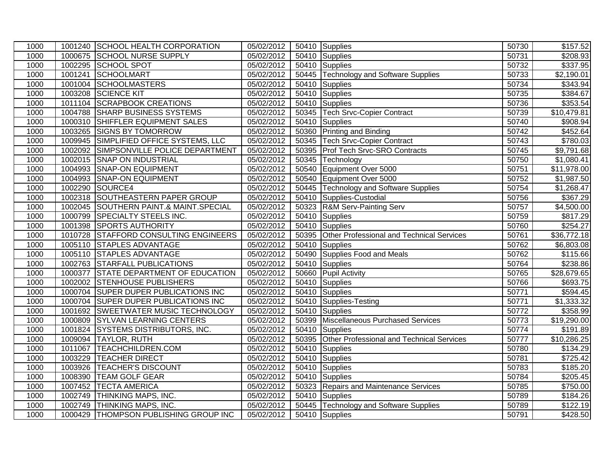| 1000 |         | 1001240 SCHOOL HEALTH CORPORATION      | 05/02/2012 | 50410 Supplies                                  | 50730 | \$157.52                |
|------|---------|----------------------------------------|------------|-------------------------------------------------|-------|-------------------------|
| 1000 |         | 1000675 SCHOOL NURSE SUPPLY            | 05/02/2012 | 50410 Supplies                                  | 50731 | \$208.93                |
| 1000 |         | 1002295 SCHOOL SPOT                    | 05/02/2012 | 50410 Supplies                                  | 50732 | \$337.95                |
| 1000 |         | 1001241 SCHOOLMART                     | 05/02/2012 | 50445 Technology and Software Supplies          | 50733 | $\sqrt{$2,190.01}$      |
| 1000 |         | 1001004 SCHOOLMASTERS                  | 05/02/2012 | 50410 Supplies                                  | 50734 | \$343.94                |
| 1000 |         | 1003208 SCIENCE KIT                    | 05/02/2012 | 50410 Supplies                                  | 50735 | \$384.67                |
| 1000 |         | 1011104 SCRAPBOOK CREATIONS            | 05/02/2012 | 50410 Supplies                                  | 50736 | 353.54                  |
| 1000 |         | 1004788 SHARP BUSINESS SYSTEMS         | 05/02/2012 | 50345   Tech Srvc-Copier Contract               | 50739 | \$10,479.81             |
| 1000 |         | 1000310 SHIFFLER EQUIPMENT SALES       | 05/02/2012 | $\overline{504}10$ Supplies                     | 50740 | \$908.94                |
| 1000 |         | 1003265 SIGNS BY TOMORROW              | 05/02/2012 | 50360 Printing and Binding                      | 50742 | \$452.64                |
| 1000 |         | 1009945 SIMPLIFIED OFFICE SYSTEMS, LLC | 05/02/2012 | 50345 Tech Srvc-Copier Contract                 | 50743 | $\overline{$}780.03$    |
| 1000 |         | 1002092 SIMPSONVILLE POLICE DEPARTMENT | 05/02/2012 | 50395 Prof Tech Srvc-SRO Contracts              | 50745 | \$9,791.68              |
| 1000 |         | 1002015 SNAP ON INDUSTRIAL             | 05/02/2012 | 50345 Technology                                | 50750 | \$1,080.41              |
| 1000 |         | 1004993 SNAP-ON EQUIPMENT              | 05/02/2012 | 50540 Equipment Over 5000                       | 50751 | $\overline{$11,978.00}$ |
| 1000 |         | 1004993 SNAP-ON EQUIPMENT              | 05/02/2012 | 50540 Equipment Over 5000                       | 50752 | \$1,987.50              |
| 1000 |         | 1002290 SOURCE4                        | 05/02/2012 | 50445 Technology and Software Supplies          | 50754 | \$1,268.47              |
| 1000 |         | 1002318 SOUTHEASTERN PAPER GROUP       | 05/02/2012 | 50410 Supplies-Custodial                        | 50756 | \$367.29                |
| 1000 |         | 1002045 SOUTHERN PAINT.& MAINT.SPECIAL | 05/02/2012 | 50323 R&M Serv-Painting Serv                    | 50757 | \$4,500.00              |
| 1000 |         | 1000799 SPECIALTY STEELS INC.          | 05/02/2012 | 50410 Supplies                                  | 50759 | \$817.29                |
| 1000 |         | 1001398 SPORTS AUTHORITY               | 05/02/2012 | 50410 Supplies                                  | 50760 | \$254.27                |
| 1000 |         | 1010728 STAFFORD CONSULTING ENGINEERS  | 05/02/2012 | 50395 Other Professional and Technical Services | 50761 | $\overline{$36,772.18}$ |
| 1000 |         | 1005110 STAPLES ADVANTAGE              | 05/02/2012 | 50410 Supplies                                  | 50762 | \$6,803.08              |
| 1000 |         | 1005110 STAPLES ADVANTAGE              | 05/02/2012 | 50490 Supplies Food and Meals                   | 50762 | \$115.66                |
| 1000 |         | 1002763 STARFALL PUBLICATIONS          | 05/02/2012 | 50410 Supplies                                  | 50764 | \$238.86                |
| 1000 |         | 1000377 STATE DEPARTMENT OF EDUCATION  | 05/02/2012 | 50660 Pupil Activity                            | 50765 | \$28,679.65             |
| 1000 |         | 1002002 STENHOUSE PUBLISHERS           | 05/02/2012 | 50410 Supplies                                  | 50766 | \$693.75                |
| 1000 |         | 1000704 SUPER DUPER PUBLICATIONS INC   | 05/02/2012 | 50410 Supplies                                  | 50771 | \$594.45                |
| 1000 |         | 1000704 SUPER DUPER PUBLICATIONS INC   | 05/02/2012 | 50410 Supplies-Testing                          | 50771 | \$1,333.32              |
| 1000 |         | 1001692 SWEETWATER MUSIC TECHNOLOGY    | 05/02/2012 | 50410 Supplies                                  | 50772 | \$358.99                |
| 1000 |         | 1000809 SYLVAN LEARNING CENTERS        | 05/02/2012 | 50399 Miscellaneous Purchased Services          | 50773 | $\overline{$19,290.00}$ |
| 1000 |         | 1001824 SYSTEMS DISTRIBUTORS, INC.     | 05/02/2012 | 50410 Supplies                                  | 50774 | \$191.89                |
| 1000 |         | 1009094 TAYLOR, RUTH                   | 05/02/2012 | 50395 Other Professional and Technical Services | 50777 | \$10,286.25             |
| 1000 |         | 1011067 TEACHCHILDREN.COM              | 05/02/2012 | 50410 Supplies                                  | 50780 | \$134.29                |
| 1000 |         | 1003229 TEACHER DIRECT                 | 05/02/2012 | 50410 Supplies                                  | 50781 | \$725.42                |
| 1000 |         | 1003926 TEACHER'S DISCOUNT             | 05/02/2012 | $\overline{504}10$ Supplies                     | 50783 | \$185.20                |
| 1000 | 1008390 | <b>TEAM GOLF GEAR</b>                  | 05/02/2012 | 50410 Supplies                                  | 50784 | \$205.45                |
| 1000 |         | 1007452 TECTA AMERICA                  | 05/02/2012 | 50323 Repairs and Maintenance Services          | 50785 | \$750.00                |
| 1000 | 1002749 | <b>THINKING MAPS, INC.</b>             | 05/02/2012 | 50410 Supplies                                  | 50789 | \$184.26                |
| 1000 |         | 1002749 THINKING MAPS, INC.            | 05/02/2012 | 50445 Technology and Software Supplies          | 50789 | \$122.19                |
| 1000 |         | 1000429 THOMPSON PUBLISHING GROUP INC  | 05/02/2012 | 50410 Supplies                                  | 50791 | $\overline{$428.50}$    |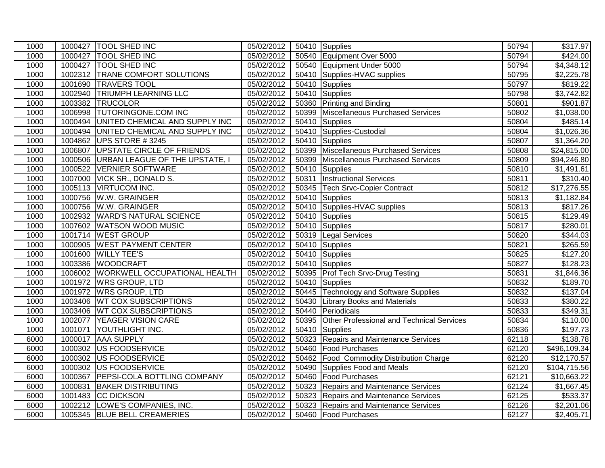| 1000 |         | 1000427   TOOL SHED INC                | 05/02/2012 |       | 50410 Supplies                                  | 50794 | $\overline{$}317.97$    |
|------|---------|----------------------------------------|------------|-------|-------------------------------------------------|-------|-------------------------|
| 1000 | 1000427 | <b>TOOL SHED INC</b>                   | 05/02/2012 |       | 50540 Equipment Over 5000                       | 50794 | \$424.00                |
| 1000 |         | 1000427 TOOL SHED INC                  | 05/02/2012 |       | 50540 Equipment Under 5000                      | 50794 | \$4,348.12              |
| 1000 |         | 1002312 TRANE COMFORT SOLUTIONS        | 05/02/2012 |       | 50410 Supplies-HVAC supplies                    | 50795 | \$2,225.78              |
| 1000 |         | 1001690 TRAVERS TOOL                   | 05/02/2012 |       | 50410 Supplies                                  | 50797 | \$819.22                |
| 1000 | 1002940 | <b>TRIUMPH LEARNING LLC</b>            | 05/02/2012 |       | 50410 Supplies                                  | 50798 | \$3,742.82              |
| 1000 | 1003382 | <b>TRUCOLOR</b>                        | 05/02/2012 |       | 50360 Printing and Binding                      | 50801 | \$901.87                |
| 1000 | 1006998 | <b>TUTORINGONE.COM INC</b>             | 05/02/2012 |       | 50399 Miscellaneous Purchased Services          | 50802 | \$1,038.00              |
| 1000 | 1000494 | UNITED CHEMICAL AND SUPPLY INC         | 05/02/2012 |       | 50410 Supplies                                  | 50804 | \$485.14                |
| 1000 |         | 1000494 UNITED CHEMICAL AND SUPPLY INC | 05/02/2012 |       | 50410 Supplies-Custodial                        | 50804 | \$1,026.36              |
| 1000 | 1004862 | UPS STORE #3245                        | 05/02/2012 |       | 50410 Supplies                                  | 50807 | \$1,364.20              |
| 1000 | 1006807 | <b>UPSTATE CIRCLE OF FRIENDS</b>       | 05/02/2012 |       | 50399 Miscellaneous Purchased Services          | 50808 | $\overline{$}24,815.00$ |
| 1000 | 1000506 | URBAN LEAGUE OF THE UPSTATE, I         | 05/02/2012 |       | 50399 Miscellaneous Purchased Services          | 50809 | \$94,246.80             |
| 1000 | 1000522 | <b>VERNIER SOFTWARE</b>                | 05/02/2012 |       | 50410 Supplies                                  | 50810 | \$1,491.61              |
| 1000 |         | 1007000 VICK SR., DONALD S.            | 05/02/2012 | 50311 | <b>Instructional Services</b>                   | 50811 | \$310.40                |
| 1000 |         | 1005113 VIRTUCOM INC.                  | 05/02/2012 |       | 50345 Tech Srvc-Copier Contract                 | 50812 | \$17,276.55             |
| 1000 |         | 1000756 W.W. GRAINGER                  | 05/02/2012 |       | 50410 Supplies                                  | 50813 | \$1,182.84              |
| 1000 |         | 1000756 W.W. GRAINGER                  | 05/02/2012 |       | 50410 Supplies-HVAC supplies                    | 50813 | \$817.26                |
| 1000 |         | 1002932 WARD'S NATURAL SCIENCE         | 05/02/2012 |       | 50410 Supplies                                  | 50815 | \$129.49                |
| 1000 | 1007602 | <b>WATSON WOOD MUSIC</b>               | 05/02/2012 |       | 50410 Supplies                                  | 50817 | \$280.01                |
| 1000 |         | 1001714 WEST GROUP                     | 05/02/2012 |       | 50319 Legal Services                            | 50820 | \$344.03                |
| 1000 | 1000905 | <b>WEST PAYMENT CENTER</b>             | 05/02/2012 |       | 50410 Supplies                                  | 50821 | \$265.59                |
| 1000 |         | 1001600 WILLY TEE'S                    | 05/02/2012 |       | 50410 Supplies                                  | 50825 | \$127.20                |
| 1000 |         | 1003386 WOODCRAFT                      | 05/02/2012 |       | 50410 Supplies                                  | 50827 | \$128.23                |
| 1000 |         | 1006002 WORKWELL OCCUPATIONAL HEALTH   | 05/02/2012 |       | 50395 Prof Tech Srvc-Drug Testing               | 50831 | \$1,846.36              |
| 1000 |         | 1001972 WRS GROUP, LTD                 | 05/02/2012 |       | 50410 Supplies                                  | 50832 | \$189.70                |
| 1000 | 1001972 | <b>WRS GROUP, LTD</b>                  | 05/02/2012 |       | 50445 Technology and Software Supplies          | 50832 | \$137.04                |
| 1000 | 1003406 | <b>WT COX SUBSCRIPTIONS</b>            | 05/02/2012 |       | 50430 Library Books and Materials               | 50833 | $\overline{$}380.22$    |
| 1000 |         | 1003406 WT COX SUBSCRIPTIONS           | 05/02/2012 |       | 50440 Periodicals                               | 50833 | \$349.31                |
| 1000 | 1002077 | <b>YEAGER VISION CARE</b>              | 05/02/2012 |       | 50395 Other Professional and Technical Services | 50834 | \$110.00                |
| 1000 | 1001071 | <b>YOUTHLIGHT INC.</b>                 | 05/02/2012 |       | 50410 Supplies                                  | 50836 | \$197.73                |
| 6000 |         | 1000017 AAA SUPPLY                     | 05/02/2012 |       | 50323 Repairs and Maintenance Services          | 62118 | \$138.78                |
| 6000 |         | 1000302 US FOODSERVICE                 | 05/02/2012 |       | 50460 Food Purchases                            | 62120 | \$496,109.34            |
| 6000 | 1000302 | US FOODSERVICE                         | 05/02/2012 |       | 50462 Food Commodity Distribution Charge        | 62120 | \$12,170.57             |
| 6000 | 1000302 | US FOODSERVICE                         | 05/02/2012 |       | 50490 Supplies Food and Meals                   | 62120 | \$104,715.56            |
| 6000 | 1000367 | <b>PEPSI-COLA BOTTLING COMPANY</b>     | 05/02/2012 |       | 50460 Food Purchases                            | 62121 | \$10,663.22             |
| 6000 | 1000831 | <b>BAKER DISTRIBUTING</b>              | 05/02/2012 |       | 50323 Repairs and Maintenance Services          | 62124 | \$1,667.45              |
| 6000 |         | 1001483 CC DICKSON                     | 05/02/2012 |       | 50323 Repairs and Maintenance Services          | 62125 | \$533.37                |
| 6000 |         | 1002212 LOWE'S COMPANIES, INC.         | 05/02/2012 |       | 50323 Repairs and Maintenance Services          | 62126 | \$2,201.06              |
| 6000 |         | 1005345 BLUE BELL CREAMERIES           | 05/02/2012 |       | 50460 Food Purchases                            | 62127 | \$2,405.71              |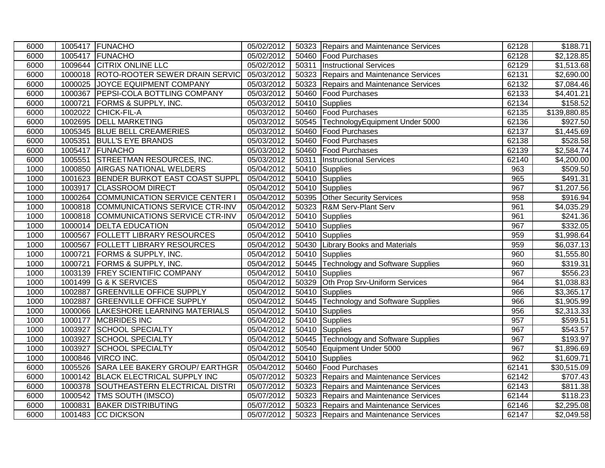| 6000 |         | 1005417 FUNACHO                        | 05/02/2012 |       | 50323 Repairs and Maintenance Services | 62128 | $\overline{$}188.71$   |
|------|---------|----------------------------------------|------------|-------|----------------------------------------|-------|------------------------|
| 6000 |         | 1005417 FUNACHO                        | 05/02/2012 |       | 50460 Food Purchases                   | 62128 | $\overline{$}2,128.85$ |
| 6000 |         | 1009644 CITRIX ONLINE LLC              | 05/02/2012 | 50311 | <b>Instructional Services</b>          | 62129 | \$1,513.68             |
| 6000 |         | 1000018 ROTO-ROOTER SEWER DRAIN SERVIC | 05/03/2012 |       | 50323 Repairs and Maintenance Services | 62131 | $\overline{$2,690.00}$ |
| 6000 |         | 1000025 JOYCE EQUIPMENT COMPANY        | 05/03/2012 |       | 50323 Repairs and Maintenance Services | 62132 | \$7,084.46             |
| 6000 |         | 1000367 PEPSI-COLA BOTTLING COMPANY    | 05/03/2012 |       | 50460   Food Purchases                 | 62133 | \$4,401.21             |
| 6000 | 1000721 | <b>FORMS &amp; SUPPLY, INC.</b>        | 05/03/2012 |       | 50410 Supplies                         | 62134 | $\overline{$}158.52$   |
| 6000 |         | 1002022 CHICK-FIL-A                    | 05/03/2012 |       | 50460 Food Purchases                   | 62135 | \$139,880.85           |
| 6000 |         | 1002695 DELL MARKETING                 | 05/03/2012 |       | 50545 TechnologyEquipment Under 5000   | 62136 | \$927.50               |
| 6000 |         | 1005345 BLUE BELL CREAMERIES           | 05/03/2012 |       | 50460 Food Purchases                   | 62137 | \$1,445.69             |
| 6000 |         | 1005351 BULL'S EYE BRANDS              | 05/03/2012 |       | 50460 Food Purchases                   | 62138 | \$528.58               |
| 6000 |         | 1005417 FUNACHO                        | 05/03/2012 |       | 50460 Food Purchases                   | 62139 | \$2,584.74             |
| 6000 |         | 1005551 STREETMAN RESOURCES, INC.      | 05/03/2012 | 50311 | <b>Instructional Services</b>          | 62140 | \$4,200.00             |
| 1000 |         | 1000850 AIRGAS NATIONAL WELDERS        | 05/04/2012 |       | 50410 Supplies                         | 963   | \$509.50               |
| 1000 |         | 1001623 BENDER BURKOT EAST COAST SUPPL | 05/04/2012 |       | 50410 Supplies                         | 965   | $\overline{$}491.31$   |
| 1000 |         | 1003917 CLASSROOM DIRECT               | 05/04/2012 |       | 50410 Supplies                         | 967   | \$1,207.56             |
| 1000 |         | 1000264 COMMUNICATION SERVICE CENTER I | 05/04/2012 |       | 50395 Other Security Services          | 958   | \$916.94               |
| 1000 |         | 1000818 COMMUNICATIONS SERVICE CTR-INV | 05/04/2012 |       | 50323 R&M Serv-Plant Serv              | 961   | $\overline{4,035.29}$  |
| 1000 |         | 1000818 COMMUNICATIONS SERVICE CTR-INV | 05/04/2012 |       | 50410 Supplies                         | 961   | $\overline{$}241.36$   |
| 1000 | 1000014 | <b>DELTA EDUCATION</b>                 | 05/04/2012 |       | 50410 Supplies                         | 967   | \$332.05               |
| 1000 |         | 1000567 FOLLETT LIBRARY RESOURCES      | 05/04/2012 |       | 50410 Supplies                         | 959   | \$1,998.64             |
| 1000 |         | 1000567   FOLLETT LIBRARY RESOURCES    | 05/04/2012 |       | 50430 Library Books and Materials      | 959   | \$6,037.13             |
| 1000 |         | 1000721 FORMS & SUPPLY, INC.           | 05/04/2012 |       | 50410 Supplies                         | 960   | \$1,555.80             |
| 1000 |         | 1000721 FORMS & SUPPLY, INC.           | 05/04/2012 |       | 50445 Technology and Software Supplies | 960   | \$319.31               |
| 1000 |         | 1003139 FREY SCIENTIFIC COMPANY        | 05/04/2012 |       | 50410 Supplies                         | 967   | \$556.23               |
| 1000 |         | 1001499 G & K SERVICES                 | 05/04/2012 |       | 50329 Oth Prop Srv-Uniform Services    | 964   | \$1,038.83             |
| 1000 |         | 1002887 GREENVILLE OFFICE SUPPLY       | 05/04/2012 |       | 50410 Supplies                         | 966   | \$3,365.17             |
| 1000 |         | 1002887 GREENVILLE OFFICE SUPPLY       | 05/04/2012 |       | 50445 Technology and Software Supplies | 966   | \$1,905.99             |
| 1000 |         | 1000066 LAKESHORE LEARNING MATERIALS   | 05/04/2012 |       | 50410 Supplies                         | 956   | $\overline{$}2,313.33$ |
| 1000 |         | 1000177 MCBRIDES INC                   | 05/04/2012 |       | 50410 Supplies                         | 957   | \$599.51               |
| 1000 |         | 1003927 SCHOOL SPECIALTY               | 05/04/2012 |       | 50410 Supplies                         | 967   | \$543.57               |
| 1000 |         | 1003927 SCHOOL SPECIALTY               | 05/04/2012 |       | 50445 Technology and Software Supplies | 967   | \$193.97               |
| 1000 |         | 1003927 SCHOOL SPECIALTY               | 05/04/2012 |       | 50540 Equipment Under 5000             | 967   | \$1,896.69             |
| 1000 |         | 1000846 VIRCO INC.                     | 05/04/2012 |       | 50410 Supplies                         | 962   | \$1,609.71             |
| 6000 |         | 1005526 SARA LEE BAKERY GROUP/ EARTHGR | 05/04/2012 |       | 50460 Food Purchases                   | 62141 | \$30,515.09            |
| 6000 |         | 1000142 BLACK ELECTRICAL SUPPLY INC    | 05/07/2012 |       | 50323 Repairs and Maintenance Services | 62142 | \$707.43               |
| 6000 |         | 1000378 SOUTHEASTERN ELECTRICAL DISTRI | 05/07/2012 |       | 50323 Repairs and Maintenance Services | 62143 | \$811.38               |
| 6000 |         | 1000542   TMS SOUTH (IMSCO)            | 05/07/2012 |       | 50323 Repairs and Maintenance Services | 62144 | $\overline{$}118.23$   |
| 6000 |         | 1000831 BAKER DISTRIBUTING             | 05/07/2012 |       | 50323 Repairs and Maintenance Services | 62146 | \$2,295.08             |
| 6000 |         | 1001483 CC DICKSON                     | 05/07/2012 |       | 50323 Repairs and Maintenance Services | 62147 | \$2,049.58             |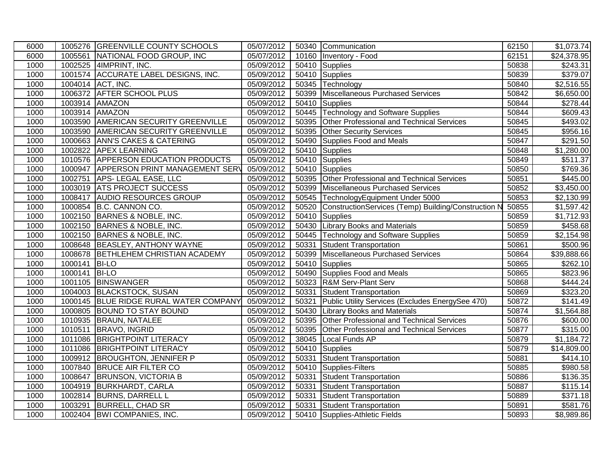| 6000 |         | 1005276 GREENVILLE COUNTY SCHOOLS      | 05/07/2012 |       | 50340 Communication                                 | 62150 | \$1,073.74           |
|------|---------|----------------------------------------|------------|-------|-----------------------------------------------------|-------|----------------------|
| 6000 |         | 1005561 NATIONAL FOOD GROUP, INC       | 05/07/2012 |       | 10160   Inventory - Food                            | 62151 | \$24,378.95          |
| 1000 |         | 1002525 4IMPRINT, INC.                 | 05/09/2012 |       | 50410 Supplies                                      | 50838 | \$243.31             |
| 1000 |         | 1001574 ACCURATE LABEL DESIGNS, INC.   | 05/09/2012 |       | 50410 Supplies                                      | 50839 | \$379.07             |
| 1000 |         | 1004014 ACT, INC.                      | 05/09/2012 |       | 50345 Technology                                    | 50840 | \$2,516.55           |
| 1000 |         | 1006372 AFTER SCHOOL PLUS              | 05/09/2012 |       | 50399 Miscellaneous Purchased Services              | 50842 | \$6,650.00           |
| 1000 |         | 1003914 AMAZON                         | 05/09/2012 |       | 50410 Supplies                                      | 50844 | \$278.44             |
| 1000 |         | 1003914 AMAZON                         | 05/09/2012 |       | 50445 Technology and Software Supplies              | 50844 | \$609.43             |
| 1000 |         | 1003590 AMERICAN SECURITY GREENVILLE   | 05/09/2012 |       | 50395 Other Professional and Technical Services     | 50845 | \$493.02             |
| 1000 |         | 1003590 AMERICAN SECURITY GREENVILLE   | 05/09/2012 |       | 50395 Other Security Services                       | 50845 | $\overline{$}956.16$ |
| 1000 |         | 1000663 ANN'S CAKES & CATERING         | 05/09/2012 |       | 50490 Supplies Food and Meals                       | 50847 | $\overline{$}291.50$ |
| 1000 | 1002822 | <b>APEX LEARNING</b>                   | 05/09/2012 |       | 50410 Supplies                                      | 50848 | \$1,280.00           |
| 1000 |         | 1010576 APPERSON EDUCATION PRODUCTS    | 05/09/2012 |       | 50410 Supplies                                      | 50849 | \$511.37             |
| 1000 |         | 1000947 APPERSON PRINT MANAGEMENT SERV | 05/09/2012 |       | 50410 Supplies                                      | 50850 | \$769.36             |
| 1000 | 1002751 | APS-LEGAL EASE, LLC                    | 05/09/2012 |       | 50395 Other Professional and Technical Services     | 50851 | \$445.00             |
| 1000 |         | 1003019 ATS PROJECT SUCCESS            | 05/09/2012 |       | 50399 Miscellaneous Purchased Services              | 50852 | \$3,450.00           |
| 1000 |         | 1008417 AUDIO RESOURCES GROUP          | 05/09/2012 |       | 50545 TechnologyEquipment Under 5000                | 50853 | \$2,130.99           |
| 1000 |         | 1000854 B.C. CANNON CO.                | 05/09/2012 | 50520 | ConstructionServices (Temp) Building/Construction N | 50855 | \$1,597.42           |
| 1000 |         | 1002150 BARNES & NOBLE, INC.           | 05/09/2012 |       | 50410 Supplies                                      | 50859 | \$1,712.93           |
| 1000 | 1002150 | BARNES & NOBLE, INC.                   | 05/09/2012 |       | 50430 Library Books and Materials                   | 50859 | \$458.68             |
| 1000 |         | 1002150 BARNES & NOBLE, INC.           | 05/09/2012 |       | 50445 Technology and Software Supplies              | 50859 | \$2,154.98           |
| 1000 |         | 1008648 BEASLEY, ANTHONY WAYNE         | 05/09/2012 | 50331 | <b>Student Transportation</b>                       | 50861 | \$500.96             |
| 1000 |         | 1008678 BETHLEHEM CHRISTIAN ACADEMY    | 05/09/2012 | 50399 | Miscellaneous Purchased Services                    | 50864 | \$39,888.66          |
| 1000 | 1000141 | <b>BI-LO</b>                           | 05/09/2012 |       | 50410 Supplies                                      | 50865 | $\overline{$}262.10$ |
| 1000 | 1000141 | <b>BI-LO</b>                           | 05/09/2012 |       | 50490 Supplies Food and Meals                       | 50865 | \$823.96             |
| 1000 |         | 1001105 BINSWANGER                     | 05/09/2012 |       | 50323 R&M Serv-Plant Serv                           | 50868 | $\sqrt{444.24}$      |
| 1000 | 1004003 | <b>BLACKSTOCK, SUSAN</b>               | 05/09/2012 | 50331 | Student Transportation                              | 50869 | \$323.20             |
| 1000 | 1000145 | BLUE RIDGE RURAL WATER COMPANY         | 05/09/2012 | 50321 | Public Utility Services (Excludes EnergySee 470)    | 50872 | \$141.49             |
| 1000 |         | 1000805 BOUND TO STAY BOUND            | 05/09/2012 |       | 50430 Library Books and Materials                   | 50874 | \$1,564.88           |
| 1000 |         | 1010935 BRAUN, NATALEE                 | 05/09/2012 | 50395 | Other Professional and Technical Services           | 50876 | \$600.00             |
| 1000 |         | 1010511 BRAVO, INGRID                  | 05/09/2012 | 50395 | Other Professional and Technical Services           | 50877 | \$315.00             |
| 1000 |         | 1011086 BRIGHTPOINT LITERACY           | 05/09/2012 | 38045 | Local Funds AP                                      | 50879 | \$1,184.72           |
| 1000 |         | 1011086 BRIGHTPOINT LITERACY           | 05/09/2012 | 50410 | Supplies                                            | 50879 | \$14,809.00          |
| 1000 | 1009912 | <b>BROUGHTON, JENNIFER P</b>           | 05/09/2012 | 50331 | <b>Student Transportation</b>                       | 50881 | \$414.10             |
| 1000 | 1007840 | <b>BRUCE AIR FILTER CO</b>             | 05/09/2012 |       | 50410 Supplies-Filters                              | 50885 | \$980.58             |
| 1000 | 1008647 | <b>BRUNSON, VICTORIA B</b>             | 05/09/2012 | 50331 | Student Transportation                              | 50886 | \$136.35             |
| 1000 | 1004919 | <b>BURKHARDT, CARLA</b>                | 05/09/2012 | 50331 | Student Transportation                              | 50887 | \$115.14             |
| 1000 |         | 1002814 BURNS, DARRELL L               | 05/09/2012 | 50331 | Student Transportation                              | 50889 | $\overline{$}371.18$ |
| 1000 | 1003291 | <b>BURRELL, CHAD SR</b>                | 05/09/2012 | 50331 | Student Transportation                              | 50891 | \$581.76             |
| 1000 |         | 1002404 BWI COMPANIES, INC.            | 05/09/2012 |       | 50410 Supplies-Athletic Fields                      | 50893 | \$8,989.86           |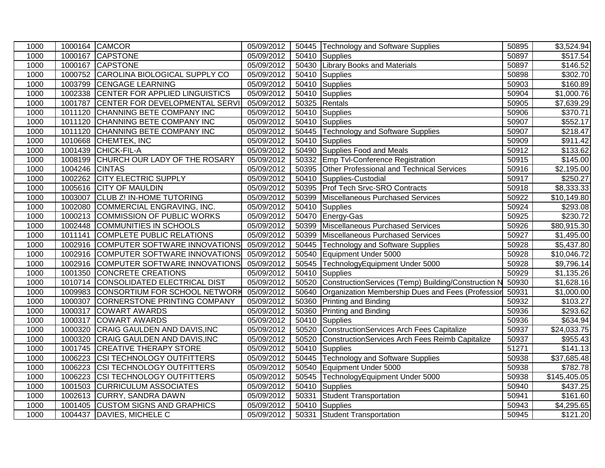| 1000 |         | 1000164 CAMCOR                        | 05/09/2012 |       | 50445 Technology and Software Supplies              | 50895 | \$3,524.94           |
|------|---------|---------------------------------------|------------|-------|-----------------------------------------------------|-------|----------------------|
| 1000 | 1000167 | <b>CAPSTONE</b>                       | 05/09/2012 |       | 50410 Supplies                                      | 50897 | $\overline{$}517.54$ |
| 1000 |         | 1000167 CAPSTONE                      | 05/09/2012 |       | 50430 Library Books and Materials                   | 50897 | \$146.52             |
| 1000 |         | 1000752 CAROLINA BIOLOGICAL SUPPLY CO | 05/09/2012 |       | 50410 Supplies                                      | 50898 | \$302.70             |
| 1000 | 1003799 | <b>CENGAGE LEARNING</b>               | 05/09/2012 |       | 50410 Supplies                                      | 50903 | \$160.89             |
| 1000 | 1002338 | CENTER FOR APPLIED LINGUISTICS        | 05/09/2012 | 50410 | Supplies                                            | 50904 | \$1,000.76           |
| 1000 | 1001787 | CENTER FOR DEVELOPMENTAL SERVI        | 05/09/2012 | 50325 | Rentals                                             | 50905 | \$7,639.29           |
| 1000 | 1011120 | CHANNING BETE COMPANY INC             | 05/09/2012 | 50410 | Supplies                                            | 50906 | \$370.71             |
| 1000 | 1011120 | CHANNING BETE COMPANY INC             | 05/09/2012 | 50410 | Supplies                                            | 50907 | \$552.17             |
| 1000 | 1011120 | CHANNING BETE COMPANY INC             | 05/09/2012 | 50445 | Technology and Software Supplies                    | 50907 | \$218.47             |
| 1000 | 1010668 | CHEMTEK, INC                          | 05/09/2012 | 50410 | Supplies                                            | 50909 | \$911.42             |
| 1000 | 1001439 | CHICK-FIL-A                           | 05/09/2012 | 50490 | Supplies Food and Meals                             | 50912 | \$133.62             |
| 1000 | 1008199 | CHURCH OUR LADY OF THE ROSARY         | 05/09/2012 |       | 50332 Emp Tvl-Conference Registration               | 50915 | \$145.00             |
| 1000 | 1004246 | <b>CINTAS</b>                         | 05/09/2012 | 50395 | Other Professional and Technical Services           | 50916 | \$2,195.00           |
| 1000 | 1002262 | <b>CITY ELECTRIC SUPPLY</b>           | 05/09/2012 |       | 50410 Supplies-Custodial                            | 50917 | \$250.27             |
| 1000 | 1005616 | <b>CITY OF MAULDIN</b>                | 05/09/2012 | 50395 | <b>Prof Tech Srvc-SRO Contracts</b>                 | 50918 | \$8,333.33           |
| 1000 | 1003007 | <b>CLUB Z! IN-HOME TUTORING</b>       | 05/09/2012 | 50399 | Miscellaneous Purchased Services                    | 50922 | \$10,149.80          |
| 1000 | 1002080 | COMMERCIAL ENGRAVING, INC.            | 05/09/2012 | 50410 | Supplies                                            | 50924 | \$293.08             |
| 1000 | 1000213 | COMMISSION OF PUBLIC WORKS            | 05/09/2012 | 50470 | Energy-Gas                                          | 50925 | \$230.72             |
| 1000 | 1002448 | <b>COMMUNITIES IN SCHOOLS</b>         | 05/09/2012 | 50399 | Miscellaneous Purchased Services                    | 50926 | \$80,915.30          |
| 1000 | 1011141 | <b>COMPLETE PUBLIC RELATIONS</b>      | 05/09/2012 |       | 50399 Miscellaneous Purchased Services              | 50927 | \$1,495.00           |
| 1000 | 1002916 | COMPUTER SOFTWARE INNOVATIONS         | 05/09/2012 |       | 50445 Technology and Software Supplies              | 50928 | \$5,437.80           |
| 1000 | 1002916 | COMPUTER SOFTWARE INNOVATIONS         | 05/09/2012 |       | 50540 Equipment Under 5000                          | 50928 | \$10,046.72          |
| 1000 | 1002916 | COMPUTER SOFTWARE INNOVATIONS         | 05/09/2012 | 50545 | TechnologyEquipment Under 5000                      | 50928 | \$9,796.14           |
| 1000 | 1001350 | CONCRETE CREATIONS                    | 05/09/2012 | 50410 | Supplies                                            | 50929 | \$1,135.26           |
| 1000 |         | 1010714 CONSOLIDATED ELECTRICAL DIST  | 05/09/2012 | 50520 | ConstructionServices (Temp) Building/Construction N | 50930 | \$1,628.16           |
| 1000 | 1009983 | CONSORTIUM FOR SCHOOL NETWORK         | 05/09/2012 | 50640 | Organization Membership Dues and Fees (Professior   | 50931 | \$1,000.00           |
| 1000 | 1000307 | CORNERSTONE PRINTING COMPANY          | 05/09/2012 |       | 50360 Printing and Binding                          | 50932 | \$103.27             |
| 1000 | 1000317 | <b>COWART AWARDS</b>                  | 05/09/2012 |       | 50360 Printing and Binding                          | 50936 | \$293.62             |
| 1000 | 1000317 | <b>COWART AWARDS</b>                  | 05/09/2012 | 50410 | Supplies                                            | 50936 | \$634.94             |
| 1000 | 1000320 | CRAIG GAULDEN AND DAVIS, INC          | 05/09/2012 | 50520 | ConstructionServices Arch Fees Capitalize           | 50937 | \$24,033.75          |
| 1000 | 1000320 | CRAIG GAULDEN AND DAVIS, INC          | 05/09/2012 | 50520 | ConstructionServices Arch Fees Reimb Capitalize     | 50937 | \$955.43             |
| 1000 | 1001745 | <b>CREATIVE THERAPY STORE</b>         | 05/09/2012 | 50410 | Supplies                                            | 51271 | \$141.13             |
| 1000 | 1006223 | <b>CSI TECHNOLOGY OUTFITTERS</b>      | 05/09/2012 | 50445 | Technology and Software Supplies                    | 50938 | \$37,685.48          |
| 1000 | 1006223 | <b>CSI TECHNOLOGY OUTFITTERS</b>      | 05/09/2012 |       | 50540 Equipment Under 5000                          | 50938 | \$782.78             |
| 1000 | 1006223 | CSI TECHNOLOGY OUTFITTERS             | 05/09/2012 |       | 50545 TechnologyEquipment Under 5000                | 50938 | \$145,405.05         |
| 1000 | 1001503 | <b>CURRICULUM ASSOCIATES</b>          | 05/09/2012 | 50410 | Supplies                                            | 50940 | \$437.25             |
| 1000 | 1002613 | <b>CURRY, SANDRA DAWN</b>             | 05/09/2012 | 50331 | Student Transportation                              | 50941 | \$161.60             |
| 1000 | 1001405 | <b>CUSTOM SIGNS AND GRAPHICS</b>      | 05/09/2012 |       | 50410 Supplies                                      | 50943 | \$4,295.65           |
| 1000 |         | 1004437 DAVIES, MICHELE C             | 05/09/2012 |       | 50331 Student Transportation                        | 50945 | \$121.20             |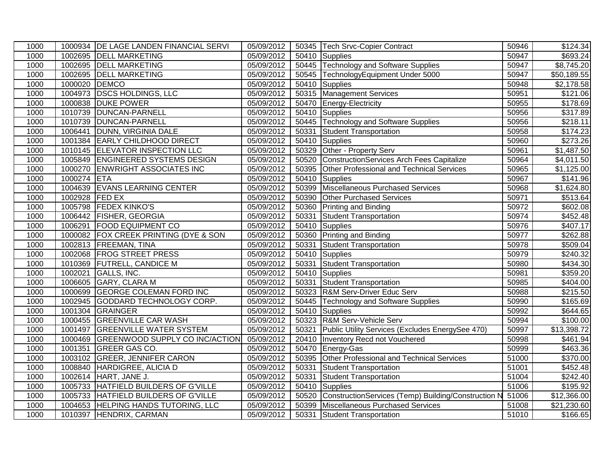| 1000 |         | 1000934   DE LAGE LANDEN FINANCIAL SERVI | 05/09/2012 |       | 50345 Tech Srvc-Copier Contract                     | 50946 | \$124.34                |
|------|---------|------------------------------------------|------------|-------|-----------------------------------------------------|-------|-------------------------|
| 1000 |         | 1002695 DELL MARKETING                   | 05/09/2012 |       | 50410 Supplies                                      | 50947 | \$693.24                |
| 1000 |         | 1002695 DELL MARKETING                   | 05/09/2012 |       | 50445 Technology and Software Supplies              | 50947 | \$8,745.20              |
| 1000 | 1002695 | <b>DELL MARKETING</b>                    | 05/09/2012 |       | 50545 TechnologyEquipment Under 5000                | 50947 | \$50,189.55             |
| 1000 | 1000020 | <b>DEMCO</b>                             | 05/09/2012 |       | 50410 Supplies                                      | 50948 | \$2,178.58              |
| 1000 | 1004973 | <b>DSCS HOLDINGS, LLC</b>                | 05/09/2012 |       | 50315 Management Services                           | 50951 | \$121.06                |
| 1000 | 1000838 | <b>DUKE POWER</b>                        | 05/09/2012 |       | 50470 Energy-Electricity                            | 50955 | \$178.69                |
| 1000 | 1010739 | DUNCAN-PARNELL                           | 05/09/2012 |       | 50410 Supplies                                      | 50956 | \$317.89                |
| 1000 | 1010739 | DUNCAN-PARNELL                           | 05/09/2012 |       | 50445 Technology and Software Supplies              | 50956 | \$218.11                |
| 1000 | 1006441 | DUNN, VIRGINIA DALE                      | 05/09/2012 | 50331 | Student Transportation                              | 50958 | \$174.23                |
| 1000 |         | 1001384 EARLY CHILDHOOD DIRECT           | 05/09/2012 | 50410 | Supplies                                            | 50960 | \$273.26                |
| 1000 |         | 1010145 ELEVATOR INSPECTION LLC          | 05/09/2012 |       | 50329 Other - Property Serv                         | 50961 | \$1,487.50              |
| 1000 |         | 1005849 ENGINEERED SYSTEMS DESIGN        | 05/09/2012 |       | 50520 ConstructionServices Arch Fees Capitalize     | 50964 | \$4,011.50              |
| 1000 | 1000270 | <b>ENWRIGHT ASSOCIATES INC</b>           | 05/09/2012 | 50395 | Other Professional and Technical Services           | 50965 | \$1,125.00              |
| 1000 | 1000274 | <b>ETA</b>                               | 05/09/2012 |       | 50410 Supplies                                      | 50967 | \$141.96                |
| 1000 | 1004639 | <b>EVANS LEARNING CENTER</b>             | 05/09/2012 | 50399 | Miscellaneous Purchased Services                    | 50968 | \$1,624.80              |
| 1000 | 1002928 | <b>FED EX</b>                            | 05/09/2012 |       | 50390 Other Purchased Services                      | 50971 | $\overline{$}513.64$    |
| 1000 |         | 1005798 FEDEX KINKO'S                    | 05/09/2012 | 50360 | <b>Printing and Binding</b>                         | 50972 | \$602.08                |
| 1000 | 1006442 | <b>FISHER, GEORGIA</b>                   | 05/09/2012 | 50331 | Student Transportation                              | 50974 | \$452.48                |
| 1000 | 1006291 | <b>FOOD EQUIPMENT CO</b>                 | 05/09/2012 |       | 50410 Supplies                                      | 50976 | \$407.17                |
| 1000 | 1000082 | <b>FOX CREEK PRINTING (DYE &amp; SON</b> | 05/09/2012 |       | 50360 Printing and Binding                          | 50977 | \$262.88                |
| 1000 | 1002813 | <b>FREEMAN, TINA</b>                     | 05/09/2012 | 50331 | <b>Student Transportation</b>                       | 50978 | \$509.04                |
| 1000 |         | 1002068 FROG STREET PRESS                | 05/09/2012 |       | 50410 Supplies                                      | 50979 | \$240.32                |
| 1000 | 1010369 | <b>FUTRELL, CANDICE M</b>                | 05/09/2012 | 50331 | Student Transportation                              | 50980 | \$434.30                |
| 1000 | 1002021 | GALLS, INC.                              | 05/09/2012 |       | 50410 Supplies                                      | 50981 | \$359.20                |
| 1000 | 1006605 | <b>GARY, CLARA M</b>                     | 05/09/2012 | 50331 | Student Transportation                              | 50985 | $\sqrt{$404.00}$        |
| 1000 | 1000699 | <b>GEORGE COLEMAN FORD INC</b>           | 05/09/2012 |       | 50323 R&M Serv-Driver Educ Serv                     | 50988 | \$215.50                |
| 1000 | 1002945 | GODDARD TECHNOLOGY CORP.                 | 05/09/2012 |       | 50445 Technology and Software Supplies              | 50990 | \$165.69                |
| 1000 | 1001304 | GRAINGER                                 | 05/09/2012 |       | 50410 Supplies                                      | 50992 | \$644.65                |
| 1000 | 1000455 | <b>GREENVILLE CAR WASH</b>               | 05/09/2012 |       | 50323 R&M Serv-Vehicle Serv                         | 50994 | \$100.00                |
| 1000 | 1001497 | <b>GREENVILLE WATER SYSTEM</b>           | 05/09/2012 | 50321 | Public Utility Services (Excludes EnergySee 470)    | 50997 | \$13,398.72             |
| 1000 |         | 1000469 GREENWOOD SUPPLY CO INC/ACTION   | 05/09/2012 |       | 20410 Inventory Recd not Vouchered                  | 50998 | \$461.94                |
| 1000 | 1001351 | <b>GREER GAS CO.</b>                     | 05/09/2012 | 50470 | Energy-Gas                                          | 50999 | $\overline{$}463.36$    |
| 1000 | 1003102 | <b>GREER, JENNIFER CARON</b>             | 05/09/2012 |       | 50395 Other Professional and Technical Services     | 51000 | \$370.00                |
| 1000 | 1008840 | HARDIGREE, ALICIA D                      | 05/09/2012 | 50331 | Student Transportation                              | 51001 | \$452.48                |
| 1000 | 1002614 | HART, JANE J.                            | 05/09/2012 | 50331 | <b>Student Transportation</b>                       | 51004 | \$242.40                |
| 1000 | 1005733 | HATFIELD BUILDERS OF G'VILLE             | 05/09/2012 |       | 50410 Supplies                                      | 51006 | \$195.92                |
| 1000 | 1005733 | HATFIELD BUILDERS OF G'VILLE             | 05/09/2012 | 50520 | ConstructionServices (Temp) Building/Construction N | 51006 | \$12,366.00             |
| 1000 | 1004653 | <b>HELPING HANDS TUTORING, LLC</b>       | 05/09/2012 |       | 50399 Miscellaneous Purchased Services              | 51008 | $\overline{$21,230.60}$ |
| 1000 |         | 1010397 HENDRIX, CARMAN                  | 05/09/2012 |       | 50331 Student Transportation                        | 51010 | \$166.65                |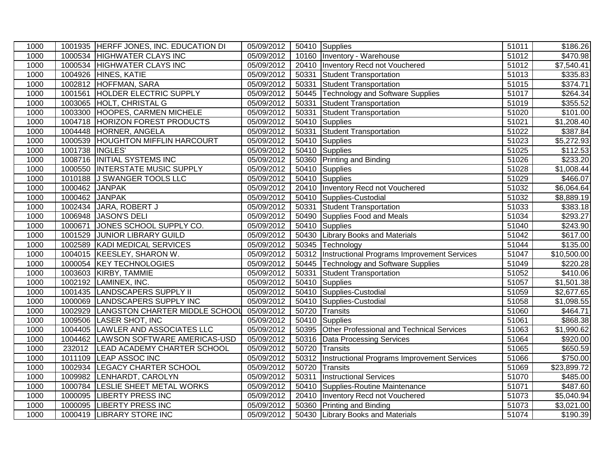| 1000 |                | 1001935 HERFF JONES, INC. EDUCATION DI | 05/09/2012 |       | 50410 Supplies                                     | 51011 | \$186.26                |
|------|----------------|----------------------------------------|------------|-------|----------------------------------------------------|-------|-------------------------|
| 1000 |                | 1000534 HIGHWATER CLAYS INC            | 05/09/2012 |       | 10160 Inventory - Warehouse                        | 51012 | \$470.98                |
| 1000 |                | 1000534 HIGHWATER CLAYS INC            | 05/09/2012 |       | 20410   Inventory Recd not Vouchered               | 51012 | \$7,540.41              |
| 1000 |                | 1004926 HINES, KATIE                   | 05/09/2012 | 50331 | Student Transportation                             | 51013 | 3335.83                 |
| 1000 | 1002812        | HOFFMAN, SARA                          | 05/09/2012 | 50331 | Student Transportation                             | 51015 | \$374.71                |
| 1000 | 1001561        | <b>HOLDER ELECTRIC SUPPLY</b>          | 05/09/2012 |       | 50445 Technology and Software Supplies             | 51017 | 3264.34                 |
| 1000 | 1003065        | <b>HOLT, CHRISTAL G</b>                | 05/09/2012 | 50331 | Student Transportation                             | 51019 | \$355.52                |
| 1000 | 1003300        | <b>HOOPES, CARMEN MICHELE</b>          | 05/09/2012 | 50331 | <b>Student Transportation</b>                      | 51020 | \$101.00                |
| 1000 | 1004718        | <b>HORIZON FOREST PRODUCTS</b>         | 05/09/2012 |       | 50410 Supplies                                     | 51021 | \$1,208.40              |
| 1000 |                | 1004448 HORNER, ANGELA                 | 05/09/2012 | 50331 | Student Transportation                             | 51022 | \$387.84                |
| 1000 | 1000539        | <b>HOUGHTON MIFFLIN HARCOURT</b>       | 05/09/2012 | 50410 | Supplies                                           | 51023 | \$5,272.93              |
| 1000 | 1001738        | INGLES'                                | 05/09/2012 |       | 50410 Supplies                                     | 51025 | \$112.53                |
| 1000 | 1008716        | <b>INITIAL SYSTEMS INC</b>             | 05/09/2012 |       | 50360 Printing and Binding                         | 51026 | $\overline{$}233.20$    |
| 1000 | 1000550        | <b>INTERSTATE MUSIC SUPPLY</b>         | 05/09/2012 |       | 50410 Supplies                                     | 51028 | \$1,008.44              |
| 1000 | 1010188        | J SWANGER TOOLS LLC                    | 05/09/2012 |       | 50410 Supplies                                     | 51029 | \$466.07                |
| 1000 | 1000462        | <b>JANPAK</b>                          | 05/09/2012 |       | 20410 Inventory Recd not Vouchered                 | 51032 | \$6,064.64              |
| 1000 | 1000462 JANPAK |                                        | 05/09/2012 |       | 50410 Supplies-Custodial                           | 51032 | $\overline{$8,889.19}$  |
| 1000 |                | 1002434 JARA, ROBERT J                 | 05/09/2012 | 50331 | Student Transportation                             | 51033 | \$383.18                |
| 1000 | 1006948        | JASON'S DELI                           | 05/09/2012 |       | 50490 Supplies Food and Meals                      | 51034 | \$293.27                |
| 1000 | 1000671        | JONES SCHOOL SUPPLY CO.                | 05/09/2012 |       | 50410 Supplies                                     | 51040 | \$243.90                |
| 1000 | 1001529        | <b>JUNIOR LIBRARY GUILD</b>            | 05/09/2012 |       | 50430 Library Books and Materials                  | 51042 | \$617.00                |
| 1000 | 1002589        | KADI MEDICAL SERVICES                  | 05/09/2012 |       | 50345 Technology                                   | 51044 | \$135.00                |
| 1000 | 1004015        | KEESLEY, SHARON W.                     | 05/09/2012 |       | 50312  Instructional Programs Improvement Services | 51047 | \$10,500.00             |
| 1000 |                | 1000054 KEY TECHNOLOGIES               | 05/09/2012 |       | 50445 Technology and Software Supplies             | 51049 | \$220.28                |
| 1000 | 1003603        | KIRBY, TAMMIE                          | 05/09/2012 | 50331 | Student Transportation                             | 51052 | \$410.06                |
| 1000 | 1002192        | LAMINEX, INC.                          | 05/09/2012 | 50410 | Supplies                                           | 51057 | $\overline{\$1,501.38}$ |
| 1000 | 1001435        | <b>LANDSCAPERS SUPPLY II</b>           | 05/09/2012 |       | 50410 Supplies-Custodial                           | 51059 | \$2,677.65              |
| 1000 | 1000069        | <b>LANDSCAPERS SUPPLY INC</b>          | 05/09/2012 |       | 50410 Supplies-Custodial                           | 51058 | \$1,098.55              |
| 1000 | 1002929        | LANGSTON CHARTER MIDDLE SCHOOL         | 05/09/2012 |       | 50720 Transits                                     | 51060 | \$464.71                |
| 1000 | 1009506        | <b>LASER SHOT, INC</b>                 | 05/09/2012 |       | 50410 Supplies                                     | 51061 | \$868.38                |
| 1000 | 1004405        | <b>LAWLER AND ASSOCIATES LLC</b>       | 05/09/2012 |       | 50395 Other Professional and Technical Services    | 51063 | $\overline{$1,990.62}$  |
| 1000 | 1004462        | LAWSON SOFTWARE AMERICAS-USD           | 05/09/2012 |       | 50316 Data Processing Services                     | 51064 | \$920.00                |
| 1000 | 232012         | <b>LEAD ACADEMY CHARTER SCHOOL</b>     | 05/09/2012 |       | 50720 Transits                                     | 51065 | \$650.59                |
| 1000 | 1011109        | <b>LEAP ASSOC INC</b>                  | 05/09/2012 |       | 50312  Instructional Programs Improvement Services | 51066 | \$750.00                |
| 1000 | 1002934        | <b>LEGACY CHARTER SCHOOL</b>           | 05/09/2012 |       | 50720 Transits                                     | 51069 | \$23,899.72             |
| 1000 | 1009982        | LENHARDT, CAROLYN                      | 05/09/2012 | 50311 | <b>Instructional Services</b>                      | 51070 | $\overline{$}485.00$    |
| 1000 | 1000784        | <b>LESLIE SHEET METAL WORKS</b>        | 05/09/2012 |       | 50410 Supplies-Routine Maintenance                 | 51071 | \$487.60                |
| 1000 | 1000095        | LIBERTY PRESS INC                      | 05/09/2012 |       | 20410 Inventory Recd not Vouchered                 | 51073 | $\overline{$}5,040.94$  |
| 1000 | 1000095        | <b>LIBERTY PRESS INC</b>               | 05/09/2012 |       | 50360 Printing and Binding                         | 51073 | \$3,021.00              |
| 1000 | 1000419        | <b>LIBRARY STORE INC</b>               | 05/09/2012 |       | 50430 Library Books and Materials                  | 51074 | \$190.39                |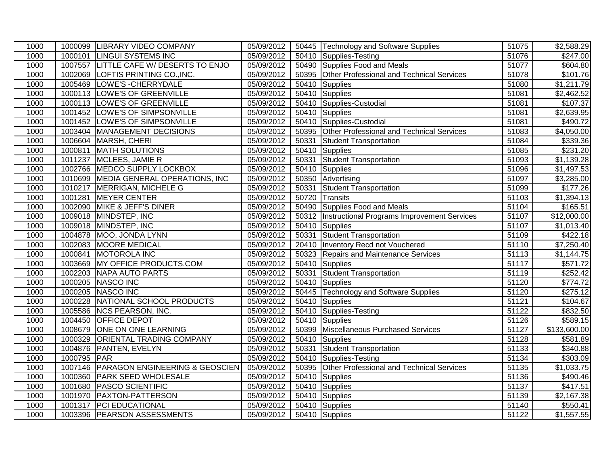| 1000 |             | 1000099 LIBRARY VIDEO COMPANY             | 05/09/2012 |       | 50445 Technology and Software Supplies             | 51075 | $\overline{$2,588.29}$ |
|------|-------------|-------------------------------------------|------------|-------|----------------------------------------------------|-------|------------------------|
| 1000 |             | 1000101 LINGUI SYSTEMS INC                | 05/09/2012 |       | 50410 Supplies-Testing                             | 51076 | \$247.00               |
| 1000 |             | 1007557 LITTLE CAFE W/ DESERTS TO ENJO    | 05/09/2012 |       | 50490 Supplies Food and Meals                      | 51077 | \$604.80               |
| 1000 |             | 1002069 LOFTIS PRINTING CO., INC.         | 05/09/2012 |       | 50395 Other Professional and Technical Services    | 51078 | \$101.76               |
| 1000 |             | 1005469 LOWE'S - CHERRYDALE               | 05/09/2012 |       | 50410 Supplies                                     | 51080 | \$1,211.79             |
| 1000 |             | 1000113 LOWE'S OF GREENVILLE              | 05/09/2012 |       | 50410 Supplies                                     | 51081 | \$2,462.52             |
| 1000 | 1000113     | <b>LOWE'S OF GREENVILLE</b>               | 05/09/2012 |       | 50410 Supplies-Custodial                           | 51081 | \$107.37               |
| 1000 |             | 1001452 LOWE'S OF SIMPSONVILLE            | 05/09/2012 |       | 50410 Supplies                                     | 51081 | \$2,639.95             |
| 1000 |             | 1001452 LOWE'S OF SIMPSONVILLE            | 05/09/2012 |       | 50410 Supplies-Custodial                           | 51081 | \$490.72               |
| 1000 |             | 1003404   MANAGEMENT DECISIONS            | 05/09/2012 | 50395 | Other Professional and Technical Services          | 51083 | \$4,050.00             |
| 1000 |             | 1006604 MARSH, CHERI                      | 05/09/2012 | 50331 | Student Transportation                             | 51084 | \$339.36               |
| 1000 | 1000811     | <b>MATH SOLUTIONS</b>                     | 05/09/2012 | 50410 | Supplies                                           | 51085 | $\overline{$}231.20$   |
| 1000 |             | 1011237 MCLEES, JAMIE R                   | 05/09/2012 | 50331 | <b>Student Transportation</b>                      | 51093 | \$1,139.28             |
| 1000 |             | 1002766 MEDCO SUPPLY LOCKBOX              | 05/09/2012 | 50410 | Supplies                                           | 51096 | \$1,497.53             |
| 1000 |             | 1010699 MEDIA GENERAL OPERATIONS, INC     | 05/09/2012 |       | 50350 Advertising                                  | 51097 | \$3,285.00             |
| 1000 |             | 1010217 MERRIGAN, MICHELE G               | 05/09/2012 | 50331 | Student Transportation                             | 51099 | $\overline{$}177.26$   |
| 1000 |             | 1001281 MEYER CENTER                      | 05/09/2012 |       | 50720 Transits                                     | 51103 | \$1,394.13             |
| 1000 |             | 1002090 MIKE & JEFF'S DINER               | 05/09/2012 | 50490 | Supplies Food and Meals                            | 51104 | \$165.51               |
| 1000 |             | 1009018 MINDSTEP, INC                     | 05/09/2012 |       | 50312  Instructional Programs Improvement Services | 51107 | \$12,000.00            |
| 1000 |             | 1009018 MINDSTEP, INC                     | 05/09/2012 |       | 50410 Supplies                                     | 51107 | \$1,013.40             |
| 1000 |             | 1004878 MOO, JONDA LYNN                   | 05/09/2012 | 50331 | Student Transportation                             | 51109 | \$422.18               |
| 1000 | 1002083     | MOORE MEDICAL                             | 05/09/2012 |       | 20410 Inventory Recd not Vouchered                 | 51110 | \$7,250.40             |
| 1000 |             | 1000841 MOTOROLA INC                      | 05/09/2012 |       | 50323 Repairs and Maintenance Services             | 51113 | \$1,144.75             |
| 1000 |             | 1003669 MY OFFICE PRODUCTS.COM            | 05/09/2012 |       | 50410 Supplies                                     | 51117 | \$571.72               |
| 1000 |             | 1002203 NAPA AUTO PARTS                   | 05/09/2012 | 50331 | Student Transportation                             | 51119 | \$252.42               |
| 1000 |             | 1000205 NASCO INC                         | 05/09/2012 | 50410 | Supplies                                           | 51120 | \$774.72               |
| 1000 |             | 1000205 NASCO INC                         | 05/09/2012 |       | 50445 Technology and Software Supplies             | 51120 | \$275.12               |
| 1000 | 1000228     | NATIONAL SCHOOL PRODUCTS                  | 05/09/2012 | 50410 | Supplies                                           | 51121 | \$104.67               |
| 1000 | 1005586     | <b>NCS PEARSON, INC.</b>                  | 05/09/2012 | 50410 | Supplies-Testing                                   | 51122 | \$832.50               |
| 1000 | 1004450     | <b>OFFICE DEPOT</b>                       | 05/09/2012 |       | 50410 Supplies                                     | 51126 | \$589.15               |
| 1000 |             | 1008679 ONE ON ONE LEARNING               | 05/09/2012 | 50399 | Miscellaneous Purchased Services                   | 51127 | \$133,600.00           |
| 1000 |             | 1000329 ORIENTAL TRADING COMPANY          | 05/09/2012 |       | 50410 Supplies                                     | 51128 | \$581.89               |
| 1000 |             | 1004876 PANTEN, EVELYN                    | 05/09/2012 | 50331 | Student Transportation                             | 51133 | \$340.88               |
| 1000 | 1000795 PAR |                                           | 05/09/2012 |       | 50410 Supplies-Testing                             | 51134 | $\overline{$}303.09$   |
| 1000 | 1007146     | <b>PARAGON ENGINEERING &amp; GEOSCIEN</b> | 05/09/2012 | 50395 | Other Professional and Technical Services          | 51135 | \$1,033.75             |
| 1000 | 1000360     | <b>PARK SEED WHOLESALE</b>                | 05/09/2012 | 50410 | Supplies                                           | 51136 | \$490.46               |
| 1000 | 1001680     | <b>PASCO SCIENTIFIC</b>                   | 05/09/2012 |       | 50410 Supplies                                     | 51137 | $\sqrt{$417.51}$       |
| 1000 |             | 1001970 PAXTON-PATTERSON                  | 05/09/2012 |       | 50410 Supplies                                     | 51139 | \$2,167.38             |
| 1000 |             | 1001317   PCI EDUCATIONAL                 | 05/09/2012 |       | 50410 Supplies                                     | 51140 | \$550.41               |
| 1000 |             | 1003396 PEARSON ASSESSMENTS               | 05/09/2012 |       | 50410 Supplies                                     | 51122 | \$1,557.55             |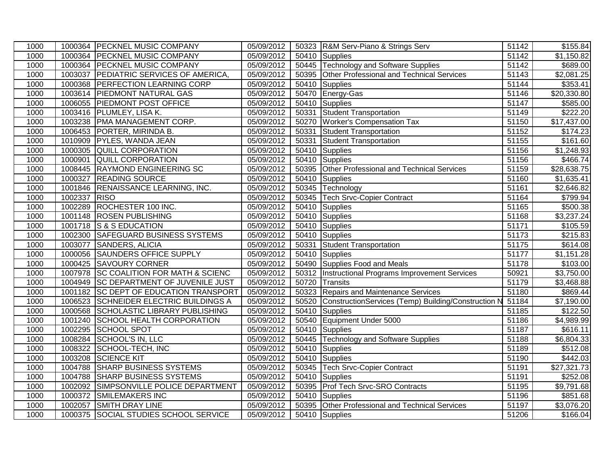| 1000 |              | 1000364 PECKNEL MUSIC COMPANY          | 05/09/2012 |       | 50323 R&M Serv-Piano & Strings Serv                 | 51142 | $\overline{$}155.84$    |
|------|--------------|----------------------------------------|------------|-------|-----------------------------------------------------|-------|-------------------------|
| 1000 |              | 1000364 PECKNEL MUSIC COMPANY          | 05/09/2012 |       | 50410 Supplies                                      | 51142 | \$1,150.82              |
| 1000 |              | 1000364 PECKNEL MUSIC COMPANY          | 05/09/2012 |       | 50445 Technology and Software Supplies              | 51142 | \$689.00                |
| 1000 |              | 1003037 PEDIATRIC SERVICES OF AMERICA, | 05/09/2012 |       | 50395 Other Professional and Technical Services     | 51143 | \$2,081.25              |
| 1000 |              | 1000368 PERFECTION LEARNING CORP       | 05/09/2012 |       | 50410 Supplies                                      | 51144 | \$353.41                |
| 1000 | 1003614      | <b>PIEDMONT NATURAL GAS</b>            | 05/09/2012 |       | 50470 Energy-Gas                                    | 51146 | \$20,330.80             |
| 1000 |              | 1006055 PIEDMONT POST OFFICE           | 05/09/2012 |       | 50410 Supplies                                      | 51147 | \$585.00                |
| 1000 |              | 1003416 PLUMLEY, LISA K.               | 05/09/2012 | 50331 | Student Transportation                              | 51149 | $\sqrt{$222.20}$        |
| 1000 |              | 1003238 PMA MANAGEMENT CORP.           | 05/09/2012 |       | 50270 Worker's Compensation Tax                     | 51150 | \$17,437.00             |
| 1000 |              | 1006453 PORTER, MIRINDA B.             | 05/09/2012 | 50331 | Student Transportation                              | 51152 | $\overline{$}174.23$    |
| 1000 |              | 1010909 PYLES, WANDA JEAN              | 05/09/2012 | 50331 | <b>Student Transportation</b>                       | 51155 | $\overline{$}161.60$    |
| 1000 |              | 1000305 QUILL CORPORATION              | 05/09/2012 | 50410 | Supplies                                            | 51156 | \$1,248.93              |
| 1000 | 1000901      | <b>QUILL CORPORATION</b>               | 05/09/2012 |       | 50410 Supplies                                      | 51156 | \$466.74                |
| 1000 |              | 1008445 RAYMOND ENGINEERING SC         | 05/09/2012 | 50395 | Other Professional and Technical Services           | 51159 | \$28,638.75             |
| 1000 |              | 1000327 READING SOURCE                 | 05/09/2012 |       | 50410 Supplies                                      | 51160 | \$1,635.41              |
| 1000 |              | 1001846 RENAISSANCE LEARNING, INC.     | 05/09/2012 | 50345 | Technology                                          | 51161 | \$2,646.82              |
| 1000 | 1002337 RISO |                                        | 05/09/2012 |       | 50345 Tech Srvc-Copier Contract                     | 51164 | $\overline{$}799.94$    |
| 1000 |              | 1002289 ROCHESTER 100 INC.             | 05/09/2012 | 50410 | Supplies                                            | 51165 | \$500.38                |
| 1000 |              | 1001148 ROSEN PUBLISHING               | 05/09/2012 |       | 50410 Supplies                                      | 51168 | $\overline{\$3,237.24}$ |
| 1000 |              | 1001718 S & S EDUCATION                | 05/09/2012 |       | 50410 Supplies                                      | 51171 | \$105.59                |
| 1000 |              | 1002300 SAFEGUARD BUSINESS SYSTEMS     | 05/09/2012 |       | 50410 Supplies                                      | 51173 | $\overline{$}215.83$    |
| 1000 | 1003077      | SANDERS, ALICIA                        | 05/09/2012 | 50331 | Student Transportation                              | 51175 | \$614.08                |
| 1000 |              | 1000056 SAUNDERS OFFICE SUPPLY         | 05/09/2012 |       | 50410 Supplies                                      | 51177 | $\overline{$1,151.28}$  |
| 1000 |              | 1000425 SAVOURY CORNER                 | 05/09/2012 |       | 50490 Supplies Food and Meals                       | 51178 | \$103.00                |
| 1000 |              | 1007978 SC COALITION FOR MATH & SCIENC | 05/09/2012 | 50312 | Instructional Programs Improvement Services         | 50921 | \$3,750.00              |
| 1000 |              | 1004949 SC DEPARTMENT OF JUVENILE JUST | 05/09/2012 | 50720 | Transits                                            | 51179 | \$3,468.88              |
| 1000 |              | 1001182 SC DEPT OF EDUCATION TRANSPORT | 05/09/2012 | 50323 | <b>Repairs and Maintenance Services</b>             | 51180 | \$869.44                |
| 1000 |              | 1006523 SCHNEIDER ELECTRIC BUILDINGS A | 05/09/2012 | 50520 | ConstructionServices (Temp) Building/Construction N | 51184 | \$7,190.00              |
| 1000 |              | 1000568 SCHOLASTIC LIBRARY PUBLISHING  | 05/09/2012 | 50410 | Supplies                                            | 51185 | \$122.50                |
| 1000 |              | 1001240 SCHOOL HEALTH CORPORATION      | 05/09/2012 |       | 50540 Equipment Under 5000                          | 51186 | \$4,989.99              |
| 1000 |              | 1002295 SCHOOL SPOT                    | 05/09/2012 |       | 50410 Supplies                                      | 51187 | $\overline{$616.11}$    |
| 1000 |              | 1008284 SCHOOL'S IN, LLC               | 05/09/2012 |       | 50445 Technology and Software Supplies              | 51188 | \$6,804.33              |
| 1000 | 1008322      | SCHOOL-TECH, INC                       | 05/09/2012 |       | 50410 Supplies                                      | 51189 | $\overline{$}512.08$    |
| 1000 |              | 1003208 SCIENCE KIT                    | 05/09/2012 |       | 50410 Supplies                                      | 51190 | \$442.03                |
| 1000 |              | 1004788 SHARP BUSINESS SYSTEMS         | 05/09/2012 |       | 50345   Tech Srvc-Copier Contract                   | 51191 | \$27,321.73             |
| 1000 | 1004788      | <b>SHARP BUSINESS SYSTEMS</b>          | 05/09/2012 |       | 50410 Supplies                                      | 51191 | \$252.08                |
| 1000 | 1002092      | SIMPSONVILLE POLICE DEPARTMENT         | 05/09/2012 | 50395 | <b>Prof Tech Srvc-SRO Contracts</b>                 | 51195 | \$9,791.68              |
| 1000 |              | 1000372 SMILEMAKERS INC                | 05/09/2012 |       | 50410 Supplies                                      | 51196 | \$851.68                |
| 1000 | 1002057      | <b>SMITH DRAY LINE</b>                 | 05/09/2012 | 50395 | Other Professional and Technical Services           | 51197 | \$3,076.20              |
| 1000 |              | 1000375 SOCIAL STUDIES SCHOOL SERVICE  | 05/09/2012 |       | 50410 Supplies                                      | 51206 | \$166.04                |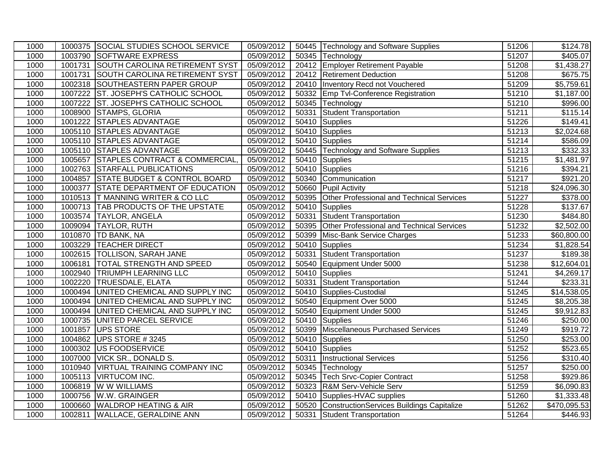| 1000 |         | 1000375 SOCIAL STUDIES SCHOOL SERVICE    | 05/09/2012 |       | 50445 Technology and Software Supplies          | 51206 | $\overline{$}124.78$   |
|------|---------|------------------------------------------|------------|-------|-------------------------------------------------|-------|------------------------|
| 1000 |         | 1003790 SOFTWARE EXPRESS                 | 05/09/2012 |       | 50345 Technology                                | 51207 | \$405.07               |
| 1000 | 1001731 | <b>SOUTH CAROLINA RETIREMENT SYST</b>    | 05/09/2012 |       | 20412 Employer Retirement Payable               | 51208 | $\overline{$1,438.27}$ |
| 1000 | 1001731 | <b>SOUTH CAROLINA RETIREMENT SYST</b>    | 05/09/2012 |       | 20412 Retirement Deduction                      | 51208 | \$675.75               |
| 1000 | 1002318 | SOUTHEASTERN PAPER GROUP                 | 05/09/2012 |       | 20410 Inventory Recd not Vouchered              | 51209 | \$5,759.61             |
| 1000 | 1007222 | ST. JOSEPH'S CATHOLIC SCHOOL             | 05/09/2012 |       | 50332 Emp Tvl-Conference Registration           | 51210 | \$1,187.00             |
| 1000 | 1007222 | ST. JOSEPH'S CATHOLIC SCHOOL             | 05/09/2012 |       | 50345 Technology                                | 51210 | \$996.00               |
| 1000 | 1008900 | STAMPS, GLORIA                           | 05/09/2012 | 50331 | Student Transportation                          | 51211 | \$115.14               |
| 1000 | 1001222 | <b>STAPLES ADVANTAGE</b>                 | 05/09/2012 |       | 50410 Supplies                                  | 51226 | \$149.41               |
| 1000 | 1005110 | <b>STAPLES ADVANTAGE</b>                 | 05/09/2012 |       | 50410 Supplies                                  | 51213 | \$2,024.68             |
| 1000 |         | 1005110 STAPLES ADVANTAGE                | 05/09/2012 |       | 50410 Supplies                                  | 51214 | \$586.09               |
| 1000 |         | 1005110 STAPLES ADVANTAGE                | 05/09/2012 |       | 50445 Technology and Software Supplies          | 51213 | \$332.33               |
| 1000 | 1005657 | <b>STAPLES CONTRACT &amp; COMMERCIAL</b> | 05/09/2012 |       | 50410 Supplies                                  | 51215 | \$1,481.97             |
| 1000 |         | 1002763 STARFALL PUBLICATIONS            | 05/09/2012 |       | 50410 Supplies                                  | 51216 | \$394.21               |
| 1000 | 1004857 | <b>STATE BUDGET &amp; CONTROL BOARD</b>  | 05/09/2012 |       | 50340 Communication                             | 51217 | $\sqrt{$921.20}$       |
| 1000 | 1000377 | STATE DEPARTMENT OF EDUCATION            | 05/09/2012 |       | 50660 Pupil Activity                            | 51218 | \$24,096.30            |
| 1000 |         | 1010513 T MANNING WRITER & CO LLC        | 05/09/2012 |       | 50395 Other Professional and Technical Services | 51227 | $\overline{$}378.00$   |
| 1000 |         | 1000713 TAB PRODUCTS OF THE UPSTATE      | 05/09/2012 | 50410 | Supplies                                        | 51228 | \$137.67               |
| 1000 |         | 1003574 TAYLOR, ANGELA                   | 05/09/2012 | 50331 | Student Transportation                          | 51230 | \$484.80               |
| 1000 | 1009094 | <b>TAYLOR, RUTH</b>                      | 05/09/2012 |       | 50395 Other Professional and Technical Services | 51232 | \$2,502.00             |
| 1000 | 1010870 | <b>TD BANK, NA</b>                       | 05/09/2012 |       | 50399 Misc-Bank Service Charges                 | 51233 | \$60,800.00            |
| 1000 | 1003229 | <b>TEACHER DIRECT</b>                    | 05/09/2012 |       | 50410 Supplies                                  | 51234 | \$1,828.54             |
| 1000 | 1002615 | <b>TOLLISON, SARAH JANE</b>              | 05/09/2012 | 50331 | <b>Student Transportation</b>                   | 51237 | \$189.38               |
| 1000 | 1006181 | <b>TOTAL STRENGTH AND SPEED</b>          | 05/09/2012 |       | 50540 Equipment Under 5000                      | 51238 | \$12,604.01            |
| 1000 |         | 1002940 TRIUMPH LEARNING LLC             | 05/09/2012 |       | 50410 Supplies                                  | 51241 | $\overline{$4,269.17}$ |
| 1000 | 1002220 | <b>TRUESDALE, ELATA</b>                  | 05/09/2012 | 50331 | <b>Student Transportation</b>                   | 51244 | \$233.31               |
| 1000 | 1000494 | UNITED CHEMICAL AND SUPPLY INC           | 05/09/2012 |       | 50410 Supplies-Custodial                        | 51245 | \$14,538.05            |
| 1000 | 1000494 | UNITED CHEMICAL AND SUPPLY INC           | 05/09/2012 |       | 50540 Equipment Over 5000                       | 51245 | $\overline{$8,205.38}$ |
| 1000 | 1000494 | UNITED CHEMICAL AND SUPPLY INC           | 05/09/2012 |       | 50540 Equipment Under 5000                      | 51245 | \$9,912.83             |
| 1000 | 1000735 | UNITED PARCEL SERVICE                    | 05/09/2012 |       | 50410 Supplies                                  | 51246 | \$250.00               |
| 1000 | 1001857 | <b>UPS STORE</b>                         | 05/09/2012 | 50399 | Miscellaneous Purchased Services                | 51249 | \$919.72               |
| 1000 | 1004862 | UPS STORE #3245                          | 05/09/2012 |       | 50410 Supplies                                  | 51250 | \$253.00               |
| 1000 | 1000302 | US FOODSERVICE                           | 05/09/2012 |       | 50410 Supplies                                  | 51252 | \$523.65               |
| 1000 | 1007000 | VICK SR., DONALD S.                      | 05/09/2012 | 50311 | <b>Instructional Services</b>                   | 51256 | \$310.40               |
| 1000 | 1010940 | <b>VIRTUAL TRAINING COMPANY INC</b>      | 05/09/2012 |       | 50345 Technology                                | 51257 | \$250.00               |
| 1000 | 1005113 | <b>VIRTUCOM INC.</b>                     | 05/09/2012 |       | 50345   Tech Srvc-Copier Contract               | 51258 | \$929.86               |
| 1000 | 1006819 | W W WILLIAMS                             | 05/09/2012 | 50323 | R&M Serv-Vehicle Serv                           | 51259 | \$6,090.83             |
| 1000 | 1000756 | W.W. GRAINGER                            | 05/09/2012 |       | 50410 Supplies-HVAC supplies                    | 51260 | \$1,333.48             |
| 1000 | 1000660 | <b>WALDROP HEATING &amp; AIR</b>         | 05/09/2012 |       | 50520 ConstructionServices Buildings Capitalize | 51262 | \$470,095.53           |
| 1000 |         | 1002811 WALLACE, GERALDINE ANN           | 05/09/2012 |       | 50331 Student Transportation                    | 51264 | \$446.93               |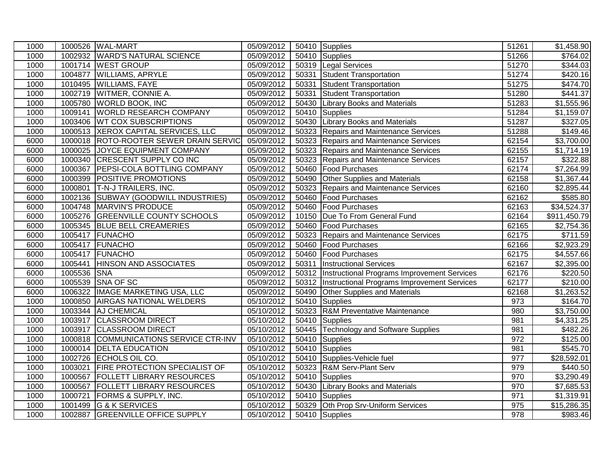| 1000 |             | 1000526 WAL-MART                       | 05/09/2012 |       | 50410 Supplies                                     | 51261 | \$1,458.90             |
|------|-------------|----------------------------------------|------------|-------|----------------------------------------------------|-------|------------------------|
| 1000 |             | 1002932 WARD'S NATURAL SCIENCE         | 05/09/2012 |       | 50410 Supplies                                     | 51266 | \$764.02               |
| 1000 |             | 1001714 WEST GROUP                     | 05/09/2012 |       | 50319 Legal Services                               | 51270 | \$344.03               |
| 1000 |             | 1004877 WILLIAMS, APRYLE               | 05/09/2012 | 50331 | Student Transportation                             | 51274 | \$420.16               |
| 1000 |             | 1010495 WILLIAMS, FAYE                 | 05/09/2012 | 50331 | Student Transportation                             | 51275 | \$474.70               |
| 1000 |             | 1002719 WITMER, CONNIE A.              | 05/09/2012 | 50331 | Student Transportation                             | 51280 | \$441.37               |
| 1000 |             | 1005780 WORLD BOOK, INC                | 05/09/2012 | 50430 | <b>Library Books and Materials</b>                 | 51283 | \$1,555.96             |
| 1000 |             | 1009141 WORLD RESEARCH COMPANY         | 05/09/2012 |       | 50410 Supplies                                     | 51284 | \$1,159.07             |
| 1000 |             | 1003406 WT COX SUBSCRIPTIONS           | 05/09/2012 |       | 50430 Library Books and Materials                  | 51287 | $\overline{$}327.05$   |
| 1000 |             | 1000513 XEROX CAPITAL SERVICES, LLC    | 05/09/2012 |       | 50323 Repairs and Maintenance Services             | 51288 | \$149.46               |
| 6000 |             | 1000018 ROTO-ROOTER SEWER DRAIN SERVIC | 05/09/2012 | 50323 | Repairs and Maintenance Services                   | 62154 | \$3,700.00             |
| 6000 |             | 1000025 JOYCE EQUIPMENT COMPANY        | 05/09/2012 | 50323 | <b>Repairs and Maintenance Services</b>            | 62155 | \$1,714.19             |
| 6000 |             | 1000340 CRESCENT SUPPLY CO INC         | 05/09/2012 | 50323 | Repairs and Maintenance Services                   | 62157 | 3322.88                |
| 6000 |             | 1000367 PEPSI-COLA BOTTLING COMPANY    | 05/09/2012 |       | 50460   Food Purchases                             | 62174 | \$7,264.99             |
| 6000 |             | 1000399 POSITIVE PROMOTIONS            | 05/09/2012 | 50490 | <b>Other Supplies and Materials</b>                | 62158 | \$1,367.44             |
| 6000 |             | 1000801 T-N-J TRAILERS, INC.           | 05/09/2012 | 50323 | Repairs and Maintenance Services                   | 62160 | $\overline{$}2,895.44$ |
| 6000 |             | 1002136 SUBWAY (GOODWILL INDUSTRIES)   | 05/09/2012 |       | 50460 Food Purchases                               | 62162 | \$585.80               |
| 6000 |             | 1004748 MARVIN'S PRODUCE               | 05/09/2012 |       | 50460 Food Purchases                               | 62163 | \$34,524.37            |
| 6000 |             | 1005276 GREENVILLE COUNTY SCHOOLS      | 05/09/2012 |       | 10150   Due To From General Fund                   | 62164 | \$911,450.79           |
| 6000 |             | 1005345 BLUE BELL CREAMERIES           | 05/09/2012 |       | 50460 Food Purchases                               | 62165 | \$2,754.36             |
| 6000 |             | 1005417 FUNACHO                        | 05/09/2012 | 50323 | Repairs and Maintenance Services                   | 62175 | $\overline{$}711.59$   |
| 6000 |             | 1005417 FUNACHO                        | 05/09/2012 | 50460 | Food Purchases                                     | 62166 | \$2,923.29             |
| 6000 |             | 1005417 FUNACHO                        | 05/09/2012 |       | 50460 Food Purchases                               | 62175 | \$4,557.66             |
| 6000 |             | 1005441 HINSON AND ASSOCIATES          | 05/09/2012 |       | 50311 Instructional Services                       | 62167 | $\overline{$2,395.00}$ |
| 6000 | 1005536 SNA |                                        | 05/09/2012 |       | 50312  Instructional Programs Improvement Services | 62176 | \$220.50               |
| 6000 |             | 1005539 SNA OF SC                      | 05/09/2012 |       | 50312 Instructional Programs Improvement Services  | 62177 | \$210.00               |
| 6000 |             | 1006322 IMAGE MARKETING USA, LLC       | 05/09/2012 |       | 50490 Other Supplies and Materials                 | 62168 | \$1,263.52             |
| 1000 |             | 1000850 AIRGAS NATIONAL WELDERS        | 05/10/2012 |       | 50410 Supplies                                     | 973   | \$164.70               |
| 1000 |             | 1003344 AJ CHEMICAL                    | 05/10/2012 |       | 50323 R&M Preventative Maintenance                 | 980   | \$3,750.00             |
| 1000 |             | 1003917 CLASSROOM DIRECT               | 05/10/2012 |       | 50410 Supplies                                     | 981   | $\overline{4,331.25}$  |
| 1000 |             | 1003917 CLASSROOM DIRECT               | 05/10/2012 |       | 50445 Technology and Software Supplies             | 981   | \$482.26               |
| 1000 |             | 1000818 COMMUNICATIONS SERVICE CTR-INV | 05/10/2012 |       | 50410 Supplies                                     | 972   | \$125.00               |
| 1000 |             | 1000014 DELTA EDUCATION                | 05/10/2012 |       | 50410 Supplies                                     | 981   | \$545.70               |
| 1000 |             | 1002726 ECHOLS OIL CO.                 | 05/10/2012 |       | 50410 Supplies-Vehicle fuel                        | 977   | \$28,592.01            |
| 1000 |             | 1003021 FIRE PROTECTION SPECIALIST OF  | 05/10/2012 |       | 50323 R&M Serv-Plant Serv                          | 979   | $\overline{$}440.50$   |
| 1000 |             | 1000567 FOLLETT LIBRARY RESOURCES      | 05/10/2012 |       | 50410 Supplies                                     | 970   | \$3,290.49             |
| 1000 | 1000567     | <b>FOLLETT LIBRARY RESOURCES</b>       | 05/10/2012 |       | 50430 Library Books and Materials                  | 970   | \$7,685.53             |
| 1000 | 1000721     | <b>FORMS &amp; SUPPLY, INC.</b>        | 05/10/2012 |       | 50410 Supplies                                     | 971   | \$1,319.91             |
| 1000 | 1001499     | <b>G &amp; K SERVICES</b>              | 05/10/2012 |       | 50329 Oth Prop Srv-Uniform Services                | 975   | \$15,286.35            |
| 1000 |             | 1002887 GREENVILLE OFFICE SUPPLY       | 05/10/2012 |       | 50410 Supplies                                     | 978   | \$983.46               |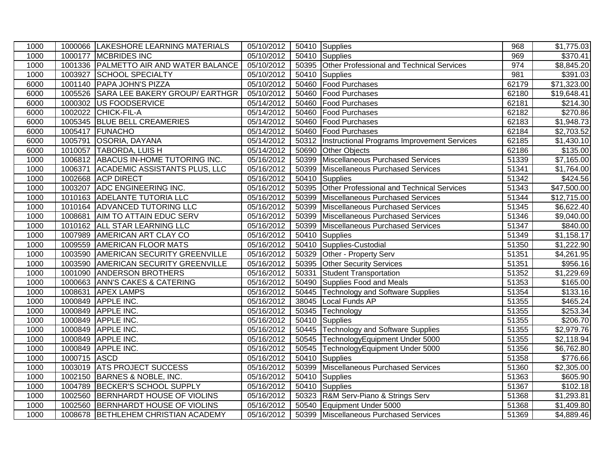| 1000 |              | 1000066 LAKESHORE LEARNING MATERIALS   | 05/10/2012 |       | 50410 Supplies                                     | 968   | \$1,775.03             |
|------|--------------|----------------------------------------|------------|-------|----------------------------------------------------|-------|------------------------|
| 1000 |              | 1000177 MCBRIDES INC                   | 05/10/2012 |       | 50410 Supplies                                     | 969   | \$370.41               |
| 1000 |              | 1001336 PALMETTO AIR AND WATER BALANCE | 05/10/2012 |       | 50395 Other Professional and Technical Services    | 974   | \$8,845.20             |
| 1000 |              | 1003927 SCHOOL SPECIALTY               | 05/10/2012 |       | 50410 Supplies                                     | 981   | \$391.03               |
| 6000 |              | 1001140 PAPA JOHN'S PIZZA              | 05/10/2012 |       | 50460 Food Purchases                               | 62179 | \$71,323.00            |
| 6000 |              | 1005526 SARA LEE BAKERY GROUP/ EARTHGR | 05/10/2012 |       | 50460   Food Purchases                             | 62180 | \$19,648.41            |
| 6000 | 1000302      | US FOODSERVICE                         | 05/14/2012 |       | 50460 Food Purchases                               | 62181 | \$214.30               |
| 6000 |              | 1002022 CHICK-FIL-A                    | 05/14/2012 |       | 50460 Food Purchases                               | 62182 | \$270.86               |
| 6000 |              | 1005345 BLUE BELL CREAMERIES           | 05/14/2012 |       | 50460 Food Purchases                               | 62183 | \$1,948.73             |
| 6000 |              | 1005417 FUNACHO                        | 05/14/2012 |       | 50460 Food Purchases                               | 62184 | \$2,703.52             |
| 6000 |              | 1005791 OSORIA, DAYANA                 | 05/14/2012 |       | 50312  Instructional Programs Improvement Services | 62185 | \$1,430.10             |
| 6000 |              | 1010057 TABORDA, LUIS H                | 05/14/2012 |       | 50690 Other Objects                                | 62186 | \$135.00               |
| 1000 |              | 1006812 ABACUS IN-HOME TUTORING INC.   | 05/16/2012 |       | 50399 Miscellaneous Purchased Services             | 51339 | \$7,165.00             |
| 1000 |              | 1006371 ACADEMIC ASSISTANTS PLUS, LLC  | 05/16/2012 |       | 50399 Miscellaneous Purchased Services             | 51341 | \$1,764.00             |
| 1000 |              | 1002668 ACP DIRECT                     | 05/16/2012 |       | 50410 Supplies                                     | 51342 | \$424.56               |
| 1000 |              | 1003207 ADC ENGINEERING INC.           | 05/16/2012 |       | 50395 Other Professional and Technical Services    | 51343 | \$47,500.00            |
| 1000 |              | 1010163 ADELANTE TUTORIA LLC           | 05/16/2012 |       | 50399 Miscellaneous Purchased Services             | 51344 | \$12,715.00            |
| 1000 |              | 1010164 ADVANCED TUTORING LLC          | 05/16/2012 |       | 50399 Miscellaneous Purchased Services             | 51345 | \$6,622.40             |
| 1000 |              | 1008681 AIM TO ATTAIN EDUC SERV        | 05/16/2012 |       | 50399 Miscellaneous Purchased Services             | 51346 | \$9,040.00             |
| 1000 |              | 1010162 ALL STAR LEARNING LLC          | 05/16/2012 |       | 50399 Miscellaneous Purchased Services             | 51347 | \$840.00               |
| 1000 |              | 1007989 AMERICAN ART CLAY CO           | 05/16/2012 |       | 50410 Supplies                                     | 51349 | \$1,158.17             |
| 1000 |              | 1009559 AMERICAN FLOOR MATS            | 05/16/2012 |       | 50410 Supplies-Custodial                           | 51350 | \$1,222.90             |
| 1000 |              | 1003590 AMERICAN SECURITY GREENVILLE   | 05/16/2012 |       | 50329 Other - Property Serv                        | 51351 | $\overline{84,261.95}$ |
| 1000 |              | 1003590 AMERICAN SECURITY GREENVILLE   | 05/16/2012 | 50395 | <b>Other Security Services</b>                     | 51351 | \$956.16               |
| 1000 |              | 1001090 ANDERSON BROTHERS              | 05/16/2012 | 50331 | Student Transportation                             | 51352 | \$1,229.69             |
| 1000 |              | 1000663 ANN'S CAKES & CATERING         | 05/16/2012 |       | 50490 Supplies Food and Meals                      | 51353 | $\overline{$}165.00$   |
| 1000 |              | 1008631 APEX LAMPS                     | 05/16/2012 |       | 50445 Technology and Software Supplies             | 51354 | \$133.16               |
| 1000 | 1000849      | <b>APPLE INC.</b>                      | 05/16/2012 | 38045 | Local Funds AP                                     | 51355 | \$465.24               |
| 1000 |              | 1000849 APPLE INC.                     | 05/16/2012 |       | 50345 Technology                                   | 51355 | \$253.34               |
| 1000 |              | 1000849 APPLE INC.                     | 05/16/2012 |       | 50410 Supplies                                     | 51355 | \$206.70               |
| 1000 |              | 1000849 APPLE INC.                     | 05/16/2012 |       | 50445 Technology and Software Supplies             | 51355 | \$2,979.76             |
| 1000 |              | 1000849 APPLE INC.                     | 05/16/2012 |       | 50545 TechnologyEquipment Under 5000               | 51355 | \$2,118.94             |
| 1000 |              | 1000849 APPLE INC.                     | 05/16/2012 |       | 50545 TechnologyEquipment Under 5000               | 51356 | \$6,762.80             |
| 1000 | 1000715 ASCD |                                        | 05/16/2012 |       | 50410 Supplies                                     | 51358 | \$776.66               |
| 1000 |              | 1003019 ATS PROJECT SUCCESS            | 05/16/2012 |       | 50399 Miscellaneous Purchased Services             | 51360 | \$2,305.00             |
| 1000 |              | 1002150 BARNES & NOBLE, INC.           | 05/16/2012 |       | 50410 Supplies                                     | 51363 | \$605.90               |
| 1000 |              | 1004789 BECKER'S SCHOOL SUPPLY         | 05/16/2012 |       | 50410 Supplies                                     | 51367 | \$102.18               |
| 1000 |              | 1002560 BERNHARDT HOUSE OF VIOLINS     | 05/16/2012 |       | 50323 R&M Serv-Piano & Strings Serv                | 51368 | \$1,293.81             |
| 1000 |              | 1002560 BERNHARDT HOUSE OF VIOLINS     | 05/16/2012 |       | 50540 Equipment Under 5000                         | 51368 | \$1,409.80             |
| 1000 |              | 1008678 BETHLEHEM CHRISTIAN ACADEMY    | 05/16/2012 |       | 50399 Miscellaneous Purchased Services             | 51369 | \$4,889.46             |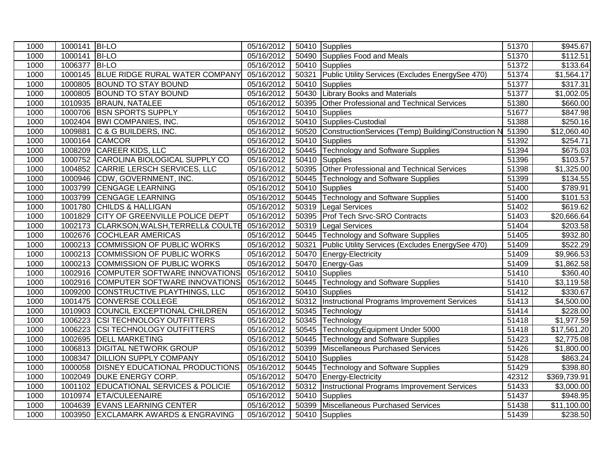| 1000 | 1000141 BI-LO |                                        | 05/16/2012 |       | 50410 Supplies                                      | 51370 | \$945.67               |
|------|---------------|----------------------------------------|------------|-------|-----------------------------------------------------|-------|------------------------|
| 1000 | 1000141       | <b>BI-LO</b>                           | 05/16/2012 |       | 50490 Supplies Food and Meals                       | 51370 | \$112.51               |
| 1000 | 1006377       | <b>BI-LO</b>                           | 05/16/2012 |       | 50410 Supplies                                      | 51372 | \$133.64               |
| 1000 |               | 1000145 BLUE RIDGE RURAL WATER COMPANY | 05/16/2012 | 50321 | Public Utility Services (Excludes EnergySee 470)    | 51374 | \$1,564.17             |
| 1000 | 1000805       | <b>BOUND TO STAY BOUND</b>             | 05/16/2012 | 50410 | Supplies                                            | 51377 | 3317.31                |
| 1000 | 1000805       | <b>BOUND TO STAY BOUND</b>             | 05/16/2012 | 50430 | <b>Library Books and Materials</b>                  | 51377 | \$1,002.05             |
| 1000 | 1010935       | <b>BRAUN, NATALEE</b>                  | 05/16/2012 | 50395 | Other Professional and Technical Services           | 51380 | \$660.00               |
| 1000 | 1000706       | <b>BSN SPORTS SUPPLY</b>               | 05/16/2012 | 50410 | Supplies                                            | 51677 | $\overline{$847.98}$   |
| 1000 |               | 1002404 BWI COMPANIES, INC.            | 05/16/2012 |       | 50410 Supplies-Custodial                            | 51388 | \$250.16               |
| 1000 | 1009881       | C & G BUILDERS, INC.                   | 05/16/2012 | 50520 | ConstructionServices (Temp) Building/Construction N | 51390 | \$12,060.40            |
| 1000 |               | 1000164 CAMCOR                         | 05/16/2012 | 50410 | Supplies                                            | 51392 | \$254.71               |
| 1000 |               | 1008209 CAREER KIDS, LLC               | 05/16/2012 |       | 50445 Technology and Software Supplies              | 51394 | \$675.03               |
| 1000 | 1000752       | CAROLINA BIOLOGICAL SUPPLY CO          | 05/16/2012 | 50410 | Supplies                                            | 51396 | \$103.57               |
| 1000 | 1004852       | CARRIE LERSCH SERVICES, LLC            | 05/16/2012 | 50395 | Other Professional and Technical Services           | 51398 | \$1,325.00             |
| 1000 | 1000946       | CDW, GOVERNMENT, INC.                  | 05/16/2012 | 50445 | Technology and Software Supplies                    | 51399 | \$134.55               |
| 1000 | 1003799       | <b>CENGAGE LEARNING</b>                | 05/16/2012 |       | 50410 Supplies                                      | 51400 | \$789.91               |
| 1000 | 1003799       | <b>CENGAGE LEARNING</b>                | 05/16/2012 | 50445 | <b>Technology and Software Supplies</b>             | 51400 | $\overline{$}101.53$   |
| 1000 |               | 1001780 CHILDS & HALLIGAN              | 05/16/2012 | 50319 | Legal Services                                      | 51402 | \$619.62               |
| 1000 | 1001829       | <b>CITY OF GREENVILLE POLICE DEPT</b>  | 05/16/2012 | 50395 | Prof Tech Srvc-SRO Contracts                        | 51403 | \$20,666.64            |
| 1000 | 1002173       | CLARKSON, WALSH, TERRELL& COULTE       | 05/16/2012 | 50319 | <b>Legal Services</b>                               | 51404 | \$203.58               |
| 1000 | 1002676       | <b>COCHLEAR AMERICAS</b>               | 05/16/2012 | 50445 | Technology and Software Supplies                    | 51405 | \$932.80               |
| 1000 | 1000213       | COMMISSION OF PUBLIC WORKS             | 05/16/2012 | 50321 | Public Utility Services (Excludes EnergySee 470)    | 51409 | \$522.29               |
| 1000 | 1000213       | COMMISSION OF PUBLIC WORKS             | 05/16/2012 | 50470 | Energy-Electricity                                  | 51409 | $\overline{$9,966.53}$ |
| 1000 |               | 1000213 COMMISSION OF PUBLIC WORKS     | 05/16/2012 |       | 50470 Energy-Gas                                    | 51409 | \$1,862.58             |
| 1000 | 1002916       | COMPUTER SOFTWARE INNOVATIONS          | 05/16/2012 |       | 50410 Supplies                                      | 51410 | \$360.40               |
| 1000 | 1002916       | COMPUTER SOFTWARE INNOVATIONS          | 05/16/2012 | 50445 | <b>Technology and Software Supplies</b>             | 51410 | \$3,119.58             |
| 1000 | 1009200       | CONSTRUCTIVE PLAYTHINGS, LLC           | 05/16/2012 | 50410 | Supplies                                            | 51412 | 330.67                 |
| 1000 | 1001475       | <b>CONVERSE COLLEGE</b>                | 05/16/2012 | 50312 | Instructional Programs Improvement Services         | 51413 | \$4,500.00             |
| 1000 | 1010903       | COUNCIL EXCEPTIONAL CHILDREN           | 05/16/2012 | 50345 | Technology                                          | 51414 | \$228.00               |
| 1000 | 1006223       | <b>CSI TECHNOLOGY OUTFITTERS</b>       | 05/16/2012 | 50345 | Technology                                          | 51418 | \$1,977.59             |
| 1000 | 1006223       | <b>CSI TECHNOLOGY OUTFITTERS</b>       | 05/16/2012 | 50545 | TechnologyEquipment Under 5000                      | 51418 | \$17,561.20            |
| 1000 | 1002695       | <b>DELL MARKETING</b>                  | 05/16/2012 | 50445 | Technology and Software Supplies                    | 51423 | \$2,775.08             |
| 1000 | 1006813       | <b>DIGITAL NETWORK GROUP</b>           | 05/16/2012 | 50399 | Miscellaneous Purchased Services                    | 51426 | \$1,800.00             |
| 1000 | 1008347       | <b>DILLION SUPPLY COMPANY</b>          | 05/16/2012 | 50410 | Supplies                                            | 51428 | $\overline{$863.24}$   |
| 1000 | 1000058       | <b>DISNEY EDUCATIONAL PRODUCTIONS</b>  | 05/16/2012 | 50445 | Technology and Software Supplies                    | 51429 | \$398.80               |
| 1000 | 1002049       | <b>DUKE ENERGY CORP.</b>               | 05/16/2012 |       | 50470 Energy-Electricity                            | 42312 | \$369,739.91           |
| 1000 | 1001102       | EDUCATIONAL SERVICES & POLICIE         | 05/16/2012 | 50312 | Instructional Programs Improvement Services         | 51433 | \$3,000.00             |
| 1000 |               | 1010974 ETA/CULEENAIRE                 | 05/16/2012 |       | 50410 Supplies                                      | 51437 | \$948.95               |
| 1000 | 1004639       | <b>EVANS LEARNING CENTER</b>           | 05/16/2012 | 50399 | Miscellaneous Purchased Services                    | 51438 | \$11,100.00            |
| 1000 |               | 1003950 EXCLAMARK AWARDS & ENGRAVING   | 05/16/2012 |       | 50410 Supplies                                      | 51439 | \$238.50               |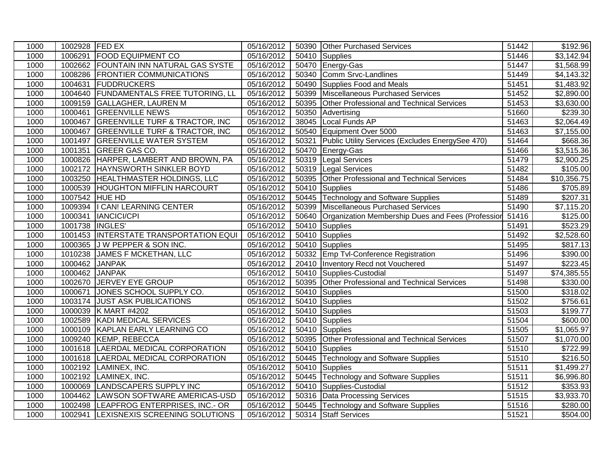| 1000 | 1002928 FED EX |                                           | 05/16/2012 |       | 50390 Other Purchased Services                    | 51442 | \$192.96             |
|------|----------------|-------------------------------------------|------------|-------|---------------------------------------------------|-------|----------------------|
| 1000 | 1006291        | <b>FOOD EQUIPMENT CO</b>                  | 05/16/2012 |       | 50410 Supplies                                    | 51446 | \$3,142.94           |
| 1000 |                | 1002662 FOUNTAIN INN NATURAL GAS SYSTE    | 05/16/2012 |       | 50470 Energy-Gas                                  | 51447 | \$1,568.99           |
| 1000 | 1008286        | <b>FRONTIER COMMUNICATIONS</b>            | 05/16/2012 |       | 50340 Comm Srvc-Landlines                         | 51449 | \$4,143.32           |
| 1000 | 1004631        | <b>FUDDRUCKERS</b>                        | 05/16/2012 | 50490 | Supplies Food and Meals                           | 51451 | \$1,483.92           |
| 1000 | 1004640        | <b>FUNDAMENTALS FREE TUTORING, LL</b>     | 05/16/2012 | 50399 | Miscellaneous Purchased Services                  | 51452 | \$2,890.00           |
| 1000 | 1009159        | <b>GALLAGHER, LAUREN M</b>                | 05/16/2012 | 50395 | <b>Other Professional and Technical Services</b>  | 51453 | \$3,630.00           |
| 1000 | 1000461        | <b>GREENVILLE NEWS</b>                    | 05/16/2012 | 50350 | Advertising                                       | 51660 | \$239.30             |
| 1000 | 1000467        | <b>GREENVILLE TURF &amp; TRACTOR, INC</b> | 05/16/2012 | 38045 | Local Funds AP                                    | 51463 | \$2,064.49           |
| 1000 | 1000467        | <b>GREENVILLE TURF &amp; TRACTOR, INC</b> | 05/16/2012 |       | 50540 Equipment Over 5000                         | 51463 | \$7,155.00           |
| 1000 | 1001497        | <b>GREENVILLE WATER SYSTEM</b>            | 05/16/2012 | 50321 | Public Utility Services (Excludes EnergySee 470)  | 51464 | $\overline{$}668.36$ |
| 1000 | 1001351        | <b>GREER GAS CO.</b>                      | 05/16/2012 | 50470 | Energy-Gas                                        | 51466 | \$3,515.36           |
| 1000 |                | 1000826 HARPER, LAMBERT AND BROWN, PA     | 05/16/2012 | 50319 | Legal Services                                    | 51479 | \$2,900.25           |
| 1000 | 1002172        | HAYNSWORTH SINKLER BOYD                   | 05/16/2012 | 50319 | Legal Services                                    | 51482 | \$105.00             |
| 1000 | 1003250        | HEALTHMASTER HOLDINGS, LLC                | 05/16/2012 | 50395 | Other Professional and Technical Services         | 51484 | \$10,356.75          |
| 1000 | 1000539        | <b>HOUGHTON MIFFLIN HARCOURT</b>          | 05/16/2012 |       | 50410 Supplies                                    | 51486 | \$705.89             |
| 1000 | 1007542 HUE HD |                                           | 05/16/2012 |       | 50445 Technology and Software Supplies            | 51489 | \$207.31             |
| 1000 |                | 1009394   CAN! LEARNING CENTER            | 05/16/2012 |       | 50399 Miscellaneous Purchased Services            | 51490 | \$7,115.20           |
| 1000 | 1000341        | <b>IANCICI/CPI</b>                        | 05/16/2012 | 50640 | Organization Membership Dues and Fees (Profession | 51416 | \$125.00             |
| 1000 | 1001738        | <b>INGLES</b>                             | 05/16/2012 |       | 50410 Supplies                                    | 51491 | \$523.29             |
| 1000 |                | 1001453  INTERSTATE TRANSPORTATION EQUI   | 05/16/2012 |       | 50410 Supplies                                    | 51492 | \$2,528.60           |
| 1000 | 1000365        | J W PEPPER & SON INC.                     | 05/16/2012 |       | 50410 Supplies                                    | 51495 | \$817.13             |
| 1000 | 1010238        | JAMES F MCKETHAN, LLC                     | 05/16/2012 |       | 50332 Emp Tvl-Conference Registration             | 51496 | \$390.00             |
| 1000 | 1000462        | <b>JANPAK</b>                             | 05/16/2012 |       | 20410 Inventory Recd not Vouchered                | 51497 | \$223.45             |
| 1000 | 1000462 JANPAK |                                           | 05/16/2012 |       | 50410 Supplies-Custodial                          | 51497 | \$74,385.55          |
| 1000 |                | 1002670 JERVEY EYE GROUP                  | 05/16/2012 | 50395 | Other Professional and Technical Services         | 51498 | \$330.00             |
| 1000 | 1000671        | JONES SCHOOL SUPPLY CO.                   | 05/16/2012 |       | 50410 Supplies                                    | 51500 | \$318.02             |
| 1000 | 1003174        | <b>JUST ASK PUBLICATIONS</b>              | 05/16/2012 |       | 50410 Supplies                                    | 51502 | \$756.61             |
| 1000 | 1000039        | K MART #4202                              | 05/16/2012 |       | 50410 Supplies                                    | 51503 | \$199.77             |
| 1000 | 1002589        | KADI MEDICAL SERVICES                     | 05/16/2012 |       | 50410 Supplies                                    | 51504 | \$600.00             |
| 1000 | 1000109        | <b>KAPLAN EARLY LEARNING CO</b>           | 05/16/2012 |       | 50410 Supplies                                    | 51505 | \$1,065.97           |
| 1000 |                | 1009240 KEMP, REBECCA                     | 05/16/2012 |       | 50395 Other Professional and Technical Services   | 51507 | \$1,070.00           |
| 1000 |                | 1001618 LAERDAL MEDICAL CORPORATION       | 05/16/2012 |       | 50410 Supplies                                    | 51510 | \$722.99             |
| 1000 |                | 1001618  LAERDAL MEDICAL CORPORATION      | 05/16/2012 |       | 50445 Technology and Software Supplies            | 51510 | \$216.50             |
| 1000 | 1002192        | LAMINEX, INC.                             | 05/16/2012 |       | 50410 Supplies                                    | 51511 | \$1,499.27           |
| 1000 | 1002192        | LAMINEX, INC.                             | 05/16/2012 |       | 50445 Technology and Software Supplies            | 51511 | \$6,996.80           |
| 1000 | 1000069        | <b>LANDSCAPERS SUPPLY INC</b>             | 05/16/2012 |       | 50410 Supplies-Custodial                          | 51512 | \$353.93             |
| 1000 | 1004462        | LAWSON SOFTWARE AMERICAS-USD              | 05/16/2012 |       | 50316 Data Processing Services                    | 51515 | \$3,933.70           |
| 1000 |                | 1002498 LEAPFROG ENTERPRISES, INC.- OR    | 05/16/2012 |       | 50445 Technology and Software Supplies            | 51516 | \$280.00             |
| 1000 | 1002941        | LEXISNEXIS SCREENING SOLUTIONS            | 05/16/2012 |       | 50314 Staff Services                              | 51521 | \$504.00             |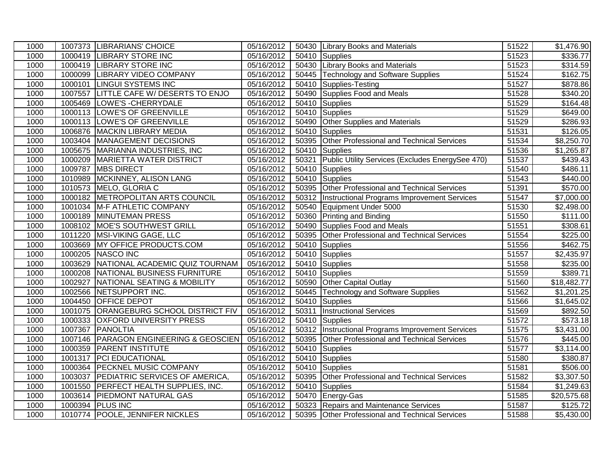| 1000 |         | 1007373 LIBRARIANS' CHOICE             | 05/16/2012 |       | 50430 Library Books and Materials                   | 51522 | \$1,476.90              |
|------|---------|----------------------------------------|------------|-------|-----------------------------------------------------|-------|-------------------------|
| 1000 |         | 1000419 LIBRARY STORE INC              | 05/16/2012 |       | 50410 Supplies                                      | 51523 | \$336.77                |
| 1000 |         | 1000419 LIBRARY STORE INC              | 05/16/2012 |       | 50430 Library Books and Materials                   | 51523 | \$314.59                |
| 1000 |         | 1000099 LIBRARY VIDEO COMPANY          | 05/16/2012 |       | 50445 Technology and Software Supplies              | 51524 | \$162.75                |
| 1000 |         | 1000101 LINGUI SYSTEMS INC             | 05/16/2012 |       | 50410 Supplies-Testing                              | 51527 | \$878.86                |
| 1000 | 1007557 | LITTLE CAFE W/ DESERTS TO ENJO         | 05/16/2012 |       | 50490 Supplies Food and Meals                       | 51528 | $\overline{$}340.20$    |
| 1000 | 1005469 | LOWE'S - CHERRYDALE                    | 05/16/2012 |       | 50410 Supplies                                      | 51529 | \$164.48                |
| 1000 |         | 1000113 LOWE'S OF GREENVILLE           | 05/16/2012 |       | 50410 Supplies                                      | 51529 | \$649.00                |
| 1000 |         | 1000113 LOWE'S OF GREENVILLE           | 05/16/2012 |       | 50490 Other Supplies and Materials                  | 51529 | \$286.93                |
| 1000 |         | 1006876 MACKIN LIBRARY MEDIA           | 05/16/2012 |       | 50410 Supplies                                      | 51531 | \$126.05                |
| 1000 |         | 1003404 MANAGEMENT DECISIONS           | 05/16/2012 |       | 50395 Other Professional and Technical Services     | 51534 | \$8,250.70              |
| 1000 |         | 1005675 MARIANNA INDUSTRIES, INC       | 05/16/2012 |       | 50410 Supplies                                      | 51536 | \$1,265.87              |
| 1000 |         | 1000209 MARIETTA WATER DISTRICT        | 05/16/2012 | 50321 | Public Utility Services (Excludes EnergySee 470)    | 51537 | $\overline{$}439.43$    |
| 1000 |         | 1009787   MBS DIRECT                   | 05/16/2012 |       | 50410 Supplies                                      | 51540 | \$486.11                |
| 1000 | 1010989 | MCKINNEY, ALISON LANG                  | 05/16/2012 |       | 50410 Supplies                                      | 51543 | \$440.00                |
| 1000 |         | 1010573 MELO, GLORIA C                 | 05/16/2012 |       | 50395 Other Professional and Technical Services     | 51391 | \$570.00                |
| 1000 |         | 1000182 METROPOLITAN ARTS COUNCIL      | 05/16/2012 |       | 50312   Instructional Programs Improvement Services | 51547 | \$7,000.00              |
| 1000 |         | 1001034 M-F ATHLETIC COMPANY           | 05/16/2012 |       | 50540 Equipment Under 5000                          | 51530 | \$2,498.00              |
| 1000 |         | 1000189 MINUTEMAN PRESS                | 05/16/2012 |       | 50360 Printing and Binding                          | 51550 | $\overline{$}111.00$    |
| 1000 |         | 1008102 MOE'S SOUTHWEST GRILL          | 05/16/2012 |       | 50490 Supplies Food and Meals                       | 51551 | \$308.61                |
| 1000 | 1011220 | MSI-VIKING GAGE, LLC                   | 05/16/2012 |       | 50395 Other Professional and Technical Services     | 51554 | \$225.00                |
| 1000 | 1003669 | <b>MY OFFICE PRODUCTS.COM</b>          | 05/16/2012 |       | 50410 Supplies                                      | 51556 | \$462.75                |
| 1000 |         | 1000205 NASCO INC                      | 05/16/2012 |       | 50410 Supplies                                      | 51557 | \$2,435.97              |
| 1000 |         | 1003629 NATIONAL ACADEMIC QUIZ TOURNAM | 05/16/2012 |       | 50410 Supplies                                      | 51558 | \$235.00                |
| 1000 |         | 1000208 NATIONAL BUSINESS FURNITURE    | 05/16/2012 |       | 50410 Supplies                                      | 51559 | \$389.71                |
| 1000 |         | 1002927 NATIONAL SEATING & MOBILITY    | 05/16/2012 |       | 50590 Other Capital Outlay                          | 51560 | \$18,482.77             |
| 1000 |         | 1002566 NETSUPPORT INC.                | 05/16/2012 |       | 50445 Technology and Software Supplies              | 51562 | $\overline{$}1,201.25$  |
| 1000 |         | 1004450 OFFICE DEPOT                   | 05/16/2012 |       | 50410 Supplies                                      | 51566 | \$1,645.02              |
| 1000 |         | 1001075 ORANGEBURG SCHOOL DISTRICT FIV | 05/16/2012 | 50311 | <b>Instructional Services</b>                       | 51569 | \$892.50                |
| 1000 |         | 1000333 OXFORD UNIVERSITY PRESS        | 05/16/2012 |       | 50410 Supplies                                      | 51572 | \$573.18                |
| 1000 |         | 1007367 PANOLTIA                       | 05/16/2012 |       | 50312 Instructional Programs Improvement Services   | 51575 | \$3,431.00              |
| 1000 |         | 1007146 PARAGON ENGINEERING & GEOSCIEN | 05/16/2012 |       | 50395 Other Professional and Technical Services     | 51576 | $\sqrt{445.00}$         |
| 1000 |         | 1000359 PARENT INSTITUTE               | 05/16/2012 |       | $\overline{504}10$ Supplies                         | 51577 | \$3,114.00              |
| 1000 |         | 1001317 PCI EDUCATIONAL                | 05/16/2012 |       | 50410 Supplies                                      | 51580 | \$380.87                |
| 1000 |         | 1000364 PECKNEL MUSIC COMPANY          | 05/16/2012 |       | 50410 Supplies                                      | 51581 | \$506.00                |
| 1000 |         | 1003037 PEDIATRIC SERVICES OF AMERICA, | 05/16/2012 |       | 50395 Other Professional and Technical Services     | 51582 | $\overline{$3,307.50}$  |
| 1000 | 1001550 | <b>PERFECT HEALTH SUPPLIES, INC.</b>   | 05/16/2012 |       | 50410 Supplies                                      | 51584 | \$1,249.63              |
| 1000 |         | 1003614 PIEDMONT NATURAL GAS           | 05/16/2012 |       | 50470 Energy-Gas                                    | 51585 | $\overline{$}20,575.68$ |
| 1000 |         | 1000394 PLUS INC                       | 05/16/2012 |       | 50323 Repairs and Maintenance Services              | 51587 | \$125.72                |
| 1000 |         | 1010774 POOLE, JENNIFER NICKLES        | 05/16/2012 |       | 50395 Other Professional and Technical Services     | 51588 | \$5,430.00              |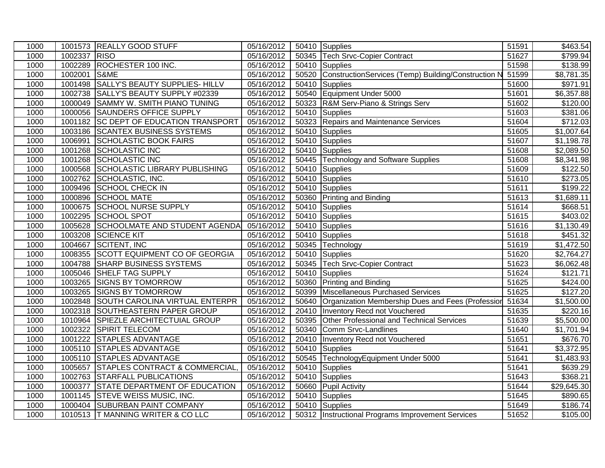| 1000 |         | 1001573 REALLY GOOD STUFF             | 05/16/2012 |       | 50410 Supplies                                      | 51591 | \$463.54               |
|------|---------|---------------------------------------|------------|-------|-----------------------------------------------------|-------|------------------------|
| 1000 | 1002337 | RISO                                  | 05/16/2012 |       | 50345 Tech Srvc-Copier Contract                     | 51627 | \$799.94               |
| 1000 | 1002289 | ROCHESTER 100 INC.                    | 05/16/2012 | 50410 | Supplies                                            | 51598 | \$138.99               |
| 1000 | 1002001 | S&ME                                  | 05/16/2012 | 50520 | ConstructionServices (Temp) Building/Construction N | 51599 | \$8,781.35             |
| 1000 | 1001498 | <b>SALLY'S BEAUTY SUPPLIES- HILLV</b> | 05/16/2012 | 50410 | Supplies                                            | 51600 | \$971.91               |
| 1000 | 1002738 | SALLY'S BEAUTY SUPPLY #02339          | 05/16/2012 |       | 50540 Equipment Under 5000                          | 51601 | \$6,357.88             |
| 1000 | 1000049 | SAMMY W. SMITH PIANO TUNING           | 05/16/2012 | 50323 | R&M Serv-Piano & Strings Serv                       | 51602 | \$120.00               |
| 1000 | 1000056 | <b>SAUNDERS OFFICE SUPPLY</b>         | 05/16/2012 | 50410 | Supplies                                            | 51603 | $\overline{$}381.06$   |
| 1000 | 1001182 | SC DEPT OF EDUCATION TRANSPORT        | 05/16/2012 | 50323 | Repairs and Maintenance Services                    | 51604 | \$712.03               |
| 1000 | 1003186 | <b>SCANTEX BUSINESS SYSTEMS</b>       | 05/16/2012 | 50410 | Supplies                                            | 51605 | \$1,007.64             |
| 1000 | 1006991 | <b>SCHOLASTIC BOOK FAIRS</b>          | 05/16/2012 | 50410 | Supplies                                            | 51607 | \$1,198.78             |
| 1000 | 1001268 | <b>SCHOLASTIC INC</b>                 | 05/16/2012 | 50410 | Supplies                                            | 51608 | \$2,089.50             |
| 1000 | 1001268 | SCHOLASTIC INC                        | 05/16/2012 |       | 50445 Technology and Software Supplies              | 51608 | \$8,341.98             |
| 1000 | 1000568 | SCHOLASTIC LIBRARY PUBLISHING         | 05/16/2012 | 50410 | Supplies                                            | 51609 | \$122.50               |
| 1000 | 1002762 | SCHOLASTIC, INC.                      | 05/16/2012 | 50410 | Supplies                                            | 51610 | $\overline{$}273.05$   |
| 1000 | 1009496 | <b>SCHOOL CHECK IN</b>                | 05/16/2012 |       | 50410 Supplies                                      | 51611 | \$199.22               |
| 1000 | 1000896 | <b>SCHOOL MATE</b>                    | 05/16/2012 |       | 50360 Printing and Binding                          | 51613 | \$1,689.11             |
| 1000 | 1000675 | <b>SCHOOL NURSE SUPPLY</b>            | 05/16/2012 |       | 50410 Supplies                                      | 51614 | \$668.51               |
| 1000 | 1002295 | <b>SCHOOL SPOT</b>                    | 05/16/2012 |       | 50410 Supplies                                      | 51615 | \$403.02               |
| 1000 | 1005628 | <b>SCHOOLMATE AND STUDENT AGENDA</b>  | 05/16/2012 |       | 50410 Supplies                                      | 51616 | \$1,130.49             |
| 1000 | 1003208 | <b>SCIENCE KIT</b>                    | 05/16/2012 |       | 50410 Supplies                                      | 51618 | \$451.32               |
| 1000 | 1004667 | <b>SCITENT, INC</b>                   | 05/16/2012 |       | 50345 Technology                                    | 51619 | \$1,472.50             |
| 1000 | 1008355 | SCOTT EQUIPMENT CO OF GEORGIA         | 05/16/2012 | 50410 | Supplies                                            | 51620 | \$2,764.27             |
| 1000 | 1004788 | <b>SHARP BUSINESS SYSTEMS</b>         | 05/16/2012 | 50345 | <b>Tech Srvc-Copier Contract</b>                    | 51623 | \$6,062.48             |
| 1000 | 1005046 | <b>SHELF TAG SUPPLY</b>               | 05/16/2012 |       | 50410 Supplies                                      | 51624 | \$121.71               |
| 1000 |         | 1003265 SIGNS BY TOMORROW             | 05/16/2012 | 50360 | <b>Printing and Binding</b>                         | 51625 | \$424.00               |
| 1000 | 1003265 | <b>SIGNS BY TOMORROW</b>              | 05/16/2012 | 50399 | Miscellaneous Purchased Services                    | 51625 | $\overline{$127.20}$   |
| 1000 | 1002848 | <b>SOUTH CAROLINA VIRTUAL ENTERPR</b> | 05/16/2012 | 50640 | Organization Membership Dues and Fees (Profession   | 51634 | \$1,500.00             |
| 1000 | 1002318 | SOUTHEASTERN PAPER GROUP              | 05/16/2012 | 20410 | Inventory Recd not Vouchered                        | 51635 | \$220.16               |
| 1000 |         | 1010964 SPIEZLE ARCHITECTUIAL GROUP   | 05/16/2012 | 50395 | Other Professional and Technical Services           | 51639 | \$5,500.00             |
| 1000 | 1002322 | SPIRIT TELECOM                        | 05/16/2012 | 50340 | Comm Srvc-Landlines                                 | 51640 | \$1,701.94             |
| 1000 | 1001222 | <b>STAPLES ADVANTAGE</b>              | 05/16/2012 | 20410 | Inventory Recd not Vouchered                        | 51651 | \$676.70               |
| 1000 |         | 1005110 STAPLES ADVANTAGE             | 05/16/2012 | 50410 | Supplies                                            | 51641 | $\overline{$3,372.95}$ |
| 1000 |         | 1005110 STAPLES ADVANTAGE             | 05/16/2012 |       | 50545 TechnologyEquipment Under 5000                | 51641 | \$1,483.93             |
| 1000 | 1005657 | STAPLES CONTRACT & COMMERCIAL         | 05/16/2012 | 50410 | Supplies                                            | 51641 | \$639.29               |
| 1000 | 1002763 | <b>STARFALL PUBLICATIONS</b>          | 05/16/2012 |       | 50410 Supplies                                      | 51643 | \$368.21               |
| 1000 | 1000377 | <b>STATE DEPARTMENT OF EDUCATION</b>  | 05/16/2012 |       | 50660 Pupil Activity                                | 51644 | \$29,645.30            |
| 1000 | 1001145 | <b>STEVE WEISS MUSIC, INC.</b>        | 05/16/2012 | 50410 | Supplies                                            | 51645 | \$890.65               |
| 1000 |         | 1000404 SUBURBAN PAINT COMPANY        | 05/16/2012 |       | 50410 Supplies                                      | 51649 | \$186.74               |
| 1000 |         | 1010513 T MANNING WRITER & CO LLC     | 05/16/2012 |       | 50312   Instructional Programs Improvement Services | 51652 | \$105.00               |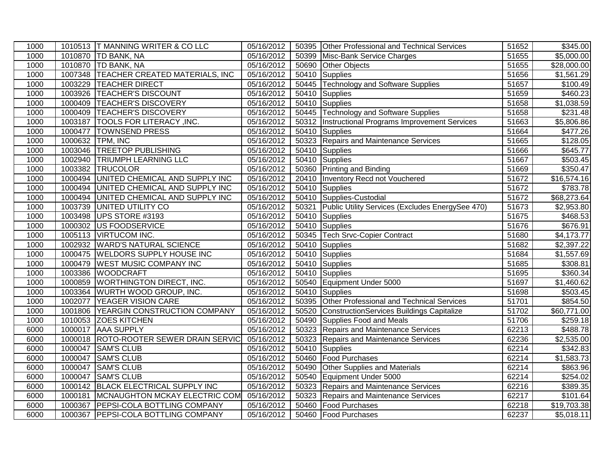| 1000 |         | 1010513 T MANNING WRITER & CO LLC      | 05/16/2012 |       | 50395 Other Professional and Technical Services    | 51652 | \$345.00                 |
|------|---------|----------------------------------------|------------|-------|----------------------------------------------------|-------|--------------------------|
| 1000 |         | 1010870 TD BANK, NA                    | 05/16/2012 |       | 50399 Misc-Bank Service Charges                    | 51655 | $\overline{$5,000.00}$   |
| 1000 |         | 1010870 TD BANK, NA                    | 05/16/2012 | 50690 | Other Objects                                      | 51655 | $\overline{$}28,000.00$  |
| 1000 |         | 1007348 TEACHER CREATED MATERIALS, INC | 05/16/2012 |       | 50410 Supplies                                     | 51656 | \$1,561.29               |
| 1000 | 1003229 | <b>TEACHER DIRECT</b>                  | 05/16/2012 |       | 50445 Technology and Software Supplies             | 51657 | \$100.49                 |
| 1000 | 1003926 | <b>TEACHER'S DISCOUNT</b>              | 05/16/2012 |       | 50410 Supplies                                     | 51659 | $\overline{$460.23}$     |
| 1000 | 1000409 | <b>TEACHER'S DISCOVERY</b>             | 05/16/2012 |       | 50410 Supplies                                     | 51658 | $\overline{\$1}$ ,038.59 |
| 1000 | 1000409 | <b>TEACHER'S DISCOVERY</b>             | 05/16/2012 |       | 50445 Technology and Software Supplies             | 51658 | \$231.48                 |
| 1000 | 1003187 | <b>TOOLS FOR LITERACY, INC.</b>        | 05/16/2012 |       | 50312  Instructional Programs Improvement Services | 51663 | \$5,806.86               |
| 1000 | 1000477 | <b>TOWNSEND PRESS</b>                  | 05/16/2012 |       | 50410 Supplies                                     | 51664 | \$477.26                 |
| 1000 |         | 1000632 TPM, INC                       | 05/16/2012 |       | 50323 Repairs and Maintenance Services             | 51665 | \$128.05                 |
| 1000 | 1003046 | <b>TREETOP PUBLISHING</b>              | 05/16/2012 |       | 50410 Supplies                                     | 51666 | \$645.77                 |
| 1000 | 1002940 | <b>TRIUMPH LEARNING LLC</b>            | 05/16/2012 |       | 50410 Supplies                                     | 51667 | \$503.45                 |
| 1000 | 1003382 | <b>TRUCOLOR</b>                        | 05/16/2012 |       | 50360 Printing and Binding                         | 51669 | \$350.47                 |
| 1000 | 1000494 | UNITED CHEMICAL AND SUPPLY INC         | 05/16/2012 |       | 20410   Inventory Recd not Vouchered               | 51672 | \$16,574.16              |
| 1000 | 1000494 | UNITED CHEMICAL AND SUPPLY INC         | 05/16/2012 |       | 50410 Supplies                                     | 51672 | \$783.78                 |
| 1000 | 1000494 | UNITED CHEMICAL AND SUPPLY INC         | 05/16/2012 |       | 50410 Supplies-Custodial                           | 51672 | \$68,273.64              |
| 1000 | 1003739 | UNITED UTILITY CO                      | 05/16/2012 | 50321 | Public Utility Services (Excludes EnergySee 470)   | 51673 | $\overline{$2,953.80}$   |
| 1000 | 1003498 | UPS STORE #3193                        | 05/16/2012 |       | 50410 Supplies                                     | 51675 | \$468.53                 |
| 1000 | 1000302 | <b>US FOODSERVICE</b>                  | 05/16/2012 |       | 50410 Supplies                                     | 51676 | \$676.91                 |
| 1000 | 1005113 | <b>VIRTUCOM INC.</b>                   | 05/16/2012 |       | 50345 Tech Srvc-Copier Contract                    | 51680 | \$4,173.77               |
| 1000 | 1002932 | <b>WARD'S NATURAL SCIENCE</b>          | 05/16/2012 |       | 50410 Supplies                                     | 51682 | \$2,397.22               |
| 1000 | 1000475 | <b>WELDORS SUPPLY HOUSE INC</b>        | 05/16/2012 |       | 50410 Supplies                                     | 51684 | \$1,557.69               |
| 1000 | 1000479 | <b>WEST MUSIC COMPANY INC</b>          | 05/16/2012 |       | 50410 Supplies                                     | 51685 | \$308.81                 |
| 1000 |         | 1003386 WOODCRAFT                      | 05/16/2012 |       | 50410 Supplies                                     | 51695 | \$360.34                 |
| 1000 | 1000859 | <b>WORTHINGTON DIRECT, INC.</b>        | 05/16/2012 |       | 50540 Equipment Under 5000                         | 51697 | \$1,460.62               |
| 1000 |         | 1003364 WURTH WOOD GROUP, INC.         | 05/16/2012 |       | 50410 Supplies                                     | 51698 | \$503.45                 |
| 1000 | 1002077 | <b>YEAGER VISION CARE</b>              | 05/16/2012 |       | 50395 Other Professional and Technical Services    | 51701 | \$854.50                 |
| 1000 | 1001806 | <b>YEARGIN CONSTRUCTION COMPANY</b>    | 05/16/2012 | 50520 | ConstructionServices Buildings Capitalize          | 51702 | \$60,771.00              |
| 1000 |         | 1010053 ZOES KITCHEN                   | 05/16/2012 |       | 50490 Supplies Food and Meals                      | 51706 | \$259.18                 |
| 6000 |         | 1000017 AAA SUPPLY                     | 05/16/2012 |       | 50323 Repairs and Maintenance Services             | 62213 | \$488.78                 |
| 6000 |         | 1000018 ROTO-ROOTER SEWER DRAIN SERVIC | 05/16/2012 |       | 50323 Repairs and Maintenance Services             | 62236 | \$2,535.00               |
| 6000 | 1000047 | <b>SAM'S CLUB</b>                      | 05/16/2012 |       | 50410 Supplies                                     | 62214 | 3342.83                  |
| 6000 | 1000047 | <b>SAM'S CLUB</b>                      | 05/16/2012 | 50460 | Food Purchases                                     | 62214 | \$1,583.73               |
| 6000 | 1000047 | <b>SAM'S CLUB</b>                      | 05/16/2012 | 50490 | Other Supplies and Materials                       | 62214 | \$863.96                 |
| 6000 | 1000047 | <b>SAM'S CLUB</b>                      | 05/16/2012 |       | 50540 Equipment Under 5000                         | 62214 | \$254.02                 |
| 6000 | 1000142 | <b>BLACK ELECTRICAL SUPPLY INC</b>     | 05/16/2012 | 50323 | Repairs and Maintenance Services                   | 62216 | \$389.35                 |
| 6000 | 1000181 | MCNAUGHTON MCKAY ELECTRIC COM          | 05/16/2012 | 50323 | Repairs and Maintenance Services                   | 62217 | \$101.64                 |
| 6000 | 1000367 | <b>PEPSI-COLA BOTTLING COMPANY</b>     | 05/16/2012 |       | 50460 Food Purchases                               | 62218 | \$19,703.38              |
| 6000 |         | 1000367 PEPSI-COLA BOTTLING COMPANY    | 05/16/2012 |       | 50460 Food Purchases                               | 62237 | \$5,018.11               |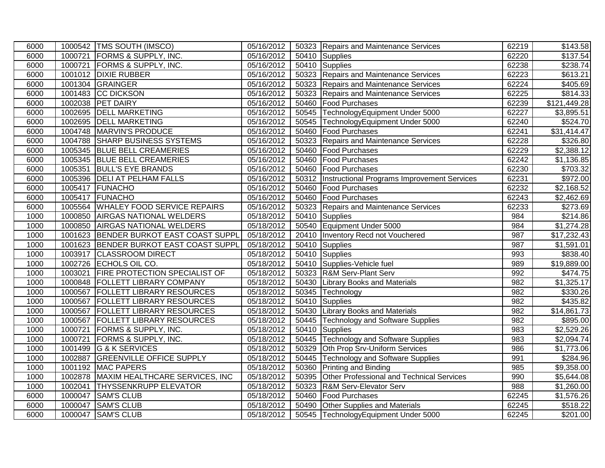| 6000 | 1000542   TMS SOUTH (IMSCO)              | 05/16/2012 | 50323 Repairs and Maintenance Services             | 62219            | \$143.58     |
|------|------------------------------------------|------------|----------------------------------------------------|------------------|--------------|
| 6000 | 1000721 FORMS & SUPPLY, INC.             | 05/16/2012 | 50410 Supplies                                     | 62220            | \$137.54     |
| 6000 | 1000721 FORMS & SUPPLY, INC.             | 05/16/2012 | 50410 Supplies                                     | 62238            | \$238.74     |
| 6000 | 1001012 DIXIE RUBBER                     | 05/16/2012 | 50323 Repairs and Maintenance Services             | 62223            | \$613.21     |
| 6000 | 1001304 GRAINGER                         | 05/16/2012 | 50323 Repairs and Maintenance Services             | 62224            | \$405.69     |
| 6000 | 1001483 CC DICKSON                       | 05/16/2012 | 50323 Repairs and Maintenance Services             | 62225            | \$814.33     |
| 6000 | 1002038 PET DAIRY                        | 05/16/2012 | 50460 Food Purchases                               | 62239            | \$121,449.28 |
| 6000 | 1002695 DELL MARKETING                   | 05/16/2012 | 50545 TechnologyEquipment Under 5000               | 62227            | \$3,895.51   |
| 6000 | 1002695 DELL MARKETING                   | 05/16/2012 | 50545 TechnologyEquipment Under 5000               | 62240            | \$524.70     |
| 6000 | 1004748 MARVIN'S PRODUCE                 | 05/16/2012 | 50460 Food Purchases                               | 62241            | \$31,414.47  |
| 6000 | 1004788 SHARP BUSINESS SYSTEMS           | 05/16/2012 | 50323 Repairs and Maintenance Services             | 62228            | \$326.80     |
| 6000 | 1005345 BLUE BELL CREAMERIES             | 05/16/2012 | 50460 Food Purchases                               | 62229            | \$2,388.12   |
| 6000 | 1005345 BLUE BELL CREAMERIES             | 05/16/2012 | 50460 Food Purchases                               | 62242            | \$1,136.85   |
| 6000 | 1005351 BULL'S EYE BRANDS                | 05/16/2012 | 50460   Food Purchases                             | 62230            | \$703.32     |
| 6000 | 1005396   DELI AT PELHAM FALLS           | 05/16/2012 | 50312  Instructional Programs Improvement Services | 62231            | \$972.00     |
| 6000 | 1005417 FUNACHO                          | 05/16/2012 | 50460 Food Purchases                               | 62232            | \$2,168.52   |
| 6000 | 1005417 FUNACHO                          | 05/16/2012 | 50460 Food Purchases                               | 62243            | \$2,462.69   |
| 6000 | 1005564 WHALEY FOOD SERVICE REPAIRS      | 05/16/2012 | 50323 Repairs and Maintenance Services             | 62233            | \$273.69     |
| 1000 | 1000850 AIRGAS NATIONAL WELDERS          | 05/18/2012 | 50410 Supplies                                     | 984              | \$214.86     |
| 1000 | 1000850 AIRGAS NATIONAL WELDERS          | 05/18/2012 | 50540 Equipment Under 5000                         | 984              | \$1,274.28   |
| 1000 | 1001623 BENDER BURKOT EAST COAST SUPPL   | 05/18/2012 | 20410   Inventory Recd not Vouchered               | 987              | \$17,232.43  |
| 1000 | 1001623 BENDER BURKOT EAST COAST SUPPL   | 05/18/2012 | 50410 Supplies                                     | 987              | \$1,591.01   |
| 1000 | 1003917 CLASSROOM DIRECT                 | 05/18/2012 | 50410 Supplies                                     | 993              | \$838.40     |
| 1000 | 1002726 ECHOLS OIL CO.                   | 05/18/2012 | 50410 Supplies-Vehicle fuel                        | 989              | \$19,889.00  |
| 1000 | 1003021 FIRE PROTECTION SPECIALIST OF    | 05/18/2012 | 50323 R&M Serv-Plant Serv                          | 992              | \$474.75     |
| 1000 | 1000848   FOLLETT LIBRARY COMPANY        | 05/18/2012 | 50430 Library Books and Materials                  | 982              | \$1,325.17   |
| 1000 | 1000567 FOLLETT LIBRARY RESOURCES        | 05/18/2012 | 50345 Technology                                   | 982              | 3330.26      |
| 1000 | 1000567 FOLLETT LIBRARY RESOURCES        | 05/18/2012 | 50410 Supplies                                     | 982              | \$435.82     |
| 1000 | 1000567 FOLLETT LIBRARY RESOURCES        | 05/18/2012 | 50430 Library Books and Materials                  | $\overline{982}$ | \$14,861.73  |
| 1000 | 1000567   FOLLETT LIBRARY RESOURCES      | 05/18/2012 | 50445 Technology and Software Supplies             | 982              | \$895.00     |
| 1000 | 1000721 FORMS & SUPPLY, INC.             | 05/18/2012 | 50410 Supplies                                     | 983              | \$2,529.26   |
| 1000 | 1000721 FORMS & SUPPLY, INC.             | 05/18/2012 | 50445 Technology and Software Supplies             | 983              | \$2,094.74   |
| 1000 | 1001499 G & K SERVICES                   | 05/18/2012 | 50329 Oth Prop Srv-Uniform Services                | 986              | \$1,773.06   |
| 1000 | 1002887 GREENVILLE OFFICE SUPPLY         | 05/18/2012 | 50445 Technology and Software Supplies             | 991              | \$284.96     |
| 1000 | 1001192 MAC PAPERS                       | 05/18/2012 | 50360 Printing and Binding                         | 985              | \$9,358.00   |
| 1000 | 1002878   MAXIM HEALTHCARE SERVICES, INC | 05/18/2012 | 50395 Other Professional and Technical Services    | 990              | \$5,644.08   |
| 1000 | 1002041 THYSSENKRUPP ELEVATOR            | 05/18/2012 | 50323 R&M Serv-Elevator Serv                       | 988              | \$1,260.00   |
| 6000 | 1000047 SAM'S CLUB                       | 05/18/2012 | 50460 Food Purchases                               | 62245            | \$1,576.26   |
| 6000 | 1000047 SAM'S CLUB                       | 05/18/2012 | 50490 Other Supplies and Materials                 | 62245            | \$518.22     |
| 6000 | 1000047 SAM'S CLUB                       | 05/18/2012 | 50545 TechnologyEquipment Under 5000               | 62245            | \$201.00     |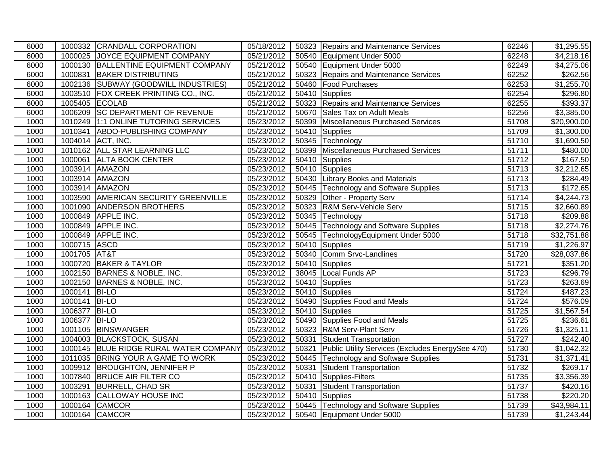| 6000 |                | 1000332 CRANDALL CORPORATION           | 05/18/2012 |       | 50323 Repairs and Maintenance Services           | 62246 | \$1,295.55             |
|------|----------------|----------------------------------------|------------|-------|--------------------------------------------------|-------|------------------------|
| 6000 |                | 1000025 JOYCE EQUIPMENT COMPANY        | 05/21/2012 |       | 50540 Equipment Under 5000                       | 62248 | \$4,218.16             |
| 6000 |                | 1000130 BALLENTINE EQUIPMENT COMPANY   | 05/21/2012 |       | 50540 Equipment Under 5000                       | 62249 | \$4,275.06             |
| 6000 |                | 1000831 BAKER DISTRIBUTING             | 05/21/2012 |       | 50323 Repairs and Maintenance Services           | 62252 | \$262.56               |
| 6000 |                | 1002136 SUBWAY (GOODWILL INDUSTRIES)   | 05/21/2012 |       | 50460 Food Purchases                             | 62253 | \$1,255.70             |
| 6000 |                | 1003510 FOX CREEK PRINTING CO., INC.   | 05/21/2012 |       | 50410 Supplies                                   | 62254 | \$296.80               |
| 6000 | 1005405 ECOLAB |                                        | 05/21/2012 |       | 50323 Repairs and Maintenance Services           | 62255 | \$393.37               |
| 6000 |                | 1006209 SC DEPARTMENT OF REVENUE       | 05/21/2012 |       | 50670 Sales Tax on Adult Meals                   | 62256 | \$3,385.00             |
| 1000 |                | 1010249 1:1 ONLINE TUTORING SERVICES   | 05/23/2012 | 50399 | Miscellaneous Purchased Services                 | 51708 | \$20,900.00            |
| 1000 |                | 1010341 ABDO-PUBLISHING COMPANY        | 05/23/2012 |       | 50410 Supplies                                   | 51709 | \$1,300.00             |
| 1000 |                | 1004014 ACT, INC.                      | 05/23/2012 |       | 50345 Technology                                 | 51710 | \$1,690.50             |
| 1000 |                | 1010162 ALL STAR LEARNING LLC          | 05/23/2012 |       | 50399 Miscellaneous Purchased Services           | 51711 | \$480.00               |
| 1000 |                | 1000061 ALTA BOOK CENTER               | 05/23/2012 |       | 50410 Supplies                                   | 51712 | \$167.50               |
| 1000 |                | 1003914 AMAZON                         | 05/23/2012 |       | 50410 Supplies                                   | 51713 | \$2,212.65             |
| 1000 |                | 1003914 AMAZON                         | 05/23/2012 |       | 50430 Library Books and Materials                | 51713 | \$284.49               |
| 1000 |                | 1003914 AMAZON                         | 05/23/2012 |       | 50445 Technology and Software Supplies           | 51713 | $\overline{$172.65}$   |
| 1000 |                | 1003590 AMERICAN SECURITY GREENVILLE   | 05/23/2012 |       | 50329 Other - Property Serv                      | 51714 | \$4,244.73             |
| 1000 |                | 1001090 ANDERSON BROTHERS              | 05/23/2012 |       | 50323 R&M Serv-Vehicle Serv                      | 51715 | $\overline{$2,660.89}$ |
| 1000 |                | 1000849 APPLE INC.                     | 05/23/2012 |       | 50345 Technology                                 | 51718 | \$209.88               |
| 1000 |                | 1000849 APPLE INC.                     | 05/23/2012 |       | 50445 Technology and Software Supplies           | 51718 | \$2,274.76             |
| 1000 |                | 1000849 APPLE INC.                     | 05/23/2012 |       | 50545 TechnologyEquipment Under 5000             | 51718 | \$32,751.88            |
| 1000 | 1000715 ASCD   |                                        | 05/23/2012 |       | 50410 Supplies                                   | 51719 | \$1,226.97             |
| 1000 | 1001705 AT&T   |                                        | 05/23/2012 |       | 50340 Comm Srvc-Landlines                        | 51720 | \$28,037.86            |
| 1000 |                | 1000720 BAKER & TAYLOR                 | 05/23/2012 |       | 50410 Supplies                                   | 51721 | \$351.20               |
| 1000 |                | 1002150 BARNES & NOBLE, INC.           | 05/23/2012 |       | 38045 Local Funds AP                             | 51723 | \$296.79               |
| 1000 |                | 1002150 BARNES & NOBLE, INC.           | 05/23/2012 |       | 50410 Supplies                                   | 51723 | \$263.69               |
| 1000 | 1000141 BI-LO  |                                        | 05/23/2012 |       | 50410 Supplies                                   | 51724 | $\overline{$487.23}$   |
| 1000 | 1000141 BI-LO  |                                        | 05/23/2012 |       | 50490 Supplies Food and Meals                    | 51724 | \$576.09               |
| 1000 | 1006377 BI-LO  |                                        | 05/23/2012 |       | 50410 Supplies                                   | 51725 | \$1,567.54             |
| 1000 | 1006377 BI-LO  |                                        | 05/23/2012 |       | 50490 Supplies Food and Meals                    | 51725 | \$236.61               |
| 1000 |                | 1001105 BINSWANGER                     | 05/23/2012 |       | 50323 R&M Serv-Plant Serv                        | 51726 | \$1,325.11             |
| 1000 |                | 1004003 BLACKSTOCK, SUSAN              | 05/23/2012 |       | 50331 Student Transportation                     | 51727 | \$242.40               |
| 1000 |                | 1000145 BLUE RIDGE RURAL WATER COMPANY | 05/23/2012 | 50321 | Public Utility Services (Excludes EnergySee 470) | 51730 | \$1,042.32             |
| 1000 |                | 1011035 BRING YOUR A GAME TO WORK      | 05/23/2012 |       | 50445 Technology and Software Supplies           | 51731 | \$1,371.41             |
| 1000 |                | 1009912 BROUGHTON, JENNIFER P          | 05/23/2012 | 50331 | Student Transportation                           | 51732 | \$269.17               |
| 1000 |                | 1007840 BRUCE AIR FILTER CO            | 05/23/2012 | 50410 | Supplies-Filters                                 | 51735 | \$3,356.39             |
| 1000 |                | 1003291 BURRELL, CHAD SR               | 05/23/2012 | 50331 | Student Transportation                           | 51737 | \$420.16               |
| 1000 |                | 1000163 CALLOWAY HOUSE INC             | 05/23/2012 |       | 50410 Supplies                                   | 51738 | \$220.20               |
| 1000 |                | 1000164 CAMCOR                         | 05/23/2012 |       | 50445 Technology and Software Supplies           | 51739 | \$43,984.11            |
| 1000 |                | 1000164 CAMCOR                         | 05/23/2012 |       | 50540 Equipment Under 5000                       | 51739 | \$1,243.44             |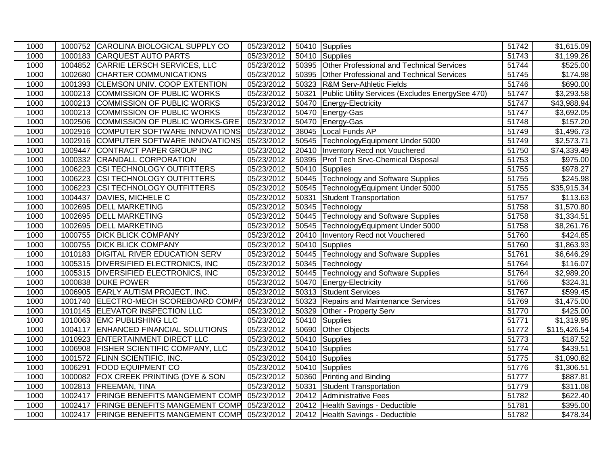| 1000 |         | 1000752 CAROLINA BIOLOGICAL SUPPLY CO    | 05/23/2012 |       | 50410 Supplies                                   | 51742 | \$1,615.09              |
|------|---------|------------------------------------------|------------|-------|--------------------------------------------------|-------|-------------------------|
| 1000 |         | 1000183 CARQUEST AUTO PARTS              | 05/23/2012 |       | 50410 Supplies                                   | 51743 | $\overline{$1,199.26}$  |
| 1000 |         | 1004852 CARRIE LERSCH SERVICES, LLC      | 05/23/2012 |       | 50395 Other Professional and Technical Services  | 51744 | \$525.00                |
| 1000 |         | 1002680 CHARTER COMMUNICATIONS           | 05/23/2012 |       | 50395 Other Professional and Technical Services  | 51745 | \$174.98                |
| 1000 | 1001393 | <b>CLEMSON UNIV. COOP EXTENTION</b>      | 05/23/2012 |       | 50323 R&M Serv-Athletic Fields                   | 51746 | \$690.00                |
| 1000 |         | 1000213 COMMISSION OF PUBLIC WORKS       | 05/23/2012 | 50321 | Public Utility Services (Excludes EnergySee 470) | 51747 | \$3,293.58              |
| 1000 |         | 1000213 COMMISSION OF PUBLIC WORKS       | 05/23/2012 |       | 50470 Energy-Electricity                         | 51747 | \$43,988.94             |
| 1000 |         | 1000213 COMMISSION OF PUBLIC WORKS       | 05/23/2012 |       | 50470 Energy-Gas                                 | 51747 | \$3,692.05              |
| 1000 | 1002506 | COMMISSION OF PUBLIC WORKS-GRE           | 05/23/2012 |       | 50470 Energy-Gas                                 | 51748 | \$157.20                |
| 1000 |         | 1002916 COMPUTER SOFTWARE INNOVATIONS    | 05/23/2012 |       | 38045 Local Funds AP                             | 51749 | \$1,496.73              |
| 1000 |         | 1002916 COMPUTER SOFTWARE INNOVATIONS    | 05/23/2012 |       | 50545 TechnologyEquipment Under 5000             | 51749 | \$2,573.71              |
| 1000 | 1009447 | CONTRACT PAPER GROUP INC                 | 05/23/2012 |       | 20410 Inventory Recd not Vouchered               | 51750 | \$74,339.49             |
| 1000 |         | 1000332 CRANDALL CORPORATION             | 05/23/2012 |       | 50395 Prof Tech Srvc-Chemical Disposal           | 51753 | \$975.00                |
| 1000 | 1006223 | <b>CSI TECHNOLOGY OUTFITTERS</b>         | 05/23/2012 |       | 50410 Supplies                                   | 51755 | $\overline{$}978.27$    |
| 1000 | 1006223 | <b>CSI TECHNOLOGY OUTFITTERS</b>         | 05/23/2012 |       | 50445 Technology and Software Supplies           | 51755 | \$245.98                |
| 1000 | 1006223 | <b>CSI TECHNOLOGY OUTFITTERS</b>         | 05/23/2012 |       | 50545 TechnologyEquipment Under 5000             | 51755 | \$35,915.34             |
| 1000 | 1004437 | DAVIES, MICHELE C                        | 05/23/2012 |       | 50331 Student Transportation                     | 51757 | $\overline{$}113.63$    |
| 1000 | 1002695 | <b>DELL MARKETING</b>                    | 05/23/2012 |       | 50345 Technology                                 | 51758 | \$1,570.80              |
| 1000 | 1002695 | <b>DELL MARKETING</b>                    | 05/23/2012 |       | 50445 Technology and Software Supplies           | 51758 | \$1,334.51              |
| 1000 | 1002695 | <b>DELL MARKETING</b>                    | 05/23/2012 |       | 50545 TechnologyEquipment Under 5000             | 51758 | $\overline{$8,261.76}$  |
| 1000 | 1000755 | <b>DICK BLICK COMPANY</b>                | 05/23/2012 | 20410 | Inventory Recd not Vouchered                     | 51760 | \$424.85                |
| 1000 | 1000755 | <b>DICK BLICK COMPANY</b>                | 05/23/2012 |       | 50410 Supplies                                   | 51760 | \$1,863.93              |
| 1000 |         | 1010183 DIGITAL RIVER EDUCATION SERV     | 05/23/2012 |       | 50445 Technology and Software Supplies           | 51761 | \$6,646.29              |
| 1000 |         | 1005315 DIVERSIFIED ELECTRONICS, INC     | 05/23/2012 |       | 50345 Technology                                 | 51764 | \$116.07                |
| 1000 |         | 1005315 DIVERSIFIED ELECTRONICS, INC     | 05/23/2012 |       | 50445 Technology and Software Supplies           | 51764 | \$2,989.20              |
| 1000 |         | 1000838 DUKE POWER                       | 05/23/2012 |       | 50470 Energy-Electricity                         | 51766 | $\sqrt{$324.31}$        |
| 1000 |         | 1006905 EARLY AUTISM PROJECT, INC.       | 05/23/2012 |       | 50313 Student Services                           | 51767 | \$599.45                |
| 1000 |         | 1001740 ELECTRO-MECH SCOREBOARD COMPA    | 05/23/2012 |       | 50323 Repairs and Maintenance Services           | 51769 | \$1,475.00              |
| 1000 |         | 1010145 ELEVATOR INSPECTION LLC          | 05/23/2012 | 50329 | Other - Property Serv                            | 51770 | \$425.00                |
| 1000 |         | 1010063 EMC PUBLISHING LLC               | 05/23/2012 |       | 50410 Supplies                                   | 51771 | \$1,319.95              |
| 1000 | 1004117 | <b>ENHANCED FINANCIAL SOLUTIONS</b>      | 05/23/2012 |       | 50690 Other Objects                              | 51772 | \$115,426.54            |
| 1000 |         | 1010923 ENTERTAINMENT DIRECT LLC         | 05/23/2012 |       | 50410 Supplies                                   | 51773 | \$187.52                |
| 1000 |         | 1006908 FISHER SCIENTIFIC COMPANY, LLC   | 05/23/2012 |       | 50410 Supplies                                   | 51774 | $\sqrt{$439.51}$        |
| 1000 | 1001572 | <b>FLINN SCIENTIFIC, INC.</b>            | 05/23/2012 |       | 50410 Supplies                                   | 51775 | \$1,090.82              |
| 1000 | 1006291 | <b>FOOD EQUIPMENT CO</b>                 | 05/23/2012 |       | 50410 Supplies                                   | 51776 | $\overline{\$1,}306.51$ |
| 1000 | 1000082 | <b>FOX CREEK PRINTING (DYE &amp; SON</b> | 05/23/2012 |       | 50360 Printing and Binding                       | 51777 | \$887.81                |
| 1000 |         | 1002813 FREEMAN, TINA                    | 05/23/2012 | 50331 | <b>Student Transportation</b>                    | 51779 | $\overline{$}311.08$    |
| 1000 | 1002417 | <b>FRINGE BENEFITS MANGEMENT COMP</b>    | 05/23/2012 |       | 20412 Administrative Fees                        | 51782 | $\overline{$}622.40$    |
| 1000 |         | 1002417 FRINGE BENEFITS MANGEMENT COMP   | 05/23/2012 |       | 20412 Health Savings - Deductible                | 51781 | \$395.00                |
| 1000 |         | 1002417 FRINGE BENEFITS MANGEMENT COMP   | 05/23/2012 |       | 20412 Health Savings - Deductible                | 51782 | \$478.34                |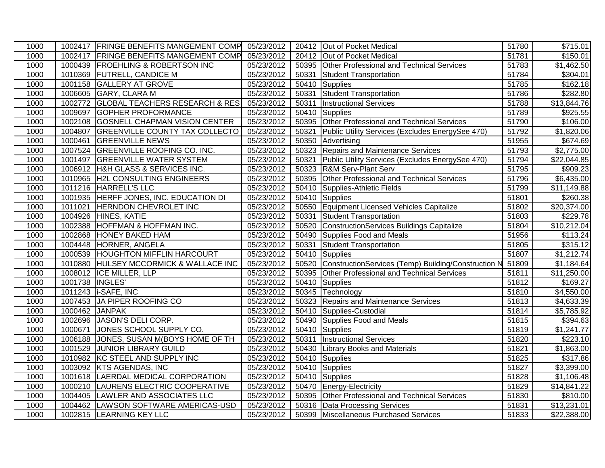| 1000 |                 | 1002417 FRINGE BENEFITS MANGEMENT COMP 05/23/2012 |            |       | 20412 Out of Pocket Medical                         | 51780 | $\overline{$}715.01$   |
|------|-----------------|---------------------------------------------------|------------|-------|-----------------------------------------------------|-------|------------------------|
| 1000 |                 | 1002417 FRINGE BENEFITS MANGEMENT COMP            | 05/23/2012 |       | 20412 Out of Pocket Medical                         | 51781 | \$150.01               |
| 1000 |                 | 1000439 FROEHLING & ROBERTSON INC                 | 05/23/2012 |       | 50395 Other Professional and Technical Services     | 51783 | $\overline{$1,462.50}$ |
| 1000 |                 | 1010369 FUTRELL, CANDICE M                        | 05/23/2012 | 50331 | Student Transportation                              | 51784 | \$304.01               |
| 1000 | 1001158         | <b>GALLERY AT GROVE</b>                           | 05/23/2012 |       | 50410 Supplies                                      | 51785 | \$162.18               |
| 1000 | 1006605         | <b>GARY, CLARA M</b>                              | 05/23/2012 | 50331 | Student Transportation                              | 51786 | \$282.80               |
| 1000 | 1002772         | <b>GLOBAL TEACHERS RESEARCH &amp; RES</b>         | 05/23/2012 | 50311 | <b>Instructional Services</b>                       | 51788 | \$13,844.76            |
| 1000 | 1009697         | <b>GOPHER PROFORMANCE</b>                         | 05/23/2012 |       | 50410 Supplies                                      | 51789 | \$925.55               |
| 1000 | 1002108         | GOSNELL CHAPMAN VISION CENTER                     | 05/23/2012 | 50395 | Other Professional and Technical Services           | 51790 | \$106.00               |
| 1000 | 1004807         | <b>GREENVILLE COUNTY TAX COLLECTO</b>             | 05/23/2012 | 50321 | Public Utility Services (Excludes EnergySee 470)    | 51792 | \$1,820.06             |
| 1000 | 1000461         | <b>GREENVILLE NEWS</b>                            | 05/23/2012 | 50350 | Advertising                                         | 51955 | \$674.69               |
| 1000 |                 | 1007524 GREENVILLE ROOFING CO. INC.               | 05/23/2012 | 50323 | Repairs and Maintenance Services                    | 51793 | \$2,775.00             |
| 1000 | 1001497         | <b>GREENVILLE WATER SYSTEM</b>                    | 05/23/2012 | 50321 | Public Utility Services (Excludes EnergySee 470)    | 51794 | \$22,044.85            |
| 1000 |                 | 1006912 H&H GLASS & SERVICES INC.                 | 05/23/2012 |       | 50323 R&M Serv-Plant Serv                           | 51795 | \$909.23               |
| 1000 | 1010965         | <b>H2L CONSULTING ENGINEERS</b>                   | 05/23/2012 | 50395 | Other Professional and Technical Services           | 51796 | \$6,435.00             |
| 1000 |                 | 1011216 HARRELL'S LLC                             | 05/23/2012 |       | 50410 Supplies-Athletic Fields                      | 51799 | \$11,149.88            |
| 1000 |                 | 1001935 HERFF JONES, INC. EDUCATION DI            | 05/23/2012 |       | 50410 Supplies                                      | 51801 | \$260.38               |
| 1000 | 1011021         | <b>HERNDON CHEVROLET INC</b>                      | 05/23/2012 |       | 50550 Equipment Licensed Vehicles Capitalize        | 51802 | \$20,374.00            |
| 1000 | 1004926         | HINES, KATIE                                      | 05/23/2012 | 50331 | Student Transportation                              | 51803 | \$229.78               |
| 1000 | 1002388         | <b>HOFFMAN &amp; HOFFMAN INC.</b>                 | 05/23/2012 | 50520 | ConstructionServices Buildings Capitalize           | 51804 | \$10,212.04            |
| 1000 | 1002868         | <b>HONEY BAKED HAM</b>                            | 05/23/2012 | 50490 | Supplies Food and Meals                             | 51956 | $\overline{$}113.24$   |
| 1000 | 1004448         | HORNER, ANGELA                                    | 05/23/2012 | 50331 | <b>Student Transportation</b>                       | 51805 | \$315.12               |
| 1000 |                 | 1000539 HOUGHTON MIFFLIN HARCOURT                 | 05/23/2012 |       | 50410 Supplies                                      | 51807 | \$1,212.74             |
| 1000 |                 | 1010880 HULSEY MCCORMICK & WALLACE INC            | 05/23/2012 | 50520 | ConstructionServices (Temp) Building/Construction N | 51809 | \$1,184.64             |
| 1000 |                 | 1008012 ICE MILLER, LLP                           | 05/23/2012 | 50395 | Other Professional and Technical Services           | 51811 | \$11,250.00            |
| 1000 | 1001738 INGLES' |                                                   | 05/23/2012 | 50410 | Supplies                                            | 51812 | \$169.27               |
| 1000 |                 | 1011243   i-SAFE, INC                             | 05/23/2012 |       | 50345 Technology                                    | 51810 | \$4,550.00             |
| 1000 |                 | 1007453 JA PIPER ROOFING CO                       | 05/23/2012 | 50323 | Repairs and Maintenance Services                    | 51813 | \$4,633.39             |
| 1000 | 1000462 JANPAK  |                                                   | 05/23/2012 |       | 50410 Supplies-Custodial                            | 51814 | \$5,785.92             |
| 1000 |                 | 1002696 JASON'S DELI CORP.                        | 05/23/2012 |       | 50490 Supplies Food and Meals                       | 51815 | \$394.63               |
| 1000 | 1000671         | JONES SCHOOL SUPPLY CO.                           | 05/23/2012 |       | 50410 Supplies                                      | 51819 | \$1,241.77             |
| 1000 |                 | 1006188 JONES, SUSAN M(BOYS HOME OF TH            | 05/23/2012 | 50311 | <b>Instructional Services</b>                       | 51820 | $\overline{$223.10}$   |
| 1000 |                 | 1001529 JUNIOR LIBRARY GUILD                      | 05/23/2012 |       | 50430 Library Books and Materials                   | 51821 | $\overline{$1,863.00}$ |
| 1000 | 1010982         | KC STEEL AND SUPPLY INC                           | 05/23/2012 |       | 50410 Supplies                                      | 51825 | \$317.86               |
| 1000 | 1003092         | <b>KTS AGENDAS, INC</b>                           | 05/23/2012 |       | 50410 Supplies                                      | 51827 | \$3,399.00             |
| 1000 | 1001618         | LAERDAL MEDICAL CORPORATION                       | 05/23/2012 |       | 50410 Supplies                                      | 51828 | \$1,106.48             |
| 1000 |                 | 1000210 LAURENS ELECTRIC COOPERATIVE              | 05/23/2012 |       | 50470 Energy-Electricity                            | 51829 | \$14,841.22            |
| 1000 |                 | 1004405 LAWLER AND ASSOCIATES LLC                 | 05/23/2012 |       | 50395 Other Professional and Technical Services     | 51830 | \$810.00               |
| 1000 |                 | 1004462 LAWSON SOFTWARE AMERICAS-USD              | 05/23/2012 |       | 50316 Data Processing Services                      | 51831 | \$13,231.01            |
| 1000 |                 | 1002815 LEARNING KEY LLC                          | 05/23/2012 |       | 50399 Miscellaneous Purchased Services              | 51833 | \$22,388.00            |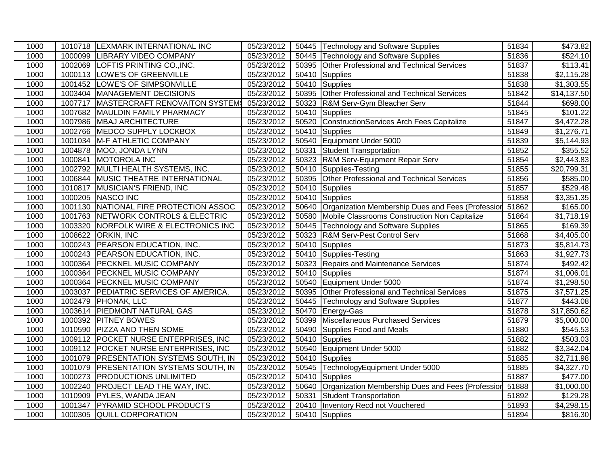| 1000 |         | 1010718  LEXMARK INTERNATIONAL INC     | 05/23/2012 |       | 50445 Technology and Software Supplies                  | 51834 | $\sqrt{3}473.82$       |
|------|---------|----------------------------------------|------------|-------|---------------------------------------------------------|-------|------------------------|
| 1000 |         | 1000099 LIBRARY VIDEO COMPANY          | 05/23/2012 |       | 50445 Technology and Software Supplies                  | 51836 | \$524.10               |
| 1000 |         | 1002069 LOFTIS PRINTING CO., INC.      | 05/23/2012 |       | 50395 Other Professional and Technical Services         | 51837 | \$113.41               |
| 1000 |         | 1000113 LOWE'S OF GREENVILLE           | 05/23/2012 |       | 50410 Supplies                                          | 51838 | \$2,115.28             |
| 1000 |         | 1001452 LOWE'S OF SIMPSONVILLE         | 05/23/2012 |       | 50410 Supplies                                          | 51838 | \$1,303.55             |
| 1000 |         | 1003404   MANAGEMENT DECISIONS         | 05/23/2012 |       | 50395 Other Professional and Technical Services         | 51842 | \$14,137.50            |
| 1000 | 1007717 | MASTERCRAFT RENOVAITON SYSTEMS         | 05/23/2012 |       | 50323 R&M Serv-Gym Bleacher Serv                        | 51844 | \$698.00               |
| 1000 | 1007682 | MAULDIN FAMILY PHARMACY                | 05/23/2012 |       | 50410 Supplies                                          | 51845 | $\sqrt{$101.22}$       |
| 1000 | 1007986 | <b>MBAJ ARCHITECTURE</b>               | 05/23/2012 |       | 50520 ConstructionServices Arch Fees Capitalize         | 51847 | \$4,472.28             |
| 1000 | 1002766 | MEDCO SUPPLY LOCKBOX                   | 05/23/2012 |       | 50410 Supplies                                          | 51849 | \$1,276.71             |
| 1000 |         | 1001034 M-F ATHLETIC COMPANY           | 05/23/2012 |       | 50540 Equipment Under 5000                              | 51839 | \$5,144.93             |
| 1000 | 1004878 | MOO, JONDA LYNN                        | 05/23/2012 | 50331 | Student Transportation                                  | 51852 | \$355.52               |
| 1000 | 1000841 | <b>MOTOROLA INC</b>                    | 05/23/2012 |       | 50323 R&M Serv-Equipment Repair Serv                    | 51854 | \$2,443.83             |
| 1000 | 1002792 | MULTI HEALTH SYSTEMS, INC.             | 05/23/2012 |       | 50410 Supplies-Testing                                  | 51855 | \$20,799.31            |
| 1000 |         | 1006844 MUSIC THEATRE INTERNATIONAL    | 05/23/2012 |       | 50395 Other Professional and Technical Services         | 51856 | \$585.00               |
| 1000 | 1010817 | MUSICIAN'S FRIEND, INC                 | 05/23/2012 |       | 50410 Supplies                                          | 51857 | \$529.48               |
| 1000 |         | 1000205 NASCO INC                      | 05/23/2012 |       | 50410 Supplies                                          | 51858 | \$3,351.35             |
| 1000 |         | 1001130 NATIONAL FIRE PROTECTION ASSOC | 05/23/2012 |       | 50640 Organization Membership Dues and Fees (Profession | 51862 | \$165.00               |
| 1000 |         | 1001763 NETWORK CONTROLS & ELECTRIC    | 05/23/2012 |       | 50580 Mobile Classrooms Construction Non Capitalize     | 51864 | \$1,718.19             |
| 1000 | 1003320 | NORFOLK WIRE & ELECTRONICS INC         | 05/23/2012 |       | 50445 Technology and Software Supplies                  | 51865 | $\overline{$169.39}$   |
| 1000 | 1008622 | <b>ORKIN, INC</b>                      | 05/23/2012 |       | 50323 R&M Serv-Pest Control Serv                        | 51868 | \$4,405.00             |
| 1000 |         | 1000243 PEARSON EDUCATION, INC.        | 05/23/2012 |       | 50410 Supplies                                          | 51873 | \$5,814.73             |
| 1000 |         | 1000243 PEARSON EDUCATION, INC.        | 05/23/2012 |       | 50410 Supplies-Testing                                  | 51863 | \$1,927.73             |
| 1000 |         | 1000364 PECKNEL MUSIC COMPANY          | 05/23/2012 |       | 50323 Repairs and Maintenance Services                  | 51874 | $\sqrt{492.42}$        |
| 1000 |         | 1000364 PECKNEL MUSIC COMPANY          | 05/23/2012 |       | 50410 Supplies                                          | 51874 | \$1,006.01             |
| 1000 |         | 1000364 PECKNEL MUSIC COMPANY          | 05/23/2012 |       | 50540 Equipment Under 5000                              | 51874 | \$1,298.50             |
| 1000 |         | 1003037 PEDIATRIC SERVICES OF AMERICA, | 05/23/2012 |       | 50395 Other Professional and Technical Services         | 51875 | $\overline{$7,571.25}$ |
| 1000 |         | 1002479 PHONAK, LLC                    | 05/23/2012 |       | 50445 Technology and Software Supplies                  | 51877 | \$443.08               |
| 1000 |         | 1003614 PIEDMONT NATURAL GAS           | 05/23/2012 |       | 50470 Energy-Gas                                        | 51878 | \$17,850.62            |
| 1000 |         | 1000392 PITNEY BOWES                   | 05/23/2012 |       | 50399 Miscellaneous Purchased Services                  | 51879 | \$5,000.00             |
| 1000 |         | 1010590 PIZZA AND THEN SOME            | 05/23/2012 |       | 50490 Supplies Food and Meals                           | 51880 | \$545.53               |
| 1000 |         | 1009112 POCKET NURSE ENTERPRISES, INC  | 05/23/2012 |       | 50410 Supplies                                          | 51882 | \$503.03               |
| 1000 |         | 1009112 POCKET NURSE ENTERPRISES, INC  | 05/23/2012 |       | 50540 Equipment Under 5000                              | 51882 | \$3,342.04             |
| 1000 |         | 1001079 PRESENTATION SYSTEMS SOUTH, IN | 05/23/2012 |       | 50410 Supplies                                          | 51885 | \$2,711.98             |
| 1000 |         | 1001079 PRESENTATION SYSTEMS SOUTH, IN | 05/23/2012 |       | 50545 TechnologyEquipment Under 5000                    | 51885 | \$4,327.70             |
| 1000 | 1000273 | <b>PRODUCTIONS UNLIMITED</b>           | 05/23/2012 |       | 50410 Supplies                                          | 51887 | \$477.00               |
| 1000 |         | 1002240 PROJECT LEAD THE WAY, INC.     | 05/23/2012 |       | 50640 Organization Membership Dues and Fees (Profession | 51888 | \$1,000.00             |
| 1000 | 1010909 | <b>PYLES, WANDA JEAN</b>               | 05/23/2012 | 50331 | Student Transportation                                  | 51892 | $\overline{$}129.28$   |
| 1000 | 1001347 | <b>PYRAMID SCHOOL PRODUCTS</b>         | 05/23/2012 |       | 20410   Inventory Recd not Vouchered                    | 51893 | \$4,298.15             |
| 1000 | 1000305 | QUILL CORPORATION                      | 05/23/2012 |       | 50410 Supplies                                          | 51894 | \$816.30               |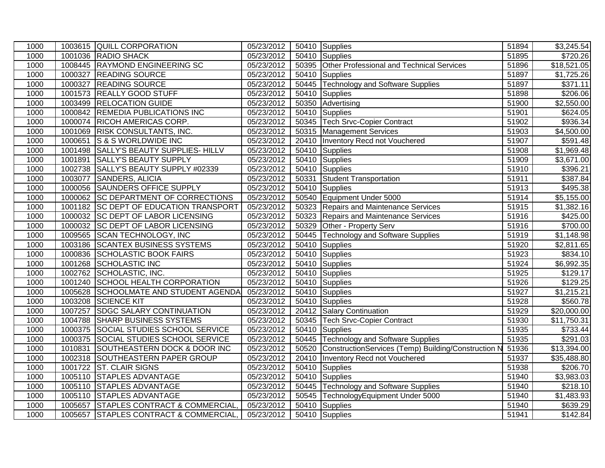| 1000 |         | 1003615 QUILL CORPORATION              | 05/23/2012 |       | 50410 Supplies                                      | 51894 | \$3,245.54              |
|------|---------|----------------------------------------|------------|-------|-----------------------------------------------------|-------|-------------------------|
| 1000 |         | 1001036 RADIO SHACK                    | 05/23/2012 |       | 50410 Supplies                                      | 51895 | \$720.26                |
| 1000 |         | 1008445 RAYMOND ENGINEERING SC         | 05/23/2012 |       | 50395 Other Professional and Technical Services     | 51896 | \$18,521.05             |
| 1000 |         | 1000327 READING SOURCE                 | 05/23/2012 |       | 50410 Supplies                                      | 51897 | \$1,725.26              |
| 1000 | 1000327 | <b>READING SOURCE</b>                  | 05/23/2012 |       | 50445 Technology and Software Supplies              | 51897 | \$371.11                |
| 1000 |         | 1001573 REALLY GOOD STUFF              | 05/23/2012 |       | 50410 Supplies                                      | 51898 | \$206.06                |
| 1000 |         | 1003499 RELOCATION GUIDE               | 05/23/2012 |       | 50350 Advertising                                   | 51900 | \$2,550.00              |
| 1000 |         | 1000842 REMEDIA PUBLICATIONS INC       | 05/23/2012 |       | 50410 Supplies                                      | 51901 | \$624.05                |
| 1000 |         | 1000074 RICOH AMERICAS CORP.           | 05/23/2012 |       | 50345 Tech Srvc-Copier Contract                     | 51902 | \$936.34                |
| 1000 |         | 1001069 RISK CONSULTANTS, INC.         | 05/23/2012 |       | 50315 Management Services                           | 51903 | \$4,500.00              |
| 1000 |         | 1000651 S & S WORLDWIDE INC            | 05/23/2012 |       | 20410   Inventory Recd not Vouchered                | 51907 | $\overline{$}591.48$    |
| 1000 |         | 1001498 SALLY'S BEAUTY SUPPLIES- HILLV | 05/23/2012 |       | 50410 Supplies                                      | 51908 | \$1,969.48              |
| 1000 |         | 1001891 SALLY'S BEAUTY SUPPLY          | 05/23/2012 |       | 50410 Supplies                                      | 51909 | $\overline{$3,671.00}$  |
| 1000 |         | 1002738 SALLY'S BEAUTY SUPPLY #02339   | 05/23/2012 |       | 50410 Supplies                                      | 51910 | \$396.21                |
| 1000 |         | 1003077 SANDERS, ALICIA                | 05/23/2012 | 50331 | Student Transportation                              | 51911 | \$387.84                |
| 1000 |         | 1000056 SAUNDERS OFFICE SUPPLY         | 05/23/2012 |       | 50410 Supplies                                      | 51913 | \$495.38                |
| 1000 |         | 1000062 SC DEPARTMENT OF CORRECTIONS   | 05/23/2012 |       | 50540 Equipment Under 5000                          | 51914 | \$5,155.00              |
| 1000 |         | 1001182 SC DEPT OF EDUCATION TRANSPORT | 05/23/2012 |       | 50323 Repairs and Maintenance Services              | 51915 | \$1,382.16              |
| 1000 |         | 1000032 SC DEPT OF LABOR LICENSING     | 05/23/2012 | 50323 | Repairs and Maintenance Services                    | 51916 | \$425.00                |
| 1000 |         | 1000032 SC DEPT OF LABOR LICENSING     | 05/23/2012 |       | 50329 Other - Property Serv                         | 51916 | \$700.00                |
| 1000 |         | 1009565 SCAN TECHNOLOGY, INC           | 05/23/2012 |       | 50445 Technology and Software Supplies              | 51919 | $\overline{$}1,148.98$  |
| 1000 | 1003186 | <b>SCANTEX BUSINESS SYSTEMS</b>        | 05/23/2012 |       | 50410 Supplies                                      | 51920 | \$2,811.65              |
| 1000 |         | 1000836 SCHOLASTIC BOOK FAIRS          | 05/23/2012 |       | 50410 Supplies                                      | 51923 | \$834.10                |
| 1000 |         | 1001268 SCHOLASTIC INC                 | 05/23/2012 |       | 50410 Supplies                                      | 51924 | \$6,992.35              |
| 1000 |         | 1002762 SCHOLASTIC, INC.               | 05/23/2012 |       | 50410 Supplies                                      | 51925 | \$129.17                |
| 1000 |         | 1001240 SCHOOL HEALTH CORPORATION      | 05/23/2012 |       | 50410 Supplies                                      | 51926 | \$129.25                |
| 1000 |         | 1005628 SCHOOLMATE AND STUDENT AGENDA  | 05/23/2012 |       | 50410 Supplies                                      | 51927 | \$1,215.21              |
| 1000 |         | 1003208 SCIENCE KIT                    | 05/23/2012 |       | 50410 Supplies                                      | 51928 | \$560.78                |
| 1000 |         | 1007257 SDGC SALARY CONTINUATION       | 05/23/2012 |       | 20412 Salary Continuation                           | 51929 | \$20,000.00             |
| 1000 |         | 1004788 SHARP BUSINESS SYSTEMS         | 05/23/2012 | 50345 | <b>Tech Srvc-Copier Contract</b>                    | 51930 | \$11,750.31             |
| 1000 |         | 1000375 SOCIAL STUDIES SCHOOL SERVICE  | 05/23/2012 |       | 50410 Supplies                                      | 51935 | \$733.44                |
| 1000 |         | 1000375 SOCIAL STUDIES SCHOOL SERVICE  | 05/23/2012 |       | 50445 Technology and Software Supplies              | 51935 | \$291.03                |
| 1000 |         | 1010831 SOUTHEASTERN DOCK & DOOR INC   | 05/23/2012 | 50520 | ConstructionServices (Temp) Building/Construction N | 51936 | \$13,394.00             |
| 1000 |         | 1002318 SOUTHEASTERN PAPER GROUP       | 05/23/2012 |       | 20410   Inventory Recd not Vouchered                | 51937 | $\overline{$35,488.80}$ |
| 1000 |         | 1001722 ST. CLAIR SIGNS                | 05/23/2012 |       | 50410 Supplies                                      | 51938 | \$206.70                |
| 1000 |         | 1005110 STAPLES ADVANTAGE              | 05/23/2012 |       | 50410 Supplies                                      | 51940 | \$3,983.03              |
| 1000 |         | 1005110 STAPLES ADVANTAGE              | 05/23/2012 |       | 50445 Technology and Software Supplies              | 51940 | \$218.10                |
| 1000 |         | 1005110 STAPLES ADVANTAGE              | 05/23/2012 |       | 50545 TechnologyEquipment Under 5000                | 51940 | \$1,483.93              |
| 1000 |         | 1005657 STAPLES CONTRACT & COMMERCIAL, | 05/23/2012 |       | $\overline{504}10$ Supplies                         | 51940 | \$639.29                |
| 1000 |         | 1005657 STAPLES CONTRACT & COMMERCIAL, | 05/23/2012 |       | 50410 Supplies                                      | 51941 | \$142.84                |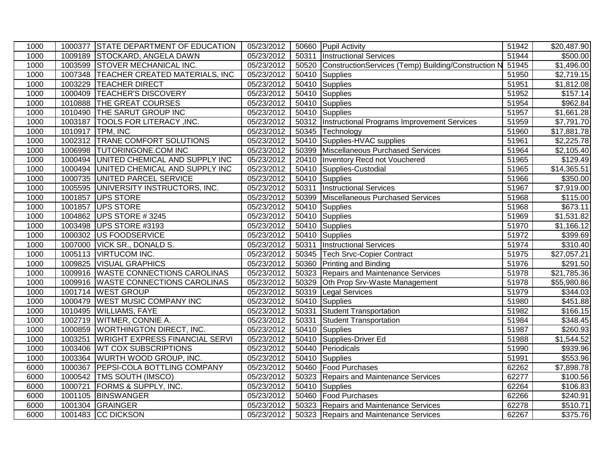| 1000 |         | 1000377 STATE DEPARTMENT OF EDUCATION  | 05/23/2012 |       | 50660 Pupil Activity                                      | 51942 | $\overline{$20,487.90}$ |
|------|---------|----------------------------------------|------------|-------|-----------------------------------------------------------|-------|-------------------------|
| 1000 |         | 1009189 STOCKARD, ANGELA DAWN          | 05/23/2012 |       | 50311 Instructional Services                              | 51944 | \$500.00                |
| 1000 |         | 1003599 STOVER MECHANICAL INC.         | 05/23/2012 |       | 50520 ConstructionServices (Temp) Building/Construction N | 51945 | \$1,496.00              |
| 1000 |         | 1007348 TEACHER CREATED MATERIALS, INC | 05/23/2012 |       | 50410 Supplies                                            | 51950 | \$2,719.15              |
| 1000 |         | 1003229 TEACHER DIRECT                 | 05/23/2012 |       | 50410 Supplies                                            | 51951 | \$1,812.08              |
| 1000 | 1000409 | <b>TEACHER'S DISCOVERY</b>             | 05/23/2012 |       | 50410 Supplies                                            | 51952 | \$157.14                |
| 1000 |         | 1010888 THE GREAT COURSES              | 05/23/2012 |       | 50410 Supplies                                            | 51954 | \$962.84                |
| 1000 |         | 1010490 THE SARUT GROUP INC            | 05/23/2012 |       | 50410 Supplies                                            | 51957 | \$1,661.28              |
| 1000 |         | 1003187   TOOLS FOR LITERACY, INC.     | 05/23/2012 |       | 50312   Instructional Programs Improvement Services       | 51959 | \$7,791.70              |
| 1000 |         | 1010917 TPM, INC                       | 05/23/2012 |       | 50345 Technology                                          | 51960 | $\overline{$17,881.78}$ |
| 1000 |         | 1002312 TRANE COMFORT SOLUTIONS        | 05/23/2012 |       | 50410 Supplies-HVAC supplies                              | 51961 | \$2,225.78              |
| 1000 |         | 1006998 TUTORINGONE.COM INC            | 05/23/2012 |       | 50399 Miscellaneous Purchased Services                    | 51964 | \$2,105.40              |
| 1000 |         | 1000494 UNITED CHEMICAL AND SUPPLY INC | 05/23/2012 |       | 20410   Inventory Recd not Vouchered                      | 51965 | \$129.49                |
| 1000 |         | 1000494 UNITED CHEMICAL AND SUPPLY INC | 05/23/2012 |       | 50410 Supplies-Custodial                                  | 51965 | \$14,365.51             |
| 1000 |         | 1000735 UNITED PARCEL SERVICE          | 05/23/2012 |       | 50410 Supplies                                            | 51966 | \$350.00                |
| 1000 |         | 1005595 UNIVERSITY INSTRUCTORS, INC.   | 05/23/2012 | 50311 | <b>Instructional Services</b>                             | 51967 | \$7,919.00              |
| 1000 |         | 1001857 UPS STORE                      | 05/23/2012 |       | 50399 Miscellaneous Purchased Services                    | 51968 | $\overline{$}115.00$    |
| 1000 | 1001857 | UPS STORE                              | 05/23/2012 | 50410 | Supplies                                                  | 51968 | \$673.11                |
| 1000 |         | 1004862 UPS STORE #3245                | 05/23/2012 |       | 50410 Supplies                                            | 51969 | \$1,531.82              |
| 1000 |         | 1003498 UPS STORE #3193                | 05/23/2012 |       | 50410 Supplies                                            | 51970 | \$1,166.12              |
| 1000 | 1000302 | US FOODSERVICE                         | 05/23/2012 |       | 50410 Supplies                                            | 51972 | 399.69                  |
| 1000 | 1007000 | <b>VICK SR., DONALD S.</b>             | 05/23/2012 | 50311 | <b>Instructional Services</b>                             | 51974 | \$310.40                |
| 1000 |         | 1005113 VIRTUCOM INC.                  | 05/23/2012 |       | 50345 Tech Srvc-Copier Contract                           | 51975 | \$27,057.21             |
| 1000 |         | 1009825 VISUAL GRAPHICS                | 05/23/2012 |       | 50360 Printing and Binding                                | 51976 | \$291.50                |
| 1000 |         | 1009916 WASTE CONNECTIONS CAROLINAS    | 05/23/2012 |       | 50323 Repairs and Maintenance Services                    | 51978 | \$21,785.36             |
| 1000 |         | 1009916 WASTE CONNECTIONS CAROLINAS    | 05/23/2012 | 50329 | Oth Prop Srv-Waste Management                             | 51978 | \$55,980.86             |
| 1000 |         | 1001714 WEST GROUP                     | 05/23/2012 |       | 50319 Legal Services                                      | 51979 | \$344.03                |
| 1000 |         | 1000479 WEST MUSIC COMPANY INC         | 05/23/2012 |       | 50410 Supplies                                            | 51980 | \$451.88                |
| 1000 |         | 1010495 WILLIAMS, FAYE                 | 05/23/2012 | 50331 | <b>Student Transportation</b>                             | 51982 | \$166.15                |
| 1000 |         | 1002719 WITMER, CONNIE A.              | 05/23/2012 | 50331 | Student Transportation                                    | 51984 | \$348.45                |
| 1000 |         | 1000859 WORTHINGTON DIRECT, INC.       | 05/23/2012 |       | 50410 Supplies                                            | 51987 | \$260.93                |
| 1000 |         | 1003251 WRIGHT EXPRESS FINANCIAL SERVI | 05/23/2012 |       | 50410 Supplies-Driver Ed                                  | 51988 | \$1,544.52              |
| 1000 |         | 1003406 WT COX SUBSCRIPTIONS           | 05/23/2012 |       | 50440 Periodicals                                         | 51990 | \$939.96                |
| 1000 |         | 1003364 WURTH WOOD GROUP, INC.         | 05/23/2012 |       | 50410 Supplies                                            | 51991 | \$553.96                |
| 6000 | 1000367 | <b>PEPSI-COLA BOTTLING COMPANY</b>     | 05/23/2012 |       | 50460 Food Purchases                                      | 62262 | \$7,898.78              |
| 6000 |         | 1000542   TMS SOUTH (IMSCO)            | 05/23/2012 |       | 50323 Repairs and Maintenance Services                    | 62277 | \$100.56                |
| 6000 | 1000721 | <b>FORMS &amp; SUPPLY, INC.</b>        | 05/23/2012 |       | 50410 Supplies                                            | 62264 | \$106.83                |
| 6000 |         | 1001105 BINSWANGER                     | 05/23/2012 |       | 50460 Food Purchases                                      | 62266 | \$240.91                |
| 6000 |         | 1001304 GRAINGER                       | 05/23/2012 |       | 50323 Repairs and Maintenance Services                    | 62278 | \$510.71                |
| 6000 |         | 1001483 CC DICKSON                     | 05/23/2012 |       | 50323 Repairs and Maintenance Services                    | 62267 | \$375.76                |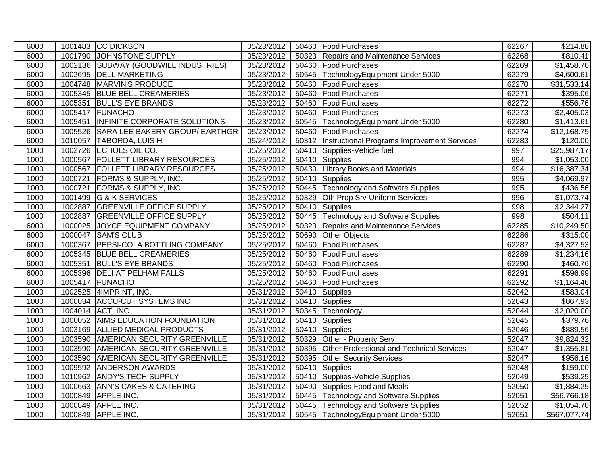| 6000 |         | 1001483 CC DICKSON                     | 05/23/2012 |       | 50460 Food Purchases                               | 62267 | \$214.88                |
|------|---------|----------------------------------------|------------|-------|----------------------------------------------------|-------|-------------------------|
| 6000 |         | 1001790 JOHNSTONE SUPPLY               | 05/23/2012 |       | 50323 Repairs and Maintenance Services             | 62268 | \$810.41                |
| 6000 |         | 1002136 SUBWAY (GOODWILL INDUSTRIES)   | 05/23/2012 |       | 50460 Food Purchases                               | 62269 | $\overline{\$1,}458.70$ |
| 6000 |         | 1002695 DELL MARKETING                 | 05/23/2012 |       | 50545 TechnologyEquipment Under 5000               | 62279 | \$4,600.61              |
| 6000 |         | 1004748 MARVIN'S PRODUCE               | 05/23/2012 |       | 50460 Food Purchases                               | 62270 | \$31,533.14             |
| 6000 |         | 1005345 BLUE BELL CREAMERIES           | 05/23/2012 | 50460 | <b>Food Purchases</b>                              | 62271 | \$395.06                |
| 6000 |         | 1005351 BULL'S EYE BRANDS              | 05/23/2012 |       | 50460 Food Purchases                               | 62272 | \$556.76                |
| 6000 |         | 1005417 FUNACHO                        | 05/23/2012 |       | 50460 Food Purchases                               | 62273 | \$2,405.03              |
| 6000 |         | 1005451 INFINITE CORPORATE SOLUTIONS   | 05/23/2012 |       | 50545 TechnologyEquipment Under 5000               | 62280 | \$1,413.61              |
| 6000 |         | 1005526 SARA LEE BAKERY GROUP/ EARTHGR | 05/23/2012 |       | 50460 Food Purchases                               | 62274 | \$12,168.75             |
| 6000 |         | 1010057 TABORDA, LUIS H                | 05/24/2012 |       | 50312  Instructional Programs Improvement Services | 62283 | \$120.00                |
| 1000 |         | 1002726 ECHOLS OIL CO.                 | 05/25/2012 |       | 50410 Supplies-Vehicle fuel                        | 997   | \$25,987.17             |
| 1000 |         | 1000567 FOLLETT LIBRARY RESOURCES      | 05/25/2012 |       | 50410 Supplies                                     | 994   | \$1,053.00              |
| 1000 |         | 1000567   FOLLETT LIBRARY RESOURCES    | 05/25/2012 |       | 50430 Library Books and Materials                  | 994   | \$16,387.34             |
| 1000 |         | 1000721 FORMS & SUPPLY, INC.           | 05/25/2012 |       | 50410 Supplies                                     | 995   | \$4,069.97              |
| 1000 |         | 1000721 FORMS & SUPPLY, INC.           | 05/25/2012 |       | 50445 Technology and Software Supplies             | 995   | \$436.56                |
| 1000 |         | 1001499 G & K SERVICES                 | 05/25/2012 | 50329 | Oth Prop Srv-Uniform Services                      | 996   | \$1,073.74              |
| 1000 |         | 1002887 GREENVILLE OFFICE SUPPLY       | 05/25/2012 |       | 50410 Supplies                                     | 998   | \$2,344.27              |
| 1000 |         | 1002887 GREENVILLE OFFICE SUPPLY       | 05/25/2012 |       | 50445 Technology and Software Supplies             | 998   | \$504.11                |
| 6000 |         | 1000025 JOYCE EQUIPMENT COMPANY        | 05/25/2012 | 50323 | Repairs and Maintenance Services                   | 62285 | \$10,249.50             |
| 6000 | 1000047 | <b>SAM'S CLUB</b>                      | 05/25/2012 |       | 50690 Other Objects                                | 62286 | \$315.00                |
| 6000 |         | 1000367 PEPSI-COLA BOTTLING COMPANY    | 05/25/2012 | 50460 | <b>Food Purchases</b>                              | 62287 | \$4,327.53              |
| 6000 |         | 1005345 BLUE BELL CREAMERIES           | 05/25/2012 |       | 50460 Food Purchases                               | 62289 | \$1,234.16              |
| 6000 |         | 1005351 BULL'S EYE BRANDS              | 05/25/2012 |       | 50460 Food Purchases                               | 62290 | \$460.76                |
| 6000 |         | 1005396   DELI AT PELHAM FALLS         | 05/25/2012 |       | 50460 Food Purchases                               | 62291 | \$596.99                |
| 6000 |         | 1005417 FUNACHO                        | 05/25/2012 |       | 50460 Food Purchases                               | 62292 | \$1,164.46              |
| 1000 |         | 1002525 4IMPRINT, INC.                 | 05/31/2012 |       | 50410 Supplies                                     | 52042 | \$583.04                |
| 1000 |         | 1000034 ACCU-CUT SYSTEMS INC           | 05/31/2012 |       | 50410 Supplies                                     | 52043 | \$867.93                |
| 1000 |         | 1004014 ACT, INC.                      | 05/31/2012 |       | 50345 Technology                                   | 52044 | \$2,020.00              |
| 1000 |         | 1000052 AIMS EDUCATION FOUNDATION      | 05/31/2012 |       | 50410 Supplies                                     | 52045 | \$379.76                |
| 1000 |         | 1003169 ALLIED MEDICAL PRODUCTS        | 05/31/2012 |       | 50410 Supplies                                     | 52046 | \$889.56                |
| 1000 |         | 1003590 AMERICAN SECURITY GREENVILLE   | 05/31/2012 | 50329 | Other - Property Serv                              | 52047 | \$9,824.32              |
| 1000 |         | 1003590 AMERICAN SECURITY GREENVILLE   | 05/31/2012 |       | 50395 Other Professional and Technical Services    | 52047 | \$1,355.81              |
| 1000 |         | 1003590 AMERICAN SECURITY GREENVILLE   | 05/31/2012 |       | 50395 Other Security Services                      | 52047 | \$956.16                |
| 1000 |         | 1009592 ANDERSON AWARDS                | 05/31/2012 |       | 50410 Supplies                                     | 52048 | \$159.00                |
| 1000 |         | 1010962 ANDY'S TECH SUPPLY             | 05/31/2012 |       | 50410 Supplies-Vehicle Supplies                    | 52049 | \$539.25                |
| 1000 |         | 1000663 ANN'S CAKES & CATERING         | 05/31/2012 |       | 50490 Supplies Food and Meals                      | 52050 | \$1,884.25              |
| 1000 |         | 1000849 APPLE INC.                     | 05/31/2012 |       | 50445 Technology and Software Supplies             | 52051 | \$56,766.18             |
| 1000 |         | 1000849 APPLE INC.                     | 05/31/2012 |       | 50445 Technology and Software Supplies             | 52052 | \$1,054.70              |
| 1000 |         | 1000849 APPLE INC.                     | 05/31/2012 |       | 50545 TechnologyEquipment Under 5000               | 52051 | \$567,077.74            |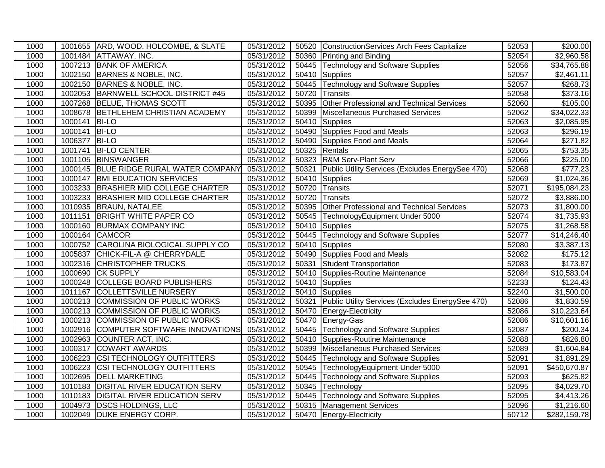| 1000 |         | 1001655 ARD, WOOD, HOLCOMBE, & SLATE  | 05/31/2012              |       | 50520 ConstructionServices Arch Fees Capitalize  | 52053 | \$200.00                 |
|------|---------|---------------------------------------|-------------------------|-------|--------------------------------------------------|-------|--------------------------|
| 1000 |         | 1001484 ATTAWAY, INC.                 | 05/31/2012              |       | 50360 Printing and Binding                       | 52054 | $\overline{$2,960.58}$   |
| 1000 |         | 1007213 BANK OF AMERICA               | 05/31/2012              |       | 50445 Technology and Software Supplies           | 52056 | \$34,765.88              |
| 1000 |         | 1002150 BARNES & NOBLE, INC.          | 05/31/2012              |       | 50410 Supplies                                   | 52057 | \$2,461.11               |
| 1000 |         | 1002150 BARNES & NOBLE, INC.          | 05/31/2012              |       | 50445 Technology and Software Supplies           | 52057 | \$268.73                 |
| 1000 |         | 1002053 BARNWELL SCHOOL DISTRICT #45  | 05/31/2012              | 50720 | Transits                                         | 52058 | \$373.16                 |
| 1000 |         | 1007268 BELUE, THOMAS SCOTT           | 05/31/2012              | 50395 | Other Professional and Technical Services        | 52060 | \$105.00                 |
| 1000 | 1008678 | <b>BETHLEHEM CHRISTIAN ACADEMY</b>    | 05/31/2012              | 50399 | Miscellaneous Purchased Services                 | 52062 | \$34,022.33              |
| 1000 | 1000141 | <b>BI-LO</b>                          | 05/31/2012              | 50410 | Supplies                                         | 52063 | \$2,085.95               |
| 1000 | 1000141 | <b>BI-LO</b>                          | 05/31/2012              | 50490 | Supplies Food and Meals                          | 52063 | \$296.19                 |
| 1000 | 1006377 | <b>BI-LO</b>                          | 05/31/2012              | 50490 | Supplies Food and Meals                          | 52064 | \$271.82                 |
| 1000 | 1001741 | <b>BI-LO CENTER</b>                   | 05/31/2012              |       | 50325 Rentals                                    | 52065 | \$753.35                 |
| 1000 | 1001105 | BINSWANGER                            | 05/31/2012              |       | 50323 R&M Serv-Plant Serv                        | 52066 | \$225.00                 |
| 1000 | 1000145 | BLUE RIDGE RURAL WATER COMPANY        | 05/31/2012              | 50321 | Public Utility Services (Excludes EnergySee 470) | 52068 | \$777.23                 |
| 1000 | 1000147 | <b>BMI EDUCATION SERVICES</b>         | 05/31/2012              |       | 50410 Supplies                                   | 52069 | \$1,024.36               |
| 1000 |         | 1003233 BRASHIER MID COLLEGE CHARTER  | 05/31/2012              |       | 50720 Transits                                   | 52071 | $\overline{$195,084.23}$ |
| 1000 | 1003233 | <b>BRASHIER MID COLLEGE CHARTER</b>   | 05/31/2012              | 50720 | Transits                                         | 52072 | \$3,886.00               |
| 1000 | 1010935 | <b>BRAUN, NATALEE</b>                 | 05/31/2012              |       | 50395 Other Professional and Technical Services  | 52073 | \$1,800.00               |
| 1000 | 1011151 | <b>BRIGHT WHITE PAPER CO</b>          | 05/31/2012              |       | 50545 TechnologyEquipment Under 5000             | 52074 | \$1,735.93               |
| 1000 | 1000160 | <b>BURMAX COMPANY INC</b>             | 05/31/2012              |       | 50410 Supplies                                   | 52075 | \$1,268.58               |
| 1000 |         | 1000164 CAMCOR                        | 05/31/2012              | 50445 | Technology and Software Supplies                 | 52077 | \$14,246.40              |
| 1000 |         | 1000752 CAROLINA BIOLOGICAL SUPPLY CO | 05/31/2012              |       | 50410 Supplies                                   | 52080 | \$3,387.13               |
| 1000 | 1005837 | CHICK-FIL-A @ CHERRYDALE              | 05/31/2012              |       | 50490 Supplies Food and Meals                    | 52082 | \$175.12                 |
| 1000 | 1002316 | <b>CHRISTOPHER TRUCKS</b>             | 05/31/2012              | 50331 | <b>Student Transportation</b>                    | 52083 | \$173.87                 |
| 1000 | 1000690 | <b>CK SUPPLY</b>                      | 05/31/2012              | 50410 | Supplies-Routine Maintenance                     | 52084 | \$10,583.04              |
| 1000 |         | 1000248 COLLEGE BOARD PUBLISHERS      | $\overline{05/31}/2012$ | 50410 | Supplies                                         | 52233 | \$124.43                 |
| 1000 | 1011167 | COLLETTSVILLE NURSERY                 | 05/31/2012              |       | 50410 Supplies                                   | 52240 | \$1,500.00               |
| 1000 |         | 1000213 COMMISSION OF PUBLIC WORKS    | 05/31/2012              | 50321 | Public Utility Services (Excludes EnergySee 470) | 52086 | \$1,830.59               |
| 1000 |         | 1000213 COMMISSION OF PUBLIC WORKS    | 05/31/2012              | 50470 | Energy-Electricity                               | 52086 | \$10,223.64              |
| 1000 |         | 1000213 COMMISSION OF PUBLIC WORKS    | 05/31/2012              |       | 50470 Energy-Gas                                 | 52086 | \$10,601.16              |
| 1000 | 1002916 | COMPUTER SOFTWARE INNOVATIONS         | 05/31/2012              |       | 50445 Technology and Software Supplies           | 52087 | $\overline{$}200.34$     |
| 1000 | 1002963 | <b>COUNTER ACT, INC.</b>              | 05/31/2012              |       | 50410 Supplies-Routine Maintenance               | 52088 | \$826.80                 |
| 1000 | 1000317 | <b>COWART AWARDS</b>                  | 05/31/2012              |       | 50399 Miscellaneous Purchased Services           | 52089 | \$1,604.84               |
| 1000 | 1006223 | <b>CSI TECHNOLOGY OUTFITTERS</b>      | $\overline{05}/31/2012$ |       | 50445 Technology and Software Supplies           | 52091 | \$1,891.29               |
| 1000 | 1006223 | <b>CSI TECHNOLOGY OUTFITTERS</b>      | 05/31/2012              |       | 50545 TechnologyEquipment Under 5000             | 52091 | \$450,670.87             |
| 1000 | 1002695 | <b>DELL MARKETING</b>                 | 05/31/2012              | 50445 | Technology and Software Supplies                 | 52093 | \$625.82                 |
| 1000 | 1010183 | DIGITAL RIVER EDUCATION SERV          | 05/31/2012              |       | 50345 Technology                                 | 52095 | \$4,029.70               |
| 1000 |         | 1010183 DIGITAL RIVER EDUCATION SERV  | 05/31/2012              |       | 50445 Technology and Software Supplies           | 52095 | \$4,413.26               |
| 1000 | 1004973 | <b>DSCS HOLDINGS, LLC</b>             | 05/31/2012              |       | 50315   Management Services                      | 52096 | $\overline{$}1,216.60$   |
| 1000 |         | 1002049 DUKE ENERGY CORP.             | 05/31/2012              |       | 50470 Energy-Electricity                         | 50712 | \$282,159.78             |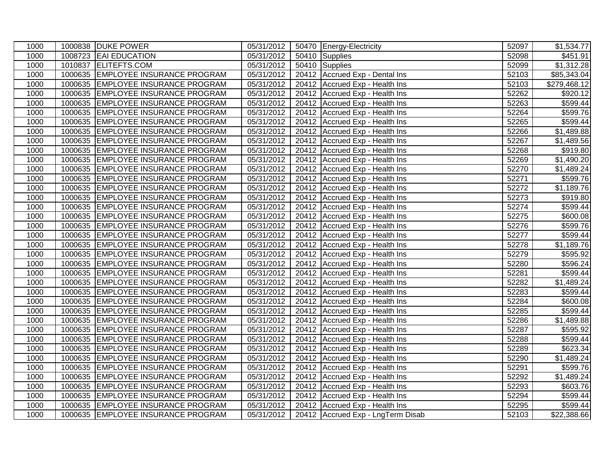| 1000 |         | 1000838 DUKE POWER                 | 05/31/2012 | 50470 Energy-Electricity          | 52097 | \$1,534.77              |
|------|---------|------------------------------------|------------|-----------------------------------|-------|-------------------------|
| 1000 |         | 1008723 EAI EDUCATION              | 05/31/2012 | 50410 Supplies                    | 52098 | $\overline{$451.91}$    |
| 1000 |         | 1010837 ELITEFTS.COM               | 05/31/2012 | 50410 Supplies                    | 52099 | \$1,312.28              |
| 1000 |         | 1000635 EMPLOYEE INSURANCE PROGRAM | 05/31/2012 | 20412 Accrued Exp - Dental Ins    | 52103 | \$85,343.04             |
| 1000 |         | 1000635 EMPLOYEE INSURANCE PROGRAM | 05/31/2012 | 20412 Accrued Exp - Health Ins    | 52103 | \$279,468.12            |
| 1000 | 1000635 | <b>EMPLOYEE INSURANCE PROGRAM</b>  | 05/31/2012 | 20412 Accrued Exp - Health Ins    | 52262 | \$920.12                |
| 1000 | 1000635 | <b>EMPLOYEE INSURANCE PROGRAM</b>  | 05/31/2012 | 20412 Accrued Exp - Health Ins    | 52263 | \$599.44                |
| 1000 | 1000635 | <b>EMPLOYEE INSURANCE PROGRAM</b>  | 05/31/2012 | 20412 Accrued Exp - Health Ins    | 52264 | \$599.76                |
| 1000 | 1000635 | <b>EMPLOYEE INSURANCE PROGRAM</b>  | 05/31/2012 | 20412 Accrued Exp - Health Ins    | 52265 | $\overline{$}599.44$    |
| 1000 |         | 1000635 EMPLOYEE INSURANCE PROGRAM | 05/31/2012 | 20412 Accrued Exp - Health Ins    | 52266 | $\overline{$}1,489.88$  |
| 1000 |         | 1000635 EMPLOYEE INSURANCE PROGRAM | 05/31/2012 | 20412 Accrued Exp - Health Ins    | 52267 | \$1,489.56              |
| 1000 |         | 1000635 EMPLOYEE INSURANCE PROGRAM | 05/31/2012 | 20412 Accrued Exp - Health Ins    | 52268 | \$919.80                |
| 1000 |         | 1000635 EMPLOYEE INSURANCE PROGRAM | 05/31/2012 | 20412 Accrued Exp - Health Ins    | 52269 | \$1,490.20              |
| 1000 |         | 1000635 EMPLOYEE INSURANCE PROGRAM | 05/31/2012 | 20412 Accrued Exp - Health Ins    | 52270 | \$1,489.24              |
| 1000 |         | 1000635 EMPLOYEE INSURANCE PROGRAM | 05/31/2012 | 20412 Accrued Exp - Health Ins    | 52271 | \$599.76                |
| 1000 |         | 1000635 EMPLOYEE INSURANCE PROGRAM | 05/31/2012 | 20412 Accrued Exp - Health Ins    | 52272 | \$1,189.76              |
| 1000 |         | 1000635 EMPLOYEE INSURANCE PROGRAM | 05/31/2012 | 20412 Accrued Exp - Health Ins    | 52273 | \$919.80                |
| 1000 |         | 1000635 EMPLOYEE INSURANCE PROGRAM | 05/31/2012 | 20412 Accrued Exp - Health Ins    | 52274 | \$599.44                |
| 1000 |         | 1000635 EMPLOYEE INSURANCE PROGRAM | 05/31/2012 | 20412 Accrued Exp - Health Ins    | 52275 | \$600.08                |
| 1000 |         | 1000635 EMPLOYEE INSURANCE PROGRAM | 05/31/2012 | 20412 Accrued Exp - Health Ins    | 52276 | \$599.76                |
| 1000 | 1000635 | <b>EMPLOYEE INSURANCE PROGRAM</b>  | 05/31/2012 | 20412 Accrued Exp - Health Ins    | 52277 | \$599.44                |
| 1000 | 1000635 | <b>EMPLOYEE INSURANCE PROGRAM</b>  | 05/31/2012 | 20412 Accrued Exp - Health Ins    | 52278 | \$1,189.76              |
| 1000 |         | 1000635 EMPLOYEE INSURANCE PROGRAM | 05/31/2012 | 20412 Accrued Exp - Health Ins    | 52279 | \$595.92                |
| 1000 |         | 1000635 EMPLOYEE INSURANCE PROGRAM | 05/31/2012 | 20412 Accrued Exp - Health Ins    | 52280 | \$596.24                |
| 1000 |         | 1000635 EMPLOYEE INSURANCE PROGRAM | 05/31/2012 | 20412 Accrued Exp - Health Ins    | 52281 | \$599.44                |
| 1000 |         | 1000635 EMPLOYEE INSURANCE PROGRAM | 05/31/2012 | 20412 Accrued Exp - Health Ins    | 52282 | \$1,489.24              |
| 1000 |         | 1000635 EMPLOYEE INSURANCE PROGRAM | 05/31/2012 | 20412 Accrued Exp - Health Ins    | 52283 | \$599.44                |
| 1000 | 1000635 | <b>EMPLOYEE INSURANCE PROGRAM</b>  | 05/31/2012 | 20412 Accrued Exp - Health Ins    | 52284 | \$600.08                |
| 1000 |         | 1000635 EMPLOYEE INSURANCE PROGRAM | 05/31/2012 | 20412 Accrued Exp - Health Ins    | 52285 | \$599.44                |
| 1000 | 1000635 | <b>EMPLOYEE INSURANCE PROGRAM</b>  | 05/31/2012 | 20412 Accrued Exp - Health Ins    | 52286 | \$1,489.88              |
| 1000 |         | 1000635 EMPLOYEE INSURANCE PROGRAM | 05/31/2012 | 20412 Accrued Exp - Health Ins    | 52287 | \$595.92                |
| 1000 |         | 1000635 EMPLOYEE INSURANCE PROGRAM | 05/31/2012 | 20412 Accrued Exp - Health Ins    | 52288 | \$599.44                |
| 1000 |         | 1000635 EMPLOYEE INSURANCE PROGRAM | 05/31/2012 | 20412 Accrued Exp - Health Ins    | 52289 | \$623.34                |
| 1000 |         | 1000635 EMPLOYEE INSURANCE PROGRAM | 05/31/2012 | 20412 Accrued Exp - Health Ins    | 52290 | $\overline{\$1,489.24}$ |
| 1000 | 1000635 | <b>EMPLOYEE INSURANCE PROGRAM</b>  | 05/31/2012 | 20412 Accrued Exp - Health Ins    | 52291 | \$599.76                |
| 1000 | 1000635 | <b>EMPLOYEE INSURANCE PROGRAM</b>  | 05/31/2012 | 20412 Accrued Exp - Health Ins    | 52292 | \$1,489.24              |
| 1000 | 1000635 | <b>EMPLOYEE INSURANCE PROGRAM</b>  | 05/31/2012 | 20412 Accrued Exp - Health Ins    | 52293 | \$603.76                |
| 1000 | 1000635 | <b>EMPLOYEE INSURANCE PROGRAM</b>  | 05/31/2012 | 20412 Accrued Exp - Health Ins    | 52294 | \$599.44                |
| 1000 | 1000635 | <b>EMPLOYEE INSURANCE PROGRAM</b>  | 05/31/2012 | 20412 Accrued Exp - Health Ins    | 52295 | \$599.44                |
| 1000 |         | 1000635 EMPLOYEE INSURANCE PROGRAM | 05/31/2012 | 20412 Accrued Exp - LngTerm Disab | 52103 | \$22,388.66             |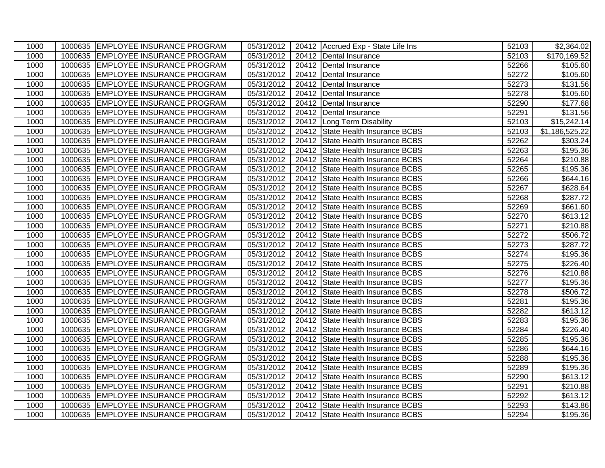| 1000 | 1000635 EMPLOYEE INSURANCE PROGRAM | 05/31/2012 |       | 20412 Accrued Exp - State Life Ins | 52103 | \$2,364.02           |
|------|------------------------------------|------------|-------|------------------------------------|-------|----------------------|
| 1000 | 1000635 EMPLOYEE INSURANCE PROGRAM | 05/31/2012 |       | 20412 Dental Insurance             | 52103 | \$170,169.52         |
| 1000 | 1000635 EMPLOYEE INSURANCE PROGRAM | 05/31/2012 |       | 20412 Dental Insurance             | 52266 | $\overline{$}105.60$ |
| 1000 | 1000635 EMPLOYEE INSURANCE PROGRAM | 05/31/2012 |       | 20412   Dental Insurance           | 52272 | \$105.60             |
| 1000 | 1000635 EMPLOYEE INSURANCE PROGRAM | 05/31/2012 | 20412 | Dental Insurance                   | 52273 | \$131.56             |
| 1000 | 1000635 EMPLOYEE INSURANCE PROGRAM | 05/31/2012 | 20412 | Dental Insurance                   | 52278 | \$105.60             |
| 1000 | 1000635 EMPLOYEE INSURANCE PROGRAM | 05/31/2012 | 20412 | Dental Insurance                   | 52290 | \$177.68             |
| 1000 | 1000635 EMPLOYEE INSURANCE PROGRAM | 05/31/2012 | 20412 | Dental Insurance                   | 52291 | \$131.56             |
| 1000 | 1000635 EMPLOYEE INSURANCE PROGRAM | 05/31/2012 |       | 20412 Long Term Disability         | 52103 | \$15,242.14          |
| 1000 | 1000635 EMPLOYEE INSURANCE PROGRAM | 05/31/2012 | 20412 | State Health Insurance BCBS        | 52103 | \$1,186,525.22       |
| 1000 | 1000635 EMPLOYEE INSURANCE PROGRAM | 05/31/2012 | 20412 | State Health Insurance BCBS        | 52262 | \$303.24             |
| 1000 | 1000635 EMPLOYEE INSURANCE PROGRAM | 05/31/2012 | 20412 | State Health Insurance BCBS        | 52263 | \$195.36             |
| 1000 | 1000635 EMPLOYEE INSURANCE PROGRAM | 05/31/2012 |       | 20412 State Health Insurance BCBS  | 52264 | \$210.88             |
| 1000 | 1000635 EMPLOYEE INSURANCE PROGRAM | 05/31/2012 | 20412 | State Health Insurance BCBS        | 52265 | \$195.36             |
| 1000 | 1000635 EMPLOYEE INSURANCE PROGRAM | 05/31/2012 | 20412 | State Health Insurance BCBS        | 52266 | \$644.16             |
| 1000 | 1000635 EMPLOYEE INSURANCE PROGRAM | 05/31/2012 |       | 20412 State Health Insurance BCBS  | 52267 | \$628.64             |
| 1000 | 1000635 EMPLOYEE INSURANCE PROGRAM | 05/31/2012 |       | 20412 State Health Insurance BCBS  | 52268 | \$287.72             |
| 1000 | 1000635 EMPLOYEE INSURANCE PROGRAM | 05/31/2012 | 20412 | State Health Insurance BCBS        | 52269 | \$661.60             |
| 1000 | 1000635 EMPLOYEE INSURANCE PROGRAM | 05/31/2012 | 20412 | State Health Insurance BCBS        | 52270 | \$613.12             |
| 1000 | 1000635 EMPLOYEE INSURANCE PROGRAM | 05/31/2012 |       | 20412 State Health Insurance BCBS  | 52271 | \$210.88             |
| 1000 | 1000635 EMPLOYEE INSURANCE PROGRAM | 05/31/2012 | 20412 | State Health Insurance BCBS        | 52272 | \$506.72             |
| 1000 | 1000635 EMPLOYEE INSURANCE PROGRAM | 05/31/2012 | 20412 | State Health Insurance BCBS        | 52273 | \$287.72             |
| 1000 | 1000635 EMPLOYEE INSURANCE PROGRAM | 05/31/2012 | 20412 | State Health Insurance BCBS        | 52274 | \$195.36             |
| 1000 | 1000635 EMPLOYEE INSURANCE PROGRAM | 05/31/2012 | 20412 | State Health Insurance BCBS        | 52275 | \$226.40             |
| 1000 | 1000635 EMPLOYEE INSURANCE PROGRAM | 05/31/2012 | 20412 | State Health Insurance BCBS        | 52276 | \$210.88             |
| 1000 | 1000635 EMPLOYEE INSURANCE PROGRAM | 05/31/2012 | 20412 | State Health Insurance BCBS        | 52277 | \$195.36             |
| 1000 | 1000635 EMPLOYEE INSURANCE PROGRAM | 05/31/2012 | 20412 | State Health Insurance BCBS        | 52278 | \$506.72             |
| 1000 | 1000635 EMPLOYEE INSURANCE PROGRAM | 05/31/2012 |       | 20412 State Health Insurance BCBS  | 52281 | \$195.36             |
| 1000 | 1000635 EMPLOYEE INSURANCE PROGRAM | 05/31/2012 | 20412 | State Health Insurance BCBS        | 52282 | \$613.12]            |
| 1000 | 1000635 EMPLOYEE INSURANCE PROGRAM | 05/31/2012 | 20412 | State Health Insurance BCBS        | 52283 | $\overline{$}195.36$ |
| 1000 | 1000635 EMPLOYEE INSURANCE PROGRAM | 05/31/2012 |       | 20412 State Health Insurance BCBS  | 52284 | \$226.40             |
| 1000 | 1000635 EMPLOYEE INSURANCE PROGRAM | 05/31/2012 |       | 20412 State Health Insurance BCBS  | 52285 | $\overline{$}195.36$ |
| 1000 | 1000635 EMPLOYEE INSURANCE PROGRAM | 05/31/2012 | 20412 | State Health Insurance BCBS        | 52286 | \$644.16             |
| 1000 | 1000635 EMPLOYEE INSURANCE PROGRAM | 05/31/2012 | 20412 | State Health Insurance BCBS        | 52288 | \$195.36             |
| 1000 | 1000635 EMPLOYEE INSURANCE PROGRAM | 05/31/2012 | 20412 | State Health Insurance BCBS        | 52289 | \$195.36             |
| 1000 | 1000635 EMPLOYEE INSURANCE PROGRAM | 05/31/2012 |       | 20412 State Health Insurance BCBS  | 52290 | \$613.12             |
| 1000 | 1000635 EMPLOYEE INSURANCE PROGRAM | 05/31/2012 | 20412 | State Health Insurance BCBS        | 52291 | \$210.88             |
| 1000 | 1000635 EMPLOYEE INSURANCE PROGRAM | 05/31/2012 | 20412 | State Health Insurance BCBS        | 52292 | \$613.12             |
| 1000 | 1000635 EMPLOYEE INSURANCE PROGRAM | 05/31/2012 |       | 20412 State Health Insurance BCBS  | 52293 | \$143.86             |
| 1000 | 1000635 EMPLOYEE INSURANCE PROGRAM | 05/31/2012 |       | 20412 State Health Insurance BCBS  | 52294 | \$195.36             |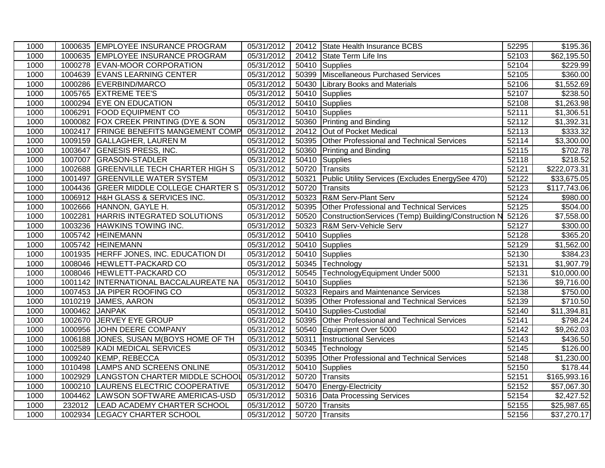| 1000 |         | 1000635 EMPLOYEE INSURANCE PROGRAM      | 05/31/2012              |       | 20412 State Health Insurance BCBS                   | 52295 | $\overline{$}195.36$   |
|------|---------|-----------------------------------------|-------------------------|-------|-----------------------------------------------------|-------|------------------------|
| 1000 |         | 1000635 EMPLOYEE INSURANCE PROGRAM      | 05/31/2012              |       | 20412 State Term Life Ins                           | 52103 | \$62,195.50            |
| 1000 |         | 1000278 EVAN-MOOR CORPORATION           | 05/31/2012              | 50410 | Supplies                                            | 52104 | \$229.99               |
| 1000 |         | 1004639 EVANS LEARNING CENTER           | 05/31/2012              |       | 50399 Miscellaneous Purchased Services              | 52105 | \$360.00               |
| 1000 | 1000286 | EVERBIND/MARCO                          | 05/31/2012              |       | 50430 Library Books and Materials                   | 52106 | \$1,552.69             |
| 1000 | 1005765 | <b>EXTREME TEE'S</b>                    | 05/31/2012              |       | 50410 Supplies                                      | 52107 | $\overline{$}238.50$   |
| 1000 |         | 1000294 EYE ON EDUCATION                | 05/31/2012              |       | 50410 Supplies                                      | 52108 | \$1,263.98             |
| 1000 | 1006291 | <b>FOOD EQUIPMENT CO</b>                | 05/31/2012              |       | 50410 Supplies                                      | 52111 | \$1,306.51             |
| 1000 |         | 1000082 FOX CREEK PRINTING (DYE & SON   | 05/31/2012              |       | 50360 Printing and Binding                          | 52112 | \$1,392.31             |
| 1000 |         | 1002417 FRINGE BENEFITS MANGEMENT COMP  | 05/31/2012              |       | 20412 Out of Pocket Medical                         | 52113 | 333.32                 |
| 1000 |         | 1009159 GALLAGHER, LAUREN M             | 05/31/2012              |       | 50395 Other Professional and Technical Services     | 52114 | \$3,300.00             |
| 1000 | 1003647 | <b>GENESIS PRESS, INC.</b>              | 05/31/2012              | 50360 | <b>Printing and Binding</b>                         | 52115 | \$702.78               |
| 1000 | 1007007 | <b>GRASON-STADLER</b>                   | 05/31/2012              |       | 50410 Supplies                                      | 52118 | \$218.52               |
| 1000 | 1002688 | <b>GREENVILLE TECH CHARTER HIGH S</b>   | 05/31/2012              | 50720 | Transits                                            | 52121 | \$222,073.31           |
| 1000 | 1001497 | <b>GREENVILLE WATER SYSTEM</b>          | 05/31/2012              | 50321 | Public Utility Services (Excludes EnergySee 470)    | 52122 | \$33,675.05            |
| 1000 | 1004436 | <b>GREER MIDDLE COLLEGE CHARTER S</b>   | 05/31/2012              | 50720 | Transits                                            | 52123 | \$117,743.06           |
| 1000 |         | 1006912 H&H GLASS & SERVICES INC.       | 05/31/2012              | 50323 | R&M Serv-Plant Serv                                 | 52124 | \$980.00               |
| 1000 | 1002666 | HANNON, GAYLE H.                        | 05/31/2012              | 50395 | Other Professional and Technical Services           | 52125 | \$504.00               |
| 1000 | 1002281 | <b>HARRIS INTEGRATED SOLUTIONS</b>      | 05/31/2012              | 50520 | ConstructionServices (Temp) Building/Construction N | 52126 | \$7,558.00             |
| 1000 | 1003236 | HAWKINS TOWING INC.                     | 05/31/2012              | 50323 | R&M Serv-Vehicle Serv                               | 52127 | \$300.00               |
| 1000 | 1005742 | <b>HEINEMANN</b>                        | 05/31/2012              | 50410 | Supplies                                            | 52128 | \$365.20               |
| 1000 |         | 1005742 HEINEMANN                       | 05/31/2012              |       | 50410 Supplies                                      | 52129 | \$1,562.00             |
| 1000 |         | 1001935 HERFF JONES, INC. EDUCATION DI  | 05/31/2012              |       | 50410 Supplies                                      | 52130 | \$384.23               |
| 1000 |         | 1008046 HEWLETT-PACKARD CO              | 05/31/2012              |       | 50345 Technology                                    | 52131 | \$1,907.79             |
| 1000 |         | 1008046 HEWLETT-PACKARD CO              | 05/31/2012              |       | 50545 TechnologyEquipment Under 5000                | 52131 | \$10,000.00            |
| 1000 |         | 1001142  INTERNATIONAL BACCALAUREATE NA | $\overline{05/31}/2012$ | 50410 | Supplies                                            | 52136 | \$9,716.00             |
| 1000 |         | 1007453 JA PIPER ROOFING CO             | 05/31/2012              | 50323 | <b>Repairs and Maintenance Services</b>             | 52138 | \$750.00               |
| 1000 |         | 1010219 JAMES, AARON                    | 05/31/2012              | 50395 | Other Professional and Technical Services           | 52139 | \$710.50               |
| 1000 | 1000462 | <b>JANPAK</b>                           | 05/31/2012              |       | 50410 Supplies-Custodial                            | 52140 | \$11,394.81            |
| 1000 |         | 1002670 JERVEY EYE GROUP                | 05/31/2012              | 50395 | Other Professional and Technical Services           | 52141 | $\overline{$}798.24$   |
| 1000 | 1000956 | JOHN DEERE COMPANY                      | 05/31/2012              |       | 50540 Equipment Over 5000                           | 52142 | \$9,262.03             |
| 1000 |         | 1006188 JONES, SUSAN M(BOYS HOME OF TH  | 05/31/2012              | 50311 | <b>Instructional Services</b>                       | 52143 | \$436.50               |
| 1000 |         | 1002589 KADI MEDICAL SERVICES           | 05/31/2012              |       | 50345 Technology                                    | 52145 | \$126.00               |
| 1000 | 1009240 | KEMP, REBECCA                           | 05/31/2012              | 50395 | Other Professional and Technical Services           | 52148 | \$1,230.00             |
| 1000 | 1010498 | <b>LAMPS AND SCREENS ONLINE</b>         | 05/31/2012              | 50410 | Supplies                                            | 52150 | \$178.44               |
| 1000 | 1002929 | LANGSTON CHARTER MIDDLE SCHOOL          | 05/31/2012              | 50720 | Transits                                            | 52151 | \$165,993.16           |
| 1000 | 1000210 | LAURENS ELECTRIC COOPERATIVE            | 05/31/2012              |       | 50470 Energy-Electricity                            | 52152 | \$57,067.30            |
| 1000 | 1004462 | LAWSON SOFTWARE AMERICAS-USD            | 05/31/2012              |       | 50316 Data Processing Services                      | 52154 | $\overline{$2,427.52}$ |
| 1000 | 232012  | LEAD ACADEMY CHARTER SCHOOL             | 05/31/2012              | 50720 | Transits                                            | 52155 | \$25,987.65            |
| 1000 |         | 1002934 LEGACY CHARTER SCHOOL           | 05/31/2012              |       | 50720 Transits                                      | 52156 | \$37,270.17            |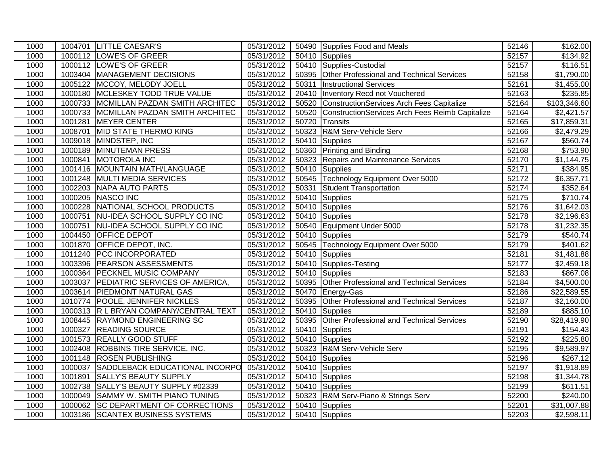| 1000 |         | 1004701 LITTLE CAESAR'S                | 05/31/2012 |       | 50490 Supplies Food and Meals                   | 52146              | \$162.00     |
|------|---------|----------------------------------------|------------|-------|-------------------------------------------------|--------------------|--------------|
| 1000 |         | 1000112 LOWE'S OF GREER                | 05/31/2012 |       | 50410 Supplies                                  | 52157              | \$134.92     |
| 1000 |         | 1000112 LOWE'S OF GREER                | 05/31/2012 |       | 50410 Supplies-Custodial                        | 52157              | \$116.51     |
| 1000 |         | 1003404 MANAGEMENT DECISIONS           | 05/31/2012 |       | 50395 Other Professional and Technical Services | 52158              | \$1,790.00   |
| 1000 |         | 1005122 MCCOY, MELODY JOELL            | 05/31/2012 | 50311 | <b>Instructional Services</b>                   | 52161              | \$1,455.00   |
| 1000 |         | 1000180 MCLESKEY TODD TRUE VALUE       | 05/31/2012 | 20410 | Inventory Recd not Vouchered                    | 52163              | \$235.85     |
| 1000 |         | 1000733 MCMILLAN PAZDAN SMITH ARCHITEC | 05/31/2012 | 50520 | ConstructionServices Arch Fees Capitalize       | 52164              | \$103,346.60 |
| 1000 |         | 1000733 MCMILLAN PAZDAN SMITH ARCHITEC | 05/31/2012 | 50520 | ConstructionServices Arch Fees Reimb Capitalize | 52164              | \$2,421.57   |
| 1000 | 1001281 | MEYER CENTER                           | 05/31/2012 | 50720 | Transits                                        | 52165              | \$17,859.31  |
| 1000 |         | 1008701 MID STATE THERMO KING          | 05/31/2012 | 50323 | R&M Serv-Vehicle Serv                           | 52166              | \$2,479.29   |
| 1000 |         | 1009018 MINDSTEP, INC                  | 05/31/2012 |       | 50410 Supplies                                  | $52\overline{167}$ | \$560.74     |
| 1000 |         | 1000189 MINUTEMAN PRESS                | 05/31/2012 |       | 50360 Printing and Binding                      | 52168              | \$753.90     |
| 1000 |         | 1000841 MOTOROLA INC                   | 05/31/2012 | 50323 | Repairs and Maintenance Services                | 52170              | \$1,144.75   |
| 1000 |         | 1001416 MOUNTAIN MATH/LANGUAGE         | 05/31/2012 | 50410 | Supplies                                        | 52171              | \$384.95     |
| 1000 |         | 1001248 MULTI MEDIA SERVICES           | 05/31/2012 |       | 50545 Technology Equipment Over 5000            | 52172              | \$6,357.71   |
| 1000 |         | 1002203 NAPA AUTO PARTS                | 05/31/2012 |       | 50331 Student Transportation                    | 52174              | \$352.64     |
| 1000 |         | 1000205 NASCO INC                      | 05/31/2012 |       | 50410 Supplies                                  | 52175              | \$710.74     |
| 1000 |         | 1000228 NATIONAL SCHOOL PRODUCTS       | 05/31/2012 |       | 50410 Supplies                                  | 52176              | \$1,642.03   |
| 1000 |         | 1000751 NU-IDEA SCHOOL SUPPLY CO INC   | 05/31/2012 |       | 50410 Supplies                                  | 52178              | \$2,196.63   |
| 1000 |         | 1000751 NU-IDEA SCHOOL SUPPLY CO INC   | 05/31/2012 |       | 50540 Equipment Under 5000                      | 52178              | \$1,232.35   |
| 1000 | 1004450 | <b>OFFICE DEPOT</b>                    | 05/31/2012 |       | 50410 Supplies                                  | 52179              | \$540.74     |
| 1000 |         | 1001870 OFFICE DEPOT, INC.             | 05/31/2012 |       | 50545 Technology Equipment Over 5000            | 52179              | \$401.62     |
| 1000 |         | 1011240 PCC INCORPORATED               | 05/31/2012 |       | 50410 Supplies                                  | 52181              | \$1,481.88   |
| 1000 |         | 1003396 PEARSON ASSESSMENTS            | 05/31/2012 |       | 50410 Supplies-Testing                          | 52177              | \$2,459.18   |
| 1000 |         | 1000364 PECKNEL MUSIC COMPANY          | 05/31/2012 |       | 50410 Supplies                                  | 52183              | \$867.08     |
| 1000 |         | 1003037 PEDIATRIC SERVICES OF AMERICA, | 05/31/2012 |       | 50395 Other Professional and Technical Services | 52184              | \$4,500.00   |
| 1000 |         | 1003614 PIEDMONT NATURAL GAS           | 05/31/2012 |       | 50470 Energy-Gas                                | 52186              | \$22,589.55  |
| 1000 |         | 1010774 POOLE, JENNIFER NICKLES        | 05/31/2012 | 50395 | Other Professional and Technical Services       | 52187              | \$2,160.00   |
| 1000 |         | 1000313 R L BRYAN COMPANY/CENTRAL TEXT | 05/31/2012 | 50410 | Supplies                                        | 52189              | \$885.10     |
| 1000 |         | 1008445 RAYMOND ENGINEERING SC         | 05/31/2012 | 50395 | Other Professional and Technical Services       | 52190              | \$28,419.90  |
| 1000 |         | 1000327 READING SOURCE                 | 05/31/2012 |       | 50410 Supplies                                  | 52191              | \$154.43     |
| 1000 |         | 1001573 REALLY GOOD STUFF              | 05/31/2012 |       | 50410 Supplies                                  | 52192              | \$225.80     |
| 1000 |         | 1002408 ROBBINS TIRE SERVICE, INC.     | 05/31/2012 |       | 50323 R&M Serv-Vehicle Serv                     | 52195              | \$9,589.97   |
| 1000 |         | 1001148 ROSEN PUBLISHING               | 05/31/2012 |       | 50410 Supplies                                  | 52196              | \$267.12     |
| 1000 |         | 1000037 SADDLEBACK EDUCATIONAL INCORPO | 05/31/2012 |       | 50410 Supplies                                  | 52197              | \$1,918.89   |
| 1000 |         | 1001891 SALLY'S BEAUTY SUPPLY          | 05/31/2012 |       | 50410 Supplies                                  | 52198              | \$1,344.78   |
| 1000 | 1002738 | <b>SALLY'S BEAUTY SUPPLY #02339</b>    | 05/31/2012 |       | 50410 Supplies                                  | 52199              | \$611.51     |
| 1000 |         | 1000049 SAMMY W. SMITH PIANO TUNING    | 05/31/2012 |       | 50323 R&M Serv-Piano & Strings Serv             | 52200              | \$240.00     |
| 1000 |         | 1000062 SC DEPARTMENT OF CORRECTIONS   | 05/31/2012 |       | 50410 Supplies                                  | 52201              | \$31,007.88  |
| 1000 |         | 1003186 SCANTEX BUSINESS SYSTEMS       | 05/31/2012 |       | 50410 Supplies                                  | 52203              | \$2,598.11   |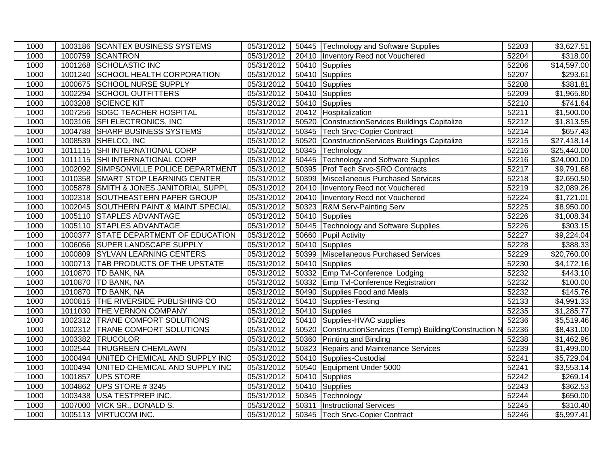| 1000 |         | 1003186 SCANTEX BUSINESS SYSTEMS       | 05/31/2012 | 50445 Technology and Software Supplies                    | 52203 | \$3,627.51             |
|------|---------|----------------------------------------|------------|-----------------------------------------------------------|-------|------------------------|
| 1000 |         | 1000759 SCANTRON                       | 05/31/2012 | 20410   Inventory Recd not Vouchered                      | 52204 | \$318.00               |
| 1000 |         | 1001268 SCHOLASTIC INC                 | 05/31/2012 | 50410 Supplies                                            | 52206 | \$14,597.00            |
| 1000 |         | 1001240 SCHOOL HEALTH CORPORATION      | 05/31/2012 | 50410 Supplies                                            | 52207 | 3293.61                |
| 1000 | 1000675 | <b>SCHOOL NURSE SUPPLY</b>             | 05/31/2012 | 50410 Supplies                                            | 52208 | \$381.81               |
| 1000 | 1002294 | <b>SCHOOL OUTFITTERS</b>               | 05/31/2012 | 50410 Supplies                                            | 52209 | \$1,965.80             |
| 1000 | 1003208 | <b>SCIENCE KIT</b>                     | 05/31/2012 | 50410 Supplies                                            | 52210 | $\overline{$}741.64$   |
| 1000 | 1007256 | <b>SDGC TEACHER HOSPITAL</b>           | 05/31/2012 | 20412 Hospitalization                                     | 52211 | \$1,500.00             |
| 1000 |         | 1003106 SFI ELECTRONICS, INC           | 05/31/2012 | 50520 ConstructionServices Buildings Capitalize           | 52212 | \$1,813.55             |
| 1000 |         | 1004788 SHARP BUSINESS SYSTEMS         | 05/31/2012 | 50345   Tech Srvc-Copier Contract                         | 52214 | $\overline{$}657.43$   |
| 1000 |         | 1008539 SHELCO, INC                    | 05/31/2012 | 50520 ConstructionServices Buildings Capitalize           | 52215 | \$27,418.14            |
| 1000 |         | 1011115 SHI INTERNATIONAL CORP         | 05/31/2012 | 50345 Technology                                          | 52216 | \$25,440.00            |
| 1000 |         | 1011115 SHI INTERNATIONAL CORP         | 05/31/2012 | 50445 Technology and Software Supplies                    | 52216 | \$24,000.00            |
| 1000 |         | 1002092 SIMPSONVILLE POLICE DEPARTMENT | 05/31/2012 | 50395 Prof Tech Srvc-SRO Contracts                        | 52217 | \$9,791.68             |
| 1000 |         | 1010358 SMART STOP LEARNING CENTER     | 05/31/2012 | 50399 Miscellaneous Purchased Services                    | 52218 | $\overline{$}2,650.50$ |
| 1000 | 1005878 | SMITH & JONES JANITORIAL SUPPL         | 05/31/2012 | 20410   Inventory Recd not Vouchered                      | 52219 | \$2,089.26             |
| 1000 |         | 1002318 SOUTHEASTERN PAPER GROUP       | 05/31/2012 | 20410 Inventory Recd not Vouchered                        | 52224 | \$1,721.01             |
| 1000 |         | 1002045 SOUTHERN PAINT.& MAINT.SPECIAL | 05/31/2012 | 50323 R&M Serv-Painting Serv                              | 52225 | \$8,950.00             |
| 1000 |         | 1005110 STAPLES ADVANTAGE              | 05/31/2012 | 50410 Supplies                                            | 52226 | \$1,008.34             |
| 1000 | 1005110 | <b>STAPLES ADVANTAGE</b>               | 05/31/2012 | 50445 Technology and Software Supplies                    | 52226 | \$303.15               |
| 1000 | 1000377 | STATE DEPARTMENT OF EDUCATION          | 05/31/2012 | 50660 Pupil Activity                                      | 52227 | \$9,224.04             |
| 1000 | 1006056 | <b>SUPER LANDSCAPE SUPPLY</b>          | 05/31/2012 | 50410 Supplies                                            | 52228 | \$388.33               |
| 1000 |         | 1000809 SYLVAN LEARNING CENTERS        | 05/31/2012 | 50399 Miscellaneous Purchased Services                    | 52229 | \$20,760.00            |
| 1000 |         | 1000713   TAB PRODUCTS OF THE UPSTATE  | 05/31/2012 | 50410 Supplies                                            | 52230 | \$4,172.16             |
| 1000 |         | 1010870   TD BANK, NA                  | 05/31/2012 | 50332 Emp Tvl-Conference Lodging                          | 52232 | $\overline{$443.10}$   |
| 1000 |         | 1010870 TD BANK, NA                    | 05/31/2012 | 50332 Emp Tvl-Conference Registration                     | 52232 | \$100.00               |
| 1000 |         | 1010870 TD BANK, NA                    | 05/31/2012 | 50490 Supplies Food and Meals                             | 52232 | $\overline{$}145.76$   |
| 1000 |         | 1000815 THE RIVERSIDE PUBLISHING CO    | 05/31/2012 | 50410 Supplies-Testing                                    | 52133 | \$4,991.33             |
| 1000 |         | 1011030 THE VERNON COMPANY             | 05/31/2012 | 50410 Supplies                                            | 52235 | \$1,285.77             |
| 1000 |         | 1002312 TRANE COMFORT SOLUTIONS        | 05/31/2012 | 50410 Supplies-HVAC supplies                              | 52236 | \$5,519.46             |
| 1000 |         | 1002312 TRANE COMFORT SOLUTIONS        | 05/31/2012 | 50520 ConstructionServices (Temp) Building/Construction N | 52236 | $\overline{$8,431.00}$ |
| 1000 |         | 1003382 TRUCOLOR                       | 05/31/2012 | 50360 Printing and Binding                                | 52238 | \$1,462.96             |
| 1000 |         | 1002544 TRUGREEN CHEMLAWN              | 05/31/2012 | 50323 Repairs and Maintenance Services                    | 52239 | \$1,499.00             |
| 1000 |         | 1000494 UNITED CHEMICAL AND SUPPLY INC | 05/31/2012 | 50410 Supplies-Custodial                                  | 52241 | \$5,729.04             |
| 1000 | 1000494 | UNITED CHEMICAL AND SUPPLY INC         | 05/31/2012 | 50540 Equipment Under 5000                                | 52241 | \$3,553.14             |
| 1000 | 1001857 | <b>UPS STORE</b>                       | 05/31/2012 | 50410 Supplies                                            | 52242 | \$269.14               |
| 1000 | 1004862 | UPS STORE #3245                        | 05/31/2012 | 50410 Supplies                                            | 52243 | \$362.53               |
| 1000 | 1003438 | <b>USA TESTPREP INC.</b>               | 05/31/2012 | 50345 Technology                                          | 52244 | \$650.00               |
| 1000 |         | 1007000 VICK SR., DONALD S.            | 05/31/2012 | 50311 Instructional Services                              | 52245 | \$310.40               |
| 1000 |         | 1005113 VIRTUCOM INC.                  | 05/31/2012 | 50345 Tech Srvc-Copier Contract                           | 52246 | \$5,997.41             |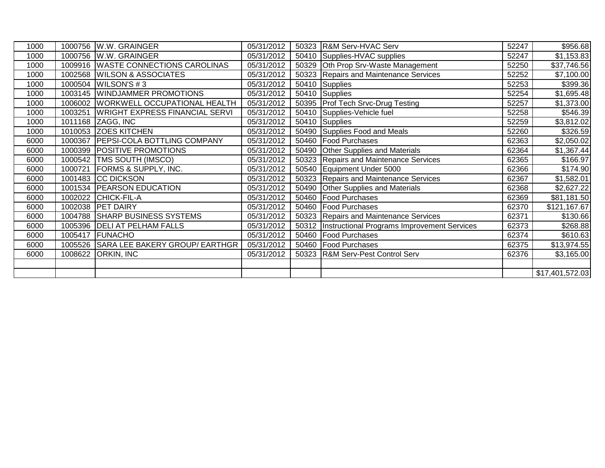| 1000 |         | 1000756 W.W. GRAINGER                 | 05/31/2012 | 50323 R&M Serv-HVAC Serv                           | 52247 | \$956.68        |
|------|---------|---------------------------------------|------------|----------------------------------------------------|-------|-----------------|
| 1000 | 1000756 | W.W. GRAINGER                         | 05/31/2012 | 50410 Supplies-HVAC supplies                       | 52247 | \$1,153.83      |
| 1000 | 1009916 | <b>WASTE CONNECTIONS CAROLINAS</b>    | 05/31/2012 | 50329 Oth Prop Srv-Waste Management                | 52250 | \$37,746.56     |
| 1000 | 1002568 | <b>WILSON &amp; ASSOCIATES</b>        | 05/31/2012 | 50323 Repairs and Maintenance Services             | 52252 | \$7,100.00      |
| 1000 | 1000504 | <b>WILSON'S #3</b>                    | 05/31/2012 | $\overline{50410}$ Supplies                        | 52253 | \$399.36        |
| 1000 | 1003145 | <b>WINDJAMMER PROMOTIONS</b>          | 05/31/2012 | $\overline{50}410$ Supplies                        | 52254 | \$1,695.48      |
| 1000 | 1006002 | <b>WORKWELL OCCUPATIONAL HEALTH</b>   | 05/31/2012 | 50395 Prof Tech Srvc-Drug Testing                  | 52257 | \$1,373.00      |
| 1000 | 1003251 | <b>WRIGHT EXPRESS FINANCIAL SERVI</b> | 05/31/2012 | 50410 Supplies-Vehicle fuel                        | 52258 | \$546.39        |
| 1000 |         | 1011168 ZAGG, INC                     | 05/31/2012 | 50410 Supplies                                     | 52259 | \$3,812.02      |
| 1000 | 1010053 | <b>ZOES KITCHEN</b>                   | 05/31/2012 | 50490 Supplies Food and Meals                      | 52260 | \$326.59        |
| 6000 | 1000367 | <b>PEPSI-COLA BOTTLING COMPANY</b>    | 05/31/2012 | 50460 Food Purchases                               | 62363 | \$2,050.02      |
| 6000 | 1000399 | <b>POSITIVE PROMOTIONS</b>            | 05/31/2012 | 50490 Other Supplies and Materials                 | 62364 | \$1,367.44      |
| 6000 | 1000542 | <b>TMS SOUTH (IMSCO)</b>              | 05/31/2012 | 50323 Repairs and Maintenance Services             | 62365 | \$166.97        |
| 6000 | 1000721 | <b>FORMS &amp; SUPPLY, INC.</b>       | 05/31/2012 | 50540 Equipment Under 5000                         | 62366 | \$174.90        |
| 6000 |         | 1001483 CC DICKSON                    | 05/31/2012 | 50323 Repairs and Maintenance Services             | 62367 | \$1,582.01      |
| 6000 | 1001534 | <b>PEARSON EDUCATION</b>              | 05/31/2012 | 50490 Other Supplies and Materials                 | 62368 | \$2,627.22      |
| 6000 | 1002022 | CHICK-FIL-A                           | 05/31/2012 | 50460 Food Purchases                               | 62369 | \$81,181.50     |
| 6000 |         | 1002038 PET DAIRY                     | 05/31/2012 | 50460 Food Purchases                               | 62370 | \$121,167.67    |
| 6000 | 1004788 | <b>SHARP BUSINESS SYSTEMS</b>         | 05/31/2012 | 50323 Repairs and Maintenance Services             | 62371 | \$130.66        |
| 6000 | 1005396 | <b>DELI AT PELHAM FALLS</b>           | 05/31/2012 | 50312  Instructional Programs Improvement Services | 62373 | \$268.88        |
| 6000 | 1005417 | <b>FUNACHO</b>                        | 05/31/2012 | 50460 Food Purchases                               | 62374 | \$610.63        |
| 6000 | 1005526 | SARA LEE BAKERY GROUP/ EARTHGR        | 05/31/2012 | 50460 Food Purchases                               | 62375 | \$13,974.55     |
| 6000 | 1008622 | <b>ORKIN, INC</b>                     | 05/31/2012 | 50323 R&M Serv-Pest Control Serv                   | 62376 | \$3,165.00      |
|      |         |                                       |            |                                                    |       |                 |
|      |         |                                       |            |                                                    |       | \$17,401,572.03 |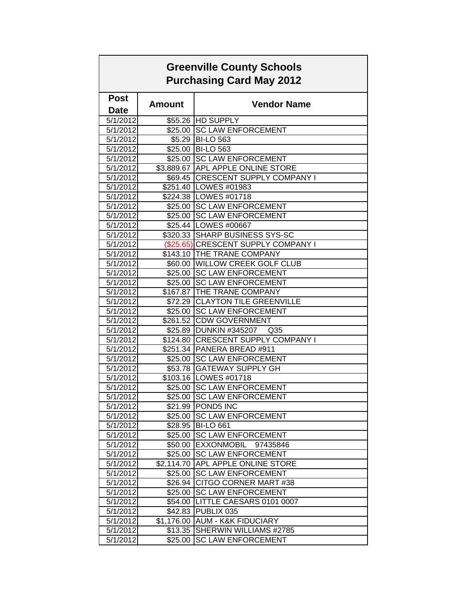| <b>Greenville County Schools</b><br><b>Purchasing Card May 2012</b> |               |                                     |  |  |
|---------------------------------------------------------------------|---------------|-------------------------------------|--|--|
| <b>Post</b>                                                         |               |                                     |  |  |
| <b>Date</b>                                                         | <b>Amount</b> | <b>Vendor Name</b>                  |  |  |
| 5/1/2012                                                            |               | \$55.26 HD SUPPLY                   |  |  |
| 5/1/2012                                                            |               | \$25.00 SC LAW ENFORCEMENT          |  |  |
| 5/1/2012                                                            |               | \$5.29 BI-LO 563                    |  |  |
| 5/1/2012                                                            |               | \$25.00 BI-LO 563                   |  |  |
| 5/1/2012                                                            |               | \$25.00 SC LAW ENFORCEMENT          |  |  |
| 5/1/2012                                                            |               | \$3,889.67 APL APPLE ONLINE STORE   |  |  |
| 5/1/2012                                                            |               | \$69.45 CRESCENT SUPPLY COMPANY I   |  |  |
| 5/1/2012                                                            |               | \$251.40 LOWES #01983               |  |  |
| 5/1/2012                                                            |               | \$224.38   LOWES #01718             |  |  |
| 5/1/2012                                                            |               | \$25.00 SC LAW ENFORCEMENT          |  |  |
| 5/1/2012                                                            |               | \$25.00 SC LAW ENFORCEMENT          |  |  |
| 5/1/2012                                                            |               | \$25.44 LOWES #00667                |  |  |
| 5/1/2012                                                            |               | \$320.33 SHARP BUSINESS SYS-SC      |  |  |
| 5/1/2012                                                            |               | (\$25.65) CRESCENT SUPPLY COMPANY I |  |  |
| 5/1/2012                                                            |               | \$143.10 THE TRANE COMPANY          |  |  |
| 5/1/2012                                                            |               | \$60.00 WILLOW CREEK GOLF CLUB      |  |  |
| 5/1/2012                                                            |               | \$25.00 SC LAW ENFORCEMENT          |  |  |
| 5/1/2012                                                            |               | \$25.00 SC LAW ENFORCEMENT          |  |  |
| 5/1/2012                                                            |               | \$167.87 THE TRANE COMPANY          |  |  |
| 5/1/2012                                                            |               | \$72.29 CLAYTON TILE GREENVILLE     |  |  |
| 5/1/2012                                                            |               | \$25.00 SC LAW ENFORCEMENT          |  |  |
| 5/1/2012                                                            |               | \$261.52 CDW GOVERNMENT             |  |  |
| 5/1/2012                                                            |               | \$25.89 DUNKIN #345207 Q35          |  |  |
| 5/1/2012                                                            |               | \$124.80 CRESCENT SUPPLY COMPANY I  |  |  |
| 5/1/2012                                                            |               | \$251.34 PANERA BREAD #911          |  |  |
| 5/1/2012                                                            |               | \$25.00 SC LAW ENFORCEMENT          |  |  |
| 5/1/2012                                                            |               | \$53.78 GATEWAY SUPPLY GH           |  |  |
| 5/1/2012                                                            |               | \$103.16 LOWES #01718               |  |  |
| 5/1/2012                                                            |               | \$25.00 SC LAW ENFORCEMENT          |  |  |
| 5/1/2012                                                            |               | \$25.00 SC LAW ENFORCEMENT          |  |  |
| 5/1/2012                                                            |               | \$21.99   POND5 INC                 |  |  |
| 5/1/2012                                                            | \$25.00       | <b>SC LAW ENFORCEMENT</b>           |  |  |
| 5/1/2012                                                            | \$28.95       | <b>BI-LO 661</b>                    |  |  |
| 5/1/2012                                                            | \$25.00       | <b>SC LAW ENFORCEMENT</b>           |  |  |
| 5/1/2012                                                            | \$50.00       | EXXONMOBIL<br>97435846              |  |  |
| 5/1/2012                                                            | \$25.00       | <b>SC LAW ENFORCEMENT</b>           |  |  |
| 5/1/2012                                                            |               | \$2,114.70 APL APPLE ONLINE STORE   |  |  |
| 5/1/2012                                                            | \$25.00       | <b>SC LAW ENFORCEMENT</b>           |  |  |
| 5/1/2012                                                            | \$26.94       | CITGO CORNER MART #38               |  |  |
| 5/1/2012                                                            | \$25.00       | <b>SC LAW ENFORCEMENT</b>           |  |  |
| 5/1/2012                                                            | \$54.00       | LITTLE CAESARS 0101 0007            |  |  |
| 5/1/2012                                                            | \$42.83       | <b>PUBLIX 035</b>                   |  |  |
| 5/1/2012                                                            | \$1,176.00    | <b>AUM - K&amp;K FIDUCIARY</b>      |  |  |
| 5/1/2012                                                            | \$13.35       | SHERWIN WILLIAMS #2785              |  |  |
| 5/1/2012                                                            | \$25.00       | <b>SC LAW ENFORCEMENT</b>           |  |  |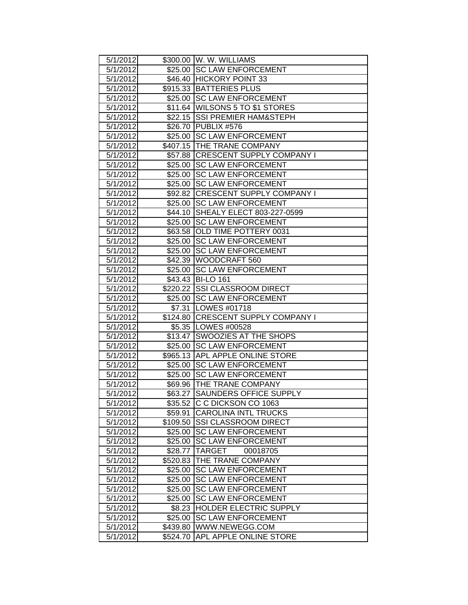| 5/1/2012             |          | \$300.00   W. W. WILLIAMS                               |
|----------------------|----------|---------------------------------------------------------|
| 5/1/2012             |          | \$25.00 SC LAW ENFORCEMENT                              |
| 5/1/2012             |          | \$46.40 HICKORY POINT 33                                |
| 5/1/2012             |          | \$915.33 BATTERIES PLUS                                 |
| 5/1/2012             |          | \$25.00 SC LAW ENFORCEMENT                              |
| 5/1/2012             |          | \$11.64 WILSONS 5 TO \$1 STORES                         |
| 5/1/2012             |          | \$22.15 SSI PREMIER HAM&STEPH                           |
| 5/1/2012             |          | \$26.70 PUBLIX #576                                     |
| 5/1/2012             |          | \$25.00 SC LAW ENFORCEMENT                              |
| 5/1/2012             |          | \$407.15 THE TRANE COMPANY                              |
| 5/1/2012             |          | \$57.88   CRESCENT SUPPLY COMPANY I                     |
| 5/1/2012             |          | \$25.00 SC LAW ENFORCEMENT                              |
| 5/1/2012             |          | \$25.00 SC LAW ENFORCEMENT                              |
| 5/1/2012             |          | \$25.00 SC LAW ENFORCEMENT                              |
| 5/1/2012             |          | \$92.82 CRESCENT SUPPLY COMPANY I                       |
| 5/1/2012             |          | \$25.00 SC LAW ENFORCEMENT                              |
| 5/1/2012             |          | \$44.10 SHEALY ELECT 803-227-0599                       |
| 5/1/2012             |          | \$25.00 SC LAW ENFORCEMENT                              |
| 5/1/2012             |          | \$63.58 OLD TIME POTTERY 0031                           |
| 5/1/2012             |          | \$25.00 SC LAW ENFORCEMENT                              |
| 5/1/2012             |          | \$25.00 SC LAW ENFORCEMENT                              |
| 5/1/2012             |          | \$42.39   WOODCRAFT 560                                 |
| 5/1/2012             |          | \$25.00 SC LAW ENFORCEMENT                              |
| 5/1/2012             |          | \$43.43 BI-LO 161                                       |
| 5/1/2012             |          | \$220.22 SSI CLASSROOM DIRECT                           |
| 5/1/2012             |          | \$25.00 SC LAW ENFORCEMENT                              |
| 5/1/2012             |          | \$7.31   LOWES #01718                                   |
| 5/1/2012             |          | \$124.80 CRESCENT SUPPLY COMPANY I                      |
| 5/1/2012             |          | \$5.35   LOWES #00528                                   |
| 5/1/2012             |          | \$13.47 SWOOZIES AT THE SHOPS                           |
| 5/1/2012             |          | \$25.00 SC LAW ENFORCEMENT                              |
| 5/1/2012             |          | \$965.13 APL APPLE ONLINE STORE                         |
| 5/1/2012             |          | \$25.00 SC LAW ENFORCEMENT                              |
| 5/1/2012             |          | \$25.00 SC LAW ENFORCEMENT<br>\$69.96 THE TRANE COMPANY |
| 5/1/2012             |          | <b>SAUNDERS OFFICE SUPPLY</b>                           |
| 5/1/2012<br>5/1/2012 | \$63.27  | \$35.52 C C DICKSON CO 1063                             |
| 5/1/2012             | \$59.91  | <b>CAROLINA INTL TRUCKS</b>                             |
| 5/1/2012             |          | \$109.50 SSI CLASSROOM DIRECT                           |
| 5/1/2012             |          | \$25.00 SC LAW ENFORCEMENT                              |
| 5/1/2012             |          | \$25.00 SC LAW ENFORCEMENT                              |
| 5/1/2012             | \$28.77  | <b>TARGET</b><br>00018705                               |
| 5/1/2012             | \$520.83 | THE TRANE COMPANY                                       |
| 5/1/2012             | \$25.00  | <b>SC LAW ENFORCEMENT</b>                               |
| 5/1/2012             | \$25.00  | <b>SC LAW ENFORCEMENT</b>                               |
| 5/1/2012             | \$25.00  | <b>SC LAW ENFORCEMENT</b>                               |
| 5/1/2012             | \$25.00  | <b>SC LAW ENFORCEMENT</b>                               |
| 5/1/2012             |          | \$8.23 HOLDER ELECTRIC SUPPLY                           |
| 5/1/2012             | \$25.00  | <b>SC LAW ENFORCEMENT</b>                               |
| 5/1/2012             |          | \$439.80 WWW.NEWEGG.COM                                 |
| 5/1/2012             |          | \$524.70 APL APPLE ONLINE STORE                         |
|                      |          |                                                         |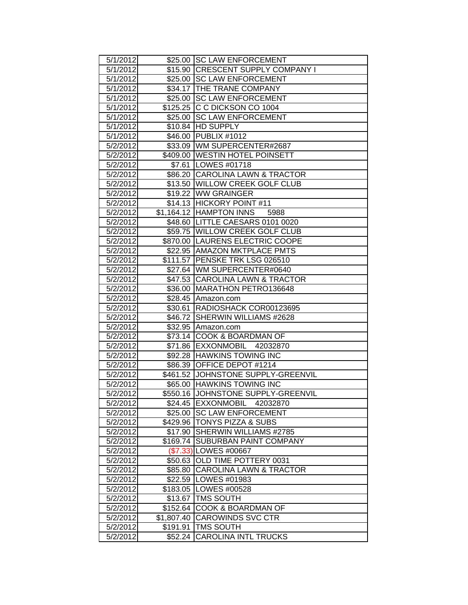| 5/1/2012 |            | \$25.00 SC LAW ENFORCEMENT         |
|----------|------------|------------------------------------|
| 5/1/2012 |            | \$15.90 CRESCENT SUPPLY COMPANY I  |
| 5/1/2012 |            | \$25.00 SC LAW ENFORCEMENT         |
| 5/1/2012 |            | \$34.17 THE TRANE COMPANY          |
| 5/1/2012 |            | \$25.00 SC LAW ENFORCEMENT         |
| 5/1/2012 |            | \$125.25 C C DICKSON CO 1004       |
| 5/1/2012 | \$25.00    | <b>SC LAW ENFORCEMENT</b>          |
| 5/1/2012 |            | \$10.84 HD SUPPLY                  |
| 5/1/2012 |            | \$46.00 PUBLIX #1012               |
| 5/2/2012 |            | \$33.09 WM SUPERCENTER#2687        |
| 5/2/2012 |            | \$409.00 WESTIN HOTEL POINSETT     |
| 5/2/2012 |            | \$7.61   LOWES #01718              |
| 5/2/2012 |            | \$86.20 CAROLINA LAWN & TRACTOR    |
| 5/2/2012 |            | \$13.50 WILLOW CREEK GOLF CLUB     |
| 5/2/2012 |            | \$19.22 WW GRAINGER                |
| 5/2/2012 |            | \$14.13 HICKORY POINT #11          |
| 5/2/2012 |            | \$1,164.12 HAMPTON INNS<br>5988    |
| 5/2/2012 |            | \$48.60   LITTLE CAESARS 0101 0020 |
| 5/2/2012 |            | \$59.75 WILLOW CREEK GOLF CLUB     |
| 5/2/2012 |            | \$870.00 LAURENS ELECTRIC COOPE    |
| 5/2/2012 |            | \$22.95 AMAZON MKTPLACE PMTS       |
| 5/2/2012 |            | \$111.57 PENSKE TRK LSG 026510     |
| 5/2/2012 |            | \$27.64   WM SUPERCENTER#0640      |
| 5/2/2012 |            | \$47.53 CAROLINA LAWN & TRACTOR    |
| 5/2/2012 |            | \$36.00 MARATHON PETRO136648       |
| 5/2/2012 |            | \$28.45 Amazon.com                 |
| 5/2/2012 |            | \$30.61   RADIOSHACK COR00123695   |
| 5/2/2012 |            | \$46.72 SHERWIN WILLIAMS #2628     |
| 5/2/2012 |            | \$32.95 Amazon.com                 |
| 5/2/2012 | \$73.14    | <b>COOK &amp; BOARDMAN OF</b>      |
| 5/2/2012 |            | \$71.86 EXXONMOBIL 42032870        |
| 5/2/2012 |            | \$92.28 HAWKINS TOWING INC         |
| 5/2/2012 |            | \$86.39 OFFICE DEPOT #1214         |
| 5/2/2012 |            | \$461.52 JOHNSTONE SUPPLY-GREENVIL |
| 5/2/2012 |            | \$65.00 HAWKINS TOWING INC         |
| 5/2/2012 |            | \$550.16 JOHNSTONE SUPPLY-GREENVIL |
| 5/2/2012 | \$24.45    | EXXONMOBIL<br>42032870             |
| 5/2/2012 | \$25.00    | <b>SC LAW ENFORCEMENT</b>          |
| 5/2/2012 |            | \$429.96   TONYS PIZZA & SUBS      |
| 5/2/2012 | \$17.90    | SHERWIN WILLIAMS #2785             |
| 5/2/2012 | \$169.74   | SUBURBAN PAINT COMPANY             |
| 5/2/2012 |            | (\$7.33) LOWES #00667              |
| 5/2/2012 | \$50.63    | OLD TIME POTTERY 0031              |
| 5/2/2012 | \$85.80    | <b>CAROLINA LAWN &amp; TRACTOR</b> |
| 5/2/2012 | \$22.59    | LOWES #01983                       |
| 5/2/2012 |            | \$183.05   LOWES #00528            |
| 5/2/2012 | \$13.67    | <b>TMS SOUTH</b>                   |
| 5/2/2012 | \$152.64   | COOK & BOARDMAN OF                 |
| 5/2/2012 | \$1,807.40 | <b>CAROWINDS SVC CTR</b>           |
| 5/2/2012 | \$191.91   | <b>TMS SOUTH</b>                   |
| 5/2/2012 | \$52.24    | <b>CAROLINA INTL TRUCKS</b>        |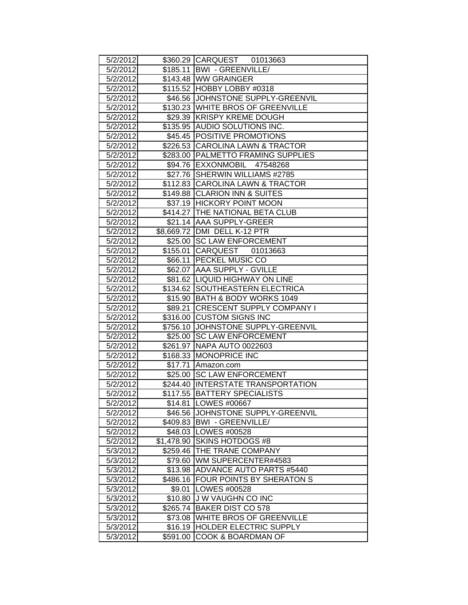| 5/2/2012 |          | \$360.29 CARQUEST 01013663         |
|----------|----------|------------------------------------|
| 5/2/2012 |          | \$185.11   BWI - GREENVILLE/       |
| 5/2/2012 |          | \$143.48 WW GRAINGER               |
| 5/2/2012 |          | \$115.52 HOBBY LOBBY #0318         |
| 5/2/2012 |          | \$46.56 JJOHNSTONE SUPPLY-GREENVIL |
| 5/2/2012 |          | \$130.23 WHITE BROS OF GREENVILLE  |
| 5/2/2012 |          | \$29.39 KRISPY KREME DOUGH         |
| 5/2/2012 |          | \$135.95 AUDIO SOLUTIONS INC.      |
| 5/2/2012 |          | \$45.45 POSITIVE PROMOTIONS        |
| 5/2/2012 |          | \$226.53 CAROLINA LAWN & TRACTOR   |
| 5/2/2012 |          | \$283.00 PALMETTO FRAMING SUPPLIES |
| 5/2/2012 |          | \$94.76 EXXONMOBIL 47548268        |
| 5/2/2012 |          | \$27.76 SHERWIN WILLIAMS #2785     |
| 5/2/2012 |          | \$112.83 CAROLINA LAWN & TRACTOR   |
| 5/2/2012 |          | \$149.88 CLARION INN & SUITES      |
| 5/2/2012 |          | \$37.19 HICKORY POINT MOON         |
| 5/2/2012 |          | \$414.27 THE NATIONAL BETA CLUB    |
| 5/2/2012 |          | \$21.14 AAA SUPPLY-GREER           |
| 5/2/2012 |          | \$8,669.72 DMI DELL K-12 PTR       |
| 5/2/2012 |          | \$25.00 SC LAW ENFORCEMENT         |
| 5/2/2012 |          | \$155.01 CARQUEST 01013663         |
| 5/2/2012 |          | \$66.11 PECKEL MUSIC CO            |
| 5/2/2012 |          | \$62.07   AAA SUPPLY - GVILLE      |
| 5/2/2012 |          | \$81.62   LIQUID HIGHWAY ON LINE   |
| 5/2/2012 |          | \$134.62 SOUTHEASTERN ELECTRICA    |
| 5/2/2012 |          | \$15.90 BATH & BODY WORKS 1049     |
| 5/2/2012 |          | \$89.21 CRESCENT SUPPLY COMPANY I  |
| 5/2/2012 |          | \$316.00 CUSTOM SIGNS INC          |
| 5/2/2012 |          | \$756.10 JOHNSTONE SUPPLY-GREENVIL |
| 5/2/2012 |          | \$25.00 SC LAW ENFORCEMENT         |
| 5/2/2012 |          | \$261.97 NAPA AUTO 0022603         |
| 5/2/2012 |          | \$168.33 MONOPRICE INC             |
| 5/2/2012 |          | \$17.71 Amazon.com                 |
| 5/2/2012 |          | \$25.00 SC LAW ENFORCEMENT         |
| 5/2/2012 |          | \$244.40 INTERSTATE TRANSPORTATION |
| 5/2/2012 |          | \$117.55  BATTERY SPECIALISTS      |
| 5/2/2012 |          | \$14.81   LOWES #00667             |
| 5/2/2012 |          | \$46.56 JJOHNSTONE SUPPLY-GREENVIL |
| 5/2/2012 |          | \$409.83   BWI - GREENVILLE/       |
| 5/2/2012 |          | \$48.03   LOWES #00528             |
| 5/2/2012 |          | \$1,478.90 SKINS HOTDOGS #8        |
| 5/3/2012 |          | \$259.46 THE TRANE COMPANY         |
| 5/3/2012 |          | \$79.60 WM SUPERCENTER#4583        |
| 5/3/2012 |          | \$13.98 ADVANCE AUTO PARTS #5440   |
| 5/3/2012 |          | \$486.16 FOUR POINTS BY SHERATON S |
| 5/3/2012 |          | \$9.01   LOWES #00528              |
| 5/3/2012 |          | \$10.80 J W VAUGHN CO INC          |
| 5/3/2012 |          | \$265.74 BAKER DIST CO 578         |
| 5/3/2012 |          | \$73.08 WHITE BROS OF GREENVILLE   |
| 5/3/2012 |          | \$16.19 HOLDER ELECTRIC SUPPLY     |
| 5/3/2012 | \$591.00 | <b>COOK &amp; BOARDMAN OF</b>      |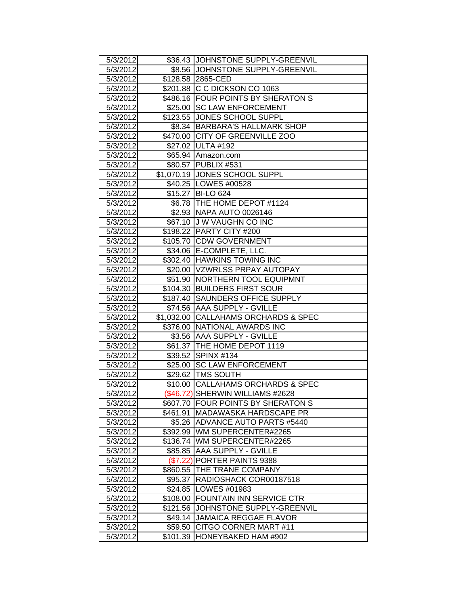| 5/3/2012             |          | \$36.43 JOHNSTONE SUPPLY-GREENVIL                         |
|----------------------|----------|-----------------------------------------------------------|
| 5/3/2012             |          | \$8.56 JOHNSTONE SUPPLY-GREENVIL                          |
| 5/3/2012             |          | \$128.58 2865-CED                                         |
| 5/3/2012             |          | \$201.88 C C DICKSON CO 1063                              |
| 5/3/2012             |          | \$486.16 FOUR POINTS BY SHERATON S                        |
| 5/3/2012             |          | \$25.00 SC LAW ENFORCEMENT                                |
| 5/3/2012             |          | \$123.55 JONES SCHOOL SUPPL                               |
| 5/3/2012             |          | \$8.34   BARBARA'S HALLMARK SHOP                          |
| 5/3/2012             |          | \$470.00 CITY OF GREENVILLE ZOO                           |
| 5/3/2012             |          | \$27.02 ULTA #192                                         |
| 5/3/2012             |          | \$65.94 Amazon.com                                        |
| 5/3/2012             |          | \$80.57 PUBLIX #531                                       |
| 5/3/2012             |          | \$1,070.19 JONES SCHOOL SUPPL                             |
| 5/3/2012             |          | \$40.25   LOWES #00528                                    |
| 5/3/2012             |          | \$15.27 BI-LO 624                                         |
| 5/3/2012             |          | \$6.78 THE HOME DEPOT #1124                               |
| 5/3/2012             |          | \$2.93 NAPA AUTO 0026146                                  |
| 5/3/2012             |          | \$67.10 J W VAUGHN CO INC                                 |
| 5/3/2012             |          | \$198.22 PARTY CITY #200                                  |
| 5/3/2012             |          | \$105.70 CDW GOVERNMENT                                   |
| 5/3/2012             |          | \$34.06 E-COMPLETE, LLC.                                  |
| 5/3/2012             |          | \$302.40 HAWKINS TOWING INC                               |
| 5/3/2012             |          | \$20.00   VZWRLSS PRPAY AUTOPAY                           |
| 5/3/2012             |          | \$51.90   NORTHERN TOOL EQUIPMNT                          |
| 5/3/2012             |          | \$104.30 BUILDERS FIRST SOUR                              |
| 5/3/2012             |          | \$187.40 SAUNDERS OFFICE SUPPLY                           |
| 5/3/2012             |          | \$74.56   AAA SUPPLY - GVILLE                             |
| 5/3/2012             |          | \$1,032.00 CALLAHAMS ORCHARDS & SPEC                      |
| 5/3/2012             |          | \$376.00 NATIONAL AWARDS INC                              |
| 5/3/2012             |          | \$3.56 AAA SUPPLY - GVILLE                                |
| 5/3/2012             |          | \$61.37   THE HOME DEPOT 1119                             |
| 5/3/2012             |          | \$39.52 SPINX #134                                        |
| 5/3/2012             |          | \$25.00 SC LAW ENFORCEMENT                                |
| 5/3/2012             |          | \$29.62   TMS SOUTH                                       |
| 5/3/2012             |          | \$10.00 CALLAHAMS ORCHARDS & SPEC                         |
| 5/3/2012             |          | (\$46.72) SHERWIN WILLIAMS #2628                          |
| 5/3/2012             | \$607.70 | <b>FOUR POINTS BY SHERATON S</b>                          |
| 5/3/2012             | \$461.91 | <b>MADAWASKA HARDSCAPE PR</b>                             |
| 5/3/2012             | \$5.26   | <b>ADVANCE AUTO PARTS #5440</b>                           |
| 5/3/2012             |          | \$392.99 WM SUPERCENTER#2265                              |
| 5/3/2012             | \$136.74 | WM SUPERCENTER#2265                                       |
| 5/3/2012             | \$85.85  | <b>AAA SUPPLY - GVILLE</b>                                |
| 5/3/2012             | (\$7.22) | PORTER PAINTS 9388<br>THE TRANE COMPANY                   |
| 5/3/2012             | \$860.55 | RADIOSHACK COR00187518                                    |
| 5/3/2012<br>5/3/2012 | \$95.37  | \$24.85   LOWES #01983                                    |
|                      |          |                                                           |
| 5/3/2012             | \$108.00 | <b>FOUNTAIN INN SERVICE CTR</b>                           |
| 5/3/2012             | \$121.56 | JOHNSTONE SUPPLY-GREENVIL<br><b>JAMAICA REGGAE FLAVOR</b> |
| 5/3/2012             | \$49.14  |                                                           |
| 5/3/2012             | \$59.50  | CITGO CORNER MART #11<br>HONEYBAKED HAM #902              |
| 5/3/2012             | \$101.39 |                                                           |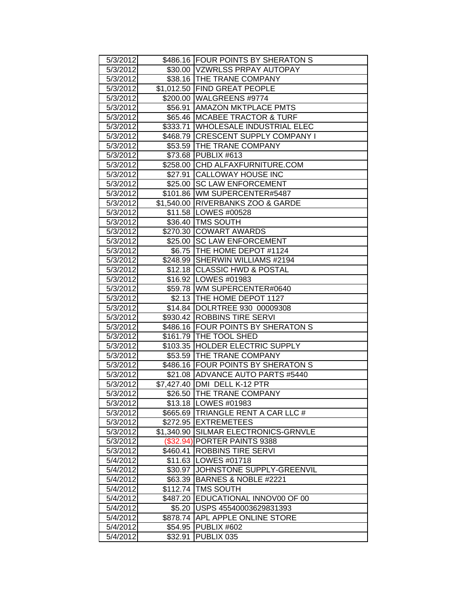| 5/3/2012 |            | \$486.16 FOUR POINTS BY SHERATON S |
|----------|------------|------------------------------------|
| 5/3/2012 |            | \$30.00 VZWRLSS PRPAY AUTOPAY      |
| 5/3/2012 |            | \$38.16   THE TRANE COMPANY        |
| 5/3/2012 |            | \$1,012.50 FIND GREAT PEOPLE       |
| 5/3/2012 |            | \$200.00 WALGREENS #9774           |
| 5/3/2012 |            | \$56.91 AMAZON MKTPLACE PMTS       |
| 5/3/2012 |            | \$65.46   MCABEE TRACTOR & TURF    |
| 5/3/2012 |            | \$333.71 WHOLESALE INDUSTRIAL ELEC |
| 5/3/2012 |            | \$468.79 CRESCENT SUPPLY COMPANY I |
| 5/3/2012 |            | \$53.59   THE TRANE COMPANY        |
| 5/3/2012 |            | \$73.68 PUBLIX #613                |
| 5/3/2012 |            | \$258.00 CHD ALFAXFURNITURE.COM    |
| 5/3/2012 | \$27.91    | CALLOWAY HOUSE INC                 |
| 5/3/2012 |            | \$25.00 SC LAW ENFORCEMENT         |
| 5/3/2012 |            | \$101.86 WM SUPERCENTER#5487       |
| 5/3/2012 |            | \$1,540.00 RIVERBANKS ZOO & GARDE  |
| 5/3/2012 |            | \$11.58   LOWES #00528             |
| 5/3/2012 |            | \$36.40   TMS SOUTH                |
| 5/3/2012 |            | \$270.30 COWART AWARDS             |
| 5/3/2012 |            | \$25.00 SC LAW ENFORCEMENT         |
| 5/3/2012 |            | \$6.75 THE HOME DEPOT #1124        |
| 5/3/2012 |            | \$248.99 SHERWIN WILLIAMS #2194    |
| 5/3/2012 |            | \$12.18 CLASSIC HWD & POSTAL       |
| 5/3/2012 |            | \$16.92   LOWES #01983             |
| 5/3/2012 |            | \$59.78   WM SUPERCENTER#0640      |
| 5/3/2012 |            | \$2.13   THE HOME DEPOT 1127       |
| 5/3/2012 |            | \$14.84  DOLRTREE 930 00009308     |
| 5/3/2012 |            | \$930.42 ROBBINS TIRE SERVI        |
| 5/3/2012 |            | \$486.16 FOUR POINTS BY SHERATON S |
| 5/3/2012 |            | \$161.79   THE TOOL SHED           |
| 5/3/2012 |            | \$103.35 HOLDER ELECTRIC SUPPLY    |
| 5/3/2012 |            | \$53.59 THE TRANE COMPANY          |
| 5/3/2012 |            | \$486.16 FOUR POINTS BY SHERATON S |
| 5/3/2012 |            | \$21.08 ADVANCE AUTO PARTS #5440   |
| 5/3/2012 |            | \$7,427.40 DMI DELL K-12 PTR       |
| 5/3/2012 |            | \$26.50 THE TRANE COMPANY          |
| 5/3/2012 |            | \$13.18   LOWES #01983             |
| 5/3/2012 |            | \$665.69 TRIANGLE RENT A CAR LLC # |
| 5/3/2012 |            | \$272.95 EXTREMETEES               |
| 5/3/2012 | \$1,340.90 | SILMAR ELECTRONICS-GRNVLE          |
| 5/3/2012 |            | (\$32.94) PORTER PAINTS 9388       |
| 5/3/2012 | \$460.41   | <b>ROBBINS TIRE SERVI</b>          |
| 5/4/2012 |            | \$11.63   LOWES #01718             |
| 5/4/2012 | \$30.97    | JOHNSTONE SUPPLY-GREENVIL          |
| 5/4/2012 | \$63.39    | BARNES & NOBLE #2221               |
| 5/4/2012 |            | \$112.74 TMS SOUTH                 |
| 5/4/2012 |            | \$487.20 EDUCATIONAL INNOV00 OF 00 |
| 5/4/2012 |            | \$5.20 USPS 45540003629831393      |
| 5/4/2012 | \$878.74   | APL APPLE ONLINE STORE             |
| 5/4/2012 | \$54.95    | PUBLIX #602                        |
| 5/4/2012 | \$32.91    | PUBLIX 035                         |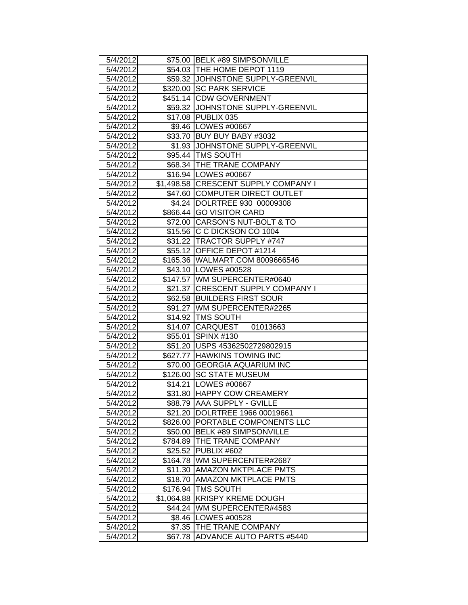| 5/4/2012 |            | \$75.00 BELK #89 SIMPSONVILLE        |
|----------|------------|--------------------------------------|
| 5/4/2012 |            | \$54.03 THE HOME DEPOT 1119          |
| 5/4/2012 |            | \$59.32 JJOHNSTONE SUPPLY-GREENVIL   |
| 5/4/2012 |            | \$320.00 SC PARK SERVICE             |
| 5/4/2012 |            | \$451.14 CDW GOVERNMENT              |
| 5/4/2012 |            | \$59.32 JJOHNSTONE SUPPLY-GREENVIL   |
| 5/4/2012 |            | \$17.08 PUBLIX 035                   |
| 5/4/2012 |            | \$9.46   LOWES #00667                |
| 5/4/2012 |            | \$33.70 BUY BUY BABY #3032           |
| 5/4/2012 |            | \$1.93 JJOHNSTONE SUPPLY-GREENVIL    |
| 5/4/2012 |            | \$95.44 TMS SOUTH                    |
| 5/4/2012 |            | \$68.34   THE TRANE COMPANY          |
| 5/4/2012 |            | \$16.94   LOWES #00667               |
| 5/4/2012 |            | \$1,498.58 CRESCENT SUPPLY COMPANY I |
| 5/4/2012 |            | \$47.60 COMPUTER DIRECT OUTLET       |
| 5/4/2012 |            | \$4.24 DOLRTREE 930 00009308         |
| 5/4/2012 |            | \$866.44 GO VISITOR CARD             |
| 5/4/2012 |            | \$72.00 CARSON'S NUT-BOLT & TO       |
| 5/4/2012 |            | \$15.56 C C DICKSON CO 1004          |
| 5/4/2012 |            | \$31.22 TRACTOR SUPPLY #747          |
| 5/4/2012 |            | \$55.12 OFFICE DEPOT #1214           |
| 5/4/2012 |            | \$165.36   WALMART.COM 8009666546    |
| 5/4/2012 |            | \$43.10   LOWES #00528               |
| 5/4/2012 |            | \$147.57 WM SUPERCENTER#0640         |
| 5/4/2012 |            | \$21.37 CRESCENT SUPPLY COMPANY I    |
| 5/4/2012 |            | \$62.58 BUILDERS FIRST SOUR          |
| 5/4/2012 |            | \$91.27 WM SUPERCENTER#2265          |
| 5/4/2012 |            | \$14.92   TMS SOUTH                  |
| 5/4/2012 |            | \$14.07 CARQUEST 01013663            |
| 5/4/2012 |            | \$55.01 SPINX #130                   |
| 5/4/2012 |            | \$51.20 USPS 45362502729802915       |
| 5/4/2012 |            | \$627.77 HAWKINS TOWING INC          |
| 5/4/2012 |            | \$70.00 GEORGIA AQUARIUM INC         |
| 5/4/2012 |            | \$126.00 SC STATE MUSEUM             |
| 5/4/2012 |            | \$14.21   LOWES #00667               |
| 5/4/2012 |            | \$31.80 HAPPY COW CREAMERY           |
| 5/4/2012 |            | \$88.79 AAA SUPPLY - GVILLE          |
| 5/4/2012 |            | \$21.20 DOLRTREE 1966 00019661       |
| 5/4/2012 |            | \$826.00 PORTABLE COMPONENTS LLC     |
| 5/4/2012 |            | \$50.00 BELK #89 SIMPSONVILLE        |
| 5/4/2012 |            | \$784.89 THE TRANE COMPANY           |
| 5/4/2012 |            | \$25.52 PUBLIX #602                  |
| 5/4/2012 |            | \$164.78 WM SUPERCENTER#2687         |
| 5/4/2012 |            | \$11.30 AMAZON MKTPLACE PMTS         |
| 5/4/2012 | \$18.70    | <b>AMAZON MKTPLACE PMTS</b>          |
| 5/4/2012 | \$176.94   | <b>TMS SOUTH</b>                     |
| 5/4/2012 | \$1,064.88 | <b>KRISPY KREME DOUGH</b>            |
| 5/4/2012 |            | \$44.24   WM SUPERCENTER#4583        |
| 5/4/2012 |            | \$8.46   LOWES #00528                |
| 5/4/2012 |            | \$7.35   THE TRANE COMPANY           |
| 5/4/2012 |            | \$67.78 ADVANCE AUTO PARTS #5440     |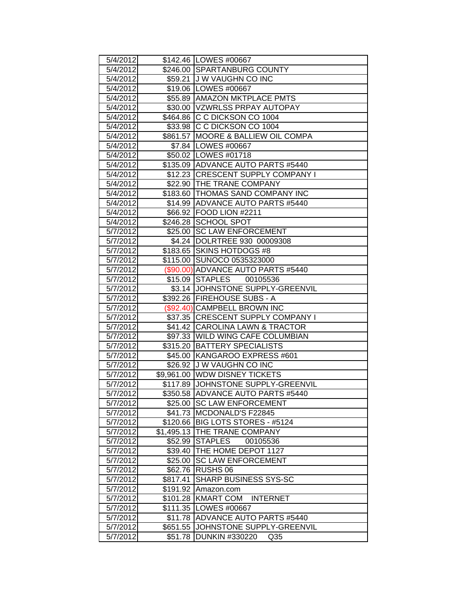| 5/4/2012 |          | \$142.46   LOWES #00667             |
|----------|----------|-------------------------------------|
| 5/4/2012 |          | \$246.00 SPARTANBURG COUNTY         |
| 5/4/2012 |          | \$59.21 J W VAUGHN CO INC           |
| 5/4/2012 |          | \$19.06 LOWES #00667                |
| 5/4/2012 |          | \$55.89 AMAZON MKTPLACE PMTS        |
| 5/4/2012 |          | \$30.00 VZWRLSS PRPAY AUTOPAY       |
| 5/4/2012 |          | \$464.86 C C DICKSON CO 1004        |
| 5/4/2012 |          | \$33.98 C C DICKSON CO 1004         |
| 5/4/2012 |          | \$861.57 MOORE & BALLIEW OIL COMPA  |
| 5/4/2012 |          | \$7.84   LOWES #00667               |
| 5/4/2012 |          | \$50.02   LOWES #01718              |
| 5/4/2012 |          | \$135.09 ADVANCE AUTO PARTS #5440   |
| 5/4/2012 |          | \$12.23 CRESCENT SUPPLY COMPANY I   |
| 5/4/2012 |          | \$22.90   THE TRANE COMPANY         |
| 5/4/2012 |          | \$183.60 THOMAS SAND COMPANY INC    |
| 5/4/2012 |          | \$14.99 ADVANCE AUTO PARTS #5440    |
| 5/4/2012 |          | \$66.92 FOOD LION #2211             |
| 5/4/2012 |          | \$246.28 SCHOOL SPOT                |
| 5/7/2012 |          | \$25.00 SC LAW ENFORCEMENT          |
| 5/7/2012 |          | \$4.24  DOLRTREE 930 00009308       |
| 5/7/2012 |          | \$183.65 SKINS HOTDOGS #8           |
| 5/7/2012 |          | \$115.00 SUNOCO 0535323000          |
| 5/7/2012 |          | (\$90.00) ADVANCE AUTO PARTS #5440  |
| 5/7/2012 |          | \$15.09 STAPLES 00105536            |
| 5/7/2012 |          | \$3.14 JOHNSTONE SUPPLY-GREENVIL    |
| 5/7/2012 |          | \$392.26   FIREHOUSE SUBS - A       |
| 5/7/2012 |          | (\$92.40) CAMPBELL BROWN INC        |
| 5/7/2012 |          | \$37.35 CRESCENT SUPPLY COMPANY I   |
| 5/7/2012 |          | \$41.42 CAROLINA LAWN & TRACTOR     |
| 5/7/2012 |          | \$97.33 WILD WING CAFE COLUMBIAN    |
| 5/7/2012 |          | \$315.20 BATTERY SPECIALISTS        |
| 5/7/2012 |          | \$45.00 KANGAROO EXPRESS #601       |
| 5/7/2012 |          | \$26.92 J W VAUGHN CO INC           |
| 5/7/2012 |          | \$9,961.00 WDW DISNEY TICKETS       |
| 5/7/2012 |          | \$117.89 JJOHNSTONE SUPPLY-GREENVIL |
| 5/7/2012 |          | \$350.58 ADVANCE AUTO PARTS #5440   |
| 5/7/2012 |          | \$25.00 SC LAW ENFORCEMENT          |
| 5/7/2012 |          | \$41.73 MCDONALD'S F22845           |
| 5/7/2012 |          | \$120.66   BIG LOTS STORES - #5124  |
| 5/7/2012 |          | \$1,495.13 THE TRANE COMPANY        |
| 5/7/2012 |          | \$52.99 STAPLES<br>00105536         |
| 5/7/2012 |          | \$39.40   THE HOME DEPOT 1127       |
| 5/7/2012 | \$25.00  | <b>SC LAW ENFORCEMENT</b>           |
| 5/7/2012 | \$62.76  | <b>RUSHS 06</b>                     |
| 5/7/2012 | \$817.41 | <b>SHARP BUSINESS SYS-SC</b>        |
| 5/7/2012 | \$191.92 | Amazon.com                          |
| 5/7/2012 | \$101.28 | <b>KMART COM</b><br><b>INTERNET</b> |
| 5/7/2012 |          | \$111.35   LOWES #00667             |
| 5/7/2012 | \$11.78  | ADVANCE AUTO PARTS #5440            |
| 5/7/2012 | \$651.55 | JOHNSTONE SUPPLY-GREENVIL           |
| 5/7/2012 | \$51.78  | <b>DUNKIN #330220</b><br>Q35        |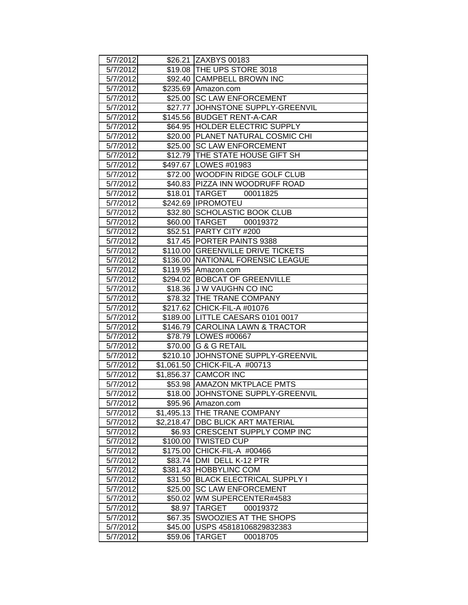| 5/7/2012 |            | \$26.21 ZAXBYS 00183               |
|----------|------------|------------------------------------|
| 5/7/2012 |            | \$19.08 THE UPS STORE 3018         |
| 5/7/2012 |            | \$92.40 CAMPBELL BROWN INC         |
| 5/7/2012 |            | \$235.69 Amazon.com                |
| 5/7/2012 | \$25.00    | <b>SC LAW ENFORCEMENT</b>          |
| 5/7/2012 |            | \$27.77 JJOHNSTONE SUPPLY-GREENVIL |
| 5/7/2012 |            | \$145.56 BUDGET RENT-A-CAR         |
| 5/7/2012 |            | \$64.95 HOLDER ELECTRIC SUPPLY     |
| 5/7/2012 |            | \$20.00 PLANET NATURAL COSMIC CHI  |
| 5/7/2012 |            | \$25.00 SC LAW ENFORCEMENT         |
| 5/7/2012 |            | \$12.79 THE STATE HOUSE GIFT SH    |
| 5/7/2012 |            | \$497.67   LOWES #01983            |
| 5/7/2012 |            | \$72.00 WOODFIN RIDGE GOLF CLUB    |
| 5/7/2012 |            | \$40.83 PIZZA INN WOODRUFF ROAD    |
| 5/7/2012 |            | \$18.01   TARGET 00011825          |
| 5/7/2012 |            | \$242.69  IPROMOTEU                |
| 5/7/2012 |            | \$32.80 SCHOLASTIC BOOK CLUB       |
| 5/7/2012 |            | \$60.00 TARGET 00019372            |
| 5/7/2012 |            | \$52.51 PARTY CITY #200            |
| 5/7/2012 |            | \$17.45   PORTER PAINTS 9388       |
| 5/7/2012 |            | \$110.00 GREENVILLE DRIVE TICKETS  |
| 5/7/2012 |            | \$136.00 NATIONAL FORENSIC LEAGUE  |
| 5/7/2012 |            | \$119.95 Amazon.com                |
| 5/7/2012 |            | \$294.02 BOBCAT OF GREENVILLE      |
| 5/7/2012 |            | \$18.36 J W VAUGHN CO INC          |
| 5/7/2012 |            | \$78.32   THE TRANE COMPANY        |
| 5/7/2012 |            | \$217.62 CHICK-FIL-A #01076        |
| 5/7/2012 |            | \$189.00 LITTLE CAESARS 0101 0017  |
| 5/7/2012 |            | \$146.79 CAROLINA LAWN & TRACTOR   |
| 5/7/2012 |            | \$78.79 LOWES #00667               |
| 5/7/2012 |            | \$70.00 G & G RETAIL               |
| 5/7/2012 |            | \$210.10 JOHNSTONE SUPPLY-GREENVIL |
| 5/7/2012 |            | \$1,061.50 CHICK-FIL-A #00713      |
| 5/7/2012 |            | \$1,856.37 CAMCOR INC              |
| 5/7/2012 |            | \$53.98 AMAZON MKTPLACE PMTS       |
| 5/7/2012 |            | \$18.00 JJOHNSTONE SUPPLY-GREENVIL |
| 5/7/2012 |            | \$95.96 Amazon.com                 |
| 5/7/2012 |            | \$1,495.13 THE TRANE COMPANY       |
| 5/7/2012 | \$2,218.47 | DBC BLICK ART MATERIAL             |
| 5/7/2012 |            | \$6.93 CRESCENT SUPPLY COMP INC    |
| 5/7/2012 |            | \$100.00 TWISTED CUP               |
| 5/7/2012 | \$175.00   | CHICK-FIL-A #00466                 |
| 5/7/2012 |            | \$83.74   DMI DELL K-12 PTR        |
| 5/7/2012 |            | \$381.43 HOBBYLINC COM             |
| 5/7/2012 | \$31.50    | <b>BLACK ELECTRICAL SUPPLY I</b>   |
| 5/7/2012 | \$25.00    | <b>SC LAW ENFORCEMENT</b>          |
| 5/7/2012 | \$50.02    | WM SUPERCENTER#4583                |
| 5/7/2012 | \$8.97     | <b>TARGET</b><br>00019372          |
| 5/7/2012 | \$67.35    | SWOOZIES AT THE SHOPS              |
| 5/7/2012 | \$45.00∣   | USPS 45818106829832383             |
| 5/7/2012 | \$59.06    | <b>TARGET</b><br>00018705          |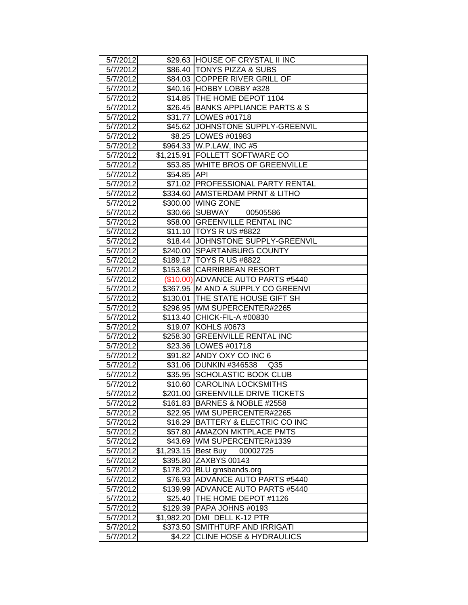| 5/7/2012 |             | \$29.63 HOUSE OF CRYSTAL II INC     |
|----------|-------------|-------------------------------------|
| 5/7/2012 |             | \$86.40   TONYS PIZZA & SUBS        |
| 5/7/2012 |             | \$84.03 COPPER RIVER GRILL OF       |
| 5/7/2012 |             | \$40.16 HOBBY LOBBY #328            |
| 5/7/2012 |             | \$14.85 THE HOME DEPOT 1104         |
| 5/7/2012 |             | \$26.45 BANKS APPLIANCE PARTS & S   |
| 5/7/2012 |             | \$31.77 LOWES #01718                |
| 5/7/2012 |             | \$45.62 JOHNSTONE SUPPLY-GREENVIL   |
| 5/7/2012 |             | \$8.25   LOWES #01983               |
| 5/7/2012 |             | \$964.33 W.P.LAW, INC #5            |
| 5/7/2012 |             | \$1,215.91 FOLLETT SOFTWARE CO      |
| 5/7/2012 |             | \$53.85 WHITE BROS OF GREENVILLE    |
| 5/7/2012 | \$54.85 API |                                     |
| 5/7/2012 |             | \$71.02 PROFESSIONAL PARTY RENTAL   |
| 5/7/2012 |             | \$334.60 AMSTERDAM PRNT & LITHO     |
| 5/7/2012 |             | \$300.00 WING ZONE                  |
| 5/7/2012 |             | \$30.66 SUBWAY 00505586             |
| 5/7/2012 |             | \$58.00 GREENVILLE RENTAL INC       |
| 5/7/2012 |             | \$11.10 TOYS R US #8822             |
| 5/7/2012 |             | \$18.44 JOHNSTONE SUPPLY-GREENVIL   |
| 5/7/2012 |             | \$240.00 SPARTANBURG COUNTY         |
| 5/7/2012 |             | \$189.17   TOYS R US #8822          |
| 5/7/2012 |             | \$153.68 CARRIBBEAN RESORT          |
| 5/7/2012 |             | (\$10.00) ADVANCE AUTO PARTS #5440  |
| 5/7/2012 |             | \$367.95 M AND A SUPPLY CO GREENVI  |
| 5/7/2012 |             | \$130.01   THE STATE HOUSE GIFT SH  |
| 5/7/2012 |             | \$296.95 WM SUPERCENTER#2265        |
| 5/7/2012 |             | \$113.40 CHICK-FIL-A #00830         |
| 5/7/2012 |             | \$19.07 KOHLS #0673                 |
| 5/7/2012 |             | \$258.30 GREENVILLE RENTAL INC      |
| 5/7/2012 |             | \$23.36   LOWES #01718              |
| 5/7/2012 |             | \$91.82 ANDY OXY CO INC 6           |
| 5/7/2012 |             | \$31.06 DUNKIN #346538 Q35          |
| 5/7/2012 |             | \$35.95 SCHOLASTIC BOOK CLUB        |
| 5/7/2012 |             | \$10.60 CAROLINA LOCKSMITHS         |
| 5/7/2012 |             | \$201.00 GREENVILLE DRIVE TICKETS   |
| 5/7/2012 |             | \$161.83   BARNES & NOBLE #2558     |
| 5/7/2012 |             | \$22.95   WM SUPERCENTER#2265       |
| 5/7/2012 |             | \$16.29 BATTERY & ELECTRIC CO INC   |
| 5/7/2012 |             | \$57.80 AMAZON MKTPLACE PMTS        |
| 5/7/2012 |             | \$43.69   WM SUPERCENTER#1339       |
| 5/7/2012 | \$1,293.15  | Best Buy 00002725                   |
| 5/7/2012 | \$395.80    | ZAXBYS 00143                        |
| 5/7/2012 | \$178.20    | <b>BLU</b> gmsbands.org             |
| 5/7/2012 | \$76.93     | <b>ADVANCE AUTO PARTS #5440</b>     |
| 5/7/2012 |             | \$139.99   ADVANCE AUTO PARTS #5440 |
| 5/7/2012 |             | \$25.40 THE HOME DEPOT #1126        |
| 5/7/2012 |             | \$129.39   PAPA JOHNS #0193         |
| 5/7/2012 | \$1,982.20  | DMI DELL K-12 PTR                   |
| 5/7/2012 | \$373.50    | <b>SMITHTURF AND IRRIGATI</b>       |
| 5/7/2012 | \$4.22      | <b>CLINE HOSE &amp; HYDRAULICS</b>  |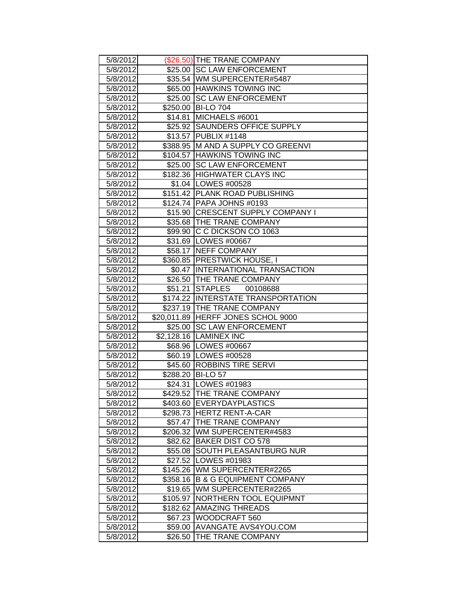| 5/8/2012 |          | (\$26.50) THE TRANE COMPANY         |
|----------|----------|-------------------------------------|
| 5/8/2012 |          | \$25.00 SC LAW ENFORCEMENT          |
| 5/8/2012 |          | \$35.54 WM SUPERCENTER#5487         |
| 5/8/2012 |          | \$65.00 HAWKINS TOWING INC          |
| 5/8/2012 |          | \$25.00 SC LAW ENFORCEMENT          |
| 5/8/2012 |          | \$250.00 BI-LO 704                  |
| 5/8/2012 |          | \$14.81 MICHAELS #6001              |
| 5/8/2012 |          | \$25.92 SAUNDERS OFFICE SUPPLY      |
| 5/8/2012 |          | \$13.57 PUBLIX #1148                |
| 5/8/2012 |          | \$388.95 M AND A SUPPLY CO GREENVI  |
| 5/8/2012 |          | \$104.57 HAWKINS TOWING INC         |
| 5/8/2012 |          | \$25.00 SC LAW ENFORCEMENT          |
| 5/8/2012 |          | \$182.36 HIGHWATER CLAYS INC        |
| 5/8/2012 |          | \$1.04   LOWES #00528               |
| 5/8/2012 |          | \$151.42   PLANK ROAD PUBLISHING    |
| 5/8/2012 |          | \$124.74   PAPA JOHNS #0193         |
| 5/8/2012 |          | \$15.90 CRESCENT SUPPLY COMPANY I   |
| 5/8/2012 |          | \$35.68   THE TRANE COMPANY         |
| 5/8/2012 |          | \$99.90 C C DICKSON CO 1063         |
| 5/8/2012 |          | \$31.69 LOWES #00667                |
| 5/8/2012 |          | \$58.17 NEFF COMPANY                |
| 5/8/2012 |          | \$360.85   PRESTWICK HOUSE, I       |
| 5/8/2012 |          | \$0.47  INTERNATIONAL TRANSACTION   |
| 5/8/2012 |          | \$26.50 THE TRANE COMPANY           |
| 5/8/2012 | \$51.21  | <b>STAPLES</b><br>00108688          |
| 5/8/2012 |          | \$174.22 IINTERSTATE TRANSPORTATION |
| 5/8/2012 |          | \$237.19 THE TRANE COMPANY          |
| 5/8/2012 |          | \$20,011.89 HERFF JONES SCHOL 9000  |
| 5/8/2012 |          | \$25.00 SC LAW ENFORCEMENT          |
| 5/8/2012 |          | \$2,128.16 LAMINEX INC              |
| 5/8/2012 |          | \$68.96 LOWES #00667                |
| 5/8/2012 |          | \$60.19   LOWES #00528              |
| 5/8/2012 |          | \$45.60 ROBBINS TIRE SERVI          |
| 5/8/2012 |          | \$288.20 BI-LO 57                   |
| 5/8/2012 |          | \$24.31   LOWES #01983              |
| 5/8/2012 |          | \$429.52 THE TRANE COMPANY          |
| 5/8/2012 |          | \$403.60 EVERYDAYPLASTICS           |
| 5/8/2012 | \$298.73 | <b>HERTZ RENT-A-CAR</b>             |
| 5/8/2012 |          | \$57.47   THE TRANE COMPANY         |
| 5/8/2012 | \$206.32 | WM SUPERCENTER#4583                 |
| 5/8/2012 |          | \$82.62 BAKER DIST CO 578           |
| 5/8/2012 | \$55.08  | <b>SOUTH PLEASANTBURG NUR</b>       |
| 5/8/2012 | \$27.52  | LOWES #01983                        |
| 5/8/2012 |          | \$145.26 WM SUPERCENTER#2265        |
| 5/8/2012 | \$358.16 | <b>B &amp; G EQUIPMENT COMPANY</b>  |
| 5/8/2012 | \$19.65  | WM SUPERCENTER#2265                 |
| 5/8/2012 | \$105.97 | NORTHERN TOOL EQUIPMNT              |
| 5/8/2012 | \$182.62 | <b>AMAZING THREADS</b>              |
| 5/8/2012 | \$67.23  | WOODCRAFT 560                       |
| 5/8/2012 | \$59.00  | AVANGATE AVS4YOU.COM                |
| 5/8/2012 | \$26.50  | THE TRANE COMPANY                   |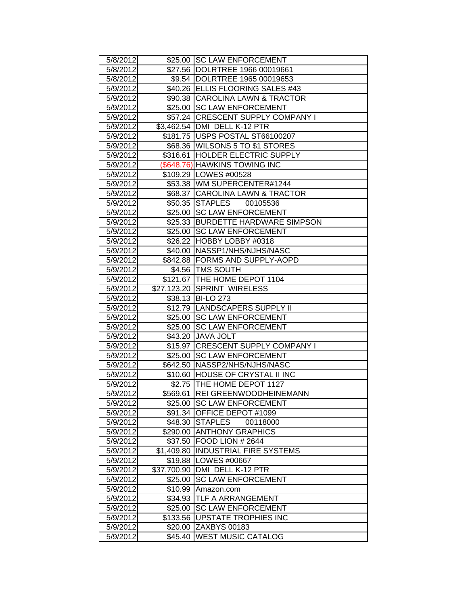| 5/8/2012             |             | \$25.00 SC LAW ENFORCEMENT                                       |
|----------------------|-------------|------------------------------------------------------------------|
| 5/8/2012             |             | \$27.56 DOLRTREE 1966 00019661                                   |
| 5/8/2012             |             | \$9.54  DOLRTREE 1965 00019653                                   |
| 5/9/2012             |             | \$40.26 ELLIS FLOORING SALES #43                                 |
| 5/9/2012             |             | \$90.38 CAROLINA LAWN & TRACTOR                                  |
| 5/9/2012             |             | \$25.00 SC LAW ENFORCEMENT                                       |
| 5/9/2012             |             | \$57.24 CRESCENT SUPPLY COMPANY I                                |
| 5/9/2012             |             | \$3,462.54 DMI DELL K-12 PTR                                     |
| 5/9/2012             |             | \$181.75 USPS POSTAL ST66100207                                  |
| 5/9/2012             |             | \$68.36 WILSONS 5 TO \$1 STORES                                  |
| 5/9/2012             |             | \$316.61 HOLDER ELECTRIC SUPPLY                                  |
| 5/9/2012             |             | (\$648.76) HAWKINS TOWING INC                                    |
| 5/9/2012             |             | \$109.29   LOWES #00528                                          |
| 5/9/2012             |             | \$53.38 WM SUPERCENTER#1244                                      |
| 5/9/2012             |             | \$68.37 CAROLINA LAWN & TRACTOR                                  |
| 5/9/2012             |             | \$50.35 STAPLES<br>00105536                                      |
| 5/9/2012             | \$25.00     | <b>SC LAW ENFORCEMENT</b>                                        |
| 5/9/2012             |             | \$25.33 BURDETTE HARDWARE SIMPSON                                |
| 5/9/2012             | \$25.00     | <b>SC LAW ENFORCEMENT</b>                                        |
| 5/9/2012             |             | \$26.22 HOBBY LOBBY #0318                                        |
| 5/9/2012             |             | \$40.00   NASSP1/NHS/NJHS/NASC                                   |
| 5/9/2012             |             | \$842.88 FORMS AND SUPPLY-AOPD                                   |
| 5/9/2012             |             | \$4.56 TMS SOUTH                                                 |
| 5/9/2012             |             | \$121.67 THE HOME DEPOT 1104                                     |
| 5/9/2012             |             | \$27,123.20 SPRINT WIRELESS                                      |
| 5/9/2012             |             | \$38.13 BI-LO 273                                                |
| 5/9/2012             |             | \$12.79 LANDSCAPERS SUPPLY II                                    |
| 5/9/2012             |             | \$25.00 SC LAW ENFORCEMENT                                       |
| 5/9/2012             |             | \$25.00 SC LAW ENFORCEMENT                                       |
| 5/9/2012             |             | \$43.20 JAVA JOLT                                                |
| 5/9/2012             |             | \$15.97 CRESCENT SUPPLY COMPANY I                                |
| 5/9/2012<br>5/9/2012 | \$25.00     | <b>SC LAW ENFORCEMENT</b>                                        |
| 5/9/2012             |             | \$642.50 NASSP2/NHS/NJHS/NASC<br>\$10.60 HOUSE OF CRYSTAL II INC |
| 5/9/2012             |             | \$2.75 THE HOME DEPOT 1127                                       |
| 5/9/2012             |             | \$569.61 REI GREENWOODHEINEMANN                                  |
| 5/9/2012             | \$25.00     | <b>SC LAW ENFORCEMENT</b>                                        |
| 5/9/2012             | \$91.34     | OFFICE DEPOT #1099                                               |
| 5/9/2012             | \$48.30     | <b>STAPLES</b><br>00118000                                       |
| 5/9/2012             |             | \$290.00 ANTHONY GRAPHICS                                        |
| 5/9/2012             | \$37.50     | FOOD LION # 2644                                                 |
| 5/9/2012             | \$1,409.80  | <b>INDUSTRIAL FIRE SYSTEMS</b>                                   |
| 5/9/2012             | \$19.88     | LOWES #00667                                                     |
| 5/9/2012             | \$37,700.90 | DMI DELL K-12 PTR                                                |
| 5/9/2012             | \$25.00     | <b>SC LAW ENFORCEMENT</b>                                        |
| 5/9/2012             | \$10.99     | Amazon.com                                                       |
| 5/9/2012             | \$34.93     | TLF A ARRANGEMENT                                                |
| 5/9/2012             | \$25.00     | <b>SC LAW ENFORCEMENT</b>                                        |
| 5/9/2012             | \$133.56    | UPSTATE TROPHIES INC                                             |
| 5/9/2012             | \$20.00     | ZAXBYS 00183                                                     |
| 5/9/2012             | \$45.40     | <b>WEST MUSIC CATALOG</b>                                        |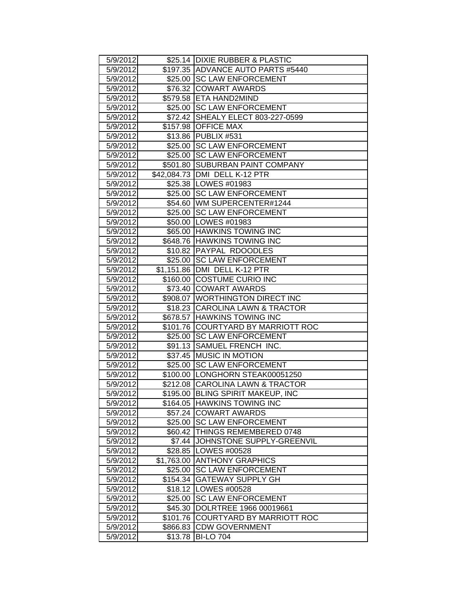| 5/9/2012 |          | \$25.14 DIXIE RUBBER & PLASTIC     |
|----------|----------|------------------------------------|
| 5/9/2012 |          | \$197.35 ADVANCE AUTO PARTS #5440  |
| 5/9/2012 |          | \$25.00 SC LAW ENFORCEMENT         |
| 5/9/2012 |          | \$76.32 COWART AWARDS              |
| 5/9/2012 |          | \$579.58 ETA HAND2MIND             |
| 5/9/2012 |          | \$25.00 SC LAW ENFORCEMENT         |
| 5/9/2012 |          | \$72.42 SHEALY ELECT 803-227-0599  |
| 5/9/2012 |          | \$157.98 OFFICE MAX                |
| 5/9/2012 |          | \$13.86   PUBLIX #531              |
| 5/9/2012 |          | \$25.00 SC LAW ENFORCEMENT         |
| 5/9/2012 |          | \$25.00 SC LAW ENFORCEMENT         |
| 5/9/2012 |          | \$501.80 SUBURBAN PAINT COMPANY    |
| 5/9/2012 |          | \$42,084.73 DMI DELL K-12 PTR      |
| 5/9/2012 |          | \$25.38   LOWES #01983             |
| 5/9/2012 |          | \$25.00 SC LAW ENFORCEMENT         |
| 5/9/2012 |          | \$54.60 WM SUPERCENTER#1244        |
| 5/9/2012 |          | \$25.00 SC LAW ENFORCEMENT         |
| 5/9/2012 |          | \$50.00 LOWES #01983               |
| 5/9/2012 |          | \$65.00 HAWKINS TOWING INC         |
| 5/9/2012 |          | \$648.76 HAWKINS TOWING INC        |
| 5/9/2012 |          | \$10.82 PAYPAL RDOODLES            |
| 5/9/2012 |          | \$25.00 SC LAW ENFORCEMENT         |
| 5/9/2012 |          | \$1,151.86 DMI DELL K-12 PTR       |
| 5/9/2012 |          | \$160.00 COSTUME CURIO INC         |
| 5/9/2012 |          | \$73.40 COWART AWARDS              |
| 5/9/2012 |          | \$908.07   WORTHINGTON DIRECT INC  |
| 5/9/2012 |          | \$18.23 CAROLINA LAWN & TRACTOR    |
| 5/9/2012 |          | \$678.57 HAWKINS TOWING INC        |
| 5/9/2012 |          | \$101.76 COURTYARD BY MARRIOTT ROC |
| 5/9/2012 |          | \$25.00 SC LAW ENFORCEMENT         |
| 5/9/2012 |          | \$91.13 SAMUEL FRENCH INC.         |
| 5/9/2012 |          | \$37.45 MUSIC IN MOTION            |
| 5/9/2012 |          | \$25.00 SC LAW ENFORCEMENT         |
| 5/9/2012 |          | \$100.00 LONGHORN STEAK00051250    |
| 5/9/2012 |          | \$212.08 CAROLINA LAWN & TRACTOR   |
| 5/9/2012 |          | \$195.00 BLING SPIRIT MAKEUP, INC  |
| 5/9/2012 |          | \$164.05 HAWKINS TOWING INC        |
| 5/9/2012 |          | \$57.24 COWART AWARDS              |
| 5/9/2012 |          | \$25.00 SC LAW ENFORCEMENT         |
| 5/9/2012 |          | \$60.42 THINGS REMEMBERED 0748     |
| 5/9/2012 |          | \$7.44 JJOHNSTONE SUPPLY-GREENVIL  |
| 5/9/2012 |          | \$28.85   LOWES #00528             |
| 5/9/2012 |          | \$1,763.00 ANTHONY GRAPHICS        |
| 5/9/2012 | \$25.00  | <b>SC LAW ENFORCEMENT</b>          |
| 5/9/2012 | \$154.34 | <b>GATEWAY SUPPLY GH</b>           |
| 5/9/2012 |          | \$18.12   LOWES #00528             |
| 5/9/2012 |          | \$25.00 SC LAW ENFORCEMENT         |
| 5/9/2012 |          | \$45.30 DOLRTREE 1966 00019661     |
| 5/9/2012 | \$101.76 | <b>COURTYARD BY MARRIOTT ROC</b>   |
| 5/9/2012 | \$866.83 | <b>CDW GOVERNMENT</b>              |
| 5/9/2012 | \$13.78  | <b>BI-LO 704</b>                   |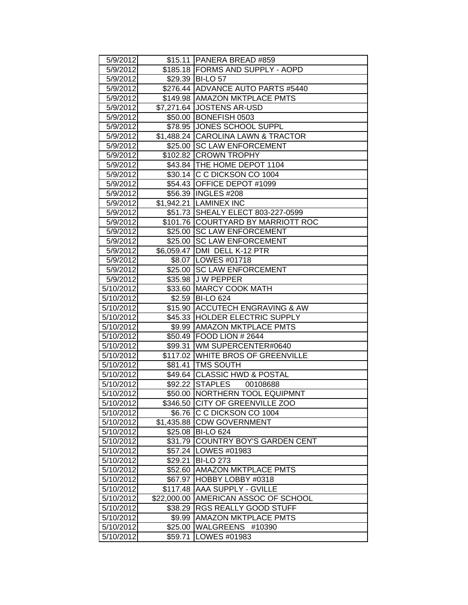| 5/9/2012  |            | \$15.11   PANERA BREAD #859          |
|-----------|------------|--------------------------------------|
| 5/9/2012  |            | \$185.18 FORMS AND SUPPLY - AOPD     |
| 5/9/2012  |            | \$29.39 BI-LO 57                     |
| 5/9/2012  |            | \$276.44 ADVANCE AUTO PARTS #5440    |
| 5/9/2012  |            | \$149.98   AMAZON MKTPLACE PMTS      |
| 5/9/2012  |            | \$7,271.64 JOSTENS AR-USD            |
| 5/9/2012  |            | \$50.00 BONEFISH 0503                |
| 5/9/2012  |            | \$78.95 JONES SCHOOL SUPPL           |
| 5/9/2012  |            | \$1,488.24 CAROLINA LAWN & TRACTOR   |
| 5/9/2012  |            | \$25.00 SC LAW ENFORCEMENT           |
| 5/9/2012  |            | \$102.82 CROWN TROPHY                |
| 5/9/2012  |            | \$43.84 THE HOME DEPOT 1104          |
| 5/9/2012  |            | \$30.14 C C DICKSON CO 1004          |
| 5/9/2012  |            | \$54.43 OFFICE DEPOT #1099           |
| 5/9/2012  |            | \$56.39 INGLES #208                  |
| 5/9/2012  |            | \$1,942.21 LAMINEX INC               |
| 5/9/2012  |            | \$51.73 SHEALY ELECT 803-227-0599    |
| 5/9/2012  |            | \$101.76 COURTYARD BY MARRIOTT ROC   |
| 5/9/2012  |            | \$25.00 SC LAW ENFORCEMENT           |
| 5/9/2012  | \$25.00    | <b>SC LAW ENFORCEMENT</b>            |
| 5/9/2012  |            | \$6,059.47   DMI DELL K-12 PTR       |
| 5/9/2012  |            | \$8.07   LOWES #01718                |
| 5/9/2012  |            | \$25.00 SC LAW ENFORCEMENT           |
| 5/9/2012  |            | \$35.98 J W PEPPER                   |
| 5/10/2012 |            | \$33.60 MARCY COOK MATH              |
| 5/10/2012 |            | \$2.59 BI-LO 624                     |
| 5/10/2012 |            | \$15.90 ACCUTECH ENGRAVING & AW      |
| 5/10/2012 |            | \$45.33 HOLDER ELECTRIC SUPPLY       |
| 5/10/2012 |            | \$9.99 AMAZON MKTPLACE PMTS          |
| 5/10/2012 |            | \$50.49 FOOD LION # 2644             |
| 5/10/2012 |            | \$99.31 WM SUPERCENTER#0640          |
| 5/10/2012 |            | \$117.02 WHITE BROS OF GREENVILLE    |
| 5/10/2012 |            | \$81.41   TMS SOUTH                  |
| 5/10/2012 |            | \$49.64 CLASSIC HWD & POSTAL         |
| 5/10/2012 |            | \$92.22 STAPLES<br>00108688          |
| 5/10/2012 |            | \$50.00 NORTHERN TOOL EQUIPMNT       |
| 5/10/2012 | \$346.50   | CITY OF GREENVILLE ZOO               |
| 5/10/2012 | \$6.76     | C C DICKSON CO 1004                  |
| 5/10/2012 | \$1,435.88 | <b>CDW GOVERNMENT</b>                |
| 5/10/2012 |            | \$25.08 BI-LO 624                    |
| 5/10/2012 | \$31.79    | COUNTRY BOY'S GARDEN CENT            |
| 5/10/2012 | \$57.24    | LOWES #01983                         |
| 5/10/2012 | \$29.21    | <b>BI-LO 273</b>                     |
| 5/10/2012 | \$52.60    | <b>AMAZON MKTPLACE PMTS</b>          |
| 5/10/2012 | \$67.97    | HOBBY LOBBY #0318                    |
| 5/10/2012 | \$117.48   | AAA SUPPLY - GVILLE                  |
| 5/10/2012 |            | \$22,000.00 AMERICAN ASSOC OF SCHOOL |
| 5/10/2012 | \$38.29∣   | RGS REALLY GOOD STUFF                |
| 5/10/2012 | \$9.99     | <b>AMAZON MKTPLACE PMTS</b>          |
| 5/10/2012 | \$25.00    | <b>WALGREENS</b><br>#10390           |
| 5/10/2012 | \$59.71    | LOWES #01983                         |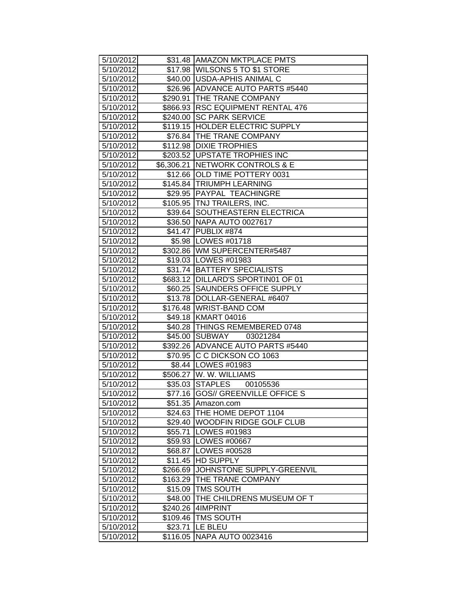| 5/10/2012 |          | \$31.48   AMAZON MKTPLACE PMTS       |
|-----------|----------|--------------------------------------|
| 5/10/2012 |          | \$17.98 WILSONS 5 TO \$1 STORE       |
| 5/10/2012 |          | \$40.00   USDA-APHIS ANIMAL C        |
| 5/10/2012 |          | \$26.96 ADVANCE AUTO PARTS #5440     |
| 5/10/2012 |          | \$290.91 THE TRANE COMPANY           |
| 5/10/2012 |          | \$866.93 RSC EQUIPMENT RENTAL 476    |
| 5/10/2012 |          | \$240.00 SC PARK SERVICE             |
| 5/10/2012 |          | \$119.15 HOLDER ELECTRIC SUPPLY      |
| 5/10/2012 |          | \$76.84 THE TRANE COMPANY            |
| 5/10/2012 |          | \$112.98 DIXIE TROPHIES              |
| 5/10/2012 |          | \$203.52 UPSTATE TROPHIES INC        |
| 5/10/2012 |          | \$6,306.21   NETWORK CONTROLS & E    |
| 5/10/2012 |          | \$12.66   OLD TIME POTTERY 0031      |
| 5/10/2012 |          | \$145.84 TRIUMPH LEARNING            |
| 5/10/2012 |          | \$29.95 PAYPAL TEACHINGRE            |
| 5/10/2012 |          | \$105.95   TNJ TRAILERS, INC.        |
| 5/10/2012 |          | \$39.64 SOUTHEASTERN ELECTRICA       |
| 5/10/2012 |          | \$36.50 NAPA AUTO 0027617            |
| 5/10/2012 |          | \$41.47 PUBLIX #874                  |
| 5/10/2012 |          | \$5.98   LOWES #01718                |
| 5/10/2012 |          | \$302.86 WM SUPERCENTER#5487         |
| 5/10/2012 |          | \$19.03 LOWES #01983                 |
| 5/10/2012 |          | \$31.74   BATTERY SPECIALISTS        |
| 5/10/2012 |          | \$683.12   DILLARD'S SPORTIN01 OF 01 |
| 5/10/2012 |          | \$60.25 SAUNDERS OFFICE SUPPLY       |
| 5/10/2012 |          | \$13.78   DOLLAR-GENERAL #6407       |
| 5/10/2012 |          | \$176.48 WRIST-BAND COM              |
| 5/10/2012 |          | \$49.18 KMART 04016                  |
| 5/10/2012 |          | \$40.28 THINGS REMEMBERED 0748       |
| 5/10/2012 |          | \$45.00 SUBWAY<br>03021284           |
| 5/10/2012 |          | \$392.26 ADVANCE AUTO PARTS #5440    |
| 5/10/2012 |          | \$70.95 C C DICKSON CO 1063          |
| 5/10/2012 |          | \$8.44 LOWES #01983                  |
| 5/10/2012 |          | \$506.27 W. W. WILLIAMS              |
| 5/10/2012 |          | \$35.03 STAPLES<br>00105536          |
| 5/10/2012 |          | \$77.16 GOS// GREENVILLE OFFICE S    |
| 5/10/2012 |          | \$51.35 Amazon.com                   |
| 5/10/2012 | \$24.63  | THE HOME DEPOT 1104                  |
| 5/10/2012 | \$29.40  | <b>WOODFIN RIDGE GOLF CLUB</b>       |
| 5/10/2012 | \$55.71  | <b>LOWES #01983</b>                  |
| 5/10/2012 |          | \$59.93   LOWES #00667               |
| 5/10/2012 | \$68.87  | LOWES #00528                         |
| 5/10/2012 | \$11.45  | <b>HD SUPPLY</b>                     |
| 5/10/2012 | \$266.69 | JOHNSTONE SUPPLY-GREENVIL            |
| 5/10/2012 | \$163.29 | THE TRANE COMPANY                    |
| 5/10/2012 | \$15.09  | <b>TMS SOUTH</b>                     |
| 5/10/2012 | \$48.00  | THE CHILDRENS MUSEUM OF T            |
| 5/10/2012 | \$240.26 | 4IMPRINT                             |
| 5/10/2012 | \$109.46 | <b>TMS SOUTH</b>                     |
| 5/10/2012 | \$23.71  | LE BLEU                              |
| 5/10/2012 | \$116.05 | <b>NAPA AUTO 0023416</b>             |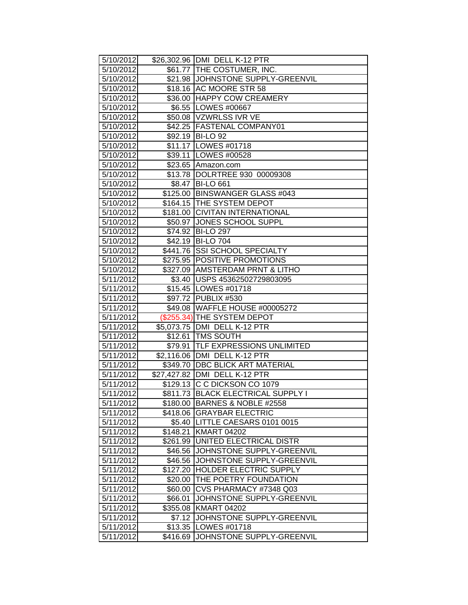| 5/10/2012              |                     | \$26,302.96 DMI DELL K-12 PTR                                   |
|------------------------|---------------------|-----------------------------------------------------------------|
| 5/10/2012              |                     | \$61.77   THE COSTUMER, INC.                                    |
| 5/10/2012              |                     | \$21.98 JJOHNSTONE SUPPLY-GREENVIL                              |
| 5/10/2012              |                     | \$18.16 AC MOORE STR 58                                         |
| 5/10/2012              |                     | \$36.00 HAPPY COW CREAMERY                                      |
| 5/10/2012              |                     | \$6.55   LOWES #00667                                           |
| 5/10/2012              |                     | \$50.08 VZWRLSS IVR VE                                          |
| 5/10/2012              |                     | \$42.25 FASTENAL COMPANY01                                      |
| 5/10/2012              |                     | \$92.19 BI-LO 92                                                |
| 5/10/2012              |                     | \$11.17 LOWES #01718                                            |
| 5/10/2012              |                     | \$39.11   LOWES #00528                                          |
| 5/10/2012              |                     | \$23.65 Amazon.com                                              |
| 5/10/2012              |                     | \$13.78 DOLRTREE 930 00009308                                   |
| 5/10/2012              |                     | \$8.47 BI-LO 661                                                |
| 5/10/2012              |                     | \$125.00 BINSWANGER GLASS #043                                  |
| 5/10/2012              |                     | \$164.15 THE SYSTEM DEPOT                                       |
| 5/10/2012              |                     | \$181.00 CIVITAN INTERNATIONAL                                  |
| 5/10/2012              | \$50.97             | <b>JONES SCHOOL SUPPL</b>                                       |
| 5/10/2012              | \$74.92             | <b>BI-LO 297</b>                                                |
| 5/10/2012              | $\overline{$}42.19$ | <b>BI-LO 704</b>                                                |
| 5/10/2012              |                     | \$441.76 SSI SCHOOL SPECIALTY                                   |
| 5/10/2012              |                     | \$275.95 POSITIVE PROMOTIONS                                    |
| 5/10/2012              |                     | \$327.09 AMSTERDAM PRNT & LITHO                                 |
| 5/11/2012              |                     | \$3.40 USPS 45362502729803095                                   |
| 5/11/2012              |                     | \$15.45   LOWES #01718                                          |
| 5/11/2012              |                     | \$97.72 PUBLIX #530                                             |
| 5/11/2012              |                     | \$49.08 WAFFLE HOUSE #00005272                                  |
| 5/11/2012              |                     | (\$255.34) THE SYSTEM DEPOT                                     |
| 5/11/2012              |                     | \$5,073.75   DMI DELL K-12 PTR                                  |
| 5/11/2012              |                     | \$12.61 TMS SOUTH                                               |
| 5/11/2012              |                     | \$79.91   TLF EXPRESSIONS UNLIMITED                             |
| 5/11/2012              |                     | \$2,116.06 DMI DELL K-12 PTR                                    |
| 5/11/2012              |                     | \$349.70 DBC BLICK ART MATERIAL                                 |
| 5/11/2012              |                     | \$27,427.82 DMI DELL K-12 PTR                                   |
| 5/11/2012              |                     | \$129.13 C C DICKSON CO 1079                                    |
| 5/11/2012              |                     | \$811.73 BLACK ELECTRICAL SUPPLY I                              |
| 5/11/2012              |                     | \$180.00 BARNES & NOBLE #2558                                   |
| 5/11/2012              |                     | \$418.06 GRAYBAR ELECTRIC                                       |
| 5/11/2012              |                     | \$5.40   LITTLE CAESARS 0101 0015                               |
| 5/11/2012              | \$148.21            | <b>KMART 04202</b>                                              |
| 5/11/2012              |                     | \$261.99 UNITED ELECTRICAL DISTR                                |
| 5/11/2012              |                     | \$46.56 JJOHNSTONE SUPPLY-GREENVIL<br>JOHNSTONE SUPPLY-GREENVIL |
| 5/11/2012              | \$46.56             | <b>HOLDER ELECTRIC SUPPLY</b>                                   |
| 5/11/2012<br>5/11/2012 | \$127.20<br>\$20.00 | <b>THE POETRY FOUNDATION</b>                                    |
| 5/11/2012              | \$60.00             | CVS PHARMACY #7348 Q03                                          |
| 5/11/2012              | \$66.01             | JOHNSTONE SUPPLY-GREENVIL                                       |
| 5/11/2012              | \$355.08            | <b>KMART 04202</b>                                              |
| 5/11/2012              | \$7.12              | JOHNSTONE SUPPLY-GREENVIL                                       |
| 5/11/2012              | \$13.35             | LOWES #01718                                                    |
| 5/11/2012              | \$416.69            | JOHNSTONE SUPPLY-GREENVIL                                       |
|                        |                     |                                                                 |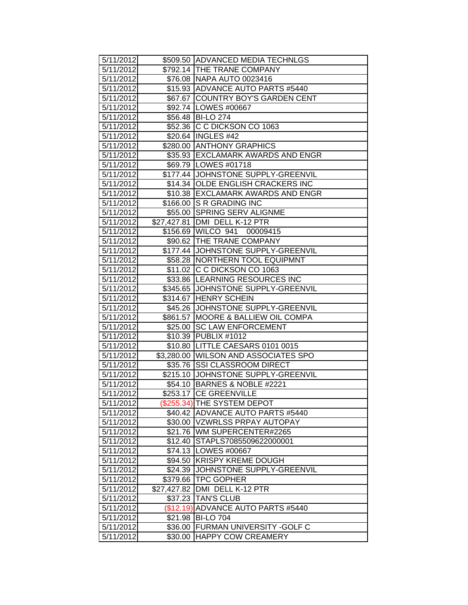| 5/11/2012              |             | \$509.50 ADVANCED MEDIA TECHNLGS     |
|------------------------|-------------|--------------------------------------|
| 5/11/2012              |             | \$792.14 THE TRANE COMPANY           |
| 5/11/2012              |             | \$76.08 NAPA AUTO 0023416            |
| 5/11/2012              |             | \$15.93 ADVANCE AUTO PARTS #5440     |
| 5/11/2012              |             | \$67.67 COUNTRY BOY'S GARDEN CENT    |
| 5/11/2012              |             | \$92.74   LOWES #00667               |
| 5/11/2012              |             | \$56.48 BI-LO 274                    |
| 5/11/2012              |             | \$52.36 C C DICKSON CO 1063          |
| 5/11/2012              |             | \$20.64   INGLES #42                 |
| 5/11/2012              |             | \$280.00 ANTHONY GRAPHICS            |
| 5/11/2012              |             | \$35.93 EXCLAMARK AWARDS AND ENGR    |
| 5/11/2012              |             | \$69.79   LOWES #01718               |
| 5/11/2012              |             | \$177.44 JOHNSTONE SUPPLY-GREENVIL   |
| 5/11/2012              |             | \$14.34 OLDE ENGLISH CRACKERS INC    |
| 5/11/2012              |             | \$10.38 EXCLAMARK AWARDS AND ENGR    |
| 5/11/2012              |             | \$166.00 S R GRADING INC             |
| 5/11/2012              |             | \$55.00 SPRING SERV ALIGNME          |
| 5/11/2012              |             | \$27,427.81 DMI DELL K-12 PTR        |
| 5/11/2012              |             | \$156.69 WILCO 941 00009415          |
| 5/11/2012              |             | \$90.62 THE TRANE COMPANY            |
| 5/11/2012              |             | \$177.44 JOHNSTONE SUPPLY-GREENVIL   |
| 5/11/2012              |             | \$58.28   NORTHERN TOOL EQUIPMNT     |
| 5/11/2012              |             | \$11.02 C C DICKSON CO 1063          |
| 5/11/2012              |             | \$33.86 LEARNING RESOURCES INC       |
| 5/11/2012              |             | \$345.65 JJOHNSTONE SUPPLY-GREENVIL  |
| 5/11/2012              |             | \$314.67 HENRY SCHEIN                |
| 5/11/2012              |             | \$45.26 JJOHNSTONE SUPPLY-GREENVIL   |
| 5/11/2012              |             | \$861.57   MOORE & BALLIEW OIL COMPA |
| 5/11/2012              |             | \$25.00 SC LAW ENFORCEMENT           |
| 5/11/2012              |             | \$10.39 PUBLIX #1012                 |
| 5/11/2012              |             | \$10.80   LITTLE CAESARS 0101 0015   |
| 5/11/2012              |             | \$3,280.00 WILSON AND ASSOCIATES SPO |
| 5/11/2012              |             | \$35.76 SSI CLASSROOM DIRECT         |
| 5/11/2012              |             | \$215.10 JOHNSTONE SUPPLY-GREENVIL   |
| 5/11/2012              |             | \$54.10 BARNES & NOBLE #2221         |
| $\overline{5/11/2012}$ |             | \$253.17 CE GREENVILLE               |
| 5/11/2012              |             | (\$255.34) THE SYSTEM DEPOT          |
| 5/11/2012              |             | \$40.42 ADVANCE AUTO PARTS #5440     |
| 5/11/2012              |             | \$30.00   VZWRLSS PRPAY AUTOPAY      |
| 5/11/2012              |             | \$21.76   WM SUPERCENTER#2265        |
| 5/11/2012              |             | \$12.40 STAPLS7085509622000001       |
| 5/11/2012              |             | \$74.13   LOWES #00667               |
| 5/11/2012              | \$94.50     | <b>KRISPY KREME DOUGH</b>            |
| 5/11/2012              | \$24.39     | JOHNSTONE SUPPLY-GREENVIL            |
| 5/11/2012              | \$379.66    | <b>TPC GOPHER</b>                    |
| 5/11/2012              | \$27,427.82 | DMI DELL K-12 PTR                    |
| 5/11/2012              |             | \$37.23 TAN'S CLUB                   |
| 5/11/2012              |             | (\$12.19) ADVANCE AUTO PARTS #5440   |
| 5/11/2012              |             | \$21.98 BI-LO 704                    |
| 5/11/2012              |             | \$36.00 FURMAN UNIVERSITY - GOLF C   |
| 5/11/2012              | \$30.00     | <b>HAPPY COW CREAMERY</b>            |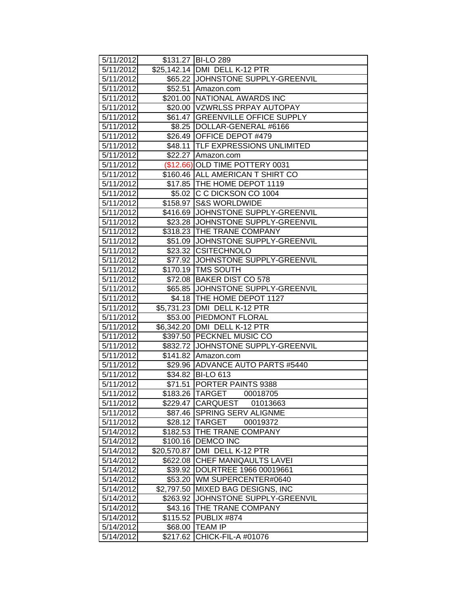| 5/11/2012              |                       | \$131.27 BI-LO 289                                  |
|------------------------|-----------------------|-----------------------------------------------------|
| 5/11/2012              |                       | \$25,142.14   DMI DELL K-12 PTR                     |
| 5/11/2012              |                       | \$65.22 JJOHNSTONE SUPPLY-GREENVIL                  |
| 5/11/2012              |                       | \$52.51 Amazon.com                                  |
| 5/11/2012              |                       | \$201.00 NATIONAL AWARDS INC                        |
| 5/11/2012              |                       | \$20.00 VZWRLSS PRPAY AUTOPAY                       |
| 5/11/2012              |                       | \$61.47 GREENVILLE OFFICE SUPPLY                    |
| 5/11/2012              |                       | \$8.25  DOLLAR-GENERAL #6166                        |
| 5/11/2012              |                       | \$26.49 OFFICE DEPOT #479                           |
| 5/11/2012              |                       | \$48.11 TLF EXPRESSIONS UNLIMITED                   |
| 5/11/2012              |                       | \$22.27 Amazon.com                                  |
| 5/11/2012              |                       | (\$12.66) OLD TIME POTTERY 0031                     |
| 5/11/2012              |                       | \$160.46 ALL AMERICAN T SHIRT CO                    |
| 5/11/2012              |                       | \$17.85 THE HOME DEPOT 1119                         |
| 5/11/2012              |                       | \$5.02 C C DICKSON CO 1004                          |
| 5/11/2012              |                       | \$158.97 S&S WORLDWIDE                              |
| 5/11/2012              |                       | \$416.69 JJOHNSTONE SUPPLY-GREENVIL                 |
| 5/11/2012              |                       | \$23.28 JJOHNSTONE SUPPLY-GREENVIL                  |
| 5/11/2012              |                       | \$318.23 THE TRANE COMPANY                          |
| 5/11/2012              |                       | \$51.09 JJOHNSTONE SUPPLY-GREENVIL                  |
| 5/11/2012              |                       | \$23.32 CSITECHNOLO                                 |
| 5/11/2012              |                       | \$77.92 JOHNSTONE SUPPLY-GREENVIL                   |
| 5/11/2012              |                       | \$170.19 TMS SOUTH                                  |
| 5/11/2012              |                       | \$72.08 BAKER DIST CO 578                           |
| 5/11/2012              |                       | \$65.85 JJOHNSTONE SUPPLY-GREENVIL                  |
| 5/11/2012              |                       | \$4.18   THE HOME DEPOT 1127                        |
| 5/11/2012              |                       | \$5,731.23 DMI DELL K-12 PTR                        |
| 5/11/2012              |                       | \$53.00 PIEDMONT FLORAL                             |
| 5/11/2012              |                       | \$6,342.20 DMI DELL K-12 PTR                        |
| 5/11/2012              |                       | \$397.50 PECKNEL MUSIC CO                           |
| 5/11/2012              |                       | \$832.72 JJOHNSTONE SUPPLY-GREENVIL                 |
| 5/11/2012              |                       | \$141.82 Amazon.com                                 |
| 5/11/2012              |                       | \$29.96 ADVANCE AUTO PARTS #5440                    |
| 5/11/2012              |                       | \$34.82 BI-LO 613                                   |
| 5/11/2012              |                       | \$71.51 PORTER PAINTS 9388                          |
| 5/11/2012              |                       | \$183.26 TARGET<br>00018705                         |
| 5/11/2012              |                       | \$229.47 CARQUEST 01013663                          |
| 5/11/2012              | \$87.46               | <b>SPRING SERV ALIGNME</b>                          |
| 5/11/2012              |                       | \$28.12 TARGET<br>00019372                          |
| 5/14/2012              | \$182.53              | THE TRANE COMPANY                                   |
| 5/14/2012              | \$100.16              | <b>DEMCO INC</b>                                    |
| 5/14/2012              | \$20,570.87           | DMI DELL K-12 PTR                                   |
| 5/14/2012              | \$622.08              | CHEF MANIQAULTS LAVEI<br>DOLRTREE 1966 00019661     |
| 5/14/2012              | \$39.92               | WM SUPERCENTER#0640                                 |
| 5/14/2012<br>5/14/2012 | \$53.20<br>\$2,797.50 |                                                     |
|                        |                       | MIXED BAG DESIGNS, INC<br>JOHNSTONE SUPPLY-GREENVIL |
| 5/14/2012<br>5/14/2012 | \$263.92              | THE TRANE COMPANY                                   |
| 5/14/2012              | \$43.16<br>\$115.52   | PUBLIX #874                                         |
| 5/14/2012              | \$68.00               | <b>TEAM IP</b>                                      |
| 5/14/2012              | \$217.62              | CHICK-FIL-A #01076                                  |
|                        |                       |                                                     |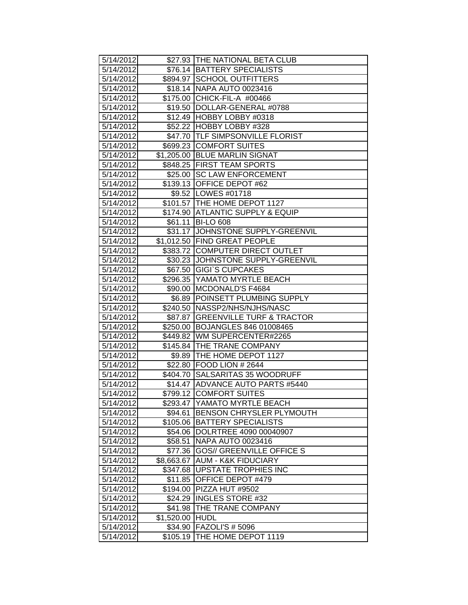| 5/14/2012 |            | \$27.93 THE NATIONAL BETA CLUB     |
|-----------|------------|------------------------------------|
| 5/14/2012 |            | \$76.14 BATTERY SPECIALISTS        |
| 5/14/2012 |            | \$894.97 SCHOOL OUTFITTERS         |
| 5/14/2012 |            | \$18.14 NAPA AUTO 0023416          |
| 5/14/2012 |            | \$175.00 CHICK-FIL-A #00466        |
| 5/14/2012 |            | \$19.50   DOLLAR-GENERAL #0788     |
| 5/14/2012 |            | \$12.49 HOBBY LOBBY #0318          |
| 5/14/2012 |            | \$52.22 HOBBY LOBBY #328           |
| 5/14/2012 |            | \$47.70 TLF SIMPSONVILLE FLORIST   |
| 5/14/2012 |            | \$699.23 COMFORT SUITES            |
| 5/14/2012 |            | \$1,205.00 BLUE MARLIN SIGNAT      |
| 5/14/2012 |            | \$848.25   FIRST TEAM SPORTS       |
| 5/14/2012 |            | \$25.00 SC LAW ENFORCEMENT         |
| 5/14/2012 |            | \$139.13 OFFICE DEPOT #62          |
| 5/14/2012 |            | \$9.52   LOWES #01718              |
| 5/14/2012 |            | \$101.57 THE HOME DEPOT 1127       |
| 5/14/2012 |            | \$174.90 ATLANTIC SUPPLY & EQUIP   |
| 5/14/2012 |            | \$61.11 BI-LO 608                  |
| 5/14/2012 |            | \$31.17 JOHNSTONE SUPPLY-GREENVIL  |
| 5/14/2012 |            | \$1,012.50 FIND GREAT PEOPLE       |
| 5/14/2012 |            | \$383.72 COMPUTER DIRECT OUTLET    |
| 5/14/2012 |            | \$30.23 JJOHNSTONE SUPPLY-GREENVIL |
| 5/14/2012 |            | \$67.50 GIGI'S CUPCAKES            |
| 5/14/2012 |            | \$296.35 YAMATO MYRTLE BEACH       |
| 5/14/2012 |            | \$90.00 MCDONALD'S F4684           |
| 5/14/2012 |            | \$6.89 POINSETT PLUMBING SUPPLY    |
| 5/14/2012 |            | \$240.50   NASSP2/NHS/NJHS/NASC    |
| 5/14/2012 |            | \$87.87 GREENVILLE TURF & TRACTOR  |
| 5/14/2012 |            | \$250.00 BOJANGLES 846 01008465    |
| 5/14/2012 |            | \$449.82 WM SUPERCENTER#2265       |
| 5/14/2012 |            | \$145.84 THE TRANE COMPANY         |
| 5/14/2012 |            | \$9.89 THE HOME DEPOT 1127         |
| 5/14/2012 |            | \$22.80 FOOD LION # 2644           |
| 5/14/2012 |            | \$404.70 SALSARITAS 35 WOODRUFF    |
| 5/14/2012 |            | \$14.47 ADVANCE AUTO PARTS #5440   |
| 5/14/2012 |            | \$799.12 COMFORT SUITES            |
| 5/14/2012 | \$293.47   | <b>IYAMATO MYRTLE BEACH</b>        |
| 5/14/2012 | \$94.61    | BENSON CHRYSLER PLYMOUTH           |
| 5/14/2012 |            | \$105.06 BATTERY SPECIALISTS       |
| 5/14/2012 | \$54.06    | DOLRTREE 4090 00040907             |
| 5/14/2012 | \$58.51    | <b>NAPA AUTO 0023416</b>           |
| 5/14/2012 | \$77.36    | <b>GOS// GREENVILLE OFFICE S</b>   |
| 5/14/2012 | \$8,663.67 | <b>AUM - K&amp;K FIDUCIARY</b>     |
| 5/14/2012 | \$347.68   | <b>UPSTATE TROPHIES INC</b>        |
| 5/14/2012 | \$11.85    | OFFICE DEPOT #479                  |
| 5/14/2012 | \$194.00   | PIZZA HUT #9502                    |
| 5/14/2012 | \$24.29    | <b>INGLES STORE #32</b>            |
| 5/14/2012 | \$41.98    | THE TRANE COMPANY                  |
| 5/14/2012 | \$1,520.00 | <b>HUDL</b>                        |
| 5/14/2012 | \$34.90    | <b>FAZOLI'S # 5096</b>             |
| 5/14/2012 | \$105.19   | THE HOME DEPOT 1119                |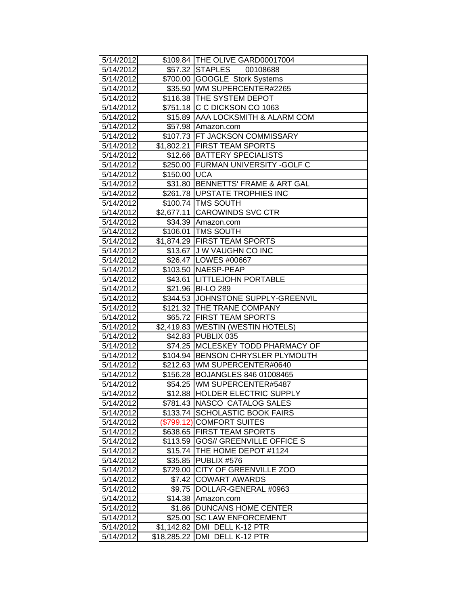| 5/14/2012              |                | \$109.84 THE OLIVE GARD00017004     |
|------------------------|----------------|-------------------------------------|
| 5/14/2012              |                | \$57.32 STAPLES<br>00108688         |
| 5/14/2012              |                | \$700.00 GOOGLE Stork Systems       |
| 5/14/2012              |                | \$35.50 WM SUPERCENTER#2265         |
| 5/14/2012              |                | \$116.38 THE SYSTEM DEPOT           |
| 5/14/2012              |                | \$751.18 C C DICKSON CO 1063        |
| 5/14/2012              |                | \$15.89 AAA LOCKSMITH & ALARM COM   |
| 5/14/2012              |                | \$57.98 Amazon.com                  |
| 5/14/2012              |                | \$107.73 FT JACKSON COMMISSARY      |
| 5/14/2012              |                | \$1,802.21 FIRST TEAM SPORTS        |
| 5/14/2012              |                | \$12.66   BATTERY SPECIALISTS       |
| 5/14/2012              |                | \$250.00 FURMAN UNIVERSITY - GOLF C |
| 5/14/2012              | \$150.00   UCA |                                     |
| 5/14/2012              |                | \$31.80 BENNETTS' FRAME & ART GAL   |
| 5/14/2012              |                | \$261.78 UPSTATE TROPHIES INC       |
| 5/14/2012              |                | \$100.74 TMS SOUTH                  |
| 5/14/2012              |                | \$2,677.11 CAROWINDS SVC CTR        |
| 5/14/2012              |                | \$34.39 Amazon.com                  |
| 5/14/2012              |                | \$106.01 TMS SOUTH                  |
| 5/14/2012              |                | \$1,874.29 FIRST TEAM SPORTS        |
| 5/14/2012              |                | \$13.67 J W VAUGHN CO INC           |
| 5/14/2012              |                | \$26.47 LOWES #00667                |
| 5/14/2012              |                | \$103.50 NAESP-PEAP                 |
| 5/14/2012              |                | \$43.61  LITTLEJOHN PORTABLE        |
| 5/14/2012              |                | \$21.96 BI-LO 289                   |
| 5/14/2012              |                | \$344.53 JJOHNSTONE SUPPLY-GREENVIL |
| 5/14/2012              |                | \$121.32 THE TRANE COMPANY          |
| 5/14/2012              |                | \$65.72 FIRST TEAM SPORTS           |
| 5/14/2012              |                | \$2,419.83 WESTIN (WESTIN HOTELS)   |
| 5/14/2012              |                | \$42.83 PUBLIX 035                  |
| 5/14/2012              |                | \$74.25 MCLESKEY TODD PHARMACY OF   |
| 5/14/2012              |                | \$104.94 BENSON CHRYSLER PLYMOUTH   |
| 5/14/2012              |                | \$212.63 WM SUPERCENTER#0640        |
| $\overline{5}/14/2012$ |                | \$156.28 BOJANGLES 846 01008465     |
| 5/14/2012              |                | \$54.25 WM SUPERCENTER#5487         |
| 5/14/2012              |                | \$12.88 HOLDER ELECTRIC SUPPLY      |
| 5/14/2012              |                | \$781.43   NASCO CATALOG SALES      |
| 5/14/2012              |                | \$133.74 SCHOLASTIC BOOK FAIRS      |
| 5/14/2012              |                | (\$799.12) COMFORT SUITES           |
| 5/14/2012              |                | \$638.65 FIRST TEAM SPORTS          |
| 5/14/2012              |                | \$113.59 GOS// GREENVILLE OFFICE S  |
| 5/14/2012              |                | \$15.74 THE HOME DEPOT #1124        |
| 5/14/2012              | \$35.85        | PUBLIX #576                         |
| 5/14/2012              | \$729.00       | <b>CITY OF GREENVILLE ZOO</b>       |
| 5/14/2012              | \$7.42         | <b>COWART AWARDS</b>                |
| 5/14/2012              | \$9.75         | <b>IDOLLAR-GENERAL #0963</b>        |
| 5/14/2012              | \$14.38        | Amazon.com                          |
| 5/14/2012              | \$1.86         | <b>DUNCANS HOME CENTER</b>          |
| 5/14/2012              | \$25.00        | <b>SC LAW ENFORCEMENT</b>           |
| 5/14/2012              | \$1,142.82     | DMI DELL K-12 PTR                   |
| 5/14/2012              | \$18,285.22    | DMI DELL K-12 PTR                   |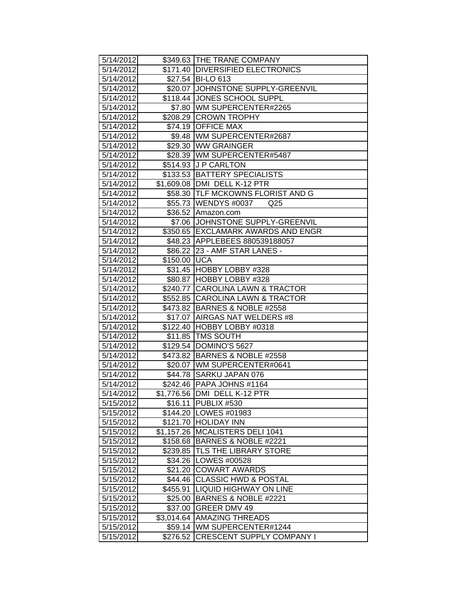| 5/14/2012<br>\$349.63 THE TRANE COMPANY<br>\$171.40 DIVERSIFIED ELECTRONICS<br>5/14/2012<br>\$27.54 BI-LO 613<br>5/14/2012<br>5/14/2012<br>\$20.07 JJOHNSTONE SUPPLY-GREENVIL<br>\$118.44 JONES SCHOOL SUPPL<br>5/14/2012<br>\$7.80 WM SUPERCENTER#2265<br>5/14/2012<br>5/14/2012<br>\$208.29 CROWN TROPHY<br>\$74.19 OFFICE MAX<br>5/14/2012<br>\$9.48   WM SUPERCENTER#2687<br>5/14/2012<br>5/14/2012<br>\$29.30 WW GRAINGER<br>\$28.39   WM SUPERCENTER#5487<br>5/14/2012<br>\$514.93 J P CARLTON<br>5/14/2012<br>5/14/2012<br>\$133.53 BATTERY SPECIALISTS<br>5/14/2012<br>\$1,609.08 DMI DELL K-12 PTR<br>5/14/2012<br>\$58.30 TLF MCKOWNS FLORIST AND G<br>5/14/2012<br>\$55.73 WENDYS #0037<br>Q <sub>25</sub><br>5/14/2012<br>\$36.52 Amazon.com<br>5/14/2012<br>\$7.06 JOHNSTONE SUPPLY-GREENVIL<br>\$350.65 EXCLAMARK AWARDS AND ENGR<br>5/14/2012<br>\$48.23 APPLEBEES 880539188057<br>5/14/2012<br>5/14/2012<br>\$86.22 23 - AMF STAR LANES -<br>$$150.00$ UCA<br>5/14/2012<br>5/14/2012<br>\$31.45 HOBBY LOBBY #328<br>5/14/2012<br>\$80.87 HOBBY LOBBY #328<br>\$240.77 CAROLINA LAWN & TRACTOR<br>5/14/2012<br>5/14/2012<br>\$552.85 CAROLINA LAWN & TRACTOR<br>5/14/2012<br>\$473.82 BARNES & NOBLE #2558<br>5/14/2012<br>\$17.07   AIRGAS NAT WELDERS #8<br>5/14/2012<br>\$122.40 HOBBY LOBBY #0318<br>\$11.85 TMS SOUTH<br>5/14/2012<br>\$129.54 DOMINO'S 5627<br>5/14/2012<br>\$473.82 BARNES & NOBLE #2558<br>5/14/2012<br>\$20.07   WM SUPERCENTER#0641<br>5/14/2012<br>\$44.78 SARKU JAPAN 076<br>5/14/2012<br>5/14/2012<br>\$242.46 PAPA JOHNS #1164<br>5/14/2012<br>\$1,776.56 DMI DELL K-12 PTR<br>5/15/2012<br>\$16.11<br>PUBLIX #530<br>5/15/2012<br>\$144.20   LOWES #01983<br>5/15/2012<br>\$121.70 HOLIDAY INN<br>\$1,157.26   MCALISTERS DELI 1041<br>5/15/2012<br>5/15/2012<br>\$158.68 BARNES & NOBLE #2221<br><b>TLS THE LIBRARY STORE</b><br>5/15/2012<br>\$239.85<br>LOWES #00528<br>5/15/2012<br>\$34.26<br><b>COWART AWARDS</b><br>5/15/2012<br>\$21.20<br>5/15/2012<br><b>CLASSIC HWD &amp; POSTAL</b><br>\$44.46<br>5/15/2012<br><b>LIQUID HIGHWAY ON LINE</b><br>\$455.91<br>\$25.00 BARNES & NOBLE #2221<br>5/15/2012<br><b>GREER DMV 49</b><br>5/15/2012<br>\$37.00<br>5/15/2012<br><b>AMAZING THREADS</b><br>\$3,014.64<br>WM SUPERCENTER#1244<br>5/15/2012<br>\$59.14∣ |           |          |                                  |
|---------------------------------------------------------------------------------------------------------------------------------------------------------------------------------------------------------------------------------------------------------------------------------------------------------------------------------------------------------------------------------------------------------------------------------------------------------------------------------------------------------------------------------------------------------------------------------------------------------------------------------------------------------------------------------------------------------------------------------------------------------------------------------------------------------------------------------------------------------------------------------------------------------------------------------------------------------------------------------------------------------------------------------------------------------------------------------------------------------------------------------------------------------------------------------------------------------------------------------------------------------------------------------------------------------------------------------------------------------------------------------------------------------------------------------------------------------------------------------------------------------------------------------------------------------------------------------------------------------------------------------------------------------------------------------------------------------------------------------------------------------------------------------------------------------------------------------------------------------------------------------------------------------------------------------------------------------------------------------------------------------------------------------------------------------------------------------------------------------------------------------------------------------------------------------------------------------------------------------------------------------------------------------------------------------------------|-----------|----------|----------------------------------|
|                                                                                                                                                                                                                                                                                                                                                                                                                                                                                                                                                                                                                                                                                                                                                                                                                                                                                                                                                                                                                                                                                                                                                                                                                                                                                                                                                                                                                                                                                                                                                                                                                                                                                                                                                                                                                                                                                                                                                                                                                                                                                                                                                                                                                                                                                                                     |           |          |                                  |
|                                                                                                                                                                                                                                                                                                                                                                                                                                                                                                                                                                                                                                                                                                                                                                                                                                                                                                                                                                                                                                                                                                                                                                                                                                                                                                                                                                                                                                                                                                                                                                                                                                                                                                                                                                                                                                                                                                                                                                                                                                                                                                                                                                                                                                                                                                                     |           |          |                                  |
|                                                                                                                                                                                                                                                                                                                                                                                                                                                                                                                                                                                                                                                                                                                                                                                                                                                                                                                                                                                                                                                                                                                                                                                                                                                                                                                                                                                                                                                                                                                                                                                                                                                                                                                                                                                                                                                                                                                                                                                                                                                                                                                                                                                                                                                                                                                     |           |          |                                  |
|                                                                                                                                                                                                                                                                                                                                                                                                                                                                                                                                                                                                                                                                                                                                                                                                                                                                                                                                                                                                                                                                                                                                                                                                                                                                                                                                                                                                                                                                                                                                                                                                                                                                                                                                                                                                                                                                                                                                                                                                                                                                                                                                                                                                                                                                                                                     |           |          |                                  |
|                                                                                                                                                                                                                                                                                                                                                                                                                                                                                                                                                                                                                                                                                                                                                                                                                                                                                                                                                                                                                                                                                                                                                                                                                                                                                                                                                                                                                                                                                                                                                                                                                                                                                                                                                                                                                                                                                                                                                                                                                                                                                                                                                                                                                                                                                                                     |           |          |                                  |
|                                                                                                                                                                                                                                                                                                                                                                                                                                                                                                                                                                                                                                                                                                                                                                                                                                                                                                                                                                                                                                                                                                                                                                                                                                                                                                                                                                                                                                                                                                                                                                                                                                                                                                                                                                                                                                                                                                                                                                                                                                                                                                                                                                                                                                                                                                                     |           |          |                                  |
|                                                                                                                                                                                                                                                                                                                                                                                                                                                                                                                                                                                                                                                                                                                                                                                                                                                                                                                                                                                                                                                                                                                                                                                                                                                                                                                                                                                                                                                                                                                                                                                                                                                                                                                                                                                                                                                                                                                                                                                                                                                                                                                                                                                                                                                                                                                     |           |          |                                  |
|                                                                                                                                                                                                                                                                                                                                                                                                                                                                                                                                                                                                                                                                                                                                                                                                                                                                                                                                                                                                                                                                                                                                                                                                                                                                                                                                                                                                                                                                                                                                                                                                                                                                                                                                                                                                                                                                                                                                                                                                                                                                                                                                                                                                                                                                                                                     |           |          |                                  |
|                                                                                                                                                                                                                                                                                                                                                                                                                                                                                                                                                                                                                                                                                                                                                                                                                                                                                                                                                                                                                                                                                                                                                                                                                                                                                                                                                                                                                                                                                                                                                                                                                                                                                                                                                                                                                                                                                                                                                                                                                                                                                                                                                                                                                                                                                                                     |           |          |                                  |
|                                                                                                                                                                                                                                                                                                                                                                                                                                                                                                                                                                                                                                                                                                                                                                                                                                                                                                                                                                                                                                                                                                                                                                                                                                                                                                                                                                                                                                                                                                                                                                                                                                                                                                                                                                                                                                                                                                                                                                                                                                                                                                                                                                                                                                                                                                                     |           |          |                                  |
|                                                                                                                                                                                                                                                                                                                                                                                                                                                                                                                                                                                                                                                                                                                                                                                                                                                                                                                                                                                                                                                                                                                                                                                                                                                                                                                                                                                                                                                                                                                                                                                                                                                                                                                                                                                                                                                                                                                                                                                                                                                                                                                                                                                                                                                                                                                     |           |          |                                  |
|                                                                                                                                                                                                                                                                                                                                                                                                                                                                                                                                                                                                                                                                                                                                                                                                                                                                                                                                                                                                                                                                                                                                                                                                                                                                                                                                                                                                                                                                                                                                                                                                                                                                                                                                                                                                                                                                                                                                                                                                                                                                                                                                                                                                                                                                                                                     |           |          |                                  |
|                                                                                                                                                                                                                                                                                                                                                                                                                                                                                                                                                                                                                                                                                                                                                                                                                                                                                                                                                                                                                                                                                                                                                                                                                                                                                                                                                                                                                                                                                                                                                                                                                                                                                                                                                                                                                                                                                                                                                                                                                                                                                                                                                                                                                                                                                                                     |           |          |                                  |
|                                                                                                                                                                                                                                                                                                                                                                                                                                                                                                                                                                                                                                                                                                                                                                                                                                                                                                                                                                                                                                                                                                                                                                                                                                                                                                                                                                                                                                                                                                                                                                                                                                                                                                                                                                                                                                                                                                                                                                                                                                                                                                                                                                                                                                                                                                                     |           |          |                                  |
|                                                                                                                                                                                                                                                                                                                                                                                                                                                                                                                                                                                                                                                                                                                                                                                                                                                                                                                                                                                                                                                                                                                                                                                                                                                                                                                                                                                                                                                                                                                                                                                                                                                                                                                                                                                                                                                                                                                                                                                                                                                                                                                                                                                                                                                                                                                     |           |          |                                  |
|                                                                                                                                                                                                                                                                                                                                                                                                                                                                                                                                                                                                                                                                                                                                                                                                                                                                                                                                                                                                                                                                                                                                                                                                                                                                                                                                                                                                                                                                                                                                                                                                                                                                                                                                                                                                                                                                                                                                                                                                                                                                                                                                                                                                                                                                                                                     |           |          |                                  |
|                                                                                                                                                                                                                                                                                                                                                                                                                                                                                                                                                                                                                                                                                                                                                                                                                                                                                                                                                                                                                                                                                                                                                                                                                                                                                                                                                                                                                                                                                                                                                                                                                                                                                                                                                                                                                                                                                                                                                                                                                                                                                                                                                                                                                                                                                                                     |           |          |                                  |
|                                                                                                                                                                                                                                                                                                                                                                                                                                                                                                                                                                                                                                                                                                                                                                                                                                                                                                                                                                                                                                                                                                                                                                                                                                                                                                                                                                                                                                                                                                                                                                                                                                                                                                                                                                                                                                                                                                                                                                                                                                                                                                                                                                                                                                                                                                                     |           |          |                                  |
|                                                                                                                                                                                                                                                                                                                                                                                                                                                                                                                                                                                                                                                                                                                                                                                                                                                                                                                                                                                                                                                                                                                                                                                                                                                                                                                                                                                                                                                                                                                                                                                                                                                                                                                                                                                                                                                                                                                                                                                                                                                                                                                                                                                                                                                                                                                     |           |          |                                  |
|                                                                                                                                                                                                                                                                                                                                                                                                                                                                                                                                                                                                                                                                                                                                                                                                                                                                                                                                                                                                                                                                                                                                                                                                                                                                                                                                                                                                                                                                                                                                                                                                                                                                                                                                                                                                                                                                                                                                                                                                                                                                                                                                                                                                                                                                                                                     |           |          |                                  |
|                                                                                                                                                                                                                                                                                                                                                                                                                                                                                                                                                                                                                                                                                                                                                                                                                                                                                                                                                                                                                                                                                                                                                                                                                                                                                                                                                                                                                                                                                                                                                                                                                                                                                                                                                                                                                                                                                                                                                                                                                                                                                                                                                                                                                                                                                                                     |           |          |                                  |
|                                                                                                                                                                                                                                                                                                                                                                                                                                                                                                                                                                                                                                                                                                                                                                                                                                                                                                                                                                                                                                                                                                                                                                                                                                                                                                                                                                                                                                                                                                                                                                                                                                                                                                                                                                                                                                                                                                                                                                                                                                                                                                                                                                                                                                                                                                                     |           |          |                                  |
|                                                                                                                                                                                                                                                                                                                                                                                                                                                                                                                                                                                                                                                                                                                                                                                                                                                                                                                                                                                                                                                                                                                                                                                                                                                                                                                                                                                                                                                                                                                                                                                                                                                                                                                                                                                                                                                                                                                                                                                                                                                                                                                                                                                                                                                                                                                     |           |          |                                  |
|                                                                                                                                                                                                                                                                                                                                                                                                                                                                                                                                                                                                                                                                                                                                                                                                                                                                                                                                                                                                                                                                                                                                                                                                                                                                                                                                                                                                                                                                                                                                                                                                                                                                                                                                                                                                                                                                                                                                                                                                                                                                                                                                                                                                                                                                                                                     |           |          |                                  |
|                                                                                                                                                                                                                                                                                                                                                                                                                                                                                                                                                                                                                                                                                                                                                                                                                                                                                                                                                                                                                                                                                                                                                                                                                                                                                                                                                                                                                                                                                                                                                                                                                                                                                                                                                                                                                                                                                                                                                                                                                                                                                                                                                                                                                                                                                                                     |           |          |                                  |
|                                                                                                                                                                                                                                                                                                                                                                                                                                                                                                                                                                                                                                                                                                                                                                                                                                                                                                                                                                                                                                                                                                                                                                                                                                                                                                                                                                                                                                                                                                                                                                                                                                                                                                                                                                                                                                                                                                                                                                                                                                                                                                                                                                                                                                                                                                                     |           |          |                                  |
|                                                                                                                                                                                                                                                                                                                                                                                                                                                                                                                                                                                                                                                                                                                                                                                                                                                                                                                                                                                                                                                                                                                                                                                                                                                                                                                                                                                                                                                                                                                                                                                                                                                                                                                                                                                                                                                                                                                                                                                                                                                                                                                                                                                                                                                                                                                     |           |          |                                  |
|                                                                                                                                                                                                                                                                                                                                                                                                                                                                                                                                                                                                                                                                                                                                                                                                                                                                                                                                                                                                                                                                                                                                                                                                                                                                                                                                                                                                                                                                                                                                                                                                                                                                                                                                                                                                                                                                                                                                                                                                                                                                                                                                                                                                                                                                                                                     |           |          |                                  |
|                                                                                                                                                                                                                                                                                                                                                                                                                                                                                                                                                                                                                                                                                                                                                                                                                                                                                                                                                                                                                                                                                                                                                                                                                                                                                                                                                                                                                                                                                                                                                                                                                                                                                                                                                                                                                                                                                                                                                                                                                                                                                                                                                                                                                                                                                                                     |           |          |                                  |
|                                                                                                                                                                                                                                                                                                                                                                                                                                                                                                                                                                                                                                                                                                                                                                                                                                                                                                                                                                                                                                                                                                                                                                                                                                                                                                                                                                                                                                                                                                                                                                                                                                                                                                                                                                                                                                                                                                                                                                                                                                                                                                                                                                                                                                                                                                                     |           |          |                                  |
|                                                                                                                                                                                                                                                                                                                                                                                                                                                                                                                                                                                                                                                                                                                                                                                                                                                                                                                                                                                                                                                                                                                                                                                                                                                                                                                                                                                                                                                                                                                                                                                                                                                                                                                                                                                                                                                                                                                                                                                                                                                                                                                                                                                                                                                                                                                     |           |          |                                  |
|                                                                                                                                                                                                                                                                                                                                                                                                                                                                                                                                                                                                                                                                                                                                                                                                                                                                                                                                                                                                                                                                                                                                                                                                                                                                                                                                                                                                                                                                                                                                                                                                                                                                                                                                                                                                                                                                                                                                                                                                                                                                                                                                                                                                                                                                                                                     |           |          |                                  |
|                                                                                                                                                                                                                                                                                                                                                                                                                                                                                                                                                                                                                                                                                                                                                                                                                                                                                                                                                                                                                                                                                                                                                                                                                                                                                                                                                                                                                                                                                                                                                                                                                                                                                                                                                                                                                                                                                                                                                                                                                                                                                                                                                                                                                                                                                                                     |           |          |                                  |
|                                                                                                                                                                                                                                                                                                                                                                                                                                                                                                                                                                                                                                                                                                                                                                                                                                                                                                                                                                                                                                                                                                                                                                                                                                                                                                                                                                                                                                                                                                                                                                                                                                                                                                                                                                                                                                                                                                                                                                                                                                                                                                                                                                                                                                                                                                                     |           |          |                                  |
|                                                                                                                                                                                                                                                                                                                                                                                                                                                                                                                                                                                                                                                                                                                                                                                                                                                                                                                                                                                                                                                                                                                                                                                                                                                                                                                                                                                                                                                                                                                                                                                                                                                                                                                                                                                                                                                                                                                                                                                                                                                                                                                                                                                                                                                                                                                     |           |          |                                  |
|                                                                                                                                                                                                                                                                                                                                                                                                                                                                                                                                                                                                                                                                                                                                                                                                                                                                                                                                                                                                                                                                                                                                                                                                                                                                                                                                                                                                                                                                                                                                                                                                                                                                                                                                                                                                                                                                                                                                                                                                                                                                                                                                                                                                                                                                                                                     |           |          |                                  |
|                                                                                                                                                                                                                                                                                                                                                                                                                                                                                                                                                                                                                                                                                                                                                                                                                                                                                                                                                                                                                                                                                                                                                                                                                                                                                                                                                                                                                                                                                                                                                                                                                                                                                                                                                                                                                                                                                                                                                                                                                                                                                                                                                                                                                                                                                                                     |           |          |                                  |
|                                                                                                                                                                                                                                                                                                                                                                                                                                                                                                                                                                                                                                                                                                                                                                                                                                                                                                                                                                                                                                                                                                                                                                                                                                                                                                                                                                                                                                                                                                                                                                                                                                                                                                                                                                                                                                                                                                                                                                                                                                                                                                                                                                                                                                                                                                                     |           |          |                                  |
|                                                                                                                                                                                                                                                                                                                                                                                                                                                                                                                                                                                                                                                                                                                                                                                                                                                                                                                                                                                                                                                                                                                                                                                                                                                                                                                                                                                                                                                                                                                                                                                                                                                                                                                                                                                                                                                                                                                                                                                                                                                                                                                                                                                                                                                                                                                     |           |          |                                  |
|                                                                                                                                                                                                                                                                                                                                                                                                                                                                                                                                                                                                                                                                                                                                                                                                                                                                                                                                                                                                                                                                                                                                                                                                                                                                                                                                                                                                                                                                                                                                                                                                                                                                                                                                                                                                                                                                                                                                                                                                                                                                                                                                                                                                                                                                                                                     |           |          |                                  |
|                                                                                                                                                                                                                                                                                                                                                                                                                                                                                                                                                                                                                                                                                                                                                                                                                                                                                                                                                                                                                                                                                                                                                                                                                                                                                                                                                                                                                                                                                                                                                                                                                                                                                                                                                                                                                                                                                                                                                                                                                                                                                                                                                                                                                                                                                                                     |           |          |                                  |
|                                                                                                                                                                                                                                                                                                                                                                                                                                                                                                                                                                                                                                                                                                                                                                                                                                                                                                                                                                                                                                                                                                                                                                                                                                                                                                                                                                                                                                                                                                                                                                                                                                                                                                                                                                                                                                                                                                                                                                                                                                                                                                                                                                                                                                                                                                                     |           |          |                                  |
|                                                                                                                                                                                                                                                                                                                                                                                                                                                                                                                                                                                                                                                                                                                                                                                                                                                                                                                                                                                                                                                                                                                                                                                                                                                                                                                                                                                                                                                                                                                                                                                                                                                                                                                                                                                                                                                                                                                                                                                                                                                                                                                                                                                                                                                                                                                     |           |          |                                  |
|                                                                                                                                                                                                                                                                                                                                                                                                                                                                                                                                                                                                                                                                                                                                                                                                                                                                                                                                                                                                                                                                                                                                                                                                                                                                                                                                                                                                                                                                                                                                                                                                                                                                                                                                                                                                                                                                                                                                                                                                                                                                                                                                                                                                                                                                                                                     |           |          |                                  |
|                                                                                                                                                                                                                                                                                                                                                                                                                                                                                                                                                                                                                                                                                                                                                                                                                                                                                                                                                                                                                                                                                                                                                                                                                                                                                                                                                                                                                                                                                                                                                                                                                                                                                                                                                                                                                                                                                                                                                                                                                                                                                                                                                                                                                                                                                                                     |           |          |                                  |
|                                                                                                                                                                                                                                                                                                                                                                                                                                                                                                                                                                                                                                                                                                                                                                                                                                                                                                                                                                                                                                                                                                                                                                                                                                                                                                                                                                                                                                                                                                                                                                                                                                                                                                                                                                                                                                                                                                                                                                                                                                                                                                                                                                                                                                                                                                                     |           |          |                                  |
|                                                                                                                                                                                                                                                                                                                                                                                                                                                                                                                                                                                                                                                                                                                                                                                                                                                                                                                                                                                                                                                                                                                                                                                                                                                                                                                                                                                                                                                                                                                                                                                                                                                                                                                                                                                                                                                                                                                                                                                                                                                                                                                                                                                                                                                                                                                     |           |          |                                  |
|                                                                                                                                                                                                                                                                                                                                                                                                                                                                                                                                                                                                                                                                                                                                                                                                                                                                                                                                                                                                                                                                                                                                                                                                                                                                                                                                                                                                                                                                                                                                                                                                                                                                                                                                                                                                                                                                                                                                                                                                                                                                                                                                                                                                                                                                                                                     |           |          |                                  |
|                                                                                                                                                                                                                                                                                                                                                                                                                                                                                                                                                                                                                                                                                                                                                                                                                                                                                                                                                                                                                                                                                                                                                                                                                                                                                                                                                                                                                                                                                                                                                                                                                                                                                                                                                                                                                                                                                                                                                                                                                                                                                                                                                                                                                                                                                                                     |           |          |                                  |
|                                                                                                                                                                                                                                                                                                                                                                                                                                                                                                                                                                                                                                                                                                                                                                                                                                                                                                                                                                                                                                                                                                                                                                                                                                                                                                                                                                                                                                                                                                                                                                                                                                                                                                                                                                                                                                                                                                                                                                                                                                                                                                                                                                                                                                                                                                                     | 5/15/2012 | \$276.52 | <b>CRESCENT SUPPLY COMPANY I</b> |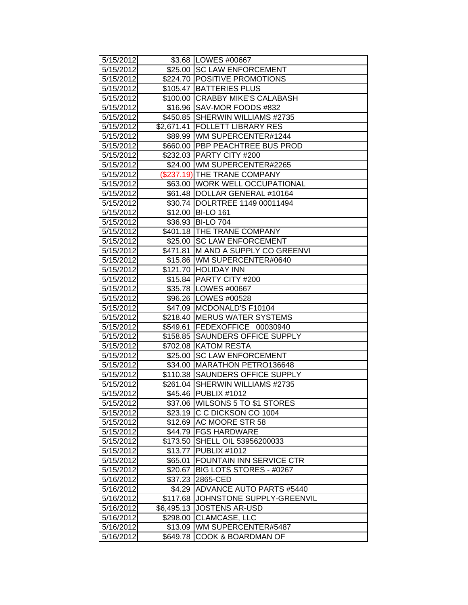| 5/15/2012 |                     | \$3.68   LOWES #00667             |
|-----------|---------------------|-----------------------------------|
| 5/15/2012 |                     | \$25.00 SC LAW ENFORCEMENT        |
| 5/15/2012 |                     | \$224.70 POSITIVE PROMOTIONS      |
| 5/15/2012 | \$105.47            | <b>BATTERIES PLUS</b>             |
| 5/15/2012 |                     | \$100.00 CRABBY MIKE'S CALABASH   |
| 5/15/2012 |                     | \$16.96 SAV-MOR FOODS #832        |
| 5/15/2012 |                     | \$450.85 SHERWIN WILLIAMS #2735   |
| 5/15/2012 | \$2,671.41          | <b>FOLLETT LIBRARY RES</b>        |
| 5/15/2012 |                     | \$89.99   WM SUPERCENTER#1244     |
| 5/15/2012 |                     | \$660.00 PBP PEACHTREE BUS PROD   |
| 5/15/2012 |                     | \$232.03 PARTY CITY #200          |
| 5/15/2012 |                     | \$24.00 WM SUPERCENTER#2265       |
| 5/15/2012 |                     | (\$237.19) THE TRANE COMPANY      |
| 5/15/2012 |                     | \$63.00   WORK WELL OCCUPATIONAL  |
| 5/15/2012 |                     | \$61.48   DOLLAR GENERAL #10164   |
| 5/15/2012 | \$30.74             | DOLRTREE 1149 00011494            |
| 5/15/2012 | $\overline{$}12.00$ | <b>BI-LO 161</b>                  |
| 5/15/2012 | \$36.93             | <b>BI-LO 704</b>                  |
| 5/15/2012 |                     | \$401.18 THE TRANE COMPANY        |
| 5/15/2012 | \$25.00             | <b>SC LAW ENFORCEMENT</b>         |
| 5/15/2012 | \$471.81            | M AND A SUPPLY CO GREENVI         |
| 5/15/2012 |                     | \$15.86 WM SUPERCENTER#0640       |
| 5/15/2012 |                     | \$121.70 HOLIDAY INN              |
| 5/15/2012 |                     | \$15.84   PARTY CITY #200         |
| 5/15/2012 |                     | \$35.78   LOWES #00667            |
| 5/15/2012 |                     | \$96.26   LOWES #00528            |
| 5/15/2012 |                     | \$47.09 MCDONALD'S F10104         |
| 5/15/2012 |                     | \$218.40   MERUS WATER SYSTEMS    |
| 5/15/2012 | \$549.61            | FEDEXOFFICE 00030940              |
| 5/15/2012 | \$158.85            | <b>SAUNDERS OFFICE SUPPLY</b>     |
| 5/15/2012 |                     | \$702.08 KATOM RESTA              |
| 5/15/2012 | \$25.00             | <b>SC LAW ENFORCEMENT</b>         |
| 5/15/2012 | \$34.00             | MARATHON PETRO136648              |
| 5/15/2012 |                     | \$110.38 SAUNDERS OFFICE SUPPLY   |
| 5/15/2012 |                     | \$261.04 SHERWIN WILLIAMS #2735   |
| 5/15/2012 |                     | \$45.46 PUBLIX #1012              |
| 5/15/2012 |                     | \$37.06   WILSONS 5 TO \$1 STORES |
| 5/15/2012 | \$23.19             | IC C DICKSON CO 1004              |
| 5/15/2012 |                     | \$12.69 AC MOORE STR 58           |
| 5/15/2012 | \$44.79             | <b>FGS HARDWARE</b>               |
| 5/15/2012 | \$173.50            | SHELL OIL 53956200033             |
| 5/15/2012 | \$13.77             | PUBLIX #1012                      |
| 5/15/2012 | \$65.01             | <b>FOUNTAIN INN SERVICE CTR</b>   |
| 5/15/2012 | \$20.67             | BIG LOTS STORES - #0267           |
| 5/16/2012 | \$37.23             | 2865-CED                          |
| 5/16/2012 | \$4.29              | ADVANCE AUTO PARTS #5440          |
| 5/16/2012 | \$117.68            | JOHNSTONE SUPPLY-GREENVIL         |
| 5/16/2012 | \$6,495.13          | <b>JOSTENS AR-USD</b>             |
| 5/16/2012 | \$298.00            | CLAMCASE, LLC                     |
| 5/16/2012 |                     | \$13.09   WM SUPERCENTER#5487     |
| 5/16/2012 | \$649.78            | <b>COOK &amp; BOARDMAN OF</b>     |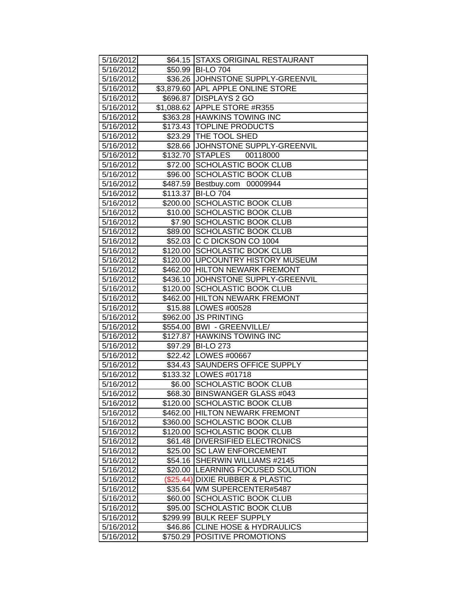| 5/16/2012              |           | \$64.15 STAXS ORIGINAL RESTAURANT   |
|------------------------|-----------|-------------------------------------|
| 5/16/2012              |           | \$50.99 BI-LO 704                   |
| 5/16/2012              |           | \$36.26 JJOHNSTONE SUPPLY-GREENVIL  |
| 5/16/2012              |           | \$3,879.60 APL APPLE ONLINE STORE   |
| 5/16/2012              |           | \$696.87 DISPLAYS 2 GO              |
| 5/16/2012              |           | \$1,088.62 APPLE STORE #R355        |
| 5/16/2012              |           | \$363.28 HAWKINS TOWING INC         |
| 5/16/2012              |           | \$173.43 TOPLINE PRODUCTS           |
| 5/16/2012              |           | \$23.29 THE TOOL SHED               |
| 5/16/2012              |           | \$28.66 JJOHNSTONE SUPPLY-GREENVIL  |
| 5/16/2012              |           | \$132.70 STAPLES<br>00118000        |
| 5/16/2012              |           | \$72.00 SCHOLASTIC BOOK CLUB        |
| 5/16/2012              |           | \$96.00 SCHOLASTIC BOOK CLUB        |
| 5/16/2012              |           | \$487.59 Bestbuy.com 00009944       |
| 5/16/2012              | \$113.37  | <b>BI-LO 704</b>                    |
| 5/16/2012              |           | \$200.00 SCHOLASTIC BOOK CLUB       |
| 5/16/2012              |           | \$10.00 SCHOLASTIC BOOK CLUB        |
| 5/16/2012              |           | \$7.90 SCHOLASTIC BOOK CLUB         |
| 5/16/2012              |           | \$89.00 SCHOLASTIC BOOK CLUB        |
| 5/16/2012              |           | \$52.03 C C DICKSON CO 1004         |
| 5/16/2012              |           | \$120.00 SCHOLASTIC BOOK CLUB       |
| 5/16/2012              |           | \$120.00 UPCOUNTRY HISTORY MUSEUM   |
| 5/16/2012              |           | \$462.00 HILTON NEWARK FREMONT      |
| 5/16/2012              |           | \$436.10 JJOHNSTONE SUPPLY-GREENVIL |
| 5/16/2012              |           | \$120.00 SCHOLASTIC BOOK CLUB       |
| 5/16/2012              |           | \$462.00 HILTON NEWARK FREMONT      |
| 5/16/2012              |           | \$15.88   LOWES #00528              |
| 5/16/2012              |           | \$962.00 JS PRINTING                |
| 5/16/2012              |           | \$554.00 BWI - GREENVILLE/          |
| 5/16/2012              |           | \$127.87 HAWKINS TOWING INC         |
| 5/16/2012              |           | \$97.29 BI-LO 273                   |
| 5/16/2012              |           | \$22.42   LOWES #00667              |
| 5/16/2012              |           | \$34.43 SAUNDERS OFFICE SUPPLY      |
| 5/16/2012              |           | \$133.32 LOWES #01718               |
| 5/16/2012              |           | \$6.00 SCHOLASTIC BOOK CLUB         |
| $\overline{5/16/2012}$ |           | \$68.30 BINSWANGER GLASS #043       |
| 5/16/2012              |           | \$120.00 SCHOLASTIC BOOK CLUB       |
| 5/16/2012              |           | \$462.00 HILTON NEWARK FREMONT      |
| 5/16/2012              | \$360.00  | <b>SCHOLASTIC BOOK CLUB</b>         |
| 5/16/2012              |           | \$120.00 SCHOLASTIC BOOK CLUB       |
| 5/16/2012              |           | \$61.48   DIVERSIFIED ELECTRONICS   |
| 5/16/2012              | \$25.00   | <b>SC LAW ENFORCEMENT</b>           |
| 5/16/2012              | \$54.16   | SHERWIN WILLIAMS #2145              |
| 5/16/2012              | \$20.00   | <b>LEARNING FOCUSED SOLUTION</b>    |
| 5/16/2012              | (\$25.44) | <b>DIXIE RUBBER &amp; PLASTIC</b>   |
| 5/16/2012              | \$35.64   | WM SUPERCENTER#5487                 |
| 5/16/2012              | \$60.00   | <b>SCHOLASTIC BOOK CLUB</b>         |
| 5/16/2012              | \$95.00   | <b>SCHOLASTIC BOOK CLUB</b>         |
| 5/16/2012              | \$299.99  | <b>BULK REEF SUPPLY</b>             |
| 5/16/2012              | \$46.86   | <b>CLINE HOSE &amp; HYDRAULICS</b>  |
| 5/16/2012              | \$750.29  | <b>POSITIVE PROMOTIONS</b>          |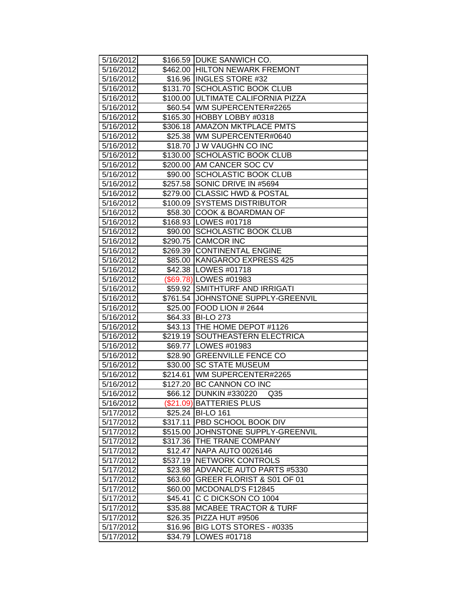| 5/16/2012 |         | \$166.59   DUKE SANWICH CO.          |
|-----------|---------|--------------------------------------|
| 5/16/2012 |         | \$462.00 HILTON NEWARK FREMONT       |
| 5/16/2012 |         | \$16.96 INGLES STORE #32             |
| 5/16/2012 |         | \$131.70 SCHOLASTIC BOOK CLUB        |
| 5/16/2012 |         | \$100.00   ULTIMATE CALIFORNIA PIZZA |
| 5/16/2012 |         | \$60.54 WM SUPERCENTER#2265          |
| 5/16/2012 |         | \$165.30 HOBBY LOBBY #0318           |
| 5/16/2012 |         | \$306.18   AMAZON MKTPLACE PMTS      |
| 5/16/2012 |         | \$25.38   WM SUPERCENTER#0640        |
| 5/16/2012 |         | \$18.70 J W VAUGHN CO INC            |
| 5/16/2012 |         | \$130.00 SCHOLASTIC BOOK CLUB        |
| 5/16/2012 |         | \$200.00 AM CANCER SOC CV            |
| 5/16/2012 |         | \$90.00 SCHOLASTIC BOOK CLUB         |
| 5/16/2012 |         | \$257.58 SONIC DRIVE IN #5694        |
| 5/16/2012 |         | \$279.00 CLASSIC HWD & POSTAL        |
| 5/16/2012 |         | \$100.09 SYSTEMS DISTRIBUTOR         |
| 5/16/2012 |         | \$58.30 COOK & BOARDMAN OF           |
| 5/16/2012 |         | \$168.93 LOWES #01718                |
| 5/16/2012 |         | \$90.00 SCHOLASTIC BOOK CLUB         |
| 5/16/2012 |         | \$290.75 CAMCOR INC                  |
| 5/16/2012 |         | \$269.39 CONTINENTAL ENGINE          |
| 5/16/2012 |         | \$85.00 KANGAROO EXPRESS 425         |
| 5/16/2012 |         | \$42.38   LOWES #01718               |
| 5/16/2012 |         | (\$69.78) LOWES #01983               |
| 5/16/2012 |         | \$59.92 SMITHTURF AND IRRIGATI       |
| 5/16/2012 |         | \$761.54 JOHNSTONE SUPPLY-GREENVIL   |
| 5/16/2012 |         | \$25.00 FOOD LION # 2644             |
| 5/16/2012 |         | \$64.33 BI-LO 273                    |
| 5/16/2012 |         | \$43.13   THE HOME DEPOT #1126       |
| 5/16/2012 |         | \$219.19 SOUTHEASTERN ELECTRICA      |
| 5/16/2012 |         | \$69.77   LOWES #01983               |
| 5/16/2012 |         | \$28.90 GREENVILLE FENCE CO          |
| 5/16/2012 |         | \$30.00 SC STATE MUSEUM              |
| 5/16/2012 |         | \$214.61   WM SUPERCENTER#2265       |
| 5/16/2012 |         | \$127.20 BC CANNON CO INC            |
| 5/16/2012 |         | \$66.12 DUNKIN #330220<br>Q35        |
| 5/16/2012 |         | (\$21.09) BATTERIES PLUS             |
| 5/17/2012 |         | \$25.24 BI-LO 161                    |
| 5/17/2012 |         | \$317.11   PBD SCHOOL BOOK DIV       |
| 5/17/2012 |         | \$515.00 JOHNSTONE SUPPLY-GREENVIL   |
| 5/17/2012 |         | \$317.36 THE TRANE COMPANY           |
| 5/17/2012 |         | \$12.47 NAPA AUTO 0026146            |
| 5/17/2012 |         | \$537.19 NETWORK CONTROLS            |
| 5/17/2012 |         | \$23.98 ADVANCE AUTO PARTS #5330     |
| 5/17/2012 |         | \$63.60 GREER FLORIST & S01 OF 01    |
| 5/17/2012 |         | \$60.00 MCDONALD'S F12845            |
| 5/17/2012 | \$45.41 | C C DICKSON CO 1004                  |
| 5/17/2012 | \$35.88 | <b>MCABEE TRACTOR &amp; TURF</b>     |
| 5/17/2012 | \$26.35 | PIZZA HUT #9506                      |
| 5/17/2012 | \$16.96 | BIG LOTS STORES - #0335              |
| 5/17/2012 | \$34.79 | LOWES #01718                         |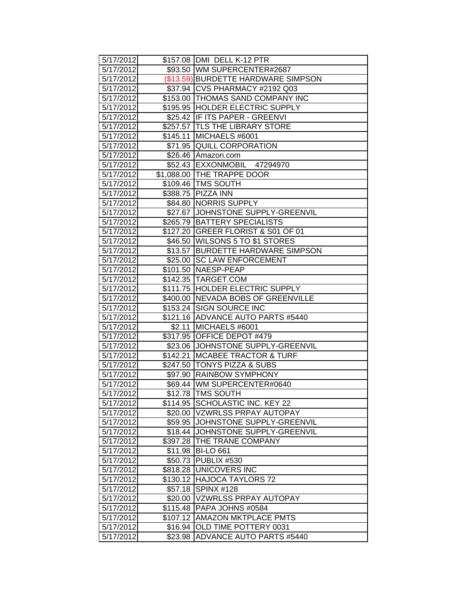| 5/17/2012 |          | \$157.08   DMI DELL K-12 PTR        |
|-----------|----------|-------------------------------------|
| 5/17/2012 |          | \$93.50 WM SUPERCENTER#2687         |
| 5/17/2012 |          | (\$13.59) BURDETTE HARDWARE SIMPSON |
| 5/17/2012 |          | \$37.94 CVS PHARMACY #2192 Q03      |
| 5/17/2012 |          | \$153.00 THOMAS SAND COMPANY INC    |
| 5/17/2012 |          | \$195.95 HOLDER ELECTRIC SUPPLY     |
| 5/17/2012 |          | \$25.42 IF ITS PAPER - GREENVI      |
| 5/17/2012 |          | \$257.57 TLS THE LIBRARY STORE      |
| 5/17/2012 |          | \$145.11 MICHAELS #6001             |
| 5/17/2012 |          | \$71.95 QUILL CORPORATION           |
| 5/17/2012 |          | \$26.46 Amazon.com                  |
| 5/17/2012 |          | \$52.43 EXXONMOBIL 47294970         |
| 5/17/2012 |          | \$1,088.00 THE TRAPPE DOOR          |
| 5/17/2012 |          | \$109.46   TMS SOUTH                |
| 5/17/2012 |          | \$388.75 PIZZA INN                  |
| 5/17/2012 |          | \$84.80 NORRIS SUPPLY               |
| 5/17/2012 |          | \$27.67 JOHNSTONE SUPPLY-GREENVIL   |
| 5/17/2012 |          | \$265.79 BATTERY SPECIALISTS        |
| 5/17/2012 |          | \$127.20 GREER FLORIST & S01 OF 01  |
| 5/17/2012 |          | \$46.50 WILSONS 5 TO \$1 STORES     |
| 5/17/2012 |          | \$13.57 BURDETTE HARDWARE SIMPSON   |
| 5/17/2012 |          | \$25.00 SC LAW ENFORCEMENT          |
| 5/17/2012 |          | \$101.50 NAESP-PEAP                 |
| 5/17/2012 |          | \$142.35 TARGET.COM                 |
| 5/17/2012 |          | \$111.75 HOLDER ELECTRIC SUPPLY     |
| 5/17/2012 |          | \$400.00 NEVADA BOBS OF GREENVILLE  |
| 5/17/2012 |          | \$153.24 SIGN SOURCE INC            |
| 5/17/2012 |          | \$121.16 ADVANCE AUTO PARTS #5440   |
| 5/17/2012 | \$2.11   | MICHAELS #6001                      |
| 5/17/2012 |          | \$317.95 OFFICE DEPOT #479          |
| 5/17/2012 |          | \$23.06 JOHNSTONE SUPPLY-GREENVIL   |
| 5/17/2012 |          | \$142.21 MCABEE TRACTOR & TURF      |
| 5/17/2012 |          | \$247.50 TONYS PIZZA & SUBS         |
| 5/17/2012 |          | \$97.90 RAINBOW SYMPHONY            |
| 5/17/2012 |          | \$69.44 WM SUPERCENTER#0640         |
| 5/17/2012 |          | \$12.78   TMS SOUTH                 |
| 5/17/2012 |          | \$114.95 SCHOLASTIC INC. KEY 22     |
| 5/17/2012 |          | \$20.00 VZWRLSS PRPAY AUTOPAY       |
| 5/17/2012 | \$59.95  | JOHNSTONE SUPPLY-GREENVIL           |
| 5/17/2012 |          | \$18.44 JJOHNSTONE SUPPLY-GREENVIL  |
| 5/17/2012 |          | \$397.28   THE TRANE COMPANY        |
| 5/17/2012 |          | \$11.98 BI-LO 661                   |
| 5/17/2012 |          | \$50.73 PUBLIX #530                 |
| 5/17/2012 |          | \$818.28 UNICOVERS INC              |
| 5/17/2012 |          | \$130.12 HAJOCA TAYLORS 72          |
| 5/17/2012 | \$57.18  | <b>SPINX #128</b>                   |
| 5/17/2012 |          | \$20.00 VZWRLSS PRPAY AUTOPAY       |
| 5/17/2012 |          | \$115.48   PAPA JOHNS #0584         |
| 5/17/2012 | \$107.12 | <b>AMAZON MKTPLACE PMTS</b>         |
| 5/17/2012 | \$16.94  | OLD TIME POTTERY 0031               |
| 5/17/2012 | \$23.98  | <b>ADVANCE AUTO PARTS #5440</b>     |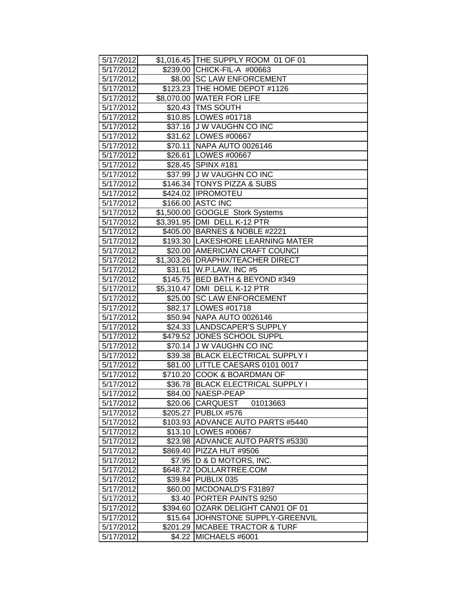| 5/17/2012 |            | \$1,016.45 THE SUPPLY ROOM 01 OF 01 |
|-----------|------------|-------------------------------------|
| 5/17/2012 |            | \$239.00 CHICK-FIL-A #00663         |
| 5/17/2012 |            | \$8.00 SC LAW ENFORCEMENT           |
| 5/17/2012 |            | \$123.23 THE HOME DEPOT #1126       |
| 5/17/2012 |            | \$8,070.00 WATER FOR LIFE           |
| 5/17/2012 |            | \$20.43 TMS SOUTH                   |
| 5/17/2012 |            | \$10.85   LOWES #01718              |
| 5/17/2012 |            | \$37.16 J W VAUGHN CO INC           |
| 5/17/2012 |            | \$31.62   LOWES #00667              |
| 5/17/2012 |            | \$70.11 NAPA AUTO 0026146           |
| 5/17/2012 |            | \$26.61 LOWES #00667                |
| 5/17/2012 |            | \$28.45 SPINX #181                  |
| 5/17/2012 |            | \$37.99 J W VAUGHN CO INC           |
| 5/17/2012 |            | \$146.34 TONYS PIZZA & SUBS         |
| 5/17/2012 |            | \$424.02   IPROMOTEU                |
| 5/17/2012 |            | \$166.00 ASTC INC                   |
| 5/17/2012 | \$1,500.00 | <b>GOOGLE Stork Systems</b>         |
| 5/17/2012 |            | \$3,391.95 DMI DELL K-12 PTR        |
| 5/17/2012 |            | \$405.00 BARNES & NOBLE #2221       |
| 5/17/2012 |            | \$193.30 LAKESHORE LEARNING MATER   |
| 5/17/2012 |            | \$20.00 AMERICIAN CRAFT COUNCI      |
| 5/17/2012 |            | \$1,303.26   DRAPHIX/TEACHER DIRECT |
| 5/17/2012 |            | \$31.61 W.P.LAW, INC #5             |
| 5/17/2012 |            | \$145.75 BED BATH & BEYOND #349     |
| 5/17/2012 |            | \$5,310.47 DMI DELL K-12 PTR        |
| 5/17/2012 |            | \$25.00 SC LAW ENFORCEMENT          |
| 5/17/2012 |            | \$82.17   LOWES #01718              |
| 5/17/2012 |            | \$50.94 NAPA AUTO 0026146           |
| 5/17/2012 |            | \$24.33   LANDSCAPER'S SUPPLY       |
| 5/17/2012 |            | \$479.52 JONES SCHOOL SUPPL         |
| 5/17/2012 |            | \$70.14 J W VAUGHN CO INC           |
| 5/17/2012 |            | \$39.38 BLACK ELECTRICAL SUPPLY I   |
| 5/17/2012 |            | \$81.00   LITTLE CAESARS 0101 0017  |
| 5/17/2012 |            | \$710.20 COOK & BOARDMAN OF         |
| 5/17/2012 |            | \$36.78 BLACK ELECTRICAL SUPPLY I   |
| 5/17/2012 |            | \$84.00 NAESP-PEAP                  |
| 5/17/2012 |            | \$20.06 CARQUEST<br>01013663        |
| 5/17/2012 |            | \$205.27   PUBLIX #576              |
| 5/17/2012 | \$103.93   | <b>ADVANCE AUTO PARTS #5440</b>     |
| 5/17/2012 |            | \$13.10   LOWES #00667              |
| 5/17/2012 | \$23.98    | <b>ADVANCE AUTO PARTS #5330</b>     |
| 5/17/2012 | \$869.40   | PIZZA HUT #9506                     |
| 5/17/2012 | \$7.95     | D & D MOTORS, INC.                  |
| 5/17/2012 | \$648.72   | DOLLARTREE.COM                      |
| 5/17/2012 | \$39.84    | PUBLIX 035                          |
| 5/17/2012 |            | \$60.00 MCDONALD'S F31897           |
| 5/17/2012 | \$3.40     | PORTER PAINTS 9250                  |
| 5/17/2012 | \$394.60   | OZARK DELIGHT CAN01 OF 01           |
| 5/17/2012 | \$15.64    | JOHNSTONE SUPPLY-GREENVIL           |
| 5/17/2012 | \$201.29   | <b>MCABEE TRACTOR &amp; TURF</b>    |
| 5/17/2012 | \$4.22     | MICHAELS #6001                      |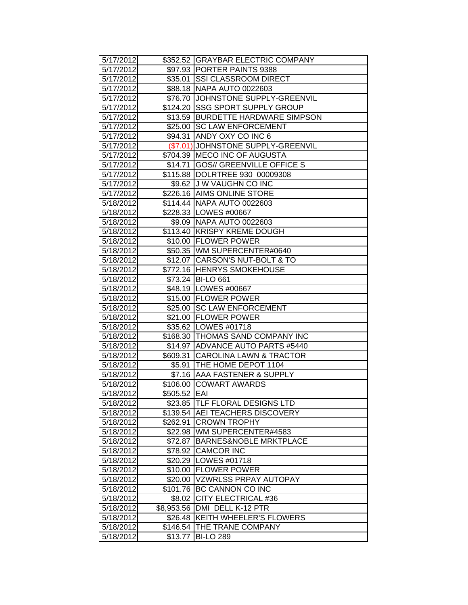| 5/17/2012 |              | \$352.52 GRAYBAR ELECTRIC COMPANY   |
|-----------|--------------|-------------------------------------|
| 5/17/2012 |              | \$97.93 PORTER PAINTS 9388          |
| 5/17/2012 |              | \$35.01 SSI CLASSROOM DIRECT        |
| 5/17/2012 |              | \$88.18 NAPA AUTO 0022603           |
| 5/17/2012 |              | \$76.70 JJOHNSTONE SUPPLY-GREENVIL  |
| 5/17/2012 |              | \$124.20 SSG SPORT SUPPLY GROUP     |
| 5/17/2012 |              | \$13.59 BURDETTE HARDWARE SIMPSON   |
| 5/17/2012 | \$25.00      | <b>SC LAW ENFORCEMENT</b>           |
| 5/17/2012 |              | \$94.31 ANDY OXY CO INC 6           |
| 5/17/2012 |              | (\$7.01) JOHNSTONE SUPPLY-GREENVIL  |
| 5/17/2012 |              | \$704.39 MECO INC OF AUGUSTA        |
| 5/17/2012 |              | \$14.71   GOS// GREENVILLE OFFICE S |
| 5/17/2012 |              | \$115.88  DOLRTREE 930 00009308     |
| 5/17/2012 |              | \$9.62 J W VAUGHN CO INC            |
| 5/17/2012 |              | \$226.16 AIMS ONLINE STORE          |
| 5/18/2012 |              | \$114.44   NAPA AUTO 0022603        |
| 5/18/2012 |              | \$228.33 LOWES #00667               |
| 5/18/2012 |              | \$9.09 NAPA AUTO 0022603            |
| 5/18/2012 |              | \$113.40 KRISPY KREME DOUGH         |
| 5/18/2012 |              | \$10.00 FLOWER POWER                |
| 5/18/2012 |              | \$50.35 WM SUPERCENTER#0640         |
| 5/18/2012 |              | \$12.07 CARSON'S NUT-BOLT & TO      |
| 5/18/2012 |              | \$772.16 HENRYS SMOKEHOUSE          |
| 5/18/2012 |              | \$73.24 BI-LO 661                   |
| 5/18/2012 |              | \$48.19   LOWES #00667              |
| 5/18/2012 |              | \$15.00 FLOWER POWER                |
| 5/18/2012 |              | \$25.00 SC LAW ENFORCEMENT          |
| 5/18/2012 |              | \$21.00 FLOWER POWER                |
| 5/18/2012 |              | \$35.62 LOWES #01718                |
| 5/18/2012 |              | \$168.30 THOMAS SAND COMPANY INC    |
| 5/18/2012 |              | \$14.97 ADVANCE AUTO PARTS #5440    |
| 5/18/2012 |              | \$609.31 CAROLINA LAWN & TRACTOR    |
| 5/18/2012 |              | \$5.91 THE HOME DEPOT 1104          |
| 5/18/2012 |              | \$7.16 AAA FASTENER & SUPPLY        |
| 5/18/2012 |              | \$106.00 COWART AWARDS              |
| 5/18/2012 | \$505.52 EAI |                                     |
| 5/18/2012 | \$23.85      | <b>TLF FLORAL DESIGNS LTD</b>       |
| 5/18/2012 | \$139.54     | AEI TEACHERS DISCOVERY              |
| 5/18/2012 | \$262.91     | <b>CROWN TROPHY</b>                 |
| 5/18/2012 |              | \$22.98   WM SUPERCENTER#4583       |
| 5/18/2012 | \$72.87      | <b>BARNES&amp;NOBLE MRKTPLACE</b>   |
| 5/18/2012 | \$78.92      | <b>CAMCOR INC</b>                   |
| 5/18/2012 | \$20.29      | LOWES #01718                        |
| 5/18/2012 | \$10.00      | <b>FLOWER POWER</b>                 |
| 5/18/2012 | \$20.00      | <b>VZWRLSS PRPAY AUTOPAY</b>        |
| 5/18/2012 | \$101.76     | <b>BC CANNON CO INC</b>             |
| 5/18/2012 | \$8.02       | <b>CITY ELECTRICAL #36</b>          |
| 5/18/2012 | \$8,953.56   | DMI DELL K-12 PTR                   |
| 5/18/2012 | \$26.48      | <b>KEITH WHEELER'S FLOWERS</b>      |
| 5/18/2012 | \$146.54     | THE TRANE COMPANY                   |
| 5/18/2012 | \$13.77      | <b>BI-LO 289</b>                    |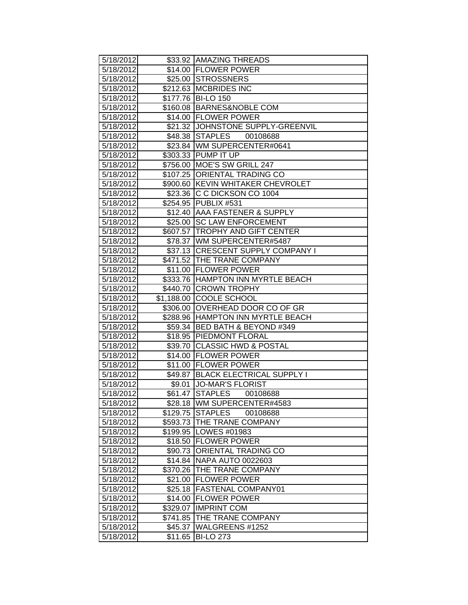| 5/18/2012 |          | \$33.92 AMAZING THREADS             |
|-----------|----------|-------------------------------------|
| 5/18/2012 |          | \$14.00 FLOWER POWER                |
| 5/18/2012 |          | \$25.00 STROSSNERS                  |
| 5/18/2012 |          | \$212.63 MCBRIDES INC               |
| 5/18/2012 |          | \$177.76 BI-LO 150                  |
| 5/18/2012 |          | \$160.08 BARNES&NOBLE COM           |
| 5/18/2012 |          | \$14.00 FLOWER POWER                |
| 5/18/2012 |          | \$21.32 JOHNSTONE SUPPLY-GREENVIL   |
| 5/18/2012 |          | \$48.38 STAPLES<br>00108688         |
| 5/18/2012 |          | \$23.84 WM SUPERCENTER#0641         |
| 5/18/2012 |          | \$303.33 PUMP IT UP                 |
| 5/18/2012 |          | \$756.00 MOE'S SW GRILL 247         |
| 5/18/2012 |          | \$107.25 ORIENTAL TRADING CO        |
| 5/18/2012 |          | \$900.60 KEVIN WHITAKER CHEVROLET   |
| 5/18/2012 |          | \$23.36 C C DICKSON CO 1004         |
| 5/18/2012 |          | \$254.95 PUBLIX #531                |
| 5/18/2012 |          | \$12.40 AAA FASTENER & SUPPLY       |
| 5/18/2012 |          | \$25.00 SC LAW ENFORCEMENT          |
| 5/18/2012 |          | \$607.57 TROPHY AND GIFT CENTER     |
| 5/18/2012 |          | \$78.37 WM SUPERCENTER#5487         |
| 5/18/2012 |          | \$37.13 CRESCENT SUPPLY COMPANY I   |
| 5/18/2012 |          | \$471.52 THE TRANE COMPANY          |
| 5/18/2012 |          | \$11.00 FLOWER POWER                |
| 5/18/2012 |          | \$333.76 HAMPTON INN MYRTLE BEACH   |
| 5/18/2012 |          | \$440.70 CROWN TROPHY               |
| 5/18/2012 |          | \$1,188.00 COOLE SCHOOL             |
| 5/18/2012 |          | \$306.00 OVERHEAD DOOR CO OF GR     |
| 5/18/2012 |          | \$288.96   HAMPTON INN MYRTLE BEACH |
| 5/18/2012 |          | \$59.34 BED BATH & BEYOND #349      |
| 5/18/2012 |          | \$18.95 PIEDMONT FLORAL             |
| 5/18/2012 |          | \$39.70 CLASSIC HWD & POSTAL        |
| 5/18/2012 |          | \$14.00 FLOWER POWER                |
| 5/18/2012 |          | \$11.00 FLOWER POWER                |
| 5/18/2012 |          | \$49.87 BLACK ELECTRICAL SUPPLY I   |
| 5/18/2012 |          | \$9.01 JO-MAR'S FLORIST             |
| 5/18/2012 |          | \$61.47 STAPLES<br>00108688         |
| 5/18/2012 |          | \$28.18 WM SUPERCENTER#4583         |
| 5/18/2012 | \$129.75 | <b>STAPLES</b><br>00108688          |
| 5/18/2012 |          | \$593.73 THE TRANE COMPANY          |
| 5/18/2012 |          | \$199.95   LOWES #01983             |
| 5/18/2012 |          | \$18.50 FLOWER POWER                |
| 5/18/2012 |          | \$90.73 ORIENTAL TRADING CO         |
| 5/18/2012 | \$14.84  | <b>NAPA AUTO 0022603</b>            |
| 5/18/2012 |          | \$370.26 THE TRANE COMPANY          |
| 5/18/2012 | \$21.00  | <b>FLOWER POWER</b>                 |
| 5/18/2012 |          | \$25.18   FASTENAL COMPANY01        |
| 5/18/2012 |          | \$14.00   FLOWER POWER              |
| 5/18/2012 | \$329.07 | <b>IMPRINT COM</b>                  |
| 5/18/2012 | \$741.85 | THE TRANE COMPANY                   |
| 5/18/2012 | \$45.37  | WALGREENS #1252                     |
| 5/18/2012 | \$11.65  | <b>BI-LO 273</b>                    |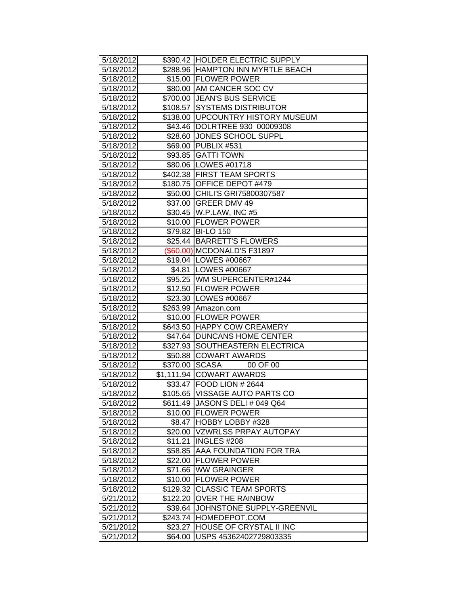| 5/18/2012 |          | \$390.42  HOLDER ELECTRIC SUPPLY  |
|-----------|----------|-----------------------------------|
| 5/18/2012 |          | \$288.96 HAMPTON INN MYRTLE BEACH |
| 5/18/2012 |          | \$15.00 FLOWER POWER              |
| 5/18/2012 |          | \$80.00 AM CANCER SOC CV          |
| 5/18/2012 |          | \$700.00 JEAN'S BUS SERVICE       |
| 5/18/2012 |          | \$108.57 SYSTEMS DISTRIBUTOR      |
| 5/18/2012 |          | \$138.00 UPCOUNTRY HISTORY MUSEUM |
| 5/18/2012 |          | \$43.46  DOLRTREE 930 00009308    |
| 5/18/2012 |          | \$28.60 JONES SCHOOL SUPPL        |
| 5/18/2012 |          | \$69.00 PUBLIX #531               |
| 5/18/2012 |          | \$93.85 GATTI TOWN                |
| 5/18/2012 |          | \$80.06   LOWES #01718            |
| 5/18/2012 |          | \$402.38 FIRST TEAM SPORTS        |
| 5/18/2012 |          | \$180.75 OFFICE DEPOT #479        |
| 5/18/2012 |          | \$50.00 CHILI'S GRI75800307587    |
| 5/18/2012 |          | \$37.00 GREER DMV 49              |
| 5/18/2012 |          | \$30.45 W.P.LAW, INC #5           |
| 5/18/2012 |          | \$10.00 FLOWER POWER              |
| 5/18/2012 |          | \$79.82 BI-LO 150                 |
| 5/18/2012 |          | \$25.44 BARRETT'S FLOWERS         |
| 5/18/2012 |          | (\$60.00) MCDONALD'S F31897       |
| 5/18/2012 |          | \$19.04   LOWES #00667            |
| 5/18/2012 |          | \$4.81   LOWES #00667             |
| 5/18/2012 |          | \$95.25   WM SUPERCENTER#1244     |
| 5/18/2012 |          | \$12.50 FLOWER POWER              |
| 5/18/2012 |          | \$23.30 LOWES #00667              |
| 5/18/2012 |          | \$263.99 Amazon.com               |
| 5/18/2012 |          | \$10.00 FLOWER POWER              |
| 5/18/2012 |          | \$643.50 HAPPY COW CREAMERY       |
| 5/18/2012 |          | \$47.64 DUNCANS HOME CENTER       |
| 5/18/2012 |          | \$327.93 SOUTHEASTERN ELECTRICA   |
| 5/18/2012 |          | \$50.88 COWART AWARDS             |
| 5/18/2012 |          | \$370.00 SCASA<br>00 OF 00        |
| 5/18/2012 |          | \$1,111.94 COWART AWARDS          |
| 5/18/2012 |          | \$33.47 FOOD LION # 2644          |
| 5/18/2012 |          | \$105.65 VISSAGE AUTO PARTS CO    |
| 5/18/2012 |          | \$611.49 JASON'S DELI # 049 Q64   |
| 5/18/2012 |          | \$10.00 FLOWER POWER              |
| 5/18/2012 | \$8.47   | HOBBY LOBBY #328                  |
| 5/18/2012 |          | \$20.00   VZWRLSS PRPAY AUTOPAY   |
| 5/18/2012 | \$11.21  | INGLES #208                       |
| 5/18/2012 | \$58.85  | <b>AAA FOUNDATION FOR TRA</b>     |
| 5/18/2012 | \$22.00  | <b>FLOWER POWER</b>               |
| 5/18/2012 | \$71.66  | <b>WW GRAINGER</b>                |
| 5/18/2012 | \$10.00  | <b>FLOWER POWER</b>               |
| 5/18/2012 |          | \$129.32 CLASSIC TEAM SPORTS      |
| 5/21/2012 |          | \$122.20 OVER THE RAINBOW         |
| 5/21/2012 | \$39.64  | JOHNSTONE SUPPLY-GREENVIL         |
| 5/21/2012 | \$243.74 | HOMEDEPOT.COM                     |
| 5/21/2012 | \$23.27  | <b>HOUSE OF CRYSTAL II INC</b>    |
| 5/21/2012 | \$64.00  | USPS 45362402729803335            |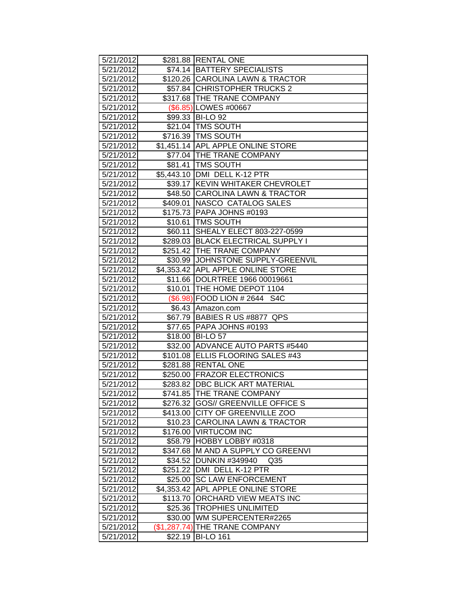| 5/21/2012 |          | \$281.88 RENTAL ONE                      |
|-----------|----------|------------------------------------------|
| 5/21/2012 |          | \$74.14 BATTERY SPECIALISTS              |
| 5/21/2012 |          | \$120.26 CAROLINA LAWN & TRACTOR         |
| 5/21/2012 |          | \$57.84 CHRISTOPHER TRUCKS 2             |
| 5/21/2012 |          | \$317.68 THE TRANE COMPANY               |
| 5/21/2012 |          | (\$6.85) LOWES #00667                    |
| 5/21/2012 |          | \$99.33 BI-LO 92                         |
| 5/21/2012 |          | \$21.04 TMS SOUTH                        |
| 5/21/2012 |          | \$716.39 TMS SOUTH                       |
| 5/21/2012 |          | \$1,451.14 APL APPLE ONLINE STORE        |
| 5/21/2012 |          | \$77.04 THE TRANE COMPANY                |
| 5/21/2012 |          | \$81.41 TMS SOUTH                        |
| 5/21/2012 |          | \$5,443.10 DMI DELL K-12 PTR             |
| 5/21/2012 |          | \$39.17 KEVIN WHITAKER CHEVROLET         |
| 5/21/2012 |          | \$48.50 CAROLINA LAWN & TRACTOR          |
| 5/21/2012 |          | \$409.01 NASCO CATALOG SALES             |
| 5/21/2012 |          | \$175.73 PAPA JOHNS #0193                |
| 5/21/2012 |          | \$10.61   TMS SOUTH                      |
| 5/21/2012 | \$60.11  | SHEALY ELECT 803-227-0599                |
| 5/21/2012 |          | \$289.03 BLACK ELECTRICAL SUPPLY I       |
| 5/21/2012 |          | \$251.42 THE TRANE COMPANY               |
| 5/21/2012 |          | \$30.99 JJOHNSTONE SUPPLY-GREENVIL       |
| 5/21/2012 |          | \$4,353.42 APL APPLE ONLINE STORE        |
| 5/21/2012 |          | \$11.66   DOLRTREE 1966 00019661         |
| 5/21/2012 |          | \$10.01 THE HOME DEPOT 1104              |
| 5/21/2012 |          | (\$6.98) FOOD LION # 2644 S4C            |
| 5/21/2012 |          | \$6.43 Amazon.com                        |
| 5/21/2012 |          | \$67.79 BABIES R US #8877 QPS            |
| 5/21/2012 |          | \$77.65 PAPA JOHNS #0193                 |
| 5/21/2012 |          | \$18.00 BI-LO 57                         |
| 5/21/2012 |          | \$32.00 ADVANCE AUTO PARTS #5440         |
| 5/21/2012 |          | \$101.08 ELLIS FLOORING SALES #43        |
| 5/21/2012 |          | \$281.88 RENTAL ONE                      |
| 5/21/2012 |          | \$250.00 FRAZOR ELECTRONICS              |
| 5/21/2012 |          | \$283.82 DBC BLICK ART MATERIAL          |
| 5/21/2012 |          | \$741.85 THE TRANE COMPANY               |
| 5/21/2012 |          | \$276.32 GOS// GREENVILLE OFFICE S       |
| 5/21/2012 |          | \$413.00 CITY OF GREENVILLE ZOO          |
| 5/21/2012 |          | \$10.23 CAROLINA LAWN & TRACTOR          |
| 5/21/2012 |          | \$176.00 VIRTUCOM INC                    |
| 5/21/2012 |          | \$58.79 HOBBY LOBBY #0318                |
| 5/21/2012 |          | \$347.68 M AND A SUPPLY CO GREENVI       |
| 5/21/2012 | \$34.52  | <b>DUNKIN #349940</b><br>Q <sub>35</sub> |
| 5/21/2012 |          | \$251.22   DMI DELL K-12 PTR             |
| 5/21/2012 | \$25.00  | <b>SC LAW ENFORCEMENT</b>                |
| 5/21/2012 |          | \$4,353.42 APL APPLE ONLINE STORE        |
| 5/21/2012 | \$113.70 | <b>ORCHARD VIEW MEATS INC</b>            |
| 5/21/2012 |          | \$25.36   TROPHIES UNLIMITED             |
| 5/21/2012 |          | \$30.00   WM SUPERCENTER#2265            |
| 5/21/2012 |          | (\$1,287.74) THE TRANE COMPANY           |
| 5/21/2012 | \$22.19  | <b>BI-LO 161</b>                         |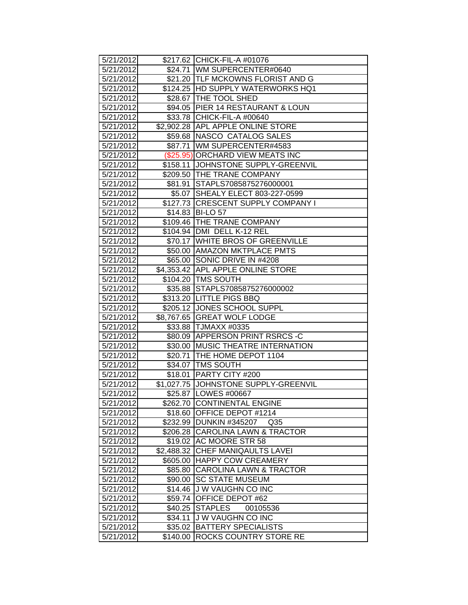| 5/21/2012 |            | \$217.62 CHICK-FIL-A #01076                |
|-----------|------------|--------------------------------------------|
| 5/21/2012 |            | \$24.71 WM SUPERCENTER#0640                |
| 5/21/2012 |            | \$21.20   TLF MCKOWNS FLORIST AND G        |
| 5/21/2012 |            | \$124.25 HD SUPPLY WATERWORKS HQ1          |
| 5/21/2012 |            | \$28.67 THE TOOL SHED                      |
| 5/21/2012 |            | \$94.05 PIER 14 RESTAURANT & LOUN          |
| 5/21/2012 |            | \$33.78 CHICK-FIL-A #00640                 |
| 5/21/2012 |            | \$2,902.28 APL APPLE ONLINE STORE          |
| 5/21/2012 |            | \$59.68 NASCO CATALOG SALES                |
| 5/21/2012 |            | \$87.71   WM SUPERCENTER#4583              |
| 5/21/2012 |            | (\$25.95) ORCHARD VIEW MEATS INC           |
| 5/21/2012 |            | \$158.11 JJOHNSTONE SUPPLY-GREENVIL        |
| 5/21/2012 |            | \$209.50 THE TRANE COMPANY                 |
| 5/21/2012 |            | \$81.91 STAPLS7085875276000001             |
| 5/21/2012 |            | \$5.07 SHEALY ELECT 803-227-0599           |
| 5/21/2012 |            | \$127.73 CRESCENT SUPPLY COMPANY I         |
| 5/21/2012 |            | \$14.83 BI-LO 57                           |
| 5/21/2012 |            | \$109.46 THE TRANE COMPANY                 |
| 5/21/2012 |            | \$104.94   DMI DELL K-12 REL               |
| 5/21/2012 |            | \$70.17 WHITE BROS OF GREENVILLE           |
| 5/21/2012 |            | \$50.00 AMAZON MKTPLACE PMTS               |
| 5/21/2012 |            | \$65.00 SONIC DRIVE IN #4208               |
| 5/21/2012 |            | \$4,353.42 APL APPLE ONLINE STORE          |
| 5/21/2012 |            | \$104.20 TMS SOUTH                         |
| 5/21/2012 |            | \$35.88 STAPLS7085875276000002             |
| 5/21/2012 |            | \$313.20 LITTLE PIGS BBQ                   |
| 5/21/2012 |            | \$205.12 JONES SCHOOL SUPPL                |
| 5/21/2012 |            | \$8,767.65 GREAT WOLF LODGE                |
| 5/21/2012 |            | \$33.88 TJMAXX #0335                       |
| 5/21/2012 |            | \$80.09 APPERSON PRINT RSRCS-C             |
| 5/21/2012 |            | \$30.00 MUSIC THEATRE INTERNATION          |
| 5/21/2012 |            | \$20.71   THE HOME DEPOT 1104              |
| 5/21/2012 |            | \$34.07   TMS SOUTH                        |
| 5/21/2012 |            | \$18.01   PARTY CITY #200                  |
| 5/21/2012 |            | \$1,027.75 JOHNSTONE SUPPLY-GREENVIL       |
| 5/21/2012 |            | \$25.87 LOWES #00667                       |
| 5/21/2012 |            | \$262.70 CONTINENTAL ENGINE                |
| 5/21/2012 | \$18.60    | OFFICE DEPOT #1214                         |
| 5/21/2012 |            | \$232.99 DUNKIN #345207<br>Q <sub>35</sub> |
| 5/21/2012 |            | \$206.28 CAROLINA LAWN & TRACTOR           |
| 5/21/2012 |            | \$19.02 AC MOORE STR 58                    |
| 5/21/2012 | \$2,488.32 | CHEF MANIQAULTS LAVEI                      |
| 5/21/2012 |            | \$605.00 HAPPY COW CREAMERY                |
| 5/21/2012 | \$85.80    | <b>CAROLINA LAWN &amp; TRACTOR</b>         |
| 5/21/2012 | \$90.00    | <b>SC STATE MUSEUM</b>                     |
| 5/21/2012 | \$14.46    | <b>JW VAUGHN CO INC</b>                    |
| 5/21/2012 | \$59.74    | OFFICE DEPOT #62                           |
| 5/21/2012 | \$40.25    | <b>STAPLES</b><br>00105536                 |
| 5/21/2012 | \$34.11    | J W VAUGHN CO INC                          |
| 5/21/2012 | \$35.02    | <b>BATTERY SPECIALISTS</b>                 |
| 5/21/2012 | \$140.00   | <b>ROCKS COUNTRY STORE RE</b>              |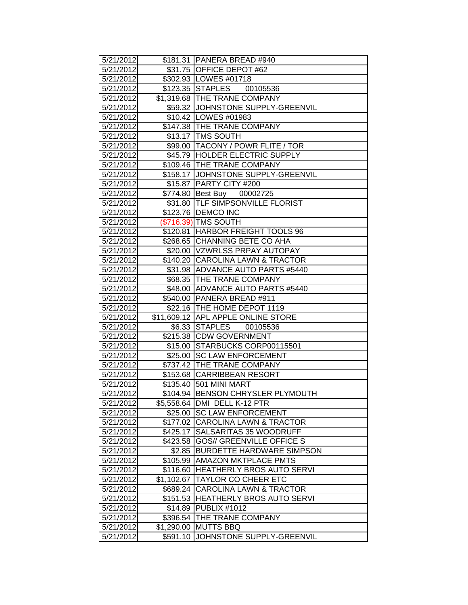| 5/21/2012 |            | \$181.31   PANERA BREAD #940        |
|-----------|------------|-------------------------------------|
| 5/21/2012 |            | \$31.75 OFFICE DEPOT #62            |
| 5/21/2012 |            | \$302.93 LOWES #01718               |
| 5/21/2012 |            | \$123.35 STAPLES 00105536           |
| 5/21/2012 |            | \$1,319.68 THE TRANE COMPANY        |
| 5/21/2012 |            | \$59.32 JOHNSTONE SUPPLY-GREENVIL   |
| 5/21/2012 |            | \$10.42   LOWES #01983              |
| 5/21/2012 |            | \$147.38 THE TRANE COMPANY          |
| 5/21/2012 |            | \$13.17   TMS SOUTH                 |
| 5/21/2012 |            | \$99.00   TACONY / POWR FLITE / TOR |
| 5/21/2012 |            | \$45.79 HOLDER ELECTRIC SUPPLY      |
| 5/21/2012 |            | \$109.46 THE TRANE COMPANY          |
| 5/21/2012 |            | \$158.17 JOHNSTONE SUPPLY-GREENVIL  |
| 5/21/2012 |            | \$15.87 PARTY CITY #200             |
| 5/21/2012 |            | \$774.80 Best Buy 00002725          |
| 5/21/2012 |            | \$31.80 TLF SIMPSONVILLE FLORIST    |
| 5/21/2012 |            | \$123.76   DEMCO INC                |
| 5/21/2012 |            | (\$716.39) TMS SOUTH                |
| 5/21/2012 |            | \$120.81 HARBOR FREIGHT TOOLS 96    |
| 5/21/2012 |            | \$268.65 CHANNING BETE CO AHA       |
| 5/21/2012 |            | \$20.00   VZWRLSS PRPAY AUTOPAY     |
| 5/21/2012 |            | \$140.20 CAROLINA LAWN & TRACTOR    |
| 5/21/2012 |            | \$31.98 ADVANCE AUTO PARTS #5440    |
| 5/21/2012 |            | \$68.35   THE TRANE COMPANY         |
| 5/21/2012 |            | \$48.00 ADVANCE AUTO PARTS #5440    |
| 5/21/2012 |            | \$540.00 PANERA BREAD #911          |
| 5/21/2012 |            | \$22.16   THE HOME DEPOT 1119       |
| 5/21/2012 |            | \$11,609.12 APL APPLE ONLINE STORE  |
| 5/21/2012 |            | \$6.33 STAPLES 00105536             |
| 5/21/2012 |            | \$215.38 CDW GOVERNMENT             |
| 5/21/2012 |            | \$15.00 STARBUCKS CORP00115501      |
| 5/21/2012 |            | \$25.00 SC LAW ENFORCEMENT          |
| 5/21/2012 |            | \$737.42 THE TRANE COMPANY          |
| 5/21/2012 |            | \$153.68 CARRIBBEAN RESORT          |
| 5/21/2012 |            | \$135.40 501 MINI MART              |
| 5/21/2012 |            | \$104.94 BENSON CHRYSLER PLYMOUTH   |
| 5/21/2012 |            | \$5,558.64   DMI DELL K-12 PTR      |
| 5/21/2012 |            | \$25.00 SC LAW ENFORCEMENT          |
| 5/21/2012 |            | \$177.02 CAROLINA LAWN & TRACTOR    |
| 5/21/2012 | \$425.17   | <b>SALSARITAS 35 WOODRUFF</b>       |
| 5/21/2012 | \$423.58   | <b>GOS// GREENVILLE OFFICE S</b>    |
| 5/21/2012 | \$2.85     | <b>BURDETTE HARDWARE SIMPSON</b>    |
| 5/21/2012 | \$105.99   | <b>AMAZON MKTPLACE PMTS</b>         |
| 5/21/2012 | \$116.60   | <b>HEATHERLY BROS AUTO SERVI</b>    |
| 5/21/2012 | \$1,102.67 | <b>TAYLOR CO CHEER ETC</b>          |
| 5/21/2012 | \$689.24   | <b>CAROLINA LAWN &amp; TRACTOR</b>  |
| 5/21/2012 | \$151.53   | <b>HEATHERLY BROS AUTO SERVI</b>    |
| 5/21/2012 | \$14.89    | PUBLIX #1012                        |
| 5/21/2012 | \$396.54   | THE TRANE COMPANY                   |
| 5/21/2012 | \$1,290.00 | <b>MUTTS BBQ</b>                    |
| 5/21/2012 | \$591.10   | JOHNSTONE SUPPLY-GREENVIL           |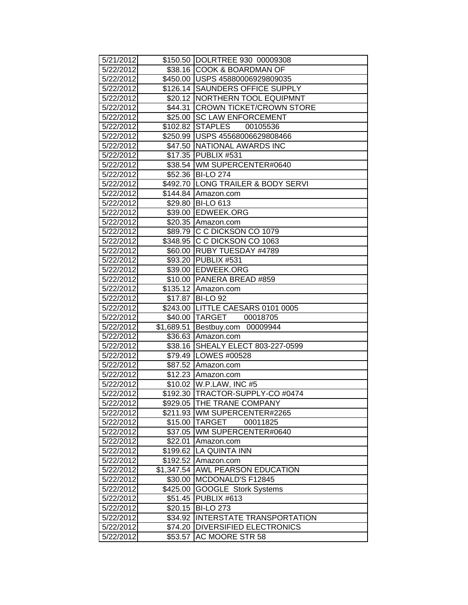| 5/21/2012 |            | \$150.50  DOLRTREE 930 00009308    |
|-----------|------------|------------------------------------|
| 5/22/2012 |            | \$38.16 COOK & BOARDMAN OF         |
| 5/22/2012 |            | \$450.00 USPS 45880006929809035    |
| 5/22/2012 |            | \$126.14 SAUNDERS OFFICE SUPPLY    |
| 5/22/2012 |            | \$20.12 NORTHERN TOOL EQUIPMNT     |
| 5/22/2012 | \$44.31    | <b>CROWN TICKET/CROWN STORE</b>    |
| 5/22/2012 |            | \$25.00 SC LAW ENFORCEMENT         |
| 5/22/2012 |            | \$102.82 STAPLES<br>00105536       |
| 5/22/2012 |            | \$250.99 USPS 45568006629808466    |
| 5/22/2012 |            | \$47.50 NATIONAL AWARDS INC        |
| 5/22/2012 |            | \$17.35 PUBLIX #531                |
| 5/22/2012 |            | \$38.54 WM SUPERCENTER#0640        |
| 5/22/2012 |            | \$52.36 BI-LO 274                  |
| 5/22/2012 |            | \$492.70 LONG TRAILER & BODY SERVI |
| 5/22/2012 |            | \$144.84 Amazon.com                |
| 5/22/2012 |            | \$29.80 BI-LO 613                  |
| 5/22/2012 |            | \$39.00 EDWEEK.ORG                 |
| 5/22/2012 |            | \$20.35 Amazon.com                 |
| 5/22/2012 |            | \$89.79 C C DICKSON CO 1079        |
| 5/22/2012 |            | \$348.95 C C DICKSON CO 1063       |
| 5/22/2012 |            | \$60.00 RUBY TUESDAY #4789         |
| 5/22/2012 |            | \$93.20 PUBLIX #531                |
| 5/22/2012 |            | \$39.00 EDWEEK.ORG                 |
| 5/22/2012 |            | \$10.00 PANERA BREAD #859          |
| 5/22/2012 |            | \$135.12 Amazon.com                |
| 5/22/2012 |            | \$17.87 BI-LO 92                   |
| 5/22/2012 |            | \$243.00 LITTLE CAESARS 0101 0005  |
| 5/22/2012 |            | \$40.00 TARGET 00018705            |
| 5/22/2012 |            | \$1,689.51 Bestbuy.com 00009944    |
| 5/22/2012 |            | \$36.63 Amazon.com                 |
| 5/22/2012 |            | \$38.16 SHEALY ELECT 803-227-0599  |
| 5/22/2012 |            | \$79.49   LOWES #00528             |
| 5/22/2012 |            | \$87.52 Amazon.com                 |
| 5/22/2012 |            | \$12.23 Amazon.com                 |
| 5/22/2012 |            | \$10.02 W.P.LAW, INC #5            |
| 5/22/2012 |            | \$192.30 TRACTOR-SUPPLY-CO #0474   |
| 5/22/2012 |            | \$929.05 THE TRANE COMPANY         |
| 5/22/2012 |            | \$211.93   WM SUPERCENTER#2265     |
| 5/22/2012 |            | \$15.00 TARGET<br>00011825         |
| 5/22/2012 |            | \$37.05   WM SUPERCENTER#0640      |
| 5/22/2012 | \$22.01    | Amazon.com                         |
| 5/22/2012 | \$199.62   | <b>LA QUINTA INN</b>               |
| 5/22/2012 | \$192.52   | Amazon.com                         |
| 5/22/2012 | \$1,347.54 | <b>AWL PEARSON EDUCATION</b>       |
| 5/22/2012 | \$30.00    | MCDONALD'S F12845                  |
| 5/22/2012 | \$425.00   | <b>GOOGLE Stork Systems</b>        |
| 5/22/2012 | \$51.45    | PUBLIX #613                        |
| 5/22/2012 | \$20.15    | <b>BI-LO 273</b>                   |
| 5/22/2012 | \$34.92    | <b>INTERSTATE TRANSPORTATION</b>   |
| 5/22/2012 | \$74.20    | <b>DIVERSIFIED ELECTRONICS</b>     |
| 5/22/2012 | \$53.57    | AC MOORE STR 58                    |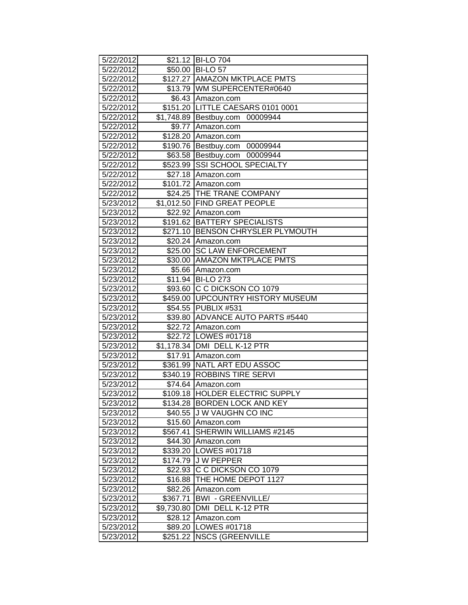| 5/22/2012 |                  | \$21.12 BI-LO 704                  |
|-----------|------------------|------------------------------------|
| 5/22/2012 |                  | \$50.00 BI-LO 57                   |
| 5/22/2012 |                  | \$127.27 AMAZON MKTPLACE PMTS      |
| 5/22/2012 |                  | \$13.79 WM SUPERCENTER#0640        |
| 5/22/2012 |                  | \$6.43 Amazon.com                  |
| 5/22/2012 | \$151.20         | LITTLE CAESARS 0101 0001           |
| 5/22/2012 |                  | \$1,748.89 Bestbuy.com<br>00009944 |
| 5/22/2012 | \$9.77           | Amazon.com                         |
| 5/22/2012 | \$128.20         | Amazon.com                         |
| 5/22/2012 |                  | \$190.76 Bestbuy.com 00009944      |
| 5/22/2012 |                  | \$63.58 Bestbuy.com 00009944       |
| 5/22/2012 | \$523.99         | <b>SSI SCHOOL SPECIALTY</b>        |
| 5/22/2012 | \$27.18          | Amazon.com                         |
| 5/22/2012 |                  | \$101.72 Amazon.com                |
| 5/22/2012 |                  | \$24.25   THE TRANE COMPANY        |
| 5/23/2012 |                  | \$1,012.50 FIND GREAT PEOPLE       |
| 5/23/2012 | \$22.92          | Amazon.com                         |
| 5/23/2012 | \$191.62         | <b>BATTERY SPECIALISTS</b>         |
| 5/23/2012 | $\sqrt{$271.10}$ | <b>BENSON CHRYSLER PLYMOUTH</b>    |
| 5/23/2012 | \$20.24          | Amazon.com                         |
| 5/23/2012 | \$25.00          | <b>SC LAW ENFORCEMENT</b>          |
| 5/23/2012 |                  | \$30.00 AMAZON MKTPLACE PMTS       |
| 5/23/2012 | \$5.66           | Amazon.com                         |
| 5/23/2012 | \$11.94          | <b>BI-LO 273</b>                   |
| 5/23/2012 | \$93.60          | C C DICKSON CO 1079                |
| 5/23/2012 | \$459.00         | <b>UPCOUNTRY HISTORY MUSEUM</b>    |
| 5/23/2012 |                  | \$54.55 PUBLIX #531                |
| 5/23/2012 | \$39.80          | ADVANCE AUTO PARTS #5440           |
| 5/23/2012 | \$22.72          | Amazon.com                         |
| 5/23/2012 | \$22.72          | LOWES #01718                       |
| 5/23/2012 | \$1,178.34       | DMI DELL K-12 PTR                  |
| 5/23/2012 | \$17.91          | Amazon.com                         |
| 5/23/2012 | \$361.99         | NATL ART EDU ASSOC                 |
| 5/23/2012 |                  | \$340.19 ROBBINS TIRE SERVI        |
| 5/23/2012 |                  | \$74.64 Amazon.com                 |
| 5/23/2012 |                  | \$109.18 HOLDER ELECTRIC SUPPLY    |
| 5/23/2012 | \$134.28         | <b>BORDEN LOCK AND KEY</b>         |
| 5/23/2012 | \$40.55          | J W VAUGHN CO INC                  |
| 5/23/2012 | \$15.60          | Amazon.com                         |
| 5/23/2012 | \$567.41         | SHERWIN WILLIAMS #2145             |
| 5/23/2012 | \$44.30          | Amazon.com                         |
| 5/23/2012 | \$339.20         | LOWES #01718                       |
| 5/23/2012 | \$174.79         | <b>JW PEPPER</b>                   |
| 5/23/2012 | \$22.93          | C C DICKSON CO 1079                |
| 5/23/2012 | \$16.88          | THE HOME DEPOT 1127                |
| 5/23/2012 | \$82.26          | Amazon.com                         |
| 5/23/2012 | \$367.71         | <b>BWI - GREENVILLE/</b>           |
| 5/23/2012 | \$9,730.80       | DMI DELL K-12 PTR                  |
| 5/23/2012 | \$28.12          | Amazon.com                         |
| 5/23/2012 | \$89.20          | LOWES #01718                       |
| 5/23/2012 |                  | \$251.22   NSCS (GREENVILLE        |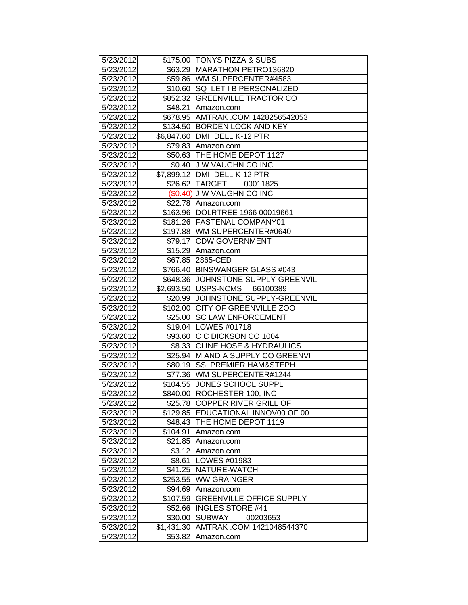| 5/23/2012 |            | \$175.00 TONYS PIZZA & SUBS          |
|-----------|------------|--------------------------------------|
| 5/23/2012 |            | \$63.29   MARATHON PETRO136820       |
| 5/23/2012 |            | \$59.86 WM SUPERCENTER#4583          |
| 5/23/2012 |            | \$10.60   SQ LET I B PERSONALIZED    |
| 5/23/2012 |            | \$852.32 GREENVILLE TRACTOR CO       |
| 5/23/2012 |            | \$48.21 Amazon.com                   |
| 5/23/2012 |            | \$678.95 AMTRAK .COM 1428256542053   |
| 5/23/2012 |            | \$134.50 BORDEN LOCK AND KEY         |
| 5/23/2012 |            | \$6,847.60   DMI DELL K-12 PTR       |
| 5/23/2012 |            | \$79.83 Amazon.com                   |
| 5/23/2012 |            | \$50.63 THE HOME DEPOT 1127          |
| 5/23/2012 |            | \$0.40 J W VAUGHN CO INC             |
| 5/23/2012 |            | \$7,899.12 DMI DELL K-12 PTR         |
| 5/23/2012 |            | \$26.62 TARGET 00011825              |
| 5/23/2012 |            | (\$0.40) J W VAUGHN CO INC           |
| 5/23/2012 |            | \$22.78 Amazon.com                   |
| 5/23/2012 |            | \$163.96 DOLRTREE 1966 00019661      |
| 5/23/2012 |            | \$181.26 FASTENAL COMPANY01          |
| 5/23/2012 |            | \$197.88 WM SUPERCENTER#0640         |
| 5/23/2012 |            | \$79.17 CDW GOVERNMENT               |
| 5/23/2012 |            | \$15.29 Amazon.com                   |
| 5/23/2012 |            | \$67.85 2865-CED                     |
| 5/23/2012 |            | \$766.40 BINSWANGER GLASS #043       |
| 5/23/2012 |            | \$648.36 JJOHNSTONE SUPPLY-GREENVIL  |
| 5/23/2012 |            | \$2,693.50   USPS-NCMS 66100389      |
| 5/23/2012 |            | \$20.99 JOHNSTONE SUPPLY-GREENVIL    |
| 5/23/2012 |            | \$102.00 CITY OF GREENVILLE ZOO      |
| 5/23/2012 |            | \$25.00 SC LAW ENFORCEMENT           |
| 5/23/2012 |            | \$19.04   LOWES #01718               |
| 5/23/2012 |            | \$93.60 C C DICKSON CO 1004          |
| 5/23/2012 |            | \$8.33 CLINE HOSE & HYDRAULICS       |
| 5/23/2012 |            | \$25.94 M AND A SUPPLY CO GREENVI    |
| 5/23/2012 |            | \$80.19 SSI PREMIER HAM&STEPH        |
| 5/23/2012 |            | \$77.36   WM SUPERCENTER#1244        |
| 5/23/2012 |            | \$104.55 JONES SCHOOL SUPPL          |
| 5/23/2012 |            | \$840.00 ROCHESTER 100, INC          |
| 5/23/2012 |            | \$25.78 COPPER RIVER GRILL OF        |
| 5/23/2012 |            | \$129.85   EDUCATIONAL INNOV00 OF 00 |
| 5/23/2012 |            | \$48.43   THE HOME DEPOT 1119        |
| 5/23/2012 | \$104.91   | Amazon.com                           |
| 5/23/2012 | \$21.85    | Amazon.com                           |
| 5/23/2012 | \$3.12     | Amazon.com                           |
| 5/23/2012 | \$8.61     | LOWES #01983                         |
| 5/23/2012 | \$41.25    | NATURE-WATCH                         |
| 5/23/2012 | \$253.55   | <b>WW GRAINGER</b>                   |
| 5/23/2012 | \$94.69    | Amazon.com                           |
| 5/23/2012 | \$107.59   | <b>GREENVILLE OFFICE SUPPLY</b>      |
| 5/23/2012 | \$52.66    | <b>INGLES STORE #41</b>              |
| 5/23/2012 | \$30.00    | <b>SUBWAY</b><br>00203653            |
| 5/23/2012 | \$1,431.30 | AMTRAK .COM 1421048544370            |
| 5/23/2012 | \$53.82    | Amazon.com                           |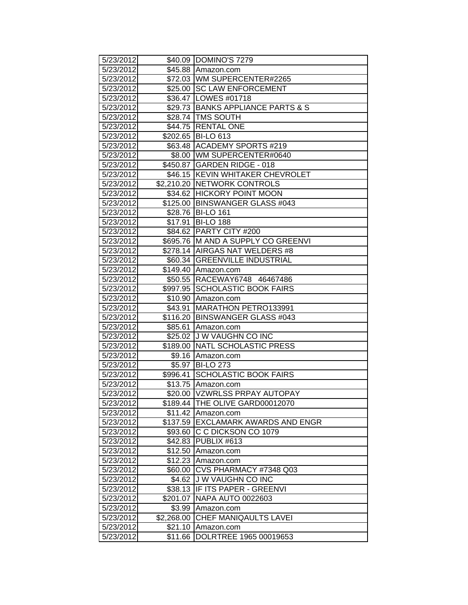| 5/23/2012 |            | \$40.09 DOMINO'S 7279              |
|-----------|------------|------------------------------------|
| 5/23/2012 |            | \$45.88 Amazon.com                 |
| 5/23/2012 |            | \$72.03   WM SUPERCENTER#2265      |
| 5/23/2012 |            | \$25.00 SC LAW ENFORCEMENT         |
| 5/23/2012 |            | \$36.47   LOWES #01718             |
| 5/23/2012 |            | \$29.73 BANKS APPLIANCE PARTS & S  |
| 5/23/2012 |            | \$28.74 TMS SOUTH                  |
| 5/23/2012 |            | \$44.75 RENTAL ONE                 |
| 5/23/2012 |            | \$202.65 BI-LO 613                 |
| 5/23/2012 |            | \$63.48 ACADEMY SPORTS #219        |
| 5/23/2012 |            | \$8.00 WM SUPERCENTER#0640         |
| 5/23/2012 | \$450.87   | <b>GARDEN RIDGE - 018</b>          |
| 5/23/2012 | \$46.15    | <b>KEVIN WHITAKER CHEVROLET</b>    |
| 5/23/2012 |            | \$2,210.20 NETWORK CONTROLS        |
| 5/23/2012 |            | \$34.62 HICKORY POINT MOON         |
| 5/23/2012 |            | \$125.00   BINSWANGER GLASS #043   |
| 5/23/2012 |            | \$28.76 BI-LO 161                  |
| 5/23/2012 | \$17.91    | <b>BI-LO 188</b>                   |
| 5/23/2012 |            | \$84.62 PARTY CITY #200            |
| 5/23/2012 |            | \$695.76 M AND A SUPPLY CO GREENVI |
| 5/23/2012 |            | \$278.14 AIRGAS NAT WELDERS #8     |
| 5/23/2012 | \$60.34    | <b>GREENVILLE INDUSTRIAL</b>       |
| 5/23/2012 |            | \$149.40 Amazon.com                |
| 5/23/2012 |            | \$50.55  RACEWAY6748 46467486      |
| 5/23/2012 | \$997.95   | <b>SCHOLASTIC BOOK FAIRS</b>       |
| 5/23/2012 |            | \$10.90 Amazon.com                 |
| 5/23/2012 | \$43.91    | MARATHON PETRO133991               |
| 5/23/2012 | \$116.20   | <b>BINSWANGER GLASS #043</b>       |
| 5/23/2012 |            | \$85.61 Amazon.com                 |
| 5/23/2012 |            | \$25.02 J W VAUGHN CO INC          |
| 5/23/2012 | \$189.00   | <b>NATL SCHOLASTIC PRESS</b>       |
| 5/23/2012 |            | \$9.16 Amazon.com                  |
| 5/23/2012 | \$5.97     | <b>BI-LO 273</b>                   |
| 5/23/2012 | \$996.41   | <b>SCHOLASTIC BOOK FAIRS</b>       |
| 5/23/2012 |            | \$13.75 Amazon.com                 |
| 5/23/2012 |            | \$20.00 VZWRLSS PRPAY AUTOPAY      |
| 5/23/2012 |            | \$189.44   THE OLIVE GARD00012070  |
| 5/23/2012 | \$11.42    | Amazon.com                         |
| 5/23/2012 | \$137.59   | EXCLAMARK AWARDS AND ENGR          |
| 5/23/2012 | \$93.60    | C C DICKSON CO 1079                |
| 5/23/2012 | \$42.83    | PUBLIX #613                        |
| 5/23/2012 | \$12.50    | Amazon.com                         |
| 5/23/2012 | \$12.23    | Amazon.com                         |
| 5/23/2012 | \$60.00    | CVS PHARMACY #7348 Q03             |
| 5/23/2012 | \$4.62     | J W VAUGHN CO INC                  |
| 5/23/2012 | \$38.13    | <b>IF ITS PAPER - GREENVI</b>      |
| 5/23/2012 | \$201.07   | <b>NAPA AUTO 0022603</b>           |
| 5/23/2012 | \$3.99     | Amazon.com                         |
| 5/23/2012 | \$2,268.00 | CHEF MANIQAULTS LAVEI              |
| 5/23/2012 | \$21.10    | Amazon.com                         |
| 5/23/2012 | \$11.66    | DOLRTREE 1965 00019653             |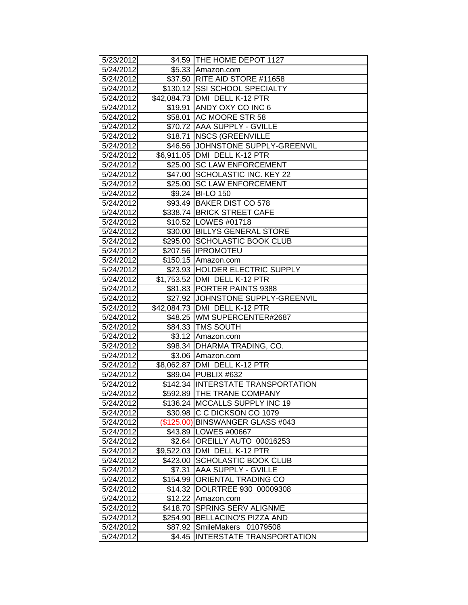| 5/23/2012              |            | \$4.59 THE HOME DEPOT 1127                                     |
|------------------------|------------|----------------------------------------------------------------|
| 5/24/2012              |            | \$5.33 Amazon.com                                              |
| 5/24/2012              |            | \$37.50   RITE AID STORE #11658                                |
| 5/24/2012              |            | \$130.12 SSI SCHOOL SPECIALTY                                  |
| 5/24/2012              |            | \$42,084.73 DMI DELL K-12 PTR                                  |
| 5/24/2012              |            | \$19.91 ANDY OXY CO INC 6                                      |
| 5/24/2012              |            | \$58.01 AC MOORE STR 58                                        |
| 5/24/2012              |            | \$70.72 AAA SUPPLY - GVILLE                                    |
| 5/24/2012              |            | \$18.71   NSCS (GREENVILLE                                     |
| 5/24/2012              |            | \$46.56 JJOHNSTONE SUPPLY-GREENVIL                             |
| 5/24/2012              |            | \$6,911.05 DMI DELL K-12 PTR                                   |
| 5/24/2012              |            | \$25.00 SC LAW ENFORCEMENT                                     |
| 5/24/2012              |            | \$47.00 SCHOLASTIC INC. KEY 22                                 |
| 5/24/2012              |            | \$25.00 SC LAW ENFORCEMENT                                     |
| 5/24/2012              |            | \$9.24 BI-LO 150                                               |
| 5/24/2012              |            | \$93.49 BAKER DIST CO 578                                      |
| 5/24/2012              |            | \$338.74 BRICK STREET CAFE                                     |
| 5/24/2012              |            | \$10.52 LOWES #01718                                           |
| 5/24/2012              |            | \$30.00 BILLYS GENERAL STORE                                   |
| 5/24/2012              |            | \$295.00 SCHOLASTIC BOOK CLUB                                  |
| 5/24/2012              |            | \$207.56   IPROMOTEU                                           |
| 5/24/2012              |            | \$150.15 Amazon.com                                            |
| 5/24/2012              |            | \$23.93 HOLDER ELECTRIC SUPPLY                                 |
| 5/24/2012              |            | \$1,753.52 DMI DELL K-12 PTR                                   |
| 5/24/2012              |            | \$81.83 PORTER PAINTS 9388                                     |
| 5/24/2012              |            | \$27.92 JJOHNSTONE SUPPLY-GREENVIL                             |
| 5/24/2012              |            | \$42,084.73   DMI DELL K-12 PTR<br>\$48.25 WM SUPERCENTER#2687 |
| 5/24/2012<br>5/24/2012 |            | \$84.33 TMS SOUTH                                              |
| 5/24/2012              |            |                                                                |
| 5/24/2012              |            | \$3.12 Amazon.com<br>\$98.34 DHARMA TRADING, CO.               |
| 5/24/2012              |            | \$3.06 Amazon.com                                              |
| 5/24/2012              |            | \$8,062.87 DMI DELL K-12 PTR                                   |
| 5/24/2012              |            | \$89.04 PUBLIX #632                                            |
| 5/24/2012              |            | \$142.34 INTERSTATE TRANSPORTATION                             |
| 5/24/2012              |            | \$592.89 THE TRANE COMPANY                                     |
| 5/24/2012              |            | \$136.24 MCCALLS SUPPLY INC 19                                 |
| 5/24/2012              |            | \$30.98 C C DICKSON CO 1079                                    |
| 5/24/2012              |            | (\$125.00) BINSWANGER GLASS #043                               |
| 5/24/2012              |            | \$43.89 LOWES #00667                                           |
| 5/24/2012              | \$2.64     | OREILLY AUTO 00016253                                          |
| 5/24/2012              | \$9,522.03 | DMI DELL K-12 PTR                                              |
| 5/24/2012              | \$423.00   | SCHOLASTIC BOOK CLUB                                           |
| 5/24/2012              | \$7.31     | <b>AAA SUPPLY - GVILLE</b>                                     |
| 5/24/2012              |            | \$154.99 ORIENTAL TRADING CO                                   |
| 5/24/2012              | \$14.32    | DOLRTREE 930 00009308                                          |
| 5/24/2012              | \$12.22    | Amazon.com                                                     |
| 5/24/2012              | \$418.70   | <b>SPRING SERV ALIGNME</b>                                     |
| 5/24/2012              | \$254.90   | <b>BELLACINO'S PIZZA AND</b>                                   |
| 5/24/2012              | \$87.92    | SmileMakers<br>01079508                                        |
| 5/24/2012              | \$4.45     | INTERSTATE TRANSPORTATION                                      |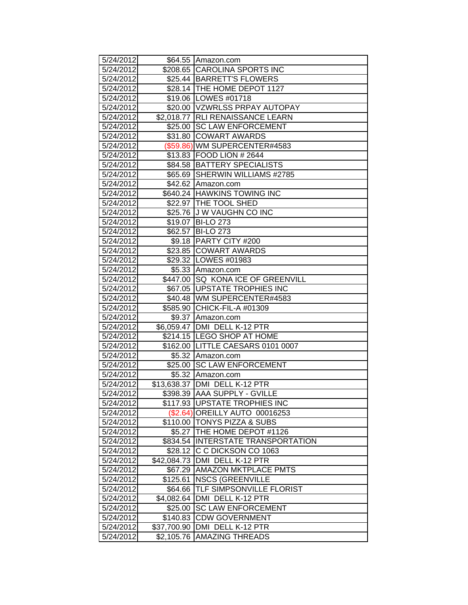| 5/24/2012 |             | \$64.55 Amazon.com                 |
|-----------|-------------|------------------------------------|
| 5/24/2012 |             | \$208.65 CAROLINA SPORTS INC       |
| 5/24/2012 |             | \$25.44 BARRETT'S FLOWERS          |
| 5/24/2012 |             | \$28.14 THE HOME DEPOT 1127        |
| 5/24/2012 |             | \$19.06   LOWES #01718             |
| 5/24/2012 |             | \$20.00 VZWRLSS PRPAY AUTOPAY      |
| 5/24/2012 | \$2,018.77  | <b>RLI RENAISSANCE LEARN</b>       |
| 5/24/2012 | \$25.00     | <b>SC LAW ENFORCEMENT</b>          |
| 5/24/2012 | \$31.80     | <b>COWART AWARDS</b>               |
| 5/24/2012 |             | (\$59.86) WM SUPERCENTER#4583      |
| 5/24/2012 |             | \$13.83 FOOD LION # 2644           |
| 5/24/2012 |             | \$84.58 BATTERY SPECIALISTS        |
| 5/24/2012 |             | \$65.69 SHERWIN WILLIAMS #2785     |
| 5/24/2012 |             | \$42.62 Amazon.com                 |
| 5/24/2012 |             | \$640.24 HAWKINS TOWING INC        |
| 5/24/2012 |             | \$22.97 THE TOOL SHED              |
| 5/24/2012 |             | \$25.76 J W VAUGHN CO INC          |
| 5/24/2012 | \$19.07     | <b>BI-LO 273</b>                   |
| 5/24/2012 | \$62.57     | <b>BI-LO 273</b>                   |
| 5/24/2012 | \$9.18      | <b>PARTY CITY #200</b>             |
| 5/24/2012 | \$23.85     | <b>COWART AWARDS</b>               |
| 5/24/2012 |             | \$29.32 LOWES #01983               |
| 5/24/2012 |             | \$5.33 Amazon.com                  |
| 5/24/2012 |             | \$447.00 SQ KONA ICE OF GREENVILL  |
| 5/24/2012 |             | \$67.05 UPSTATE TROPHIES INC       |
| 5/24/2012 |             | \$40.48 WM SUPERCENTER#4583        |
| 5/24/2012 |             | \$585.90 CHICK-FIL-A #01309        |
| 5/24/2012 | \$9.37      | Amazon.com                         |
| 5/24/2012 | \$6,059.47  | DMI DELL K-12 PTR                  |
| 5/24/2012 |             | \$214.15 LEGO SHOP AT HOME         |
| 5/24/2012 |             | \$162.00 LITTLE CAESARS 0101 0007  |
| 5/24/2012 |             | \$5.32 Amazon.com                  |
| 5/24/2012 | \$25.00     | <b>SC LAW ENFORCEMENT</b>          |
| 5/24/2012 |             | \$5.32 Amazon.com                  |
| 5/24/2012 |             | \$13,638.37 DMI DELL K-12 PTR      |
| 5/24/2012 |             | \$398.39 AAA SUPPLY - GVILLE       |
| 5/24/2012 |             | \$117.93 UPSTATE TROPHIES INC      |
| 5/24/2012 |             | (\$2.64) OREILLY AUTO 00016253     |
| 5/24/2012 |             | \$110.00 TONYS PIZZA & SUBS        |
| 5/24/2012 |             | \$5.27 THE HOME DEPOT #1126        |
| 5/24/2012 |             | \$834.54 INTERSTATE TRANSPORTATION |
| 5/24/2012 | \$28.12     | C C DICKSON CO 1063                |
| 5/24/2012 | \$42,084.73 | DMI DELL K-12 PTR                  |
| 5/24/2012 | \$67.29     | <b>AMAZON MKTPLACE PMTS</b>        |
| 5/24/2012 | \$125.61    | <b>NSCS (GREENVILLE</b>            |
| 5/24/2012 | \$64.66     | TLF SIMPSONVILLE FLORIST           |
| 5/24/2012 |             | \$4,082.64 DMI DELL K-12 PTR       |
| 5/24/2012 | \$25.00     | <b>SC LAW ENFORCEMENT</b>          |
| 5/24/2012 | \$140.83    | <b>CDW GOVERNMENT</b>              |
| 5/24/2012 | \$37,700.90 | DMI DELL K-12 PTR                  |
| 5/24/2012 | \$2,105.76  | <b>AMAZING THREADS</b>             |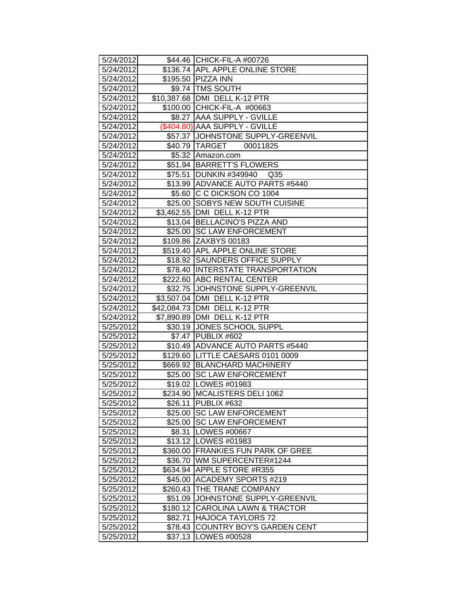| 5/24/2012              |         | \$44.46 CHICK-FIL-A #00726                                 |
|------------------------|---------|------------------------------------------------------------|
| 5/24/2012              |         | \$136.74 APL APPLE ONLINE STORE                            |
| 5/24/2012              |         | \$195.50 PIZZA INN                                         |
| 5/24/2012              |         | \$9.74 TMS SOUTH                                           |
| 5/24/2012              |         | \$10,387.68 DMI DELL K-12 PTR                              |
| 5/24/2012              |         | \$100.00 CHICK-FIL-A #00663                                |
| 5/24/2012              |         | \$8.27 AAA SUPPLY - GVILLE                                 |
| 5/24/2012              |         | (\$404.80) AAA SUPPLY - GVILLE                             |
| 5/24/2012              |         | \$57.37 JOHNSTONE SUPPLY-GREENVIL                          |
| 5/24/2012              |         | \$40.79 TARGET 00011825                                    |
| 5/24/2012              |         | \$5.32 Amazon.com                                          |
| 5/24/2012              |         | \$51.94 BARRETT'S FLOWERS                                  |
| 5/24/2012              |         | \$75.51 DUNKIN #349940<br>Q <sub>35</sub>                  |
| 5/24/2012              |         | \$13.99 ADVANCE AUTO PARTS #5440                           |
| 5/24/2012              |         | \$5.60 C C DICKSON CO 1004                                 |
| 5/24/2012              |         | \$25.00 SOBYS NEW SOUTH CUISINE                            |
| 5/24/2012              |         | \$3,462.55   DMI DELL K-12 PTR                             |
| 5/24/2012              |         | \$13.04 BELLACINO'S PIZZA AND                              |
| 5/24/2012              |         | \$25.00 SC LAW ENFORCEMENT                                 |
| 5/24/2012              |         | \$109.86 ZAXBYS 00183                                      |
| 5/24/2012              |         | \$519.40 APL APPLE ONLINE STORE                            |
| 5/24/2012              |         | \$18.92 SAUNDERS OFFICE SUPPLY                             |
| 5/24/2012              |         | \$78.40 INTERSTATE TRANSPORTATION                          |
| 5/24/2012              |         | \$222.60 ABC RENTAL CENTER                                 |
| 5/24/2012              |         | \$32.75 JJOHNSTONE SUPPLY-GREENVIL                         |
| 5/24/2012              |         | \$3,507.04 DMI DELL K-12 PTR                               |
| 5/24/2012              |         | \$42,084.73 DMI DELL K-12 PTR                              |
| 5/24/2012              |         | \$7,890.89 DMI DELL K-12 PTR                               |
| 5/25/2012              |         | \$30.19 JONES SCHOOL SUPPL                                 |
| 5/25/2012              |         | \$7.47 PUBLIX #602                                         |
| 5/25/2012              |         | \$10.49 ADVANCE AUTO PARTS #5440                           |
| 5/25/2012              |         | \$129.60 LITTLE CAESARS 0101 0009                          |
| 5/25/2012              |         | \$669.92 BLANCHARD MACHINERY<br>\$25.00 SC LAW ENFORCEMENT |
| 5/25/2012              |         | \$19.02 LOWES #01983                                       |
| 5/25/2012              |         | \$234.90 MCALISTERS DELI 1062                              |
| 5/25/2012              |         |                                                            |
| 5/25/2012<br>5/25/2012 |         | \$26.11   PUBLIX #632<br>\$25.00 SC LAW ENFORCEMENT        |
|                        |         |                                                            |
| 5/25/2012              |         | \$25.00 SC LAW ENFORCEMENT<br>\$8.31   LOWES #00667        |
| 5/25/2012<br>5/25/2012 |         | \$13.12   LOWES #01983                                     |
| 5/25/2012              |         | \$360.00 FRANKIES FUN PARK OF GREE                         |
| 5/25/2012              |         | \$36.70   WM SUPERCENTER#1244                              |
| 5/25/2012              |         | \$634.94 APPLE STORE #R355                                 |
| 5/25/2012              |         | \$45.00 ACADEMY SPORTS #219                                |
| 5/25/2012              |         | \$260.43 THE TRANE COMPANY                                 |
| 5/25/2012              |         | \$51.09 JJOHNSTONE SUPPLY-GREENVIL                         |
| 5/25/2012              |         | \$180.12 CAROLINA LAWN & TRACTOR                           |
| 5/25/2012              | \$82.71 | <b>HAJOCA TAYLORS 72</b>                                   |
| 5/25/2012              |         | <b>COUNTRY BOY'S GARDEN CENT</b>                           |
| 5/25/2012              | \$78.43 | \$37.13   LOWES #00528                                     |
|                        |         |                                                            |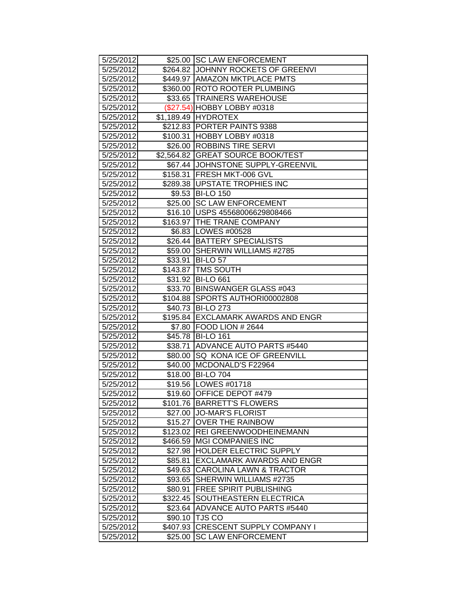| 5/25/2012 |          | \$25.00 SC LAW ENFORCEMENT         |
|-----------|----------|------------------------------------|
| 5/25/2012 |          | \$264.82 JOHNNY ROCKETS OF GREENVI |
| 5/25/2012 |          | \$449.97 AMAZON MKTPLACE PMTS      |
| 5/25/2012 |          | \$360.00 ROTO ROOTER PLUMBING      |
| 5/25/2012 |          | \$33.65 TRAINERS WAREHOUSE         |
| 5/25/2012 |          | (\$27.54) HOBBY LOBBY #0318        |
| 5/25/2012 |          | \$1,189.49 HYDROTEX                |
| 5/25/2012 |          | \$212.83 PORTER PAINTS 9388        |
| 5/25/2012 |          | \$100.31 HOBBY LOBBY #0318         |
| 5/25/2012 |          | \$26.00 ROBBINS TIRE SERVI         |
| 5/25/2012 |          | \$2,564.82 GREAT SOURCE BOOK/TEST  |
| 5/25/2012 |          | \$67.44 JJOHNSTONE SUPPLY-GREENVIL |
| 5/25/2012 |          | \$158.31 FRESH MKT-006 GVL         |
| 5/25/2012 |          | \$289.38 UPSTATE TROPHIES INC      |
| 5/25/2012 |          | \$9.53 BI-LO 150                   |
| 5/25/2012 |          | \$25.00 SC LAW ENFORCEMENT         |
| 5/25/2012 |          | \$16.10   USPS 45568006629808466   |
| 5/25/2012 |          | \$163.97 THE TRANE COMPANY         |
| 5/25/2012 |          | \$6.83 LOWES #00528                |
| 5/25/2012 |          | \$26.44 BATTERY SPECIALISTS        |
| 5/25/2012 |          | \$59.00 SHERWIN WILLIAMS #2785     |
| 5/25/2012 |          | \$33.91 BI-LO 57                   |
| 5/25/2012 |          | \$143.87   TMS SOUTH               |
| 5/25/2012 |          | \$31.92 BI-LO 661                  |
| 5/25/2012 |          | \$33.70 BINSWANGER GLASS #043      |
| 5/25/2012 |          | \$104.88 SPORTS AUTHORI00002808    |
| 5/25/2012 |          | \$40.73 BI-LO 273                  |
| 5/25/2012 |          | \$195.84 EXCLAMARK AWARDS AND ENGR |
| 5/25/2012 |          | \$7.80 FOOD LION # 2644            |
| 5/25/2012 |          | \$45.78 BI-LO 161                  |
| 5/25/2012 | \$38.71  | ADVANCE AUTO PARTS #5440           |
| 5/25/2012 |          | \$80.00   SQ KONA ICE OF GREENVILL |
| 5/25/2012 |          | \$40.00 MCDONALD'S F22964          |
| 5/25/2012 |          | \$18.00 BI-LO 704                  |
| 5/25/2012 |          | \$19.56   LOWES #01718             |
| 5/25/2012 |          | \$19.60 OFFICE DEPOT #479          |
| 5/25/2012 |          | \$101.76 BARRETT'S FLOWERS         |
| 5/25/2012 |          | \$27.00 JO-MAR'S FLORIST           |
| 5/25/2012 | \$15.27  | <b>OVER THE RAINBOW</b>            |
| 5/25/2012 |          | \$123.02 REI GREENWOODHEINEMANN    |
| 5/25/2012 |          | \$466.59 MGI COMPANIES INC         |
| 5/25/2012 | \$27.98  | <b>HOLDER ELECTRIC SUPPLY</b>      |
| 5/25/2012 | \$85.81  | <b>EXCLAMARK AWARDS AND ENGR</b>   |
| 5/25/2012 | \$49.63  | <b>CAROLINA LAWN &amp; TRACTOR</b> |
| 5/25/2012 | \$93.65  | SHERWIN WILLIAMS #2735             |
| 5/25/2012 | \$80.91  | <b>FREE SPIRIT PUBLISHING</b>      |
| 5/25/2012 | \$322.45 | <b>SOUTHEASTERN ELECTRICA</b>      |
| 5/25/2012 |          | \$23.64 ADVANCE AUTO PARTS #5440   |
| 5/25/2012 |          | \$90.10 TJS CO                     |
| 5/25/2012 | \$407.93 | <b>CRESCENT SUPPLY COMPANY I</b>   |
| 5/25/2012 | \$25.00  | <b>SC LAW ENFORCEMENT</b>          |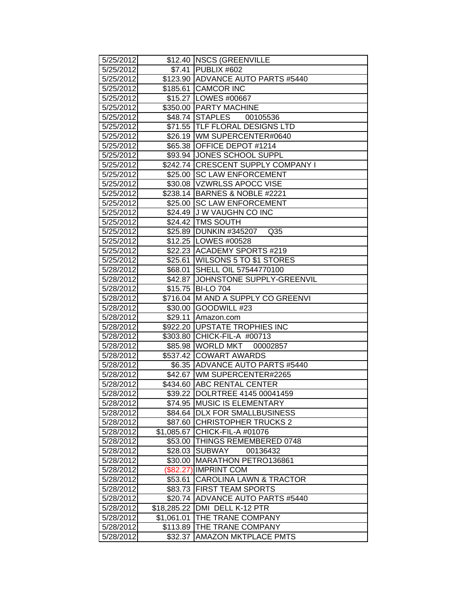| 5/25/2012 |             | \$12.40   NSCS (GREENVILLE         |
|-----------|-------------|------------------------------------|
| 5/25/2012 |             | \$7.41   PUBLIX #602               |
| 5/25/2012 |             | \$123.90 ADVANCE AUTO PARTS #5440  |
| 5/25/2012 |             | \$185.61 CAMCOR INC                |
| 5/25/2012 |             | \$15.27 LOWES #00667               |
| 5/25/2012 |             | \$350.00 PARTY MACHINE             |
| 5/25/2012 |             | \$48.74 STAPLES<br>00105536        |
| 5/25/2012 |             | \$71.55 TLF FLORAL DESIGNS LTD     |
| 5/25/2012 |             | \$26.19   WM SUPERCENTER#0640      |
| 5/25/2012 |             | \$65.38 OFFICE DEPOT #1214         |
| 5/25/2012 |             | \$93.94 JONES SCHOOL SUPPL         |
| 5/25/2012 |             | \$242.74 CRESCENT SUPPLY COMPANY I |
| 5/25/2012 |             | \$25.00 SC LAW ENFORCEMENT         |
| 5/25/2012 |             | \$30.08 VZWRLSS APOCC VISE         |
| 5/25/2012 |             | \$238.14 BARNES & NOBLE #2221      |
| 5/25/2012 |             | \$25.00 SC LAW ENFORCEMENT         |
| 5/25/2012 |             | \$24.49 J W VAUGHN CO INC          |
| 5/25/2012 | \$24.42     | <b>TMS SOUTH</b>                   |
| 5/25/2012 |             | \$25.89 DUNKIN #345207<br>Q35      |
| 5/25/2012 |             | \$12.25   LOWES #00528             |
| 5/25/2012 |             | \$22.23 ACADEMY SPORTS #219        |
| 5/25/2012 |             | \$25.61 WILSONS 5 TO \$1 STORES    |
| 5/28/2012 |             | \$68.01 SHELL OIL 57544770100      |
| 5/28/2012 |             | \$42.87 JJOHNSTONE SUPPLY-GREENVIL |
| 5/28/2012 |             | \$15.75 BI-LO 704                  |
| 5/28/2012 |             | \$716.04 M AND A SUPPLY CO GREENVI |
| 5/28/2012 |             | \$30.00 GOODWILL #23               |
| 5/28/2012 |             | \$29.11 Amazon.com                 |
| 5/28/2012 |             | \$922.20 UPSTATE TROPHIES INC      |
| 5/28/2012 |             | \$303.80 CHICK-FIL-A #00713        |
| 5/28/2012 |             | \$85.98 WORLD MKT<br>00002857      |
| 5/28/2012 |             | \$537.42 COWART AWARDS             |
| 5/28/2012 |             | \$6.35 ADVANCE AUTO PARTS #5440    |
| 5/28/2012 |             | \$42.67 WM SUPERCENTER#2265        |
| 5/28/2012 |             | \$434.60 ABC RENTAL CENTER         |
| 5/28/2012 |             | \$39.22 DOLRTREE 4145 00041459     |
| 5/28/2012 | \$74.95     | <b>MUSIC IS ELEMENTARY</b>         |
| 5/28/2012 |             | \$84.64   DLX FOR SMALLBUSINESS    |
| 5/28/2012 | \$87.60     | <b>CHRISTOPHER TRUCKS 2</b>        |
| 5/28/2012 | \$1,085.67  | CHICK-FIL-A #01076                 |
| 5/28/2012 |             | \$53.00 THINGS REMEMBERED 0748     |
| 5/28/2012 | \$28.03     | <b>SUBWAY</b><br>00136432          |
| 5/28/2012 | \$30.00     | MARATHON PETRO136861               |
| 5/28/2012 | (\$82.27)   | <b>IMPRINT COM</b>                 |
| 5/28/2012 | \$53.61     | <b>CAROLINA LAWN &amp; TRACTOR</b> |
| 5/28/2012 | \$83.73     | <b>FIRST TEAM SPORTS</b>           |
| 5/28/2012 | \$20.74     | <b>ADVANCE AUTO PARTS #5440</b>    |
| 5/28/2012 | \$18,285.22 | DMI DELL K-12 PTR                  |
| 5/28/2012 | \$1,061.01  | THE TRANE COMPANY                  |
| 5/28/2012 | \$113.89    | THE TRANE COMPANY                  |
| 5/28/2012 | \$32.37     | <b>AMAZON MKTPLACE PMTS</b>        |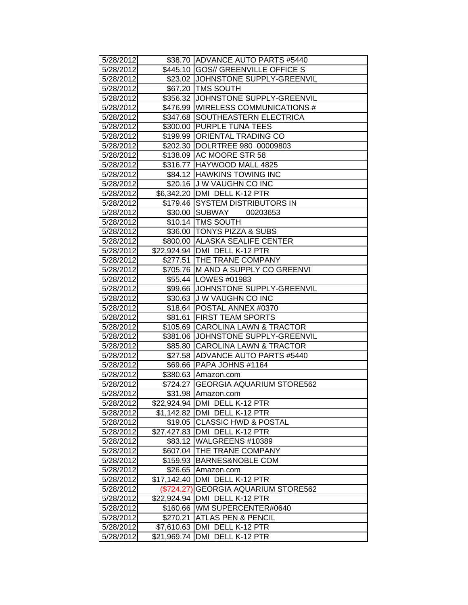| 5/28/2012 |              | \$38.70 ADVANCE AUTO PARTS #5440    |
|-----------|--------------|-------------------------------------|
| 5/28/2012 |              | \$445.10 GOS// GREENVILLE OFFICE S  |
| 5/28/2012 |              | \$23.02 JJOHNSTONE SUPPLY-GREENVIL  |
| 5/28/2012 |              | \$67.20   TMS SOUTH                 |
| 5/28/2012 |              | \$356.32 JJOHNSTONE SUPPLY-GREENVIL |
| 5/28/2012 |              | \$476.99 WIRELESS COMMUNICATIONS #  |
| 5/28/2012 |              | \$347.68 SOUTHEASTERN ELECTRICA     |
| 5/28/2012 |              | \$300.00 PURPLE TUNA TEES           |
| 5/28/2012 |              | \$199.99 ORIENTAL TRADING CO        |
| 5/28/2012 |              | \$202.30 DOLRTREE 980 00009803      |
| 5/28/2012 |              | \$138.09 AC MOORE STR 58            |
| 5/28/2012 |              | \$316.77   HAYWOOD MALL 4825        |
| 5/28/2012 |              | \$84.12 HAWKINS TOWING INC          |
| 5/28/2012 |              | \$20.16 J W VAUGHN CO INC           |
| 5/28/2012 |              | \$6,342.20 DMI DELL K-12 PTR        |
| 5/28/2012 |              | \$179.46 SYSTEM DISTRIBUTORS IN     |
| 5/28/2012 |              | \$30.00 SUBWAY<br>00203653          |
| 5/28/2012 |              | \$10.14 TMS SOUTH                   |
| 5/28/2012 |              | \$36.00 TONYS PIZZA & SUBS          |
| 5/28/2012 |              | \$800.00 ALASKA SEALIFE CENTER      |
| 5/28/2012 |              | \$22,924.94   DMI DELL K-12 PTR     |
| 5/28/2012 |              | \$277.51 THE TRANE COMPANY          |
| 5/28/2012 |              | \$705.76 M AND A SUPPLY CO GREENVI  |
| 5/28/2012 |              | \$55.44 LOWES #01983                |
| 5/28/2012 |              | \$99.66 JJOHNSTONE SUPPLY-GREENVIL  |
| 5/28/2012 |              | \$30.63 J W VAUGHN CO INC           |
| 5/28/2012 |              | \$18.64   POSTAL ANNEX #0370        |
| 5/28/2012 |              | \$81.61 FIRST TEAM SPORTS           |
| 5/28/2012 |              | \$105.69 CAROLINA LAWN & TRACTOR    |
| 5/28/2012 |              | \$381.06 JJOHNSTONE SUPPLY-GREENVIL |
| 5/28/2012 |              | \$85.80 CAROLINA LAWN & TRACTOR     |
| 5/28/2012 |              | \$27.58 ADVANCE AUTO PARTS #5440    |
| 5/28/2012 |              | \$69.66   PAPA JOHNS #1164          |
| 5/28/2012 |              | \$380.63 Amazon.com                 |
| 5/28/2012 | \$724.27     | <b>GEORGIA AQUARIUM STORE562</b>    |
| 5/28/2012 |              | \$31.98 Amazon.com                  |
| 5/28/2012 |              | \$22,924.94 DMI DELL K-12 PTR       |
| 5/28/2012 |              | \$1,142.82   DMI DELL K-12 PTR      |
| 5/28/2012 |              | \$19.05 CLASSIC HWD & POSTAL        |
| 5/28/2012 |              | \$27,427.83 DMI DELL K-12 PTR       |
| 5/28/2012 |              | \$83.12 WALGREENS #10389            |
| 5/28/2012 |              | \$607.04   THE TRANE COMPANY        |
| 5/28/2012 |              | \$159.93 BARNES&NOBLE COM           |
| 5/28/2012 | \$26.65      | Amazon.com                          |
| 5/28/2012 | \$17,142.40  | DMI DELL K-12 PTR                   |
| 5/28/2012 | $(\$724.27)$ | <b>GEORGIA AQUARIUM STORE562</b>    |
| 5/28/2012 |              | \$22,924.94   DMI DELL K-12 PTR     |
| 5/28/2012 |              | \$160.66   WM SUPERCENTER#0640      |
| 5/28/2012 | \$270.21     | <b>ATLAS PEN &amp; PENCIL</b>       |
| 5/28/2012 |              | \$7,610.63 DMI DELL K-12 PTR        |
| 5/28/2012 |              | \$21,969.74   DMI DELL K-12 PTR     |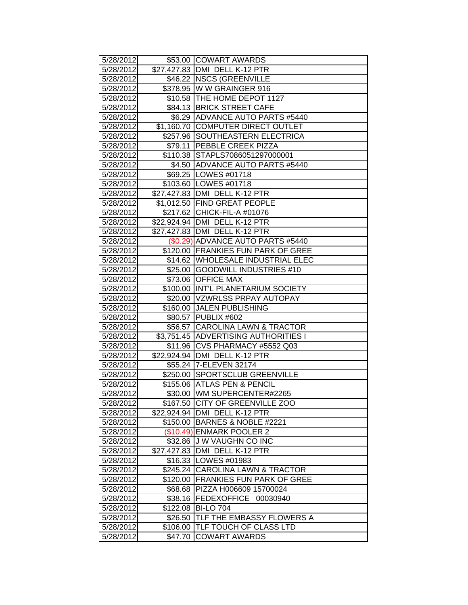| 5/28/2012 |          | \$53.00 COWART AWARDS                |
|-----------|----------|--------------------------------------|
| 5/28/2012 |          | \$27,427.83 DMI DELL K-12 PTR        |
| 5/28/2012 |          | \$46.22 NSCS (GREENVILLE             |
| 5/28/2012 |          | \$378.95 W W GRAINGER 916            |
| 5/28/2012 |          | \$10.58   THE HOME DEPOT 1127        |
| 5/28/2012 |          | \$84.13 BRICK STREET CAFE            |
| 5/28/2012 |          | \$6.29 ADVANCE AUTO PARTS #5440      |
| 5/28/2012 |          | \$1,160.70 COMPUTER DIRECT OUTLET    |
| 5/28/2012 |          | \$257.96 SOUTHEASTERN ELECTRICA      |
| 5/28/2012 |          | \$79.11 PEBBLE CREEK PIZZA           |
| 5/28/2012 |          | \$110.38 STAPLS7086051297000001      |
| 5/28/2012 |          | \$4.50 ADVANCE AUTO PARTS #5440      |
| 5/28/2012 |          | \$69.25   LOWES #01718               |
| 5/28/2012 |          | \$103.60 LOWES #01718                |
| 5/28/2012 |          | \$27,427.83 DMI DELL K-12 PTR        |
| 5/28/2012 |          | \$1,012.50 FIND GREAT PEOPLE         |
| 5/28/2012 |          | \$217.62 CHICK-FIL-A #01076          |
| 5/28/2012 |          | \$22,924.94 DMI DELL K-12 PTR        |
| 5/28/2012 |          | \$27,427.83 DMI DELL K-12 PTR        |
| 5/28/2012 |          | (\$0.29) ADVANCE AUTO PARTS #5440    |
| 5/28/2012 |          | \$120.00 FRANKIES FUN PARK OF GREE   |
| 5/28/2012 |          | \$14.62 WHOLESALE INDUSTRIAL ELEC    |
| 5/28/2012 |          | \$25.00 GOODWILL INDUSTRIES #10      |
| 5/28/2012 |          | \$73.06 OFFICE MAX                   |
| 5/28/2012 |          | \$100.00 INT'L PLANETARIUM SOCIETY   |
| 5/28/2012 |          | \$20.00 VZWRLSS PRPAY AUTOPAY        |
| 5/28/2012 |          | \$160.00 JALEN PUBLISHING            |
| 5/28/2012 |          | \$80.57 PUBLIX #602                  |
| 5/28/2012 |          | \$56.57 CAROLINA LAWN & TRACTOR      |
| 5/28/2012 |          | \$3,751.45 ADVERTISING AUTHORITIES I |
| 5/28/2012 |          | \$11.96 CVS PHARMACY #5552 Q03       |
| 5/28/2012 |          | \$22,924.94   DMI DELL K-12 PTR      |
| 5/28/2012 |          | \$55.24 7-ELEVEN 32174               |
| 5/28/2012 |          | \$250.00 SPORTSCLUB GREENVILLE       |
| 5/28/2012 |          | \$155.06 ATLAS PEN & PENCIL          |
| 5/28/2012 |          | \$30.00 WM SUPERCENTER#2265          |
| 5/28/2012 | \$167.50 | <b>CITY OF GREENVILLE ZOO</b>        |
| 5/28/2012 |          | \$22,924.94 DMI DELL K-12 PTR        |
| 5/28/2012 |          | \$150.00 BARNES & NOBLE #2221        |
| 5/28/2012 |          | (\$10.49) ENMARK POOLER 2            |
| 5/28/2012 | \$32.86  | <b>J W VAUGHN CO INC</b>             |
| 5/28/2012 |          | \$27,427.83   DMI DELL K-12 PTR      |
| 5/28/2012 | \$16.33  | LOWES #01983                         |
| 5/28/2012 | \$245.24 | <b>CAROLINA LAWN &amp; TRACTOR</b>   |
| 5/28/2012 | \$120.00 | <b>FRANKIES FUN PARK OF GREE</b>     |
| 5/28/2012 | \$68.68  | PIZZA H006609 15700024               |
| 5/28/2012 | \$38.16  | FEDEXOFFICE<br>00030940              |
| 5/28/2012 | \$122.08 | <b>BI-LO 704</b>                     |
| 5/28/2012 | \$26.50  | TLF THE EMBASSY FLOWERS A            |
| 5/28/2012 | \$106.00 | TLF TOUCH OF CLASS LTD               |
| 5/28/2012 | \$47.70  | <b>COWART AWARDS</b>                 |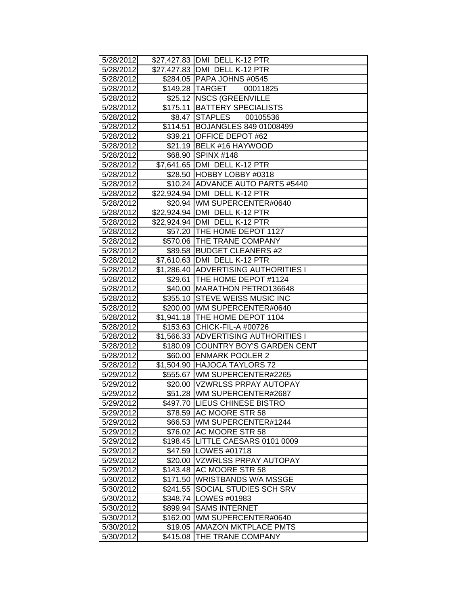| 5/28/2012 |          | \$27,427.83 DMI DELL K-12 PTR        |
|-----------|----------|--------------------------------------|
| 5/28/2012 |          | \$27,427.83   DMI DELL K-12 PTR      |
| 5/28/2012 |          | \$284.05 PAPA JOHNS #0545            |
| 5/28/2012 |          | \$149.28 TARGET<br>00011825          |
| 5/28/2012 |          | \$25.12 NSCS (GREENVILLE             |
| 5/28/2012 |          | \$175.11 BATTERY SPECIALISTS         |
| 5/28/2012 |          | \$8.47 STAPLES<br>00105536           |
| 5/28/2012 |          | \$114.51 BOJANGLES 849 01008499      |
| 5/28/2012 |          | \$39.21 OFFICE DEPOT #62             |
| 5/28/2012 |          | \$21.19 BELK #16 HAYWOOD             |
| 5/28/2012 |          | \$68.90 SPINX #148                   |
| 5/28/2012 |          | \$7,641.65   DMI DELL K-12 PTR       |
| 5/28/2012 |          | \$28.50 HOBBY LOBBY #0318            |
| 5/28/2012 |          | \$10.24 ADVANCE AUTO PARTS #5440     |
| 5/28/2012 |          | \$22,924.94 DMI DELL K-12 PTR        |
| 5/28/2012 |          | \$20.94 WM SUPERCENTER#0640          |
| 5/28/2012 |          | \$22,924.94 DMI DELL K-12 PTR        |
| 5/28/2012 |          | \$22,924.94   DMI DELL K-12 PTR      |
| 5/28/2012 |          | \$57.20 THE HOME DEPOT 1127          |
| 5/28/2012 |          | \$570.06 THE TRANE COMPANY           |
| 5/28/2012 |          | \$89.58 BUDGET CLEANERS #2           |
| 5/28/2012 |          | \$7,610.63 DMI DELL K-12 PTR         |
| 5/28/2012 |          | \$1,286.40 ADVERTISING AUTHORITIES I |
| 5/28/2012 |          | \$29.61   THE HOME DEPOT #1124       |
| 5/28/2012 |          | \$40.00 MARATHON PETRO136648         |
| 5/28/2012 |          | \$355.10 STEVE WEISS MUSIC INC       |
| 5/28/2012 |          | \$200.00 WM SUPERCENTER#0640         |
| 5/28/2012 |          | \$1,941.18 THE HOME DEPOT 1104       |
| 5/28/2012 |          | \$153.63 CHICK-FIL-A #00726          |
| 5/28/2012 |          | \$1,566.33 ADVERTISING AUTHORITIES I |
| 5/28/2012 |          | \$180.09 COUNTRY BOY'S GARDEN CENT   |
| 5/28/2012 |          | \$60.00 ENMARK POOLER 2              |
| 5/28/2012 |          | \$1,504.90 HAJOCA TAYLORS 72         |
| 5/29/2012 |          | \$555.67   WM SUPERCENTER#2265       |
| 5/29/2012 |          | \$20.00 VZWRLSS PRPAY AUTOPAY        |
| 5/29/2012 |          | \$51.28 WM SUPERCENTER#2687          |
| 5/29/2012 |          | \$497.70 LIEUS CHINESE BISTRO        |
| 5/29/2012 |          | \$78.59 AC MOORE STR 58              |
| 5/29/2012 |          | \$66.53 WM SUPERCENTER#1244          |
| 5/29/2012 |          | \$76.02 AC MOORE STR 58              |
| 5/29/2012 |          | \$198.45 LITTLE CAESARS 0101 0009    |
| 5/29/2012 |          | \$47.59   LOWES #01718               |
| 5/29/2012 |          | \$20.00 VZWRLSS PRPAY AUTOPAY        |
| 5/29/2012 |          | \$143.48 AC MOORE STR 58             |
| 5/30/2012 |          | \$171.50 WRISTBANDS W/A MSSGE        |
| 5/30/2012 |          | \$241.55 SOCIAL STUDIES SCH SRV      |
| 5/30/2012 |          | \$348.74   LOWES #01983              |
| 5/30/2012 | \$899.94 | <b>SAMS INTERNET</b>                 |
| 5/30/2012 | \$162.00 | WM SUPERCENTER#0640                  |
| 5/30/2012 | \$19.05  | <b>AMAZON MKTPLACE PMTS</b>          |
| 5/30/2012 | \$415.08 | THE TRANE COMPANY                    |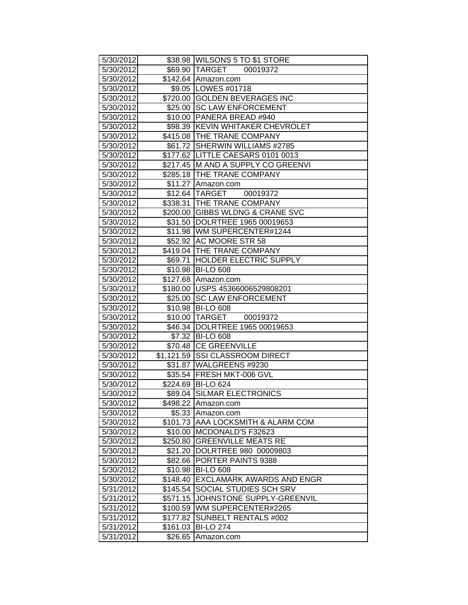| 5/30/2012 |          | \$38.98 WILSONS 5 TO \$1 STORE      |
|-----------|----------|-------------------------------------|
| 5/30/2012 |          | \$69.90 TARGET 00019372             |
| 5/30/2012 |          | \$142.64 Amazon.com                 |
| 5/30/2012 |          | \$9.05   LOWES #01718               |
| 5/30/2012 |          | \$720.00 GOLDEN BEVERAGES INC       |
| 5/30/2012 | \$25.00  | <b>SC LAW ENFORCEMENT</b>           |
| 5/30/2012 | \$10.00  | PANERA BREAD #940                   |
| 5/30/2012 |          | \$98.39 KEVIN WHITAKER CHEVROLET    |
| 5/30/2012 |          | \$415.08 THE TRANE COMPANY          |
| 5/30/2012 |          | \$61.72 SHERWIN WILLIAMS #2785      |
| 5/30/2012 |          | \$177.62   LITTLE CAESARS 0101 0013 |
| 5/30/2012 |          | \$217.45 M AND A SUPPLY CO GREENVI  |
| 5/30/2012 |          | \$285.18 THE TRANE COMPANY          |
| 5/30/2012 | \$11.27  | Amazon.com                          |
| 5/30/2012 |          | \$12.64 TARGET 00019372             |
| 5/30/2012 |          | \$338.31 THE TRANE COMPANY          |
| 5/30/2012 |          | \$200.00 GIBBS WLDNG & CRANE SVC    |
| 5/30/2012 | \$31.50  | DOLRTREE 1965 00019653              |
| 5/30/2012 |          | \$11.98 WM SUPERCENTER#1244         |
| 5/30/2012 | \$52.92  | <b>AC MOORE STR 58</b>              |
| 5/30/2012 |          | \$419.04 THE TRANE COMPANY          |
| 5/30/2012 | \$69.71  | <b>HOLDER ELECTRIC SUPPLY</b>       |
| 5/30/2012 |          | \$10.98 BI-LO 608                   |
| 5/30/2012 |          | \$127.68 Amazon.com                 |
| 5/30/2012 |          | \$180.00 USPS 45366006529808201     |
| 5/30/2012 |          | \$25.00 SC LAW ENFORCEMENT          |
| 5/30/2012 |          | \$10.98 BI-LO 608                   |
| 5/30/2012 |          | \$10.00 TARGET 00019372             |
| 5/30/2012 |          | \$46.34 DOLRTREE 1965 00019653      |
| 5/30/2012 | \$7.32   | <b>BI-LO 608</b>                    |
| 5/30/2012 |          | \$70.48 CE GREENVILLE               |
| 5/30/2012 |          | \$1,121.59 SSI CLASSROOM DIRECT     |
| 5/30/2012 | \$31.87  | WALGREENS #9230                     |
| 5/30/2012 |          | \$35.54 FRESH MKT-006 GVL           |
| 5/30/2012 |          | \$224.69 BI-LO 624                  |
| 5/30/2012 |          | \$89.04 SILMAR ELECTRONICS          |
| 5/30/2012 | \$498.22 | Amazon.com                          |
| 5/30/2012 | \$5.33   | Amazon.com                          |
| 5/30/2012 |          | \$101.73 AAA LOCKSMITH & ALARM COM  |
| 5/30/2012 | \$10.00  | <b>IMCDONALD'S F32623</b>           |
| 5/30/2012 | \$250.80 | <b>IGREENVILLE MEATS RE</b>         |
| 5/30/2012 | \$21.20  | DOLRTREE 980 00009803               |
| 5/30/2012 | \$82.66  | PORTER PAINTS 9388                  |
| 5/30/2012 | \$10.98  | <b>BI-LO 608</b>                    |
| 5/30/2012 | \$148.40 | EXCLAMARK AWARDS AND ENGR           |
| 5/31/2012 | \$145.54 | SOCIAL STUDIES SCH SRV              |
| 5/31/2012 | \$571.15 | JOHNSTONE SUPPLY-GREENVIL           |
| 5/31/2012 | \$100.59 | WM SUPERCENTER#2265                 |
| 5/31/2012 | \$177.82 | SUNBELT RENTALS #002                |
| 5/31/2012 | \$161.03 | <b>BI-LO 274</b>                    |
| 5/31/2012 | \$26.65  | Amazon.com                          |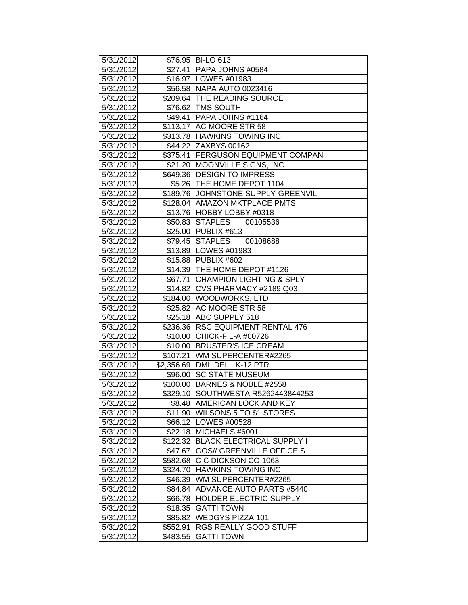| 5/31/2012 |          | \$76.95 BI-LO 613                  |
|-----------|----------|------------------------------------|
| 5/31/2012 |          | \$27.41 PAPA JOHNS #0584           |
| 5/31/2012 |          | \$16.97   LOWES #01983             |
| 5/31/2012 |          | \$56.58 NAPA AUTO 0023416          |
| 5/31/2012 |          | \$209.64 THE READING SOURCE        |
| 5/31/2012 |          | \$76.62 TMS SOUTH                  |
| 5/31/2012 |          | \$49.41 PAPA JOHNS #1164           |
| 5/31/2012 |          | \$113.17 AC MOORE STR 58           |
| 5/31/2012 |          | \$313.78 HAWKINS TOWING INC        |
| 5/31/2012 |          | \$44.22 ZAXBYS 00162               |
| 5/31/2012 |          | \$375.41 FERGUSON EQUIPMENT COMPAN |
| 5/31/2012 |          | \$21.20 MOONVILLE SIGNS, INC       |
| 5/31/2012 |          | \$649.36 DESIGN TO IMPRESS         |
| 5/31/2012 |          | \$5.26   THE HOME DEPOT 1104       |
| 5/31/2012 |          | \$189.76 JOHNSTONE SUPPLY-GREENVIL |
| 5/31/2012 |          | \$128.04   AMAZON MKTPLACE PMTS    |
| 5/31/2012 |          | \$13.76 HOBBY LOBBY #0318          |
| 5/31/2012 |          | \$50.83 STAPLES<br>00105536        |
| 5/31/2012 |          | \$25.00 PUBLIX #613                |
| 5/31/2012 |          | \$79.45 STAPLES<br>00108688        |
| 5/31/2012 |          | \$13.89   LOWES #01983             |
| 5/31/2012 |          | \$15.88 PUBLIX #602                |
| 5/31/2012 |          | \$14.39   THE HOME DEPOT #1126     |
| 5/31/2012 |          | \$67.71 CHAMPION LIGHTING & SPLY   |
| 5/31/2012 |          | \$14.82 CVS PHARMACY #2189 Q03     |
| 5/31/2012 |          | \$184.00   WOODWORKS, LTD          |
| 5/31/2012 |          | \$25.82 AC MOORE STR 58            |
| 5/31/2012 |          | \$25.18 ABC SUPPLY 518             |
| 5/31/2012 |          | \$236.36 RSC EQUIPMENT RENTAL 476  |
| 5/31/2012 |          | \$10.00 CHICK-FIL-A #00726         |
| 5/31/2012 |          | \$10.00 BRUSTER'S ICE CREAM        |
| 5/31/2012 |          | \$107.21 WM SUPERCENTER#2265       |
| 5/31/2012 |          | \$2,356.69   DMI DELL K-12 PTR     |
| 5/31/2012 |          | \$96.00 SC STATE MUSEUM            |
| 5/31/2012 |          | \$100.00 BARNES & NOBLE #2558      |
| 5/31/2012 |          | \$329.10 SOUTHWESTAIR5262443844253 |
| 5/31/2012 |          | \$8.48   AMERICAN LOCK AND KEY     |
| 5/31/2012 |          | \$11.90 WILSONS 5 TO \$1 STORES    |
| 5/31/2012 |          | \$66.12   LOWES #00528             |
| 5/31/2012 |          | \$22.18 MICHAELS #6001             |
| 5/31/2012 |          | \$122.32 BLACK ELECTRICAL SUPPLY I |
| 5/31/2012 | \$47.67  | <b>GOS// GREENVILLE OFFICE S</b>   |
| 5/31/2012 | \$582.68 | C C DICKSON CO 1063                |
| 5/31/2012 |          | \$324.70 HAWKINS TOWING INC        |
| 5/31/2012 |          | \$46.39 WM SUPERCENTER#2265        |
| 5/31/2012 |          | \$84.84 ADVANCE AUTO PARTS #5440   |
| 5/31/2012 |          | \$66.78 HOLDER ELECTRIC SUPPLY     |
| 5/31/2012 | \$18.35  | <b>GATTI TOWN</b>                  |
| 5/31/2012 | \$85.82  | <b>WEDGYS PIZZA 101</b>            |
| 5/31/2012 | \$552.91 | <b>RGS REALLY GOOD STUFF</b>       |
| 5/31/2012 | \$483.55 | <b>GATTI TOWN</b>                  |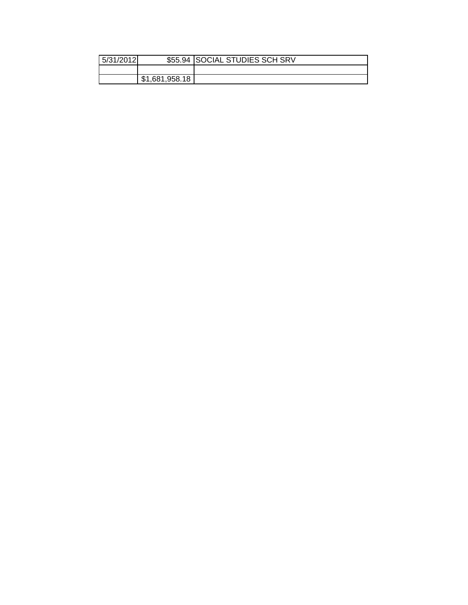| 5/31/2012 |                | \$55.94 SOCIAL STUDIES SCH SRV |
|-----------|----------------|--------------------------------|
|           |                |                                |
|           | \$1,681,958.18 |                                |